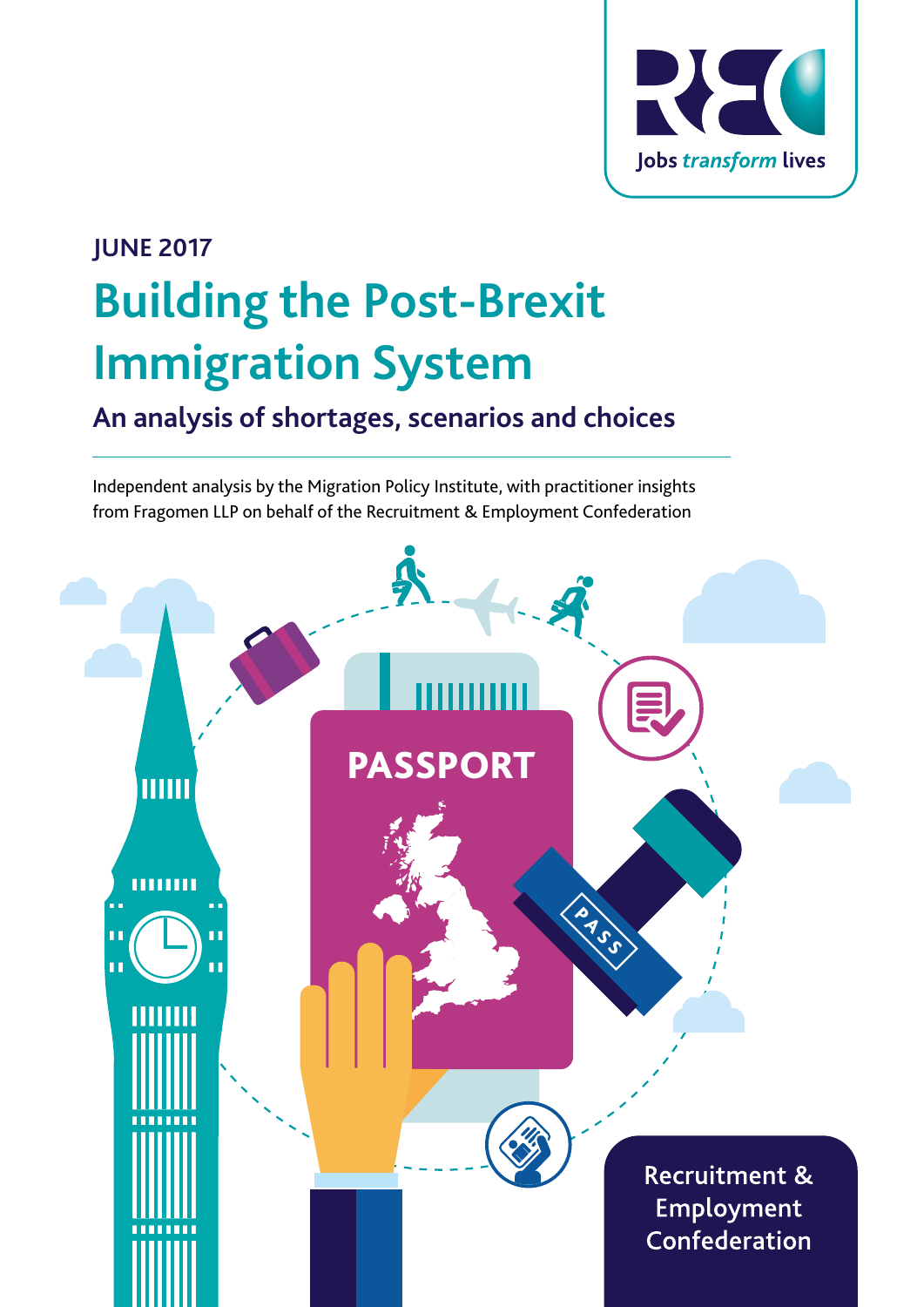

# **Building the Post-Brexit Immigration System JUNE 2017**

### **An analysis of shortages, scenarios and choices**

Independent analysis by the Migration Policy Institute, with practitioner insights from Fragomen LLP on behalf of the Recruitment & Employment Confederation

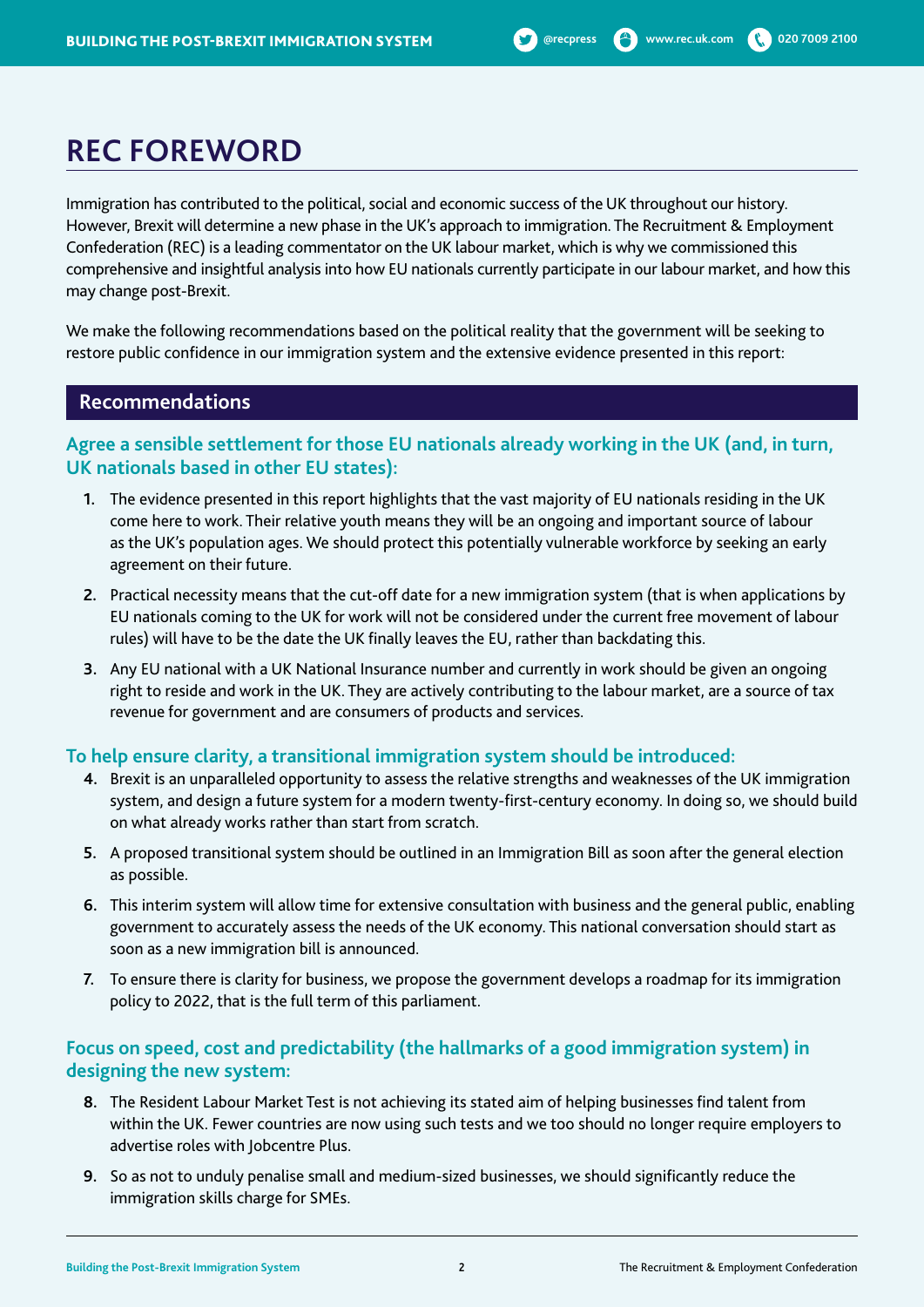### **REC FOREWORD**

Immigration has contributed to the political, social and economic success of the UK throughout our history. However, Brexit will determine a new phase in the UK's approach to immigration. The Recruitment & Employment Confederation (REC) is a leading commentator on the UK labour market, which is why we commissioned this comprehensive and insightful analysis into how EU nationals currently participate in our labour market, and how this may change post-Brexit.

We make the following recommendations based on the political reality that the government will be seeking to restore public confidence in our immigration system and the extensive evidence presented in this report:

#### **Recommendations**

#### **Agree a sensible settlement for those EU nationals already working in the UK (and, in turn, UK nationals based in other EU states):**

- **1.** The evidence presented in this report highlights that the vast majority of EU nationals residing in the UK come here to work. Their relative youth means they will be an ongoing and important source of labour as the UK's population ages. We should protect this potentially vulnerable workforce by seeking an early agreement on their future.
- **2.** Practical necessity means that the cut-off date for a new immigration system (that is when applications by EU nationals coming to the UK for work will not be considered under the current free movement of labour rules) will have to be the date the UK finally leaves the EU, rather than backdating this.
- **3.** Any EU national with a UK National Insurance number and currently in work should be given an ongoing right to reside and work in the UK. They are actively contributing to the labour market, are a source of tax revenue for government and are consumers of products and services.

#### **To help ensure clarity, a transitional immigration system should be introduced:**

- **4.** Brexit is an unparalleled opportunity to assess the relative strengths and weaknesses of the UK immigration system, and design a future system for a modern twenty-first-century economy. In doing so, we should build on what already works rather than start from scratch.
- **5.** A proposed transitional system should be outlined in an Immigration Bill as soon after the general election as possible.
- **6.** This interim system will allow time for extensive consultation with business and the general public, enabling government to accurately assess the needs of the UK economy. This national conversation should start as soon as a new immigration bill is announced.
- **7.** To ensure there is clarity for business, we propose the government develops a roadmap for its immigration policy to 2022, that is the full term of this parliament.

#### **Focus on speed, cost and predictability (the hallmarks of a good immigration system) in designing the new system:**

- **8.** The Resident Labour Market Test is not achieving its stated aim of helping businesses find talent from within the UK. Fewer countries are now using such tests and we too should no longer require employers to advertise roles with Jobcentre Plus.
- **9.** So as not to unduly penalise small and medium-sized businesses, we should significantly reduce the immigration skills charge for SMEs.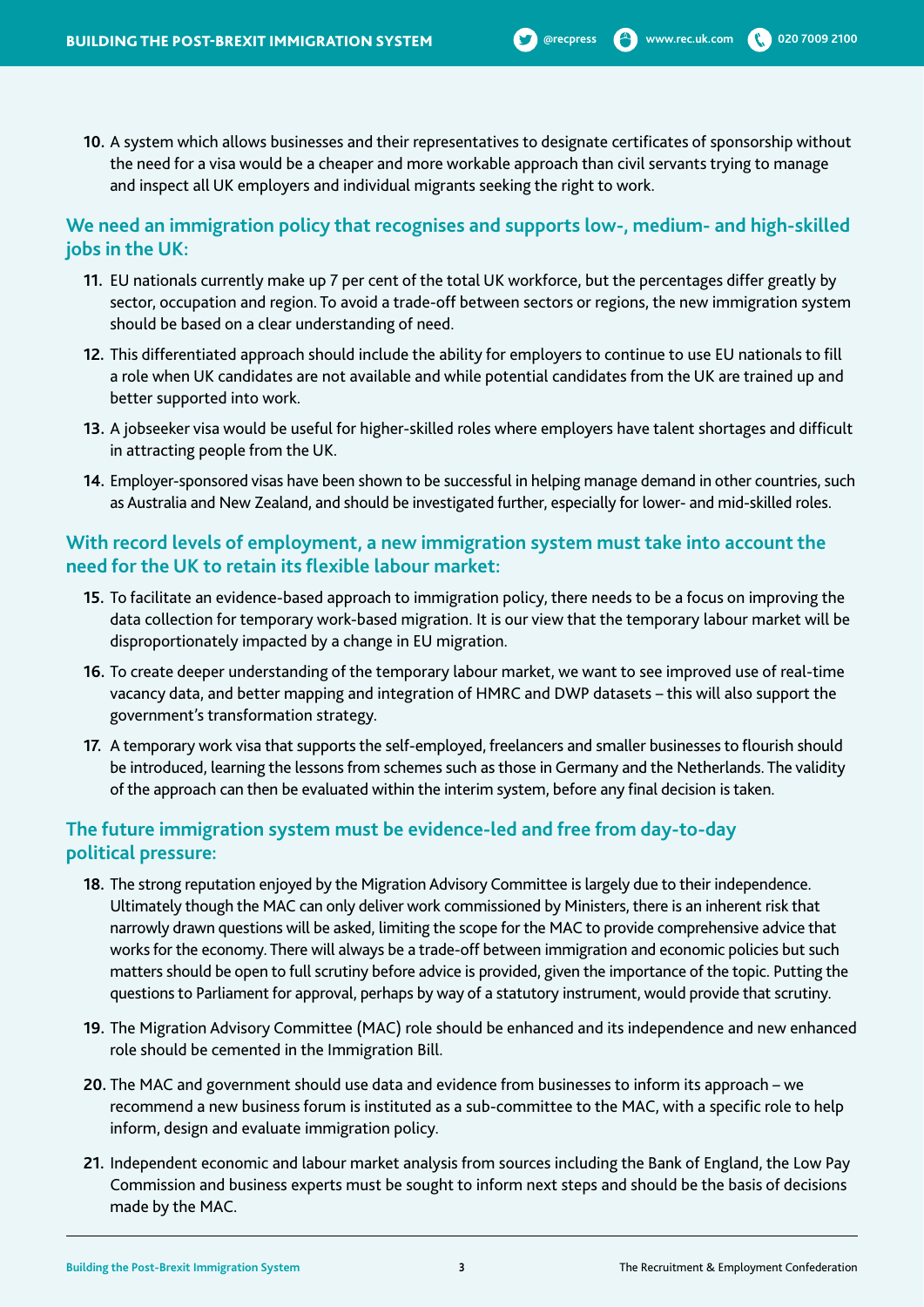**C** @recpress **C** www.rec.uk.com **C** 020 7009 2100

#### **We need an immigration policy that recognises and supports low-, medium- and high-skilled jobs in the UK:**

- **11.** EU nationals currently make up 7 per cent of the total UK workforce, but the percentages differ greatly by sector, occupation and region. To avoid a trade-off between sectors or regions, the new immigration system should be based on a clear understanding of need.
- **12.** This differentiated approach should include the ability for employers to continue to use EU nationals to fill a role when UK candidates are not available and while potential candidates from the UK are trained up and better supported into work.
- **13.** A jobseeker visa would be useful for higher-skilled roles where employers have talent shortages and difficult in attracting people from the UK.
- **14.** Employer-sponsored visas have been shown to be successful in helping manage demand in other countries, such as Australia and New Zealand, and should be investigated further, especially for lower- and mid-skilled roles.

#### **With record levels of employment, a new immigration system must take into account the need for the UK to retain its flexible labour market:**

- **15.** To facilitate an evidence-based approach to immigration policy, there needs to be a focus on improving the data collection for temporary work-based migration. It is our view that the temporary labour market will be disproportionately impacted by a change in EU migration.
- **16.** To create deeper understanding of the temporary labour market, we want to see improved use of real-time vacancy data, and better mapping and integration of HMRC and DWP datasets – this will also support the government's transformation strategy.
- **17.** A temporary work visa that supports the self-employed, freelancers and smaller businesses to flourish should be introduced, learning the lessons from schemes such as those in Germany and the Netherlands. The validity of the approach can then be evaluated within the interim system, before any final decision is taken.

#### **The future immigration system must be evidence-led and free from day-to-day political pressure:**

- **18.** The strong reputation enjoyed by the Migration Advisory Committee is largely due to their independence. Ultimately though the MAC can only deliver work commissioned by Ministers, there is an inherent risk that narrowly drawn questions will be asked, limiting the scope for the MAC to provide comprehensive advice that works for the economy. There will always be a trade-off between immigration and economic policies but such matters should be open to full scrutiny before advice is provided, given the importance of the topic. Putting the questions to Parliament for approval, perhaps by way of a statutory instrument, would provide that scrutiny.
- **19.** The Migration Advisory Committee (MAC) role should be enhanced and its independence and new enhanced role should be cemented in the Immigration Bill.
- **20.** The MAC and government should use data and evidence from businesses to inform its approach we recommend a new business forum is instituted as a sub-committee to the MAC, with a specific role to help inform, design and evaluate immigration policy.
- **21.** Independent economic and labour market analysis from sources including the Bank of England, the Low Pay Commission and business experts must be sought to inform next steps and should be the basis of decisions made by the MAC.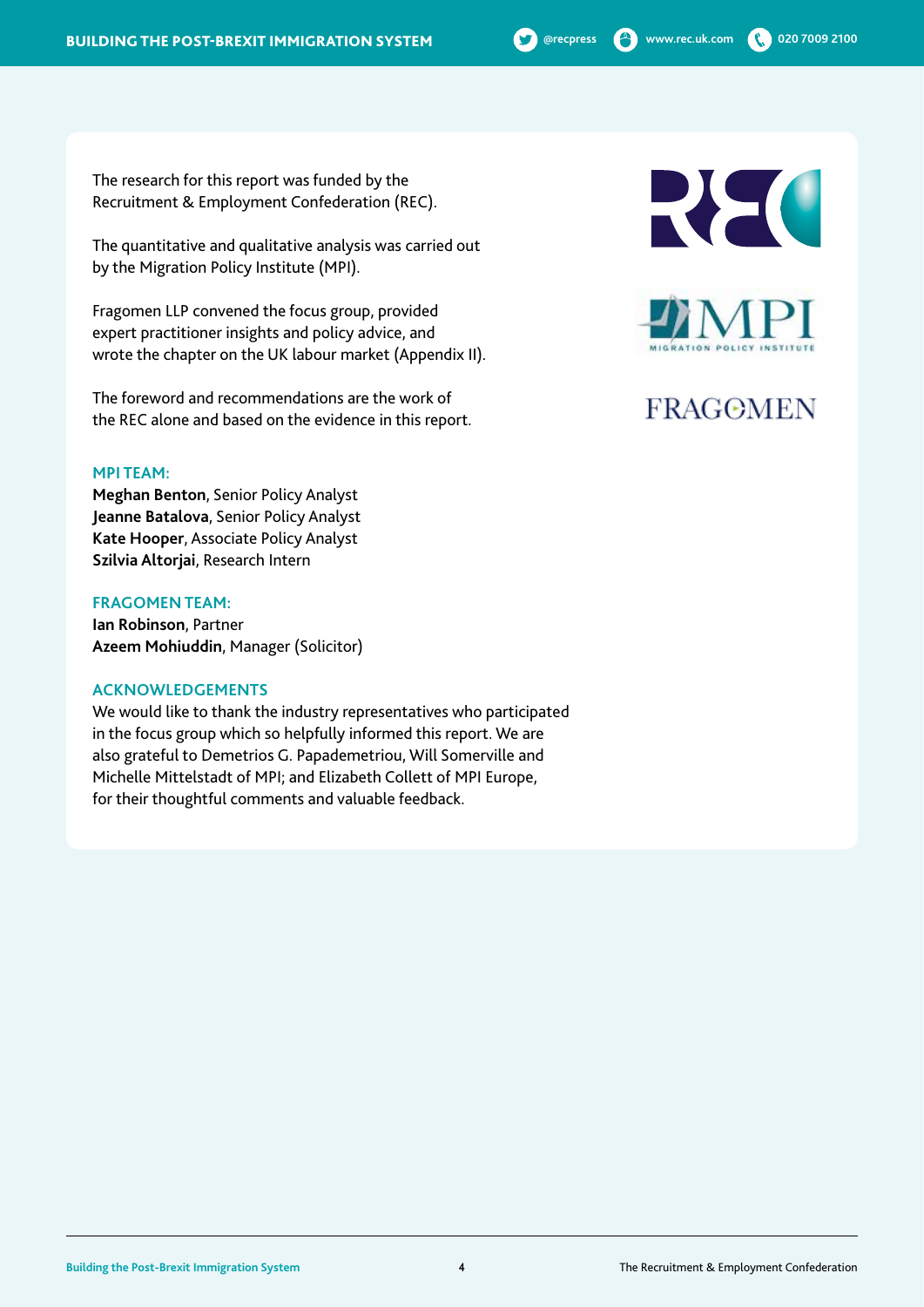The research for this report was funded by the Recruitment & Employment Confederation (REC).

The quantitative and qualitative analysis was carried out by the Migration Policy Institute (MPI).

Fragomen LLP convened the focus group, provided expert practitioner insights and policy advice, and wrote the chapter on the UK labour market (Appendix II).

The foreword and recommendations are the work of the REC alone and based on the evidence in this report.

#### **MPI TEAM:**

**Meghan Benton**, Senior Policy Analyst **Jeanne Batalova**, Senior Policy Analyst **Kate Hooper**, Associate Policy Analyst **Szilvia Altorjai**, Research Intern

#### **FRAGOMEN TEAM:**

**Ian Robinson**, Partner **Azeem Mohiuddin**, Manager (Solicitor)

#### **ACKNOWLEDGEMENTS**

We would like to thank the industry representatives who participated in the focus group which so helpfully informed this report. We are also grateful to Demetrios G. Papademetriou, Will Somerville and Michelle Mittelstadt of MPI; and Elizabeth Collett of MPI Europe, for their thoughtful comments and valuable feedback.



**@recpress** <sup>4</sup> www.rec.uk.com **(**, 020 7009 2100



### **FRAGOMEN**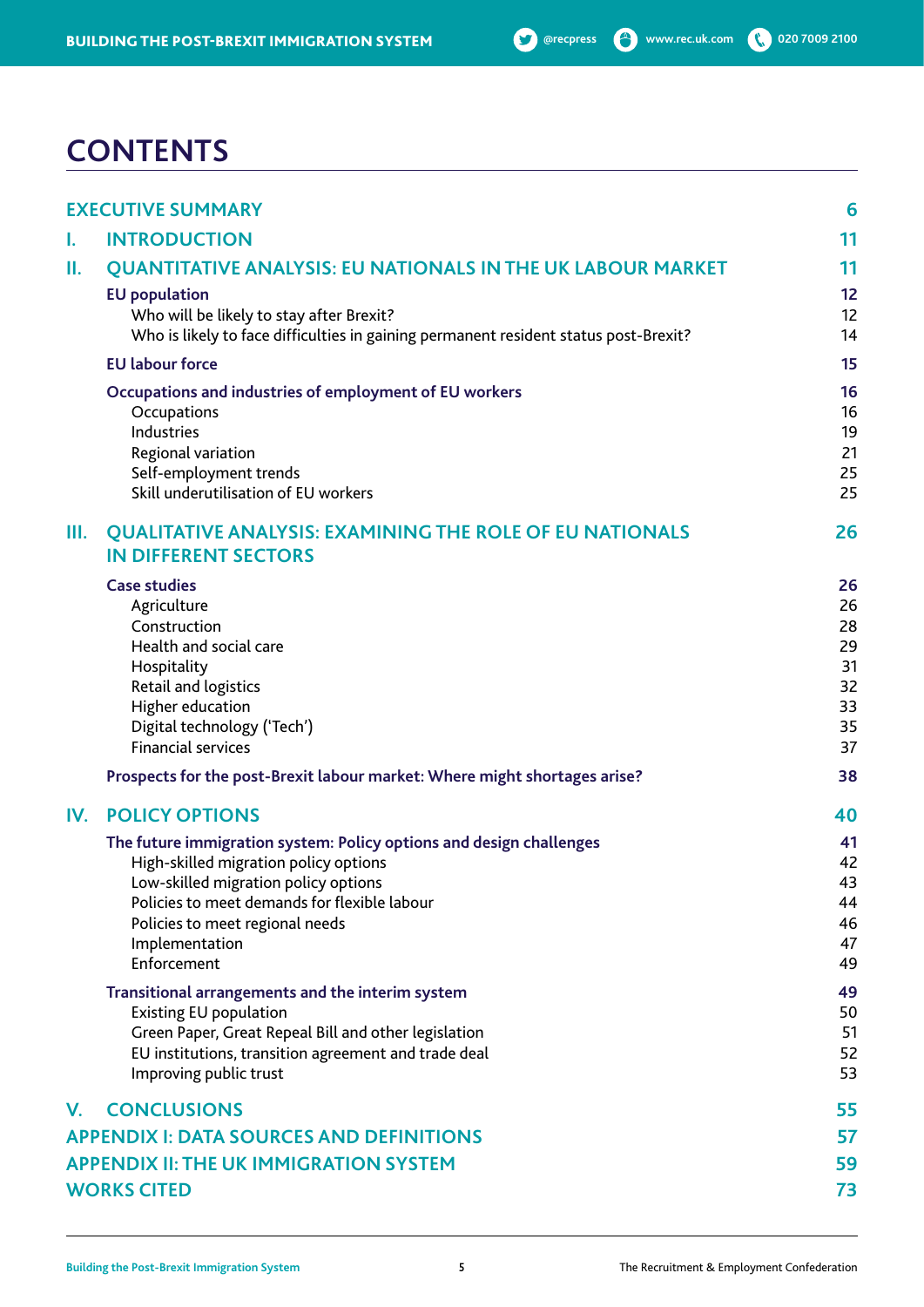## **CONTENTS**

|                                               | <b>EXECUTIVE SUMMARY</b>                                                                                     | 6        |
|-----------------------------------------------|--------------------------------------------------------------------------------------------------------------|----------|
| L.                                            | <b>INTRODUCTION</b>                                                                                          | 11       |
| Ш.                                            | <b>QUANTITATIVE ANALYSIS: EU NATIONALS IN THE UK LABOUR MARKET</b>                                           | 11       |
|                                               | <b>EU</b> population                                                                                         | 12       |
|                                               | Who will be likely to stay after Brexit?                                                                     | 12       |
|                                               | Who is likely to face difficulties in gaining permanent resident status post-Brexit?                         | 14       |
|                                               | <b>EU labour force</b>                                                                                       | 15       |
|                                               | Occupations and industries of employment of EU workers                                                       | 16       |
|                                               | Occupations<br>Industries                                                                                    | 16<br>19 |
|                                               | Regional variation                                                                                           | 21       |
|                                               | Self-employment trends                                                                                       | 25       |
|                                               | Skill underutilisation of EU workers                                                                         | 25       |
| III.                                          | <b>QUALITATIVE ANALYSIS: EXAMINING THE ROLE OF EU NATIONALS</b>                                              | 26       |
|                                               | <b>IN DIFFERENT SECTORS</b>                                                                                  |          |
|                                               | <b>Case studies</b>                                                                                          | 26       |
|                                               | Agriculture<br>Construction                                                                                  | 26       |
|                                               | Health and social care                                                                                       | 28<br>29 |
|                                               | Hospitality                                                                                                  | 31       |
|                                               | Retail and logistics                                                                                         | 32       |
|                                               | Higher education<br>Digital technology ('Tech')                                                              | 33<br>35 |
|                                               | <b>Financial services</b>                                                                                    | 37       |
|                                               | Prospects for the post-Brexit labour market: Where might shortages arise?                                    | 38       |
| IV.                                           | <b>POLICY OPTIONS</b>                                                                                        | 40       |
|                                               | The future immigration system: Policy options and design challenges                                          | 41       |
|                                               | High-skilled migration policy options                                                                        | 42       |
|                                               | Low-skilled migration policy options                                                                         | 43       |
|                                               | Policies to meet demands for flexible labour<br>Policies to meet regional needs                              | 44<br>46 |
|                                               | Implementation                                                                                               | 47       |
|                                               | Enforcement                                                                                                  | 49       |
|                                               | Transitional arrangements and the interim system                                                             | 49       |
|                                               | <b>Existing EU population</b>                                                                                | 50       |
|                                               | Green Paper, Great Repeal Bill and other legislation<br>EU institutions, transition agreement and trade deal | 51<br>52 |
|                                               | Improving public trust                                                                                       | 53       |
| V.                                            | <b>CONCLUSIONS</b>                                                                                           | 55       |
|                                               | <b>APPENDIX I: DATA SOURCES AND DEFINITIONS</b>                                                              | 57       |
| <b>APPENDIX II: THE UK IMMIGRATION SYSTEM</b> |                                                                                                              |          |
|                                               | <b>WORKS CITED</b>                                                                                           | 73       |
|                                               |                                                                                                              |          |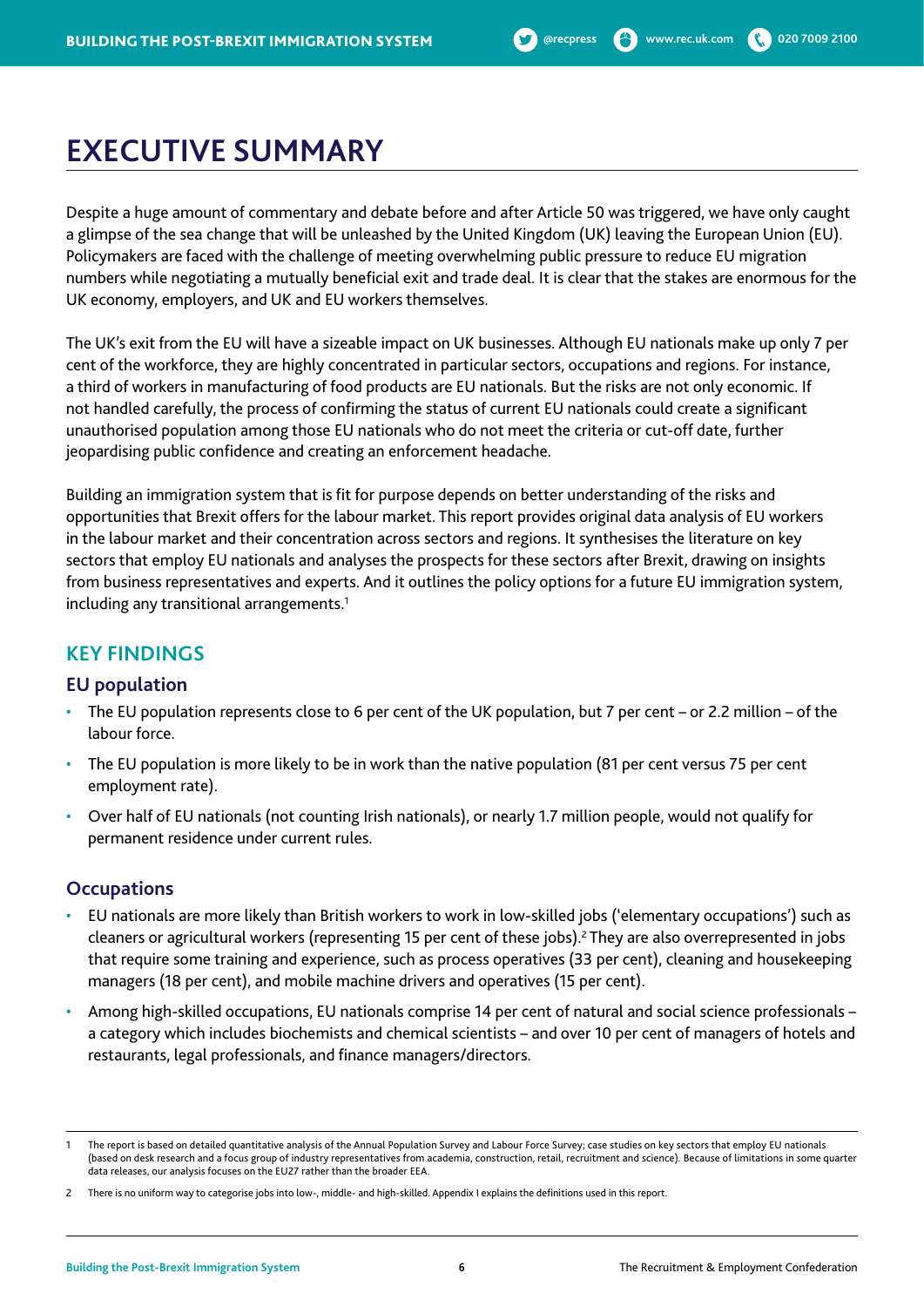### **EXECUTIVE SUMMARY**

Despite a huge amount of commentary and debate before and after Article 50 was triggered, we have only caught a glimpse of the sea change that will be unleashed by the United Kingdom (UK) leaving the European Union (EU). Policymakers are faced with the challenge of meeting overwhelming public pressure to reduce EU migration numbers while negotiating a mutually beneficial exit and trade deal. It is clear that the stakes are enormous for the UK economy, employers, and UK and EU workers themselves.

The UK's exit from the EU will have a sizeable impact on UK businesses. Although EU nationals make up only 7 per cent of the workforce, they are highly concentrated in particular sectors, occupations and regions. For instance, a third of workers in manufacturing of food products are EU nationals. But the risks are not only economic. If not handled carefully, the process of confirming the status of current EU nationals could create a significant unauthorised population among those EU nationals who do not meet the criteria or cut-off date, further jeopardising public confidence and creating an enforcement headache.

Building an immigration system that is fit for purpose depends on better understanding of the risks and opportunities that Brexit offers for the labour market. This report provides original data analysis of EU workers in the labour market and their concentration across sectors and regions. It synthesises the literature on key sectors that employ EU nationals and analyses the prospects for these sectors after Brexit, drawing on insights from business representatives and experts. And it outlines the policy options for a future EU immigration system, including any transitional arrangements.<sup>1</sup>

#### **KEY FINDINGS**

#### **EU population**

- The EU population represents close to 6 per cent of the UK population, but 7 per cent or 2.2 million of the labour force.
- The EU population is more likely to be in work than the native population (81 per cent versus 75 per cent employment rate).
- Over half of EU nationals (not counting Irish nationals), or nearly 1.7 million people, would not qualify for permanent residence under current rules.

#### **Occupations**

- EU nationals are more likely than British workers to work in low-skilled jobs ('elementary occupations') such as cleaners or agricultural workers (representing 15 per cent of these jobs).2 They are also overrepresented in jobs that require some training and experience, such as process operatives (33 per cent), cleaning and housekeeping managers (18 per cent), and mobile machine drivers and operatives (15 per cent).
- Among high-skilled occupations, EU nationals comprise 14 per cent of natural and social science professionals a category which includes biochemists and chemical scientists – and over 10 per cent of managers of hotels and restaurants, legal professionals, and finance managers/directors.

The report is based on detailed quantitative analysis of the Annual Population Survey and Labour Force Survey; case studies on key sectors that employ EU nationals (based on desk research and a focus group of industry representatives from academia, construction, retail, recruitment and science). Because of limitations in some quarter data releases, our analysis focuses on the EU27 rather than the broader EEA.

<sup>2</sup> There is no uniform way to categorise jobs into low-, middle- and high-skilled. Appendix I explains the definitions used in this report.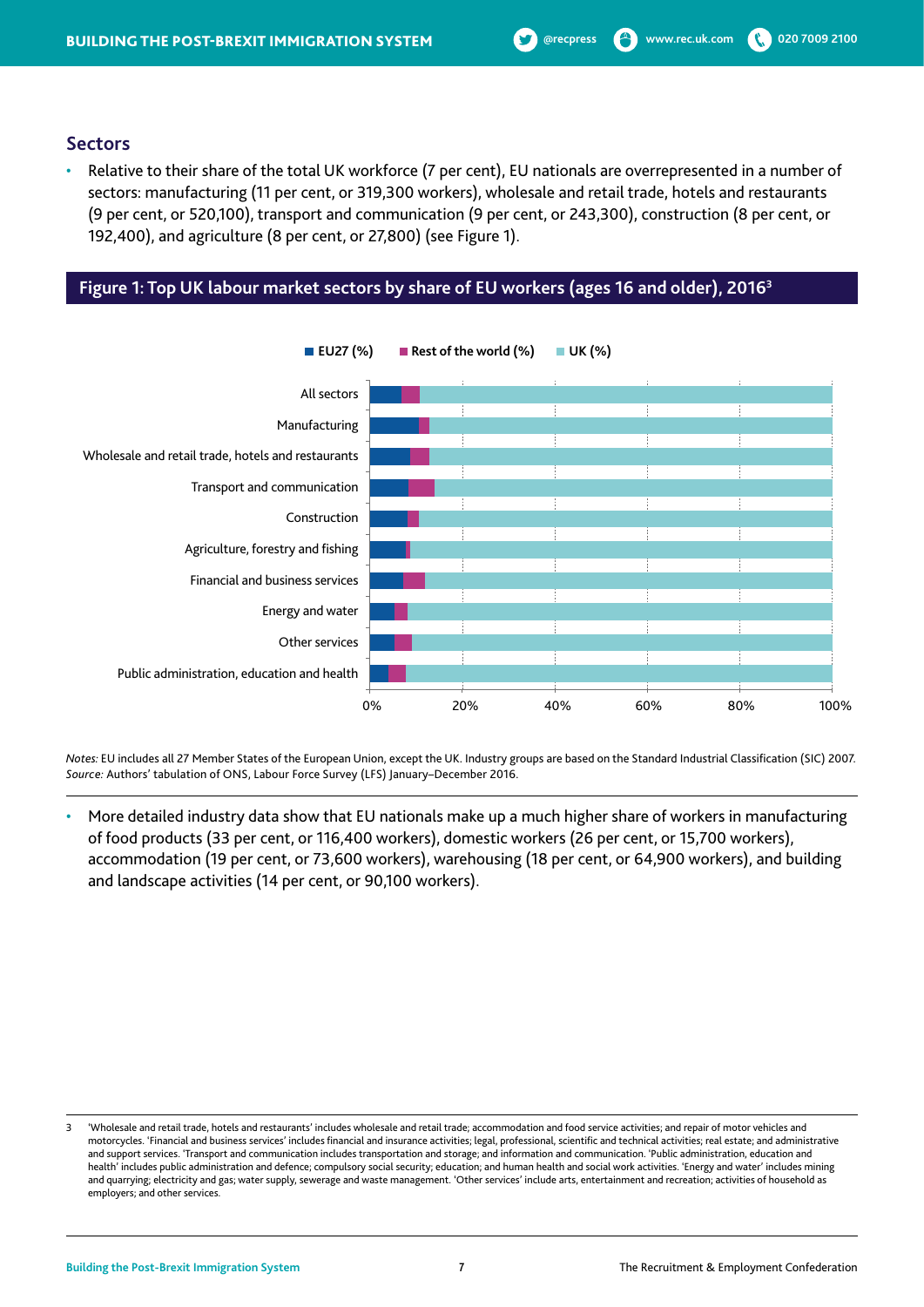#### **Sectors**

• Relative to their share of the total UK workforce (7 per cent), EU nationals are overrepresented in a number of sectors: manufacturing (11 per cent, or 319,300 workers), wholesale and retail trade, hotels and restaurants (9 per cent, or 520,100), transport and communication (9 per cent, or 243,300), construction (8 per cent, or 192,400), and agriculture (8 per cent, or 27,800) (see Figure 1).





*Notes:* EU includes all 27 Member States of the European Union, except the UK. Industry groups are based on the Standard Industrial Classification (SIC) 2007. *Source:* Authors' tabulation of ONS, Labour Force Survey (LFS) January–December 2016.

• More detailed industry data show that EU nationals make up a much higher share of workers in manufacturing of food products (33 per cent, or 116,400 workers), domestic workers (26 per cent, or 15,700 workers), accommodation (19 per cent, or 73,600 workers), warehousing (18 per cent, or 64,900 workers), and building and landscape activities (14 per cent, or 90,100 workers).

<sup>3</sup> 'Wholesale and retail trade, hotels and restaurants' includes wholesale and retail trade; accommodation and food service activities; and repair of motor vehicles and motorcycles. 'Financial and business services' includes financial and insurance activities; legal, professional, scientific and technical activities; real estate; and administrative and support services. 'Transport and communication includes transportation and storage; and information and communication. 'Public administration, education and health' includes public administration and defence; compulsory social security; education; and human health and social work activities. 'Energy and water' includes mining and quarrying; electricity and gas; water supply, sewerage and waste management. 'Other services' include arts, entertainment and recreation; activities of household as employers; and other services.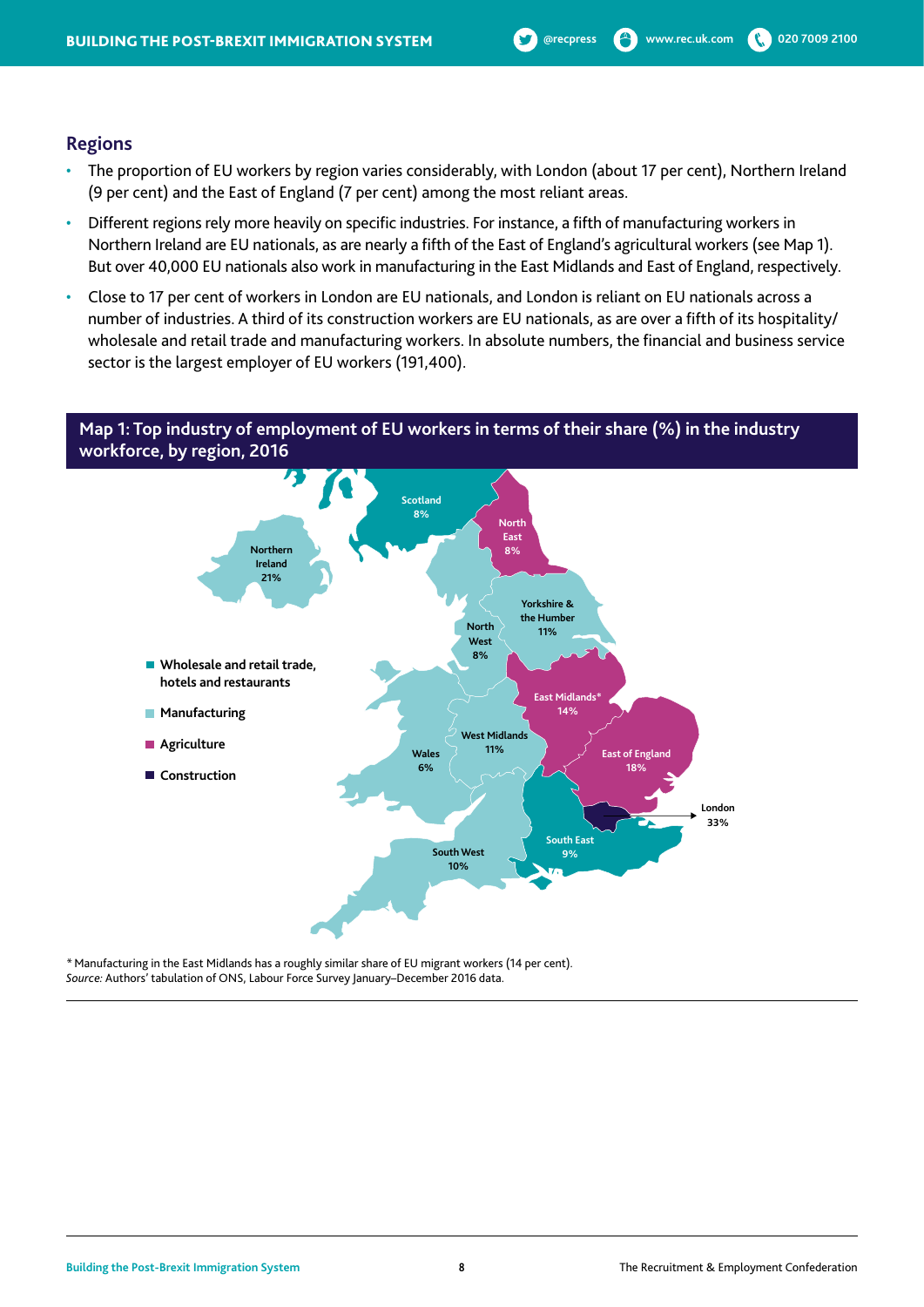#### **Regions**

- The proportion of EU workers by region varies considerably, with London (about 17 per cent), Northern Ireland (9 per cent) and the East of England (7 per cent) among the most reliant areas.
- Different regions rely more heavily on specific industries. For instance, a fifth of manufacturing workers in Northern Ireland are EU nationals, as are nearly a fifth of the East of England's agricultural workers (see Map 1). But over 40,000 EU nationals also work in manufacturing in the East Midlands and East of England, respectively.
- Close to 17 per cent of workers in London are EU nationals, and London is reliant on EU nationals across a number of industries. A third of its construction workers are EU nationals, as are over a fifth of its hospitality/ wholesale and retail trade and manufacturing workers. In absolute numbers, the financial and business service sector is the largest employer of EU workers (191,400).

#### **Map 1: Top industry of employment of EU workers in terms of their share (%) in the industry workforce, by region, 2016**



*\** Manufacturing in the East Midlands has a roughly similar share of EU migrant workers (14 per cent). *Source:* Authors' tabulation of ONS, Labour Force Survey January–December 2016 data.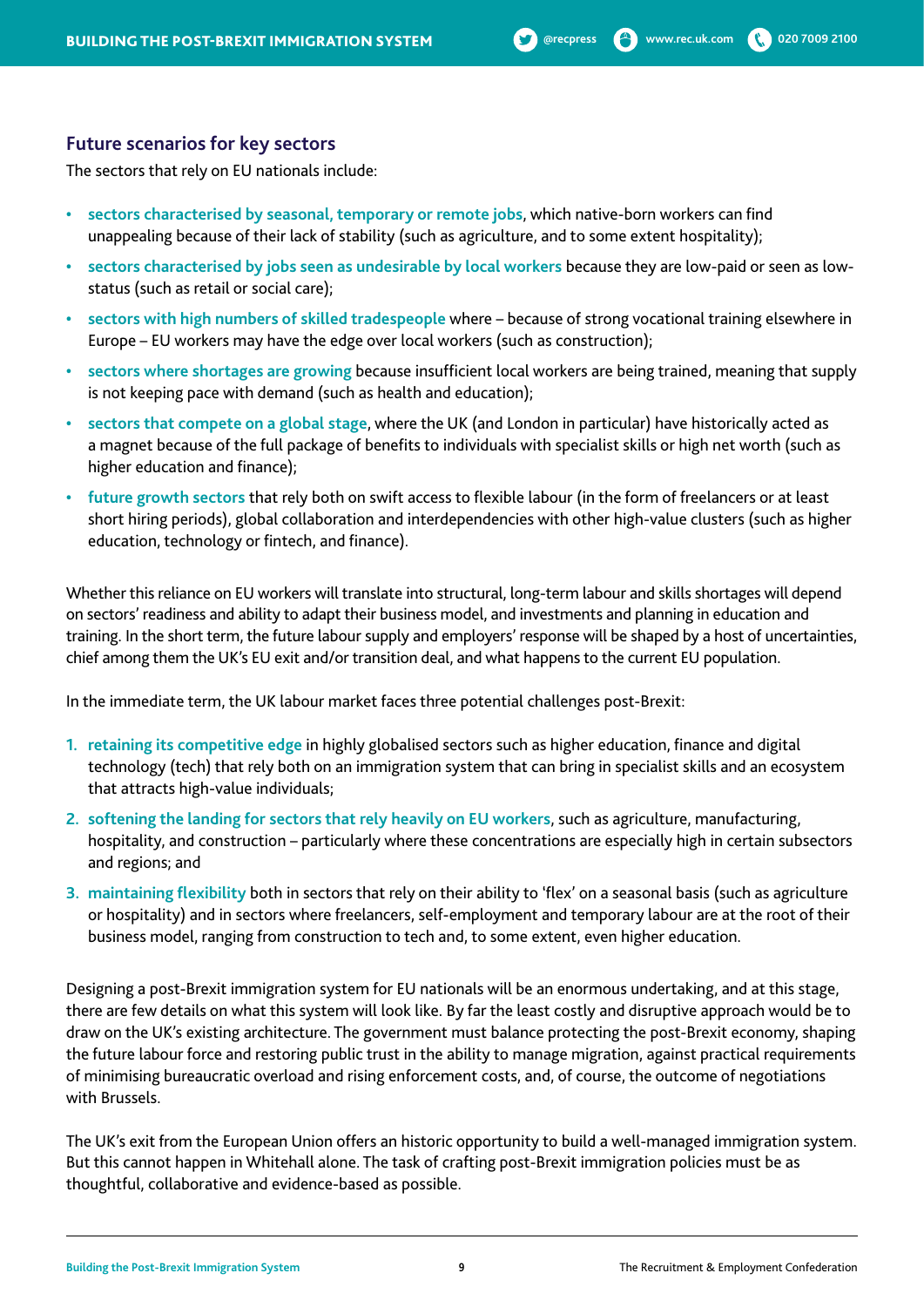#### **Future scenarios for key sectors**

The sectors that rely on EU nationals include:

- **• sectors characterised by seasonal, temporary or remote jobs**, which native-born workers can find unappealing because of their lack of stability (such as agriculture, and to some extent hospitality);
- **• sectors characterised by jobs seen as undesirable by local workers** because they are low-paid or seen as lowstatus (such as retail or social care);
- **• sectors with high numbers of skilled tradespeople** where because of strong vocational training elsewhere in Europe – EU workers may have the edge over local workers (such as construction);
- **• sectors where shortages are growing** because insufficient local workers are being trained, meaning that supply is not keeping pace with demand (such as health and education);
- **• sectors that compete on a global stage**, where the UK (and London in particular) have historically acted as a magnet because of the full package of benefits to individuals with specialist skills or high net worth (such as higher education and finance);
- **• future growth sectors** that rely both on swift access to flexible labour (in the form of freelancers or at least short hiring periods), global collaboration and interdependencies with other high-value clusters (such as higher education, technology or fintech, and finance).

Whether this reliance on EU workers will translate into structural, long-term labour and skills shortages will depend on sectors' readiness and ability to adapt their business model, and investments and planning in education and training. In the short term, the future labour supply and employers' response will be shaped by a host of uncertainties, chief among them the UK's EU exit and/or transition deal, and what happens to the current EU population.

In the immediate term, the UK labour market faces three potential challenges post-Brexit:

- **1. retaining its competitive edge** in highly globalised sectors such as higher education, finance and digital technology (tech) that rely both on an immigration system that can bring in specialist skills and an ecosystem that attracts high-value individuals;
- **2. softening the landing for sectors that rely heavily on EU workers**, such as agriculture, manufacturing, hospitality, and construction – particularly where these concentrations are especially high in certain subsectors and regions; and
- **3. maintaining flexibility** both in sectors that rely on their ability to 'flex' on a seasonal basis (such as agriculture or hospitality) and in sectors where freelancers, self-employment and temporary labour are at the root of their business model, ranging from construction to tech and, to some extent, even higher education.

Designing a post-Brexit immigration system for EU nationals will be an enormous undertaking, and at this stage, there are few details on what this system will look like. By far the least costly and disruptive approach would be to draw on the UK's existing architecture. The government must balance protecting the post-Brexit economy, shaping the future labour force and restoring public trust in the ability to manage migration, against practical requirements of minimising bureaucratic overload and rising enforcement costs, and, of course, the outcome of negotiations with Brussels.

The UK's exit from the European Union offers an historic opportunity to build a well-managed immigration system. But this cannot happen in Whitehall alone. The task of crafting post-Brexit immigration policies must be as thoughtful, collaborative and evidence-based as possible.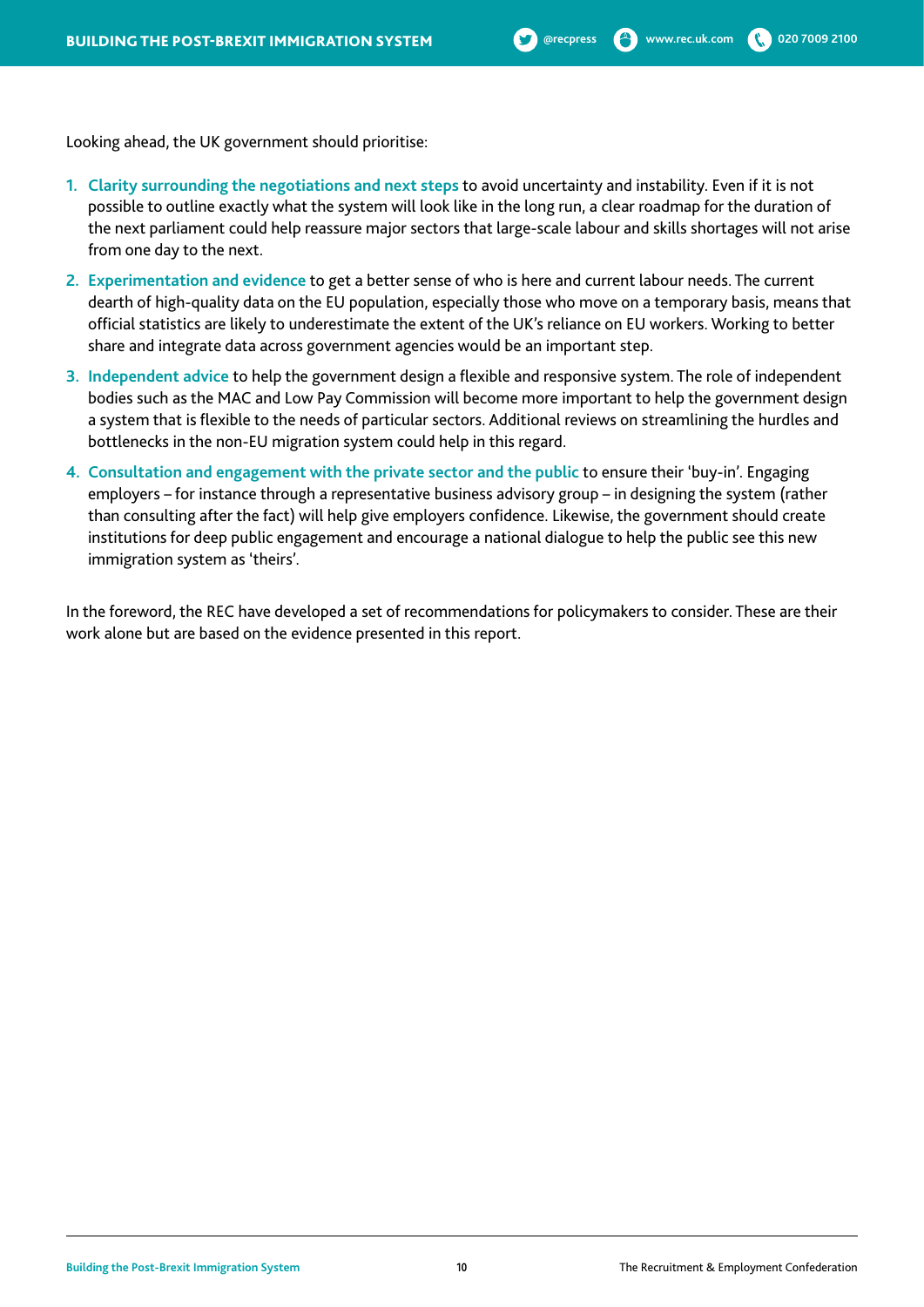Looking ahead, the UK government should prioritise:

- **1. Clarity surrounding the negotiations and next steps** to avoid uncertainty and instability. Even if it is not possible to outline exactly what the system will look like in the long run, a clear roadmap for the duration of the next parliament could help reassure major sectors that large-scale labour and skills shortages will not arise from one day to the next.
- **2. Experimentation and evidence** to get a better sense of who is here and current labour needs. The current dearth of high-quality data on the EU population, especially those who move on a temporary basis, means that official statistics are likely to underestimate the extent of the UK's reliance on EU workers. Working to better share and integrate data across government agencies would be an important step.
- **3. Independent advice** to help the government design a flexible and responsive system. The role of independent bodies such as the MAC and Low Pay Commission will become more important to help the government design a system that is flexible to the needs of particular sectors. Additional reviews on streamlining the hurdles and bottlenecks in the non-EU migration system could help in this regard.
- **4. Consultation and engagement with the private sector and the public** to ensure their 'buy-in'. Engaging employers – for instance through a representative business advisory group – in designing the system (rather than consulting after the fact) will help give employers confidence. Likewise, the government should create institutions for deep public engagement and encourage a national dialogue to help the public see this new immigration system as 'theirs'.

In the foreword, the REC have developed a set of recommendations for policymakers to consider. These are their work alone but are based on the evidence presented in this report.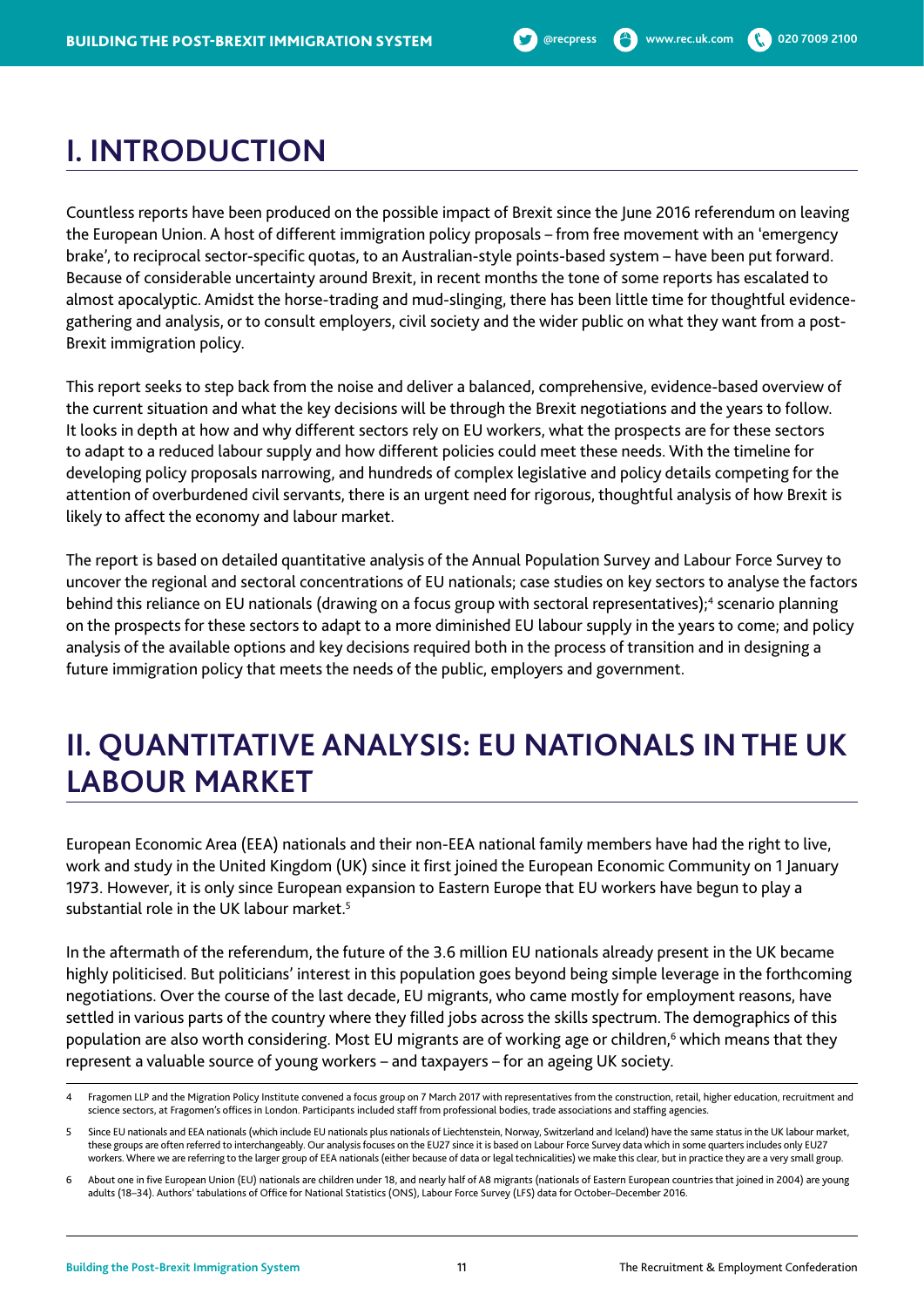### **I. INTRODUCTION**

Countless reports have been produced on the possible impact of Brexit since the June 2016 referendum on leaving the European Union. A host of different immigration policy proposals – from free movement with an 'emergency brake', to reciprocal sector-specific quotas, to an Australian-style points-based system – have been put forward. Because of considerable uncertainty around Brexit, in recent months the tone of some reports has escalated to almost apocalyptic. Amidst the horse-trading and mud-slinging, there has been little time for thoughtful evidencegathering and analysis, or to consult employers, civil society and the wider public on what they want from a post-Brexit immigration policy.

This report seeks to step back from the noise and deliver a balanced, comprehensive, evidence-based overview of the current situation and what the key decisions will be through the Brexit negotiations and the years to follow. It looks in depth at how and why different sectors rely on EU workers, what the prospects are for these sectors to adapt to a reduced labour supply and how different policies could meet these needs. With the timeline for developing policy proposals narrowing, and hundreds of complex legislative and policy details competing for the attention of overburdened civil servants, there is an urgent need for rigorous, thoughtful analysis of how Brexit is likely to affect the economy and labour market.

The report is based on detailed quantitative analysis of the Annual Population Survey and Labour Force Survey to uncover the regional and sectoral concentrations of EU nationals; case studies on key sectors to analyse the factors behind this reliance on EU nationals (drawing on a focus group with sectoral representatives);<sup>4</sup> scenario planning on the prospects for these sectors to adapt to a more diminished EU labour supply in the years to come; and policy analysis of the available options and key decisions required both in the process of transition and in designing a future immigration policy that meets the needs of the public, employers and government.

### **II. QUANTITATIVE ANALYSIS: EU NATIONALS IN THE UK LABOUR MARKET**

European Economic Area (EEA) nationals and their non-EEA national family members have had the right to live, work and study in the United Kingdom (UK) since it first joined the European Economic Community on 1 January 1973. However, it is only since European expansion to Eastern Europe that EU workers have begun to play a substantial role in the UK labour market.<sup>5</sup>

In the aftermath of the referendum, the future of the 3.6 million EU nationals already present in the UK became highly politicised. But politicians' interest in this population goes beyond being simple leverage in the forthcoming negotiations. Over the course of the last decade, EU migrants, who came mostly for employment reasons, have settled in various parts of the country where they filled jobs across the skills spectrum. The demographics of this population are also worth considering. Most EU migrants are of working age or children,<sup>6</sup> which means that they represent a valuable source of young workers – and taxpayers – for an ageing UK society.

Fragomen LLP and the Migration Policy Institute convened a focus group on 7 March 2017 with representatives from the construction, retail, higher education, recruitment and science sectors, at Fragomen's offices in London. Participants included staff from professional bodies, trade associations and staffing agencies.

Since EU nationals and EEA nationals (which include EU nationals plus nationals of Liechtenstein, Norway, Switzerland and Iceland) have the same status in the UK labour market, these groups are often referred to interchangeably. Our analysis focuses on the EU27 since it is based on Labour Force Survey data which in some quarters includes only EU27 workers. Where we are referring to the larger group of EEA nationals (either because of data or legal technicalities) we make this clear, but in practice they are a very small group.

About one in five European Union (EU) nationals are children under 18, and nearly half of A8 migrants (nationals of Eastern European countries that joined in 2004) are young adults (18–34). Authors' tabulations of Office for National Statistics (ONS), Labour Force Survey (LFS) data for October–December 2016.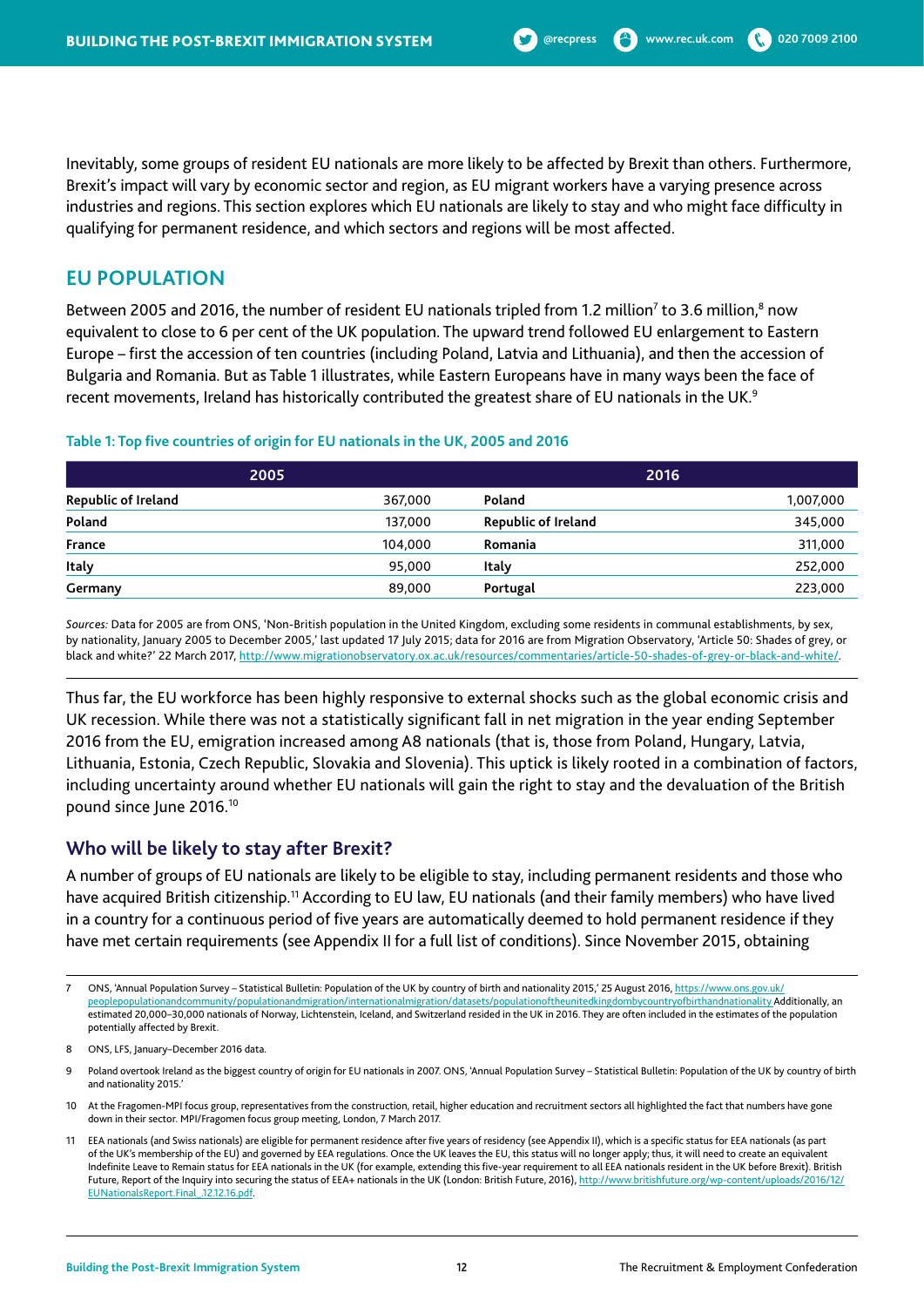Inevitably, some groups of resident EU nationals are more likely to be affected by Brexit than others. Furthermore, Brexit's impact will vary by economic sector and region, as EU migrant workers have a varying presence across industries and regions. This section explores which EU nationals are likely to stay and who might face difficulty in qualifying for permanent residence, and which sectors and regions will be most affected.

#### **EU POPULATION**

Between 2005 and 2016, the number of resident EU nationals tripled from 1.2 million<sup>7</sup> to 3.6 million,<sup>8</sup> now equivalent to close to 6 per cent of the UK population. The upward trend followed EU enlargement to Eastern Europe – first the accession of ten countries (including Poland, Latvia and Lithuania), and then the accession of Bulgaria and Romania. But as Table 1 illustrates, while Eastern Europeans have in many ways been the face of recent movements, Ireland has historically contributed the greatest share of EU nationals in the UK.<sup>9</sup>

#### **Table 1: Top five countries of origin for EU nationals in the UK, 2005 and 2016**

| 2005                       |         | 2016                       |           |
|----------------------------|---------|----------------------------|-----------|
| <b>Republic of Ireland</b> | 367.000 | Poland                     | 1,007,000 |
| Poland                     | 137.000 | <b>Republic of Ireland</b> | 345,000   |
| France                     | 104.000 | Romania                    | 311,000   |
| Italy                      | 95.000  | Italy                      | 252,000   |
| Germany                    | 89,000  | Portugal                   | 223,000   |

*Sources:* Data for 2005 are from ONS, 'Non-British population in the United Kingdom, excluding some residents in communal establishments, by sex, by nationality, January 2005 to December 2005,' last updated 17 July 2015; data for 2016 are from Migration Observatory, 'Article 50: Shades of grey, or black and white?' 22 March 2017, http://www.migrationobservatory.ox.ac.uk/resources/commentaries/article-50-shades-of-grey-or-black-and-white/.

Thus far, the EU workforce has been highly responsive to external shocks such as the global economic crisis and UK recession. While there was not a statistically significant fall in net migration in the year ending September 2016 from the EU, emigration increased among A8 nationals (that is, those from Poland, Hungary, Latvia, Lithuania, Estonia, Czech Republic, Slovakia and Slovenia). This uptick is likely rooted in a combination of factors, including uncertainty around whether EU nationals will gain the right to stay and the devaluation of the British pound since June 2016.10

#### **Who will be likely to stay after Brexit?**

A number of groups of EU nationals are likely to be eligible to stay, including permanent residents and those who have acquired British citizenship.<sup>11</sup> According to EU law, EU nationals (and their family members) who have lived in a country for a continuous period of five years are automatically deemed to hold permanent residence if they have met certain requirements (see Appendix II for a full list of conditions). Since November 2015, obtaining

ONS, 'Annual Population Survey – Statistical Bulletin: Population of the UK by country of birth and nationality 2015,' 25 August 2016, https://www.ons.gov.uk/ peoplepopulationandcommunity/populationandmigration/internationalmigration/datasets/populationoftheunitedkingdombycountryofbirthandnationality Additionally, an estimated 20,000–30,000 nationals of Norway, Lichtenstein, Iceland, and Switzerland resided in the UK in 2016. They are often included in the estimates of the population potentially affected by Brexit.

<sup>8</sup> ONS, LFS, January–December 2016 data

<sup>9</sup> Poland overtook Ireland as the biggest country of origin for EU nationals in 2007. ONS, 'Annual Population Survey – Statistical Bulletin: Population of the UK by country of birth and nationality 2015.'

<sup>10</sup> At the Fragomen-MPI focus group, representatives from the construction, retail, higher education and recruitment sectors all highlighted the fact that numbers have gone down in their sector. MPI/Fragomen focus group meeting, London, 7 March 2017.

<sup>11</sup> EEA nationals (and Swiss nationals) are eligible for permanent residence after five years of residency (see Appendix II), which is a specific status for EEA nationals (as part of the UK's membership of the EU) and governed by EEA regulations. Once the UK leaves the EU, this status will no longer apply; thus, it will need to create an equivalent Indefinite Leave to Remain status for EEA nationals in the UK (for example, extending this five-year requirement to all EEA nationals resident in the UK before Brexit). British Future, Report of the Inquiry into securing the status of EEA+ nationals in the UK (London: British Future, 2016), http://www.britishfuture.org/wp-content/uploads/2016/12/ EUNationalsReport.Final\_.12.12.16.pdf.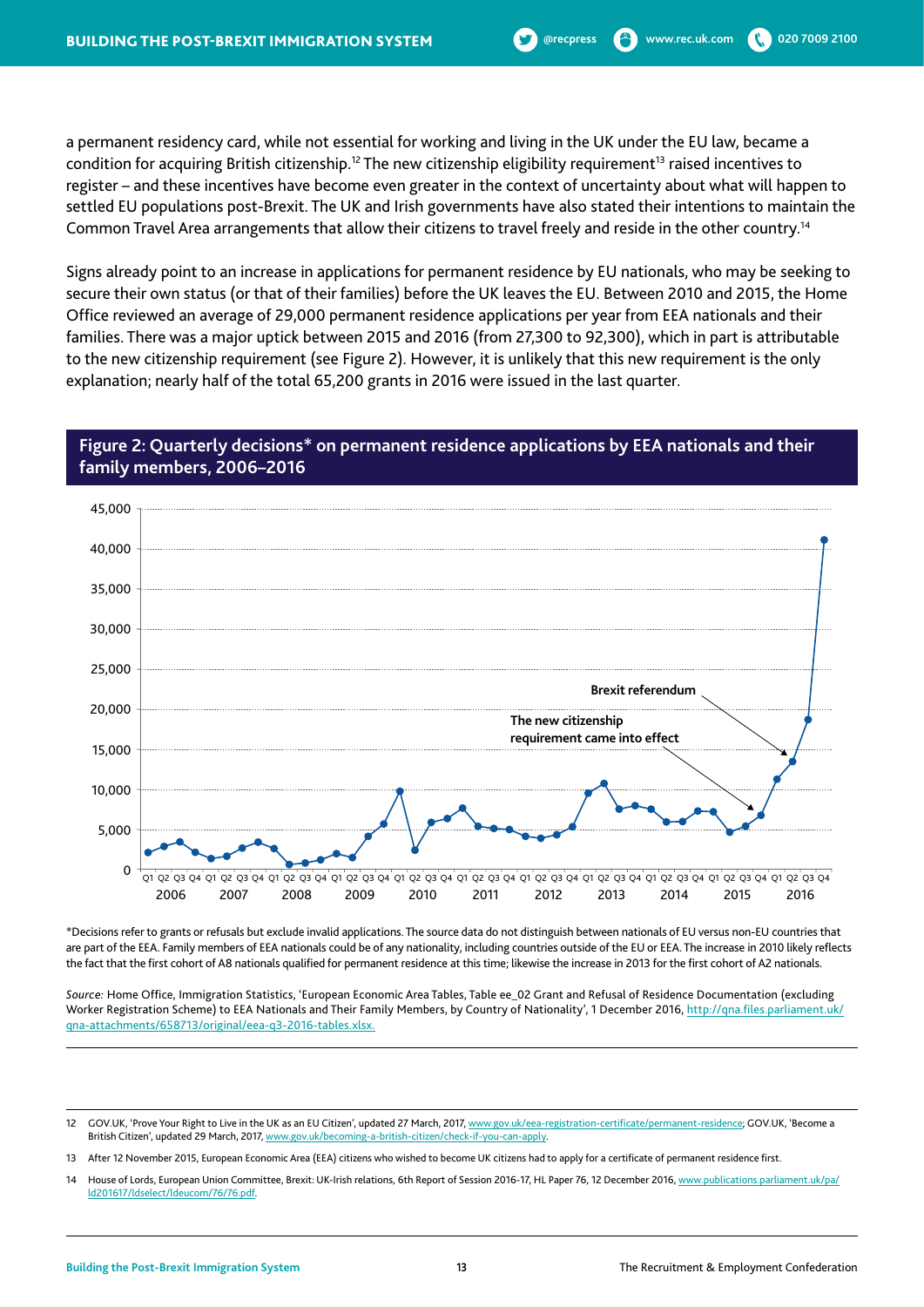a permanent residency card, while not essential for working and living in the UK under the EU law, became a condition for acquiring British citizenship.<sup>12</sup> The new citizenship eligibility requirement<sup>13</sup> raised incentives to register – and these incentives have become even greater in the context of uncertainty about what will happen to settled EU populations post-Brexit. The UK and Irish governments have also stated their intentions to maintain the Common Travel Area arrangements that allow their citizens to travel freely and reside in the other country.14

Signs already point to an increase in applications for permanent residence by EU nationals, who may be seeking to secure their own status (or that of their families) before the UK leaves the EU. Between 2010 and 2015, the Home Office reviewed an average of 29,000 permanent residence applications per year from EEA nationals and their families. There was a major uptick between 2015 and 2016 (from 27,300 to 92,300), which in part is attributable to the new citizenship requirement (see Figure 2). However, it is unlikely that this new requirement is the only explanation; nearly half of the total 65,200 grants in 2016 were issued in the last quarter.

#### **Figure 2: Quarterly decisions\* on permanent residence applications by EEA nationals and their family members, 2006–2016**



\*Decisions refer to grants or refusals but exclude invalid applications. The source data do not distinguish between nationals of EU versus non-EU countries that are part of the EEA. Family members of EEA nationals could be of any nationality, including countries outside of the EU or EEA. The increase in 2010 likely reflects the fact that the first cohort of A8 nationals qualified for permanent residence at this time; likewise the increase in 2013 for the first cohort of A2 nationals.

*Source:* Home Office, Immigration Statistics, 'European Economic Area Tables, Table ee\_02 Grant and Refusal of Residence Documentation (excluding Worker Registration Scheme) to EEA Nationals and Their Family Members, by Country of Nationality', 1 December 2016, http://qna.files.parliament.uk/ qna-attachments/658713/original/eea-q3-2016-tables.xlsx.

12 GOV.UK, 'Prove Your Right to Live in the UK as an EU Citizen', updated 27 March, 2017, www.gov.uk/eea-registration-certificate/permanent-residence; GOV.UK, 'Become a British Citizen', updated 29 March, 2017, www.gov.uk/becoming-a-british-citizen/check-if-you-can-apply.

13 After 12 November 2015, European Economic Area (EEA) citizens who wished to become UK citizens had to apply for a certificate of permanent residence first.

14 House of Lords, European Union Committee, Brexit: UK-Irish relations, 6th Report of Session 2016-17, HL Paper 76, 12 December 2016, www.publications.parliament.uk/pa/ ld201617/ldselect/ldeucom/76/76.pdf.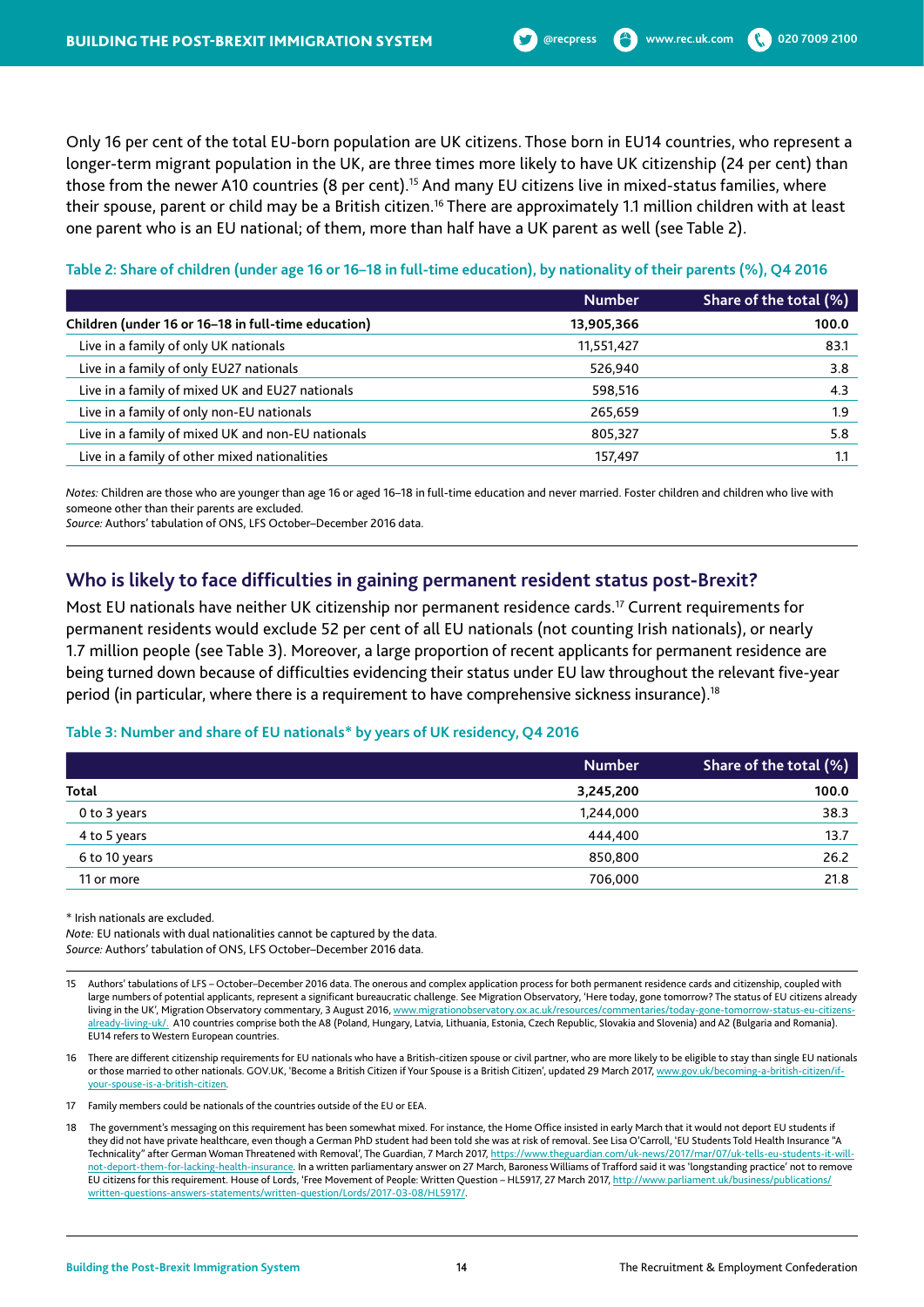Only 16 per cent of the total EU-born population are UK citizens. Those born in EU14 countries, who represent a longer-term migrant population in the UK, are three times more likely to have UK citizenship (24 per cent) than those from the newer A10 countries (8 per cent).<sup>15</sup> And many EU citizens live in mixed-status families, where their spouse, parent or child may be a British citizen.<sup>16</sup> There are approximately 1.1 million children with at least one parent who is an EU national; of them, more than half have a UK parent as well (see Table 2).

### **Table 2: Share of children (under age 16 or 16–18 in full-time education), by nationality of their parents (%), Q4 2016**

|                                                     | <b>Number</b> | Share of the total (%) |
|-----------------------------------------------------|---------------|------------------------|
| Children (under 16 or 16-18 in full-time education) | 13,905,366    | 100.0                  |
| Live in a family of only UK nationals               | 11,551,427    | 83.1                   |
| Live in a family of only EU27 nationals             | 526,940       | 3.8                    |
| Live in a family of mixed UK and EU27 nationals     | 598.516       | 4.3                    |
| Live in a family of only non-EU nationals           | 265,659       | 1.9                    |
| Live in a family of mixed UK and non-EU nationals   | 805,327       | 5.8                    |
| Live in a family of other mixed nationalities       | 157,497       |                        |

*Notes:* Children are those who are younger than age 16 or aged 16–18 in full-time education and never married. Foster children and children who live with someone other than their parents are excluded.

*Source:* Authors' tabulation of ONS, LFS October–December 2016 data.

#### **Who is likely to face difficulties in gaining permanent resident status post-Brexit?**

Most EU nationals have neither UK citizenship nor permanent residence cards.<sup>17</sup> Current requirements for permanent residents would exclude 52 per cent of all EU nationals (not counting Irish nationals), or nearly 1.7 million people (see Table 3). Moreover, a large proportion of recent applicants for permanent residence are being turned down because of difficulties evidencing their status under EU law throughout the relevant five-year period (in particular, where there is a requirement to have comprehensive sickness insurance).<sup>18</sup>

#### **Table 3: Number and share of EU nationals\* by years of UK residency, Q4 2016**

|               | <b>Number</b> | Share of the total (%) |
|---------------|---------------|------------------------|
| Total         | 3,245,200     | 100.0                  |
| 0 to 3 years  | 1,244,000     | 38.3                   |
| 4 to 5 years  | 444.400       | 13.7                   |
| 6 to 10 years | 850,800       | 26.2                   |
| 11 or more    | 706,000       | 21.8                   |

\* Irish nationals are excluded.

*Note:* EU nationals with dual nationalities cannot be captured by the data. *Source:* Authors' tabulation of ONS, LFS October–December 2016 data.

16 There are different citizenship requirements for EU nationals who have a British-citizen spouse or civil partner, who are more likely to be eligible to stay than single EU nationals or those married to other nationals. GOV.UK, 'Become a British Citizen if Your Spouse is a British Citizen', updated 29 March 2017, www.gov.uk/becoming-a-british-citizen/ifyour-spouse-is-a-british-citizen.

<sup>15</sup> Authors' tabulations of LFS – October–December 2016 data. The onerous and complex application process for both permanent residence cards and citizenship, coupled with large numbers of potential applicants, represent a significant bureaucratic challenge. See Migration Observatory, 'Here today, gone tomorrow? The status of EU citizens already living in the UK', Migration Observatory commentary, 3 August 2016, www.migrationobservatory.ox.ac.uk/resources/commentaries/today-gone-tomorrow-status-eu-citizensalready-living-uk/. A10 countries comprise both the A8 (Poland, Hungary, Latvia, Lithuania, Estonia, Czech Republic, Slovakia and Slovenia) and A2 (Bulgaria and Romania). EU14 refers to Western European countries.

<sup>17</sup> Family members could be nationals of the countries outside of the EU or EEA.

<sup>18</sup> The government's messaging on this requirement has been somewhat mixed. For instance, the Home Office insisted in early March that it would not deport EU students if they did not have private healthcare, even though a German PhD student had been told she was at risk of removal. See Lisa O'Carroll, 'EU Students Told Health Insurance "A Technicality" after German Woman Threatened with Removal', The Guardian, 7 March 2017, https://www.theguardian.com/uk-news/2017/mar/07/uk-tells-eu-students-it-willnot-deport-them-for-lacking-health-insurance. In a written parliamentary answer on 27 March, Baroness Williams of Trafford said it was 'longstanding practice' not to remove EU citizens for this requirement. House of Lords, 'Free Movement of People: Written Question – HL5917, 27 March 2017, http://www.parliament.uk/business/publications/ written-questions-answers-statements/written-question/Lords/2017-03-08/HL5917/.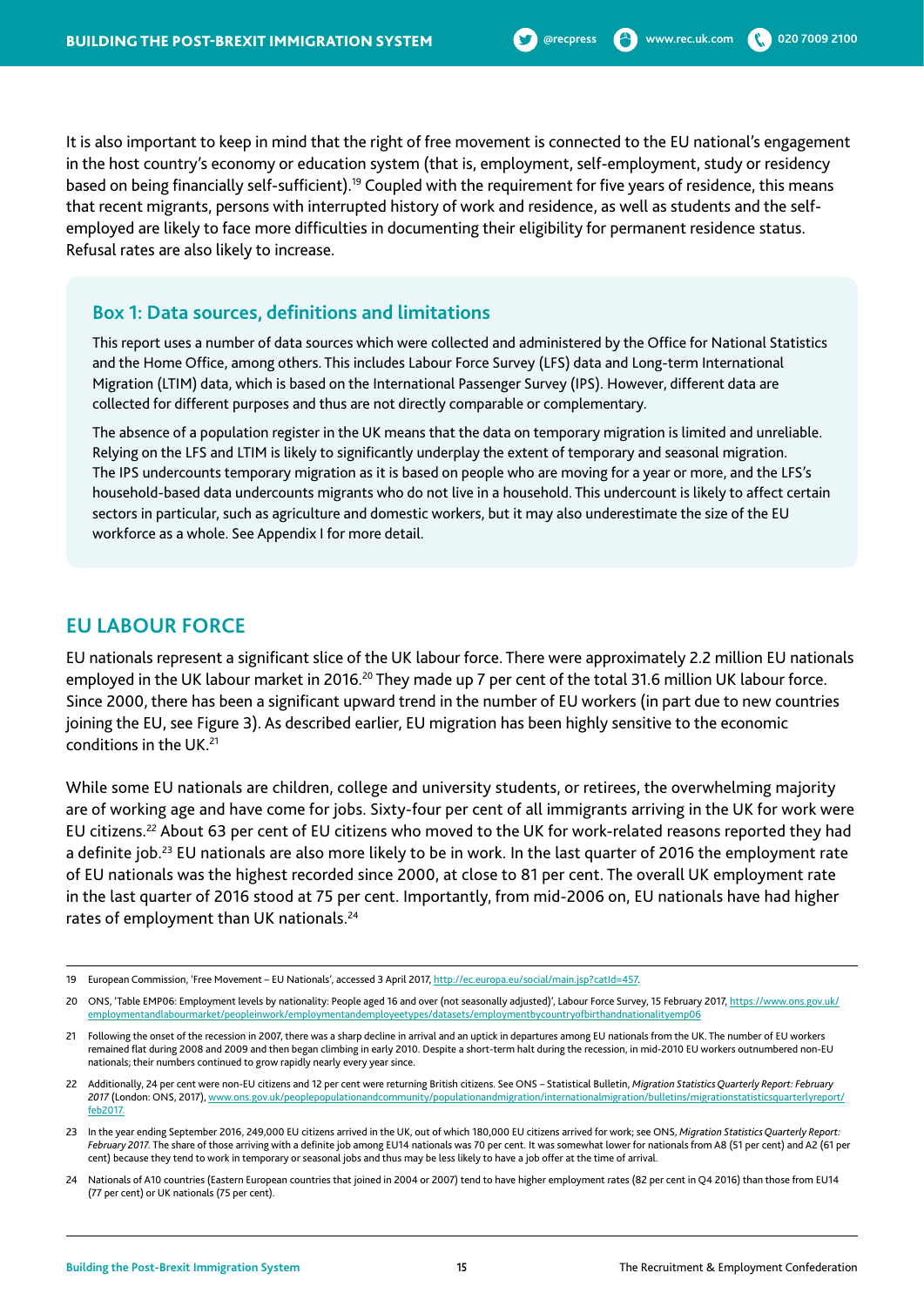It is also important to keep in mind that the right of free movement is connected to the EU national's engagement in the host country's economy or education system (that is, employment, self-employment, study or residency based on being financially self-sufficient).<sup>19</sup> Coupled with the requirement for five years of residence, this means that recent migrants, persons with interrupted history of work and residence, as well as students and the selfemployed are likely to face more difficulties in documenting their eligibility for permanent residence status. Refusal rates are also likely to increase.

#### **Box 1: Data sources, definitions and limitations**

This report uses a number of data sources which were collected and administered by the Office for National Statistics and the Home Office, among others. This includes Labour Force Survey (LFS) data and Long-term International Migration (LTIM) data, which is based on the International Passenger Survey (IPS). However, different data are collected for different purposes and thus are not directly comparable or complementary.

The absence of a population register in the UK means that the data on temporary migration is limited and unreliable. Relying on the LFS and LTIM is likely to significantly underplay the extent of temporary and seasonal migration. The IPS undercounts temporary migration as it is based on people who are moving for a year or more, and the LFS's household-based data undercounts migrants who do not live in a household. This undercount is likely to affect certain sectors in particular, such as agriculture and domestic workers, but it may also underestimate the size of the EU workforce as a whole. See Appendix I for more detail.

#### **EU LABOUR FORCE**

EU nationals represent a significant slice of the UK labour force. There were approximately 2.2 million EU nationals employed in the UK labour market in 2016.<sup>20</sup> They made up 7 per cent of the total 31.6 million UK labour force. Since 2000, there has been a significant upward trend in the number of EU workers (in part due to new countries joining the EU, see Figure 3). As described earlier, EU migration has been highly sensitive to the economic conditions in the UK.21

While some EU nationals are children, college and university students, or retirees, the overwhelming majority are of working age and have come for jobs. Sixty-four per cent of all immigrants arriving in the UK for work were EU citizens.22 About 63 per cent of EU citizens who moved to the UK for work-related reasons reported they had a definite job.<sup>23</sup> EU nationals are also more likely to be in work. In the last quarter of 2016 the employment rate of EU nationals was the highest recorded since 2000, at close to 81 per cent. The overall UK employment rate in the last quarter of 2016 stood at 75 per cent. Importantly, from mid-2006 on, EU nationals have had higher rates of employment than UK nationals.<sup>24</sup>

- 20 ONS, 'Table EMP06: Employment levels by nationality: People aged 16 and over (not seasonally adjusted)', Labour Force Survey, 15 February 2017, https://www.ons.gov.uk/ employmentandlabourmarket/peopleinwork/employmentandemployeetypes/datasets/employmentbycountryofbirthandnationalityemp06
- 21 Following the onset of the recession in 2007, there was a sharp decline in arrival and an uptick in departures among EU nationals from the UK. The number of EU workers remained flat during 2008 and 2009 and then began climbing in early 2010. Despite a short-term halt during the recession, in mid-2010 EU workers outnumbered non-EU nationals; their numbers continued to grow rapidly nearly every year since.
- 22 Additionally, 24 per cent were non-EU citizens and 12 per cent were returning British citizens. See ONS Statistical Bulletin, *Migration Statistics Quarterly Report: February 2017* (London: ONS, 2017), www.ons.gov.uk/peoplepopulationandcommunity/populationandmigration/internationalmigration/bulletins/migrationstatisticsquarterlyreport/ feb2017.
- 23 In the year ending September 2016, 249,000 EU citizens arrived in the UK, out of which 180,000 EU citizens arrived for work; see ONS, *Migration Statistics Quarterly Report: February 2017.* The share of those arriving with a definite job among EU14 nationals was 70 per cent. It was somewhat lower for nationals from A8 (51 per cent) and A2 (61 per cent) because they tend to work in temporary or seasonal jobs and thus may be less likely to have a job offer at the time of arrival.
- 24 Nationals of A10 countries (Eastern European countries that joined in 2004 or 2007) tend to have higher employment rates (82 per cent in Q4 2016) than those from EU14 (77 per cent) or UK nationals (75 per cent).

<sup>19</sup> European Commission, 'Free Movement – EU Nationals', accessed 3 April 2017, http://ec.europa.eu/social/main.jsp?catId=457.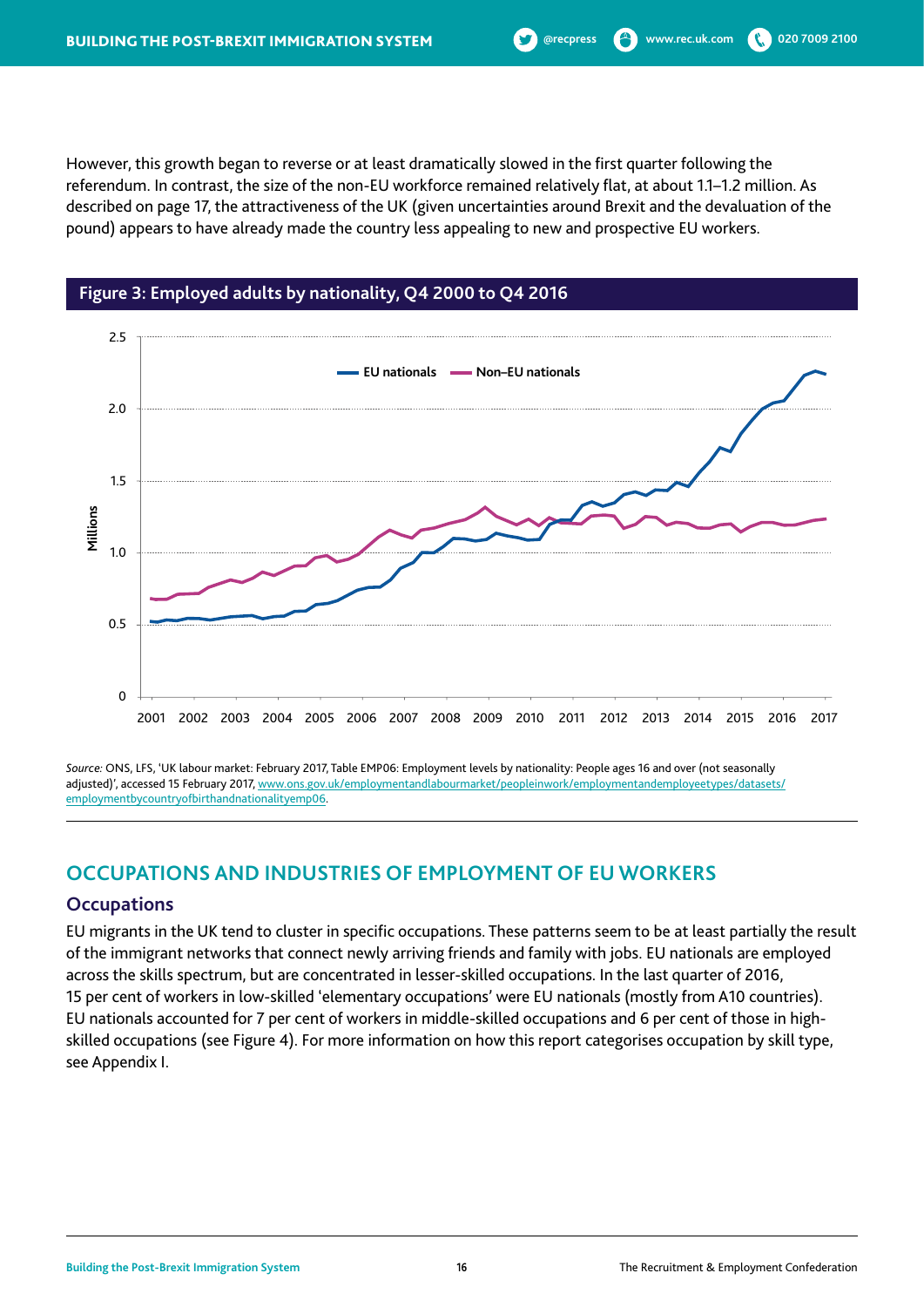However, this growth began to reverse or at least dramatically slowed in the first quarter following the referendum. In contrast, the size of the non-EU workforce remained relatively flat, at about 1.1–1.2 million. As described on page 17, the attractiveness of the UK (given uncertainties around Brexit and the devaluation of the pound) appears to have already made the country less appealing to new and prospective EU workers.



#### **Figure 3: Employed adults by nationality, Q4 2000 to Q4 2016**

*Source:* ONS, LFS, 'UK labour market: February 2017, Table EMP06: Employment levels by nationality: People ages 16 and over (not seasonally adjusted)', accessed 15 February 2017, www.ons.gov.uk/employmentandlabourmarket/peopleinwork/employmentandemployeetypes/datasets/ employmentbycountryofbirthandnationalityemp06.

#### **OCCUPATIONS AND INDUSTRIES OF EMPLOYMENT OF EU WORKERS**

#### **Occupations**

EU migrants in the UK tend to cluster in specific occupations. These patterns seem to be at least partially the result of the immigrant networks that connect newly arriving friends and family with jobs. EU nationals are employed across the skills spectrum, but are concentrated in lesser-skilled occupations. In the last quarter of 2016, 15 per cent of workers in low-skilled 'elementary occupations' were EU nationals (mostly from A10 countries). EU nationals accounted for 7 per cent of workers in middle-skilled occupations and 6 per cent of those in highskilled occupations (see Figure 4). For more information on how this report categorises occupation by skill type, see Appendix I.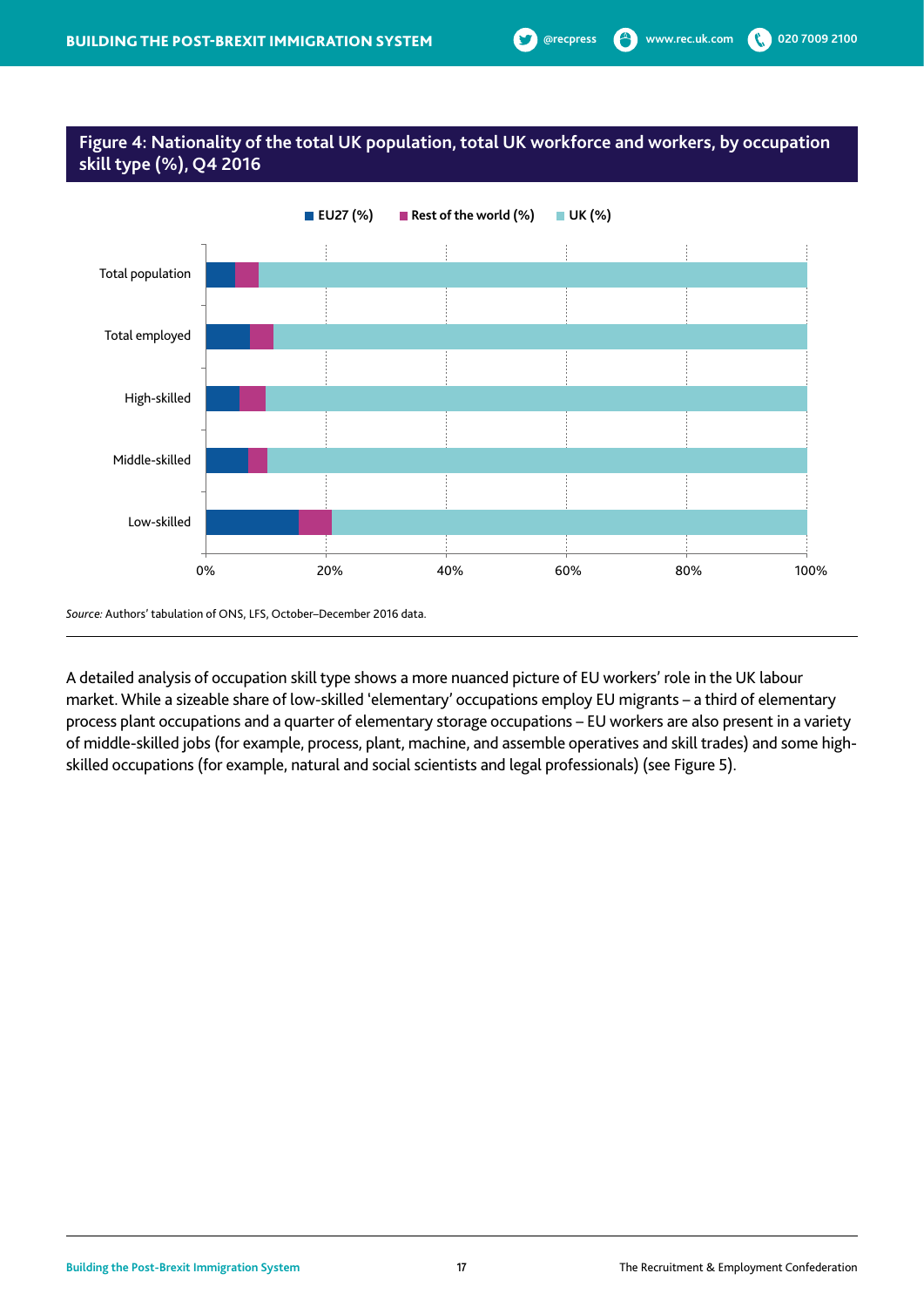#### **Figure 4: Nationality of the total UK population, total UK workforce and workers, by occupation skill type (%), Q4 2016**



A detailed analysis of occupation skill type shows a more nuanced picture of EU workers' role in the UK labour market. While a sizeable share of low-skilled 'elementary' occupations employ EU migrants – a third of elementary process plant occupations and a quarter of elementary storage occupations – EU workers are also present in a variety of middle-skilled jobs (for example, process, plant, machine, and assemble operatives and skill trades) and some highskilled occupations (for example, natural and social scientists and legal professionals) (see Figure 5).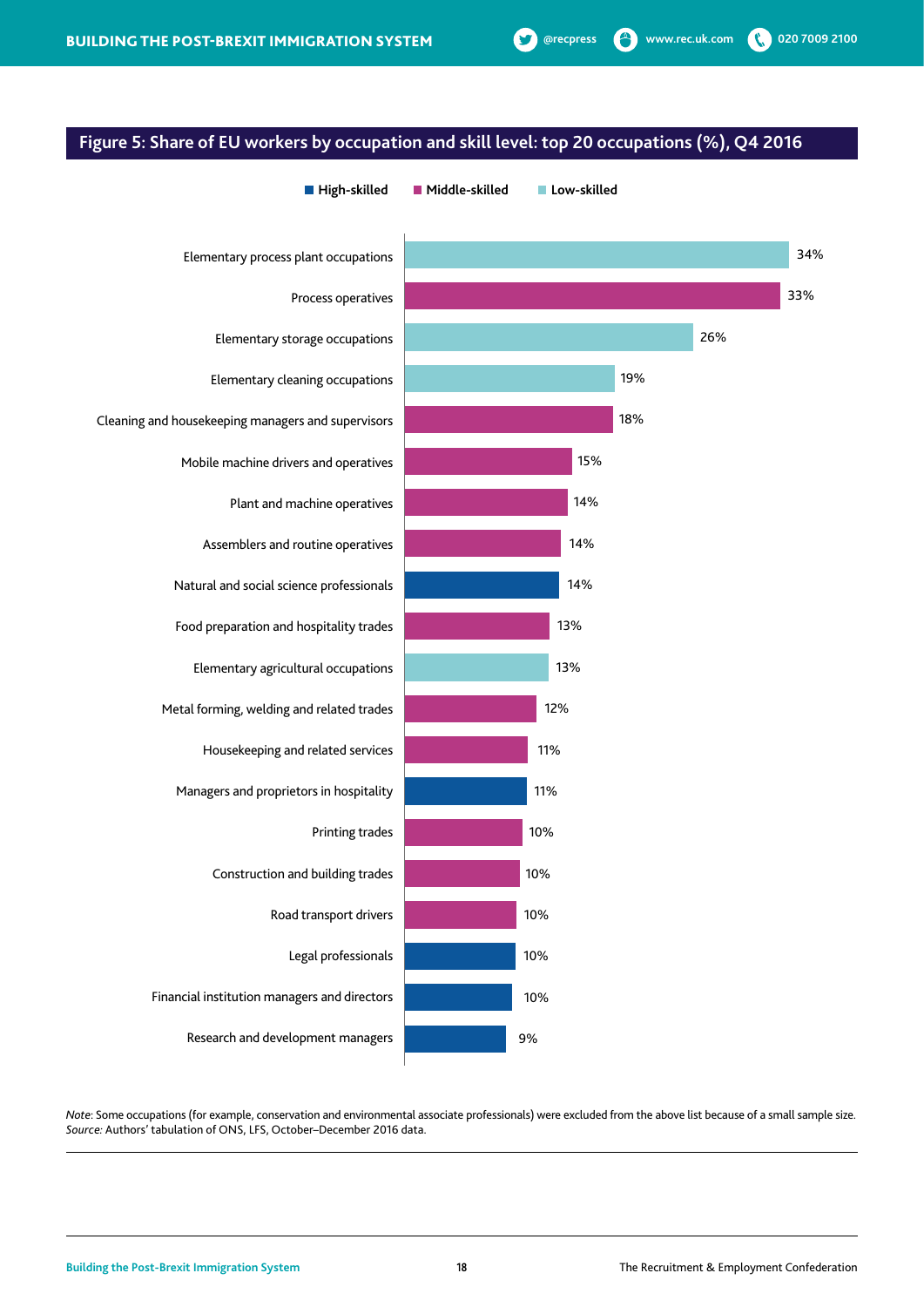#### **Figure 5: Share of EU workers by occupation and skill level: top 20 occupations (%), Q4 2016**



*Note*: Some occupations (for example, conservation and environmental associate professionals) were excluded from the above list because of a small sample size. *Source:* Authors' tabulation of ONS, LFS, October–December 2016 data.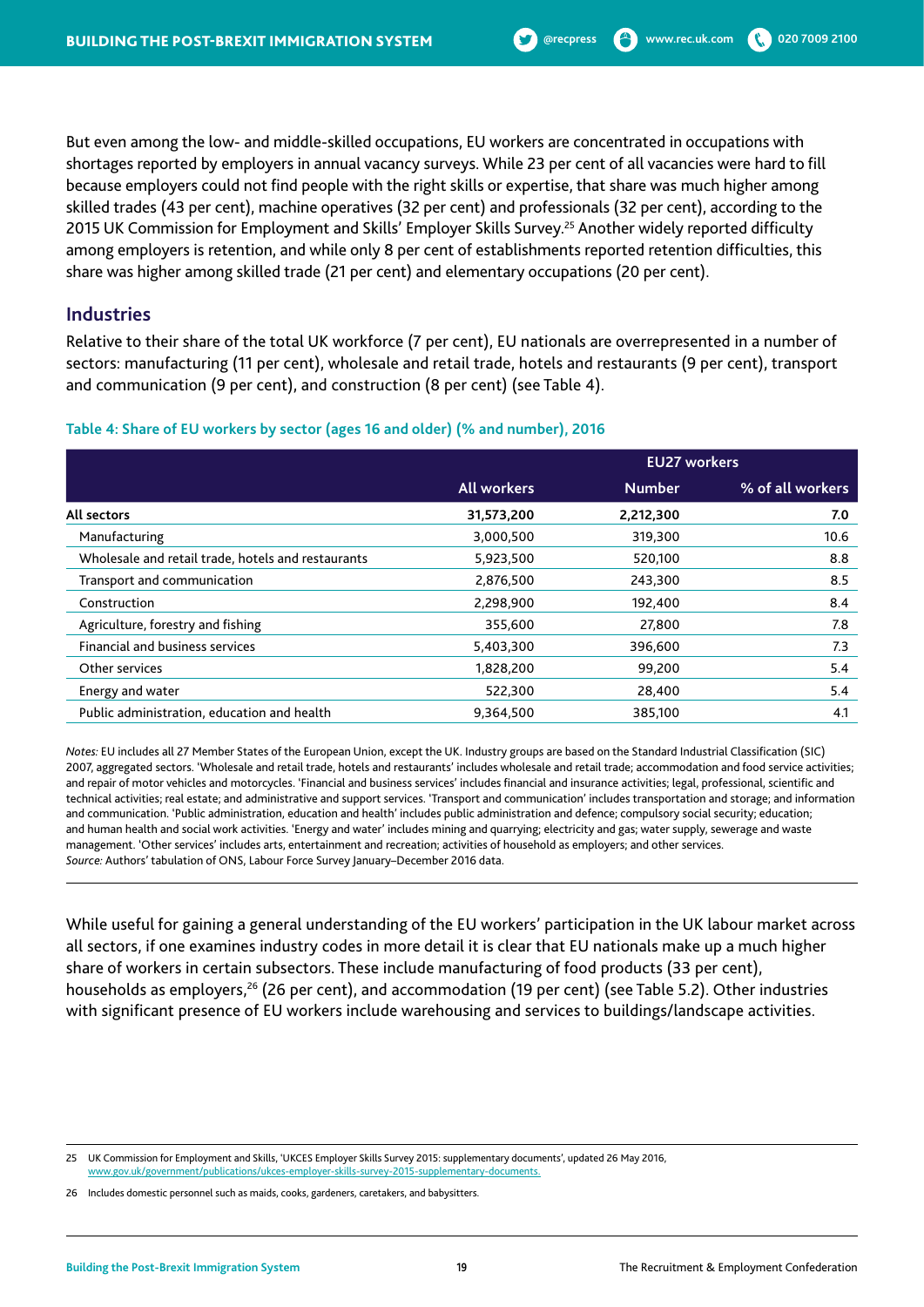But even among the low- and middle-skilled occupations, EU workers are concentrated in occupations with shortages reported by employers in annual vacancy surveys. While 23 per cent of all vacancies were hard to fill because employers could not find people with the right skills or expertise, that share was much higher among skilled trades (43 per cent), machine operatives (32 per cent) and professionals (32 per cent), according to the 2015 UK Commission for Employment and Skills' Employer Skills Survey.<sup>25</sup> Another widely reported difficulty among employers is retention, and while only 8 per cent of establishments reported retention difficulties, this share was higher among skilled trade (21 per cent) and elementary occupations (20 per cent).

#### **Industries**

Relative to their share of the total UK workforce (7 per cent), EU nationals are overrepresented in a number of sectors: manufacturing (11 per cent), wholesale and retail trade, hotels and restaurants (9 per cent), transport and communication (9 per cent), and construction (8 per cent) (see Table 4).

#### **Table 4: Share of EU workers by sector (ages 16 and older) (% and number), 2016**

|                                                    | <b>EU27 workers</b> |               |                  |
|----------------------------------------------------|---------------------|---------------|------------------|
|                                                    | <b>All workers</b>  | <b>Number</b> | % of all workers |
| All sectors                                        | 31,573,200          | 2,212,300     | 7.0              |
| Manufacturing                                      | 3,000,500           | 319,300       | 10.6             |
| Wholesale and retail trade, hotels and restaurants | 5,923,500           | 520,100       | 8.8              |
| Transport and communication                        | 2,876,500           | 243,300       | 8.5              |
| Construction                                       | 2,298,900           | 192,400       | 8.4              |
| Agriculture, forestry and fishing                  | 355,600             | 27,800        | 7.8              |
| <b>Financial and business services</b>             | 5,403,300           | 396,600       | 7.3              |
| Other services                                     | 1,828,200           | 99,200        | 5.4              |
| Energy and water                                   | 522,300             | 28,400        | 5.4              |
| Public administration, education and health        | 9,364,500           | 385,100       | 4.1              |

*Notes:* EU includes all 27 Member States of the European Union, except the UK. Industry groups are based on the Standard Industrial Classification (SIC) 2007, aggregated sectors. 'Wholesale and retail trade, hotels and restaurants' includes wholesale and retail trade; accommodation and food service activities; and repair of motor vehicles and motorcycles. 'Financial and business services' includes financial and insurance activities; legal, professional, scientific and technical activities; real estate; and administrative and support services. 'Transport and communication' includes transportation and storage; and information and communication. 'Public administration, education and health' includes public administration and defence; compulsory social security; education; and human health and social work activities. 'Energy and water' includes mining and quarrying; electricity and gas; water supply, sewerage and waste management. 'Other services' includes arts, entertainment and recreation; activities of household as employers; and other services. *Source:* Authors' tabulation of ONS, Labour Force Survey January–December 2016 data.

While useful for gaining a general understanding of the EU workers' participation in the UK labour market across all sectors, if one examines industry codes in more detail it is clear that EU nationals make up a much higher share of workers in certain subsectors. These include manufacturing of food products (33 per cent), households as employers,<sup>26</sup> (26 per cent), and accommodation (19 per cent) (see Table 5.2). Other industries with significant presence of EU workers include warehousing and services to buildings/landscape activities.

<sup>25</sup> UK Commission for Employment and Skills, 'UKCES Employer Skills Survey 2015: supplementary documents', updated 26 May 2016, www.gov.uk/government/publications/ukces-employer-skills-survey-2015-supplementary-documents.

<sup>26</sup> Includes domestic personnel such as maids, cooks, gardeners, caretakers, and babysitters.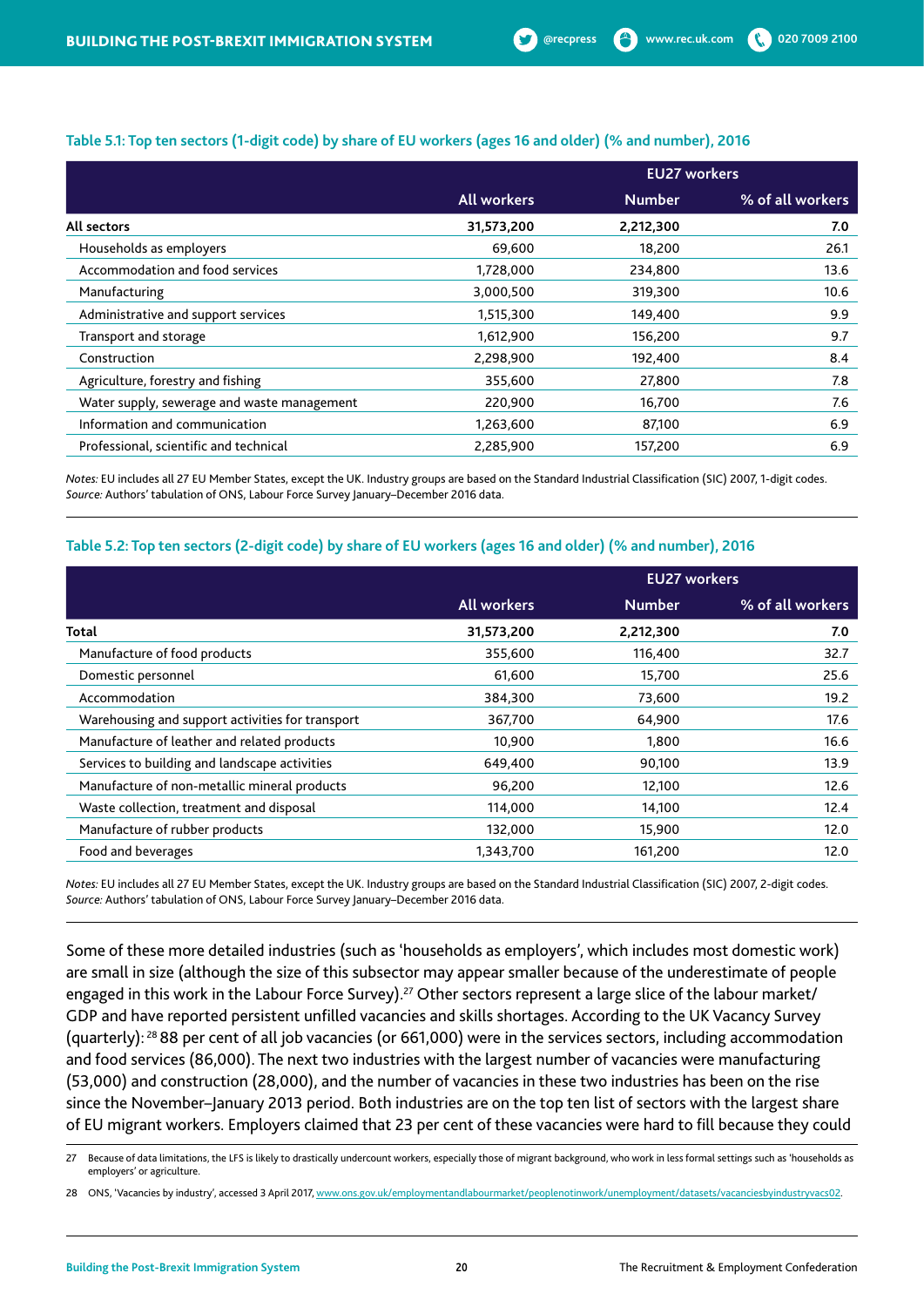#### **Table 5.1: Top ten sectors (1-digit code) by share of EU workers (ages 16 and older) (% and number), 2016**

|                                             | <b>EU27 workers</b> |               |                  |
|---------------------------------------------|---------------------|---------------|------------------|
|                                             | <b>All workers</b>  | <b>Number</b> | % of all workers |
| All sectors                                 | 31,573,200          | 2,212,300     | 7.0              |
| Households as employers                     | 69,600              | 18,200        | 26.1             |
| Accommodation and food services             | 1,728,000           | 234,800       | 13.6             |
| Manufacturing                               | 3,000,500           | 319,300       | 10.6             |
| Administrative and support services         | 1,515,300           | 149,400       | 9.9              |
| Transport and storage                       | 1,612,900           | 156,200       | 9.7              |
| Construction                                | 2,298,900           | 192,400       | 8.4              |
| Agriculture, forestry and fishing           | 355,600             | 27,800        | 7.8              |
| Water supply, sewerage and waste management | 220,900             | 16,700        | 7.6              |
| Information and communication               | 1,263,600           | 87,100        | 6.9              |
| Professional, scientific and technical      | 2,285,900           | 157,200       | 6.9              |

*Notes:* EU includes all 27 EU Member States, except the UK. Industry groups are based on the Standard Industrial Classification (SIC) 2007, 1-digit codes. *Source:* Authors' tabulation of ONS, Labour Force Survey January–December 2016 data.

#### **Table 5.2: Top ten sectors (2-digit code) by share of EU workers (ages 16 and older) (% and number), 2016**

|                                                  | <b>EU27 workers</b> |               |                  |
|--------------------------------------------------|---------------------|---------------|------------------|
|                                                  | <b>All workers</b>  | <b>Number</b> | % of all workers |
| Total                                            | 31,573,200          | 2,212,300     | 7.0              |
| Manufacture of food products                     | 355,600             | 116,400       | 32.7             |
| Domestic personnel                               | 61,600              | 15,700        | 25.6             |
| Accommodation                                    | 384,300             | 73,600        | 19.2             |
| Warehousing and support activities for transport | 367,700             | 64,900        | 17.6             |
| Manufacture of leather and related products      | 10.900              | 1.800         | 16.6             |
| Services to building and landscape activities    | 649,400             | 90,100        | 13.9             |
| Manufacture of non-metallic mineral products     | 96,200              | 12,100        | 12.6             |
| Waste collection, treatment and disposal         | 114,000             | 14,100        | 12.4             |
| Manufacture of rubber products                   | 132,000             | 15,900        | 12.0             |
| Food and beverages                               | 1,343,700           | 161,200       | 12.0             |

*Notes:* EU includes all 27 EU Member States, except the UK. Industry groups are based on the Standard Industrial Classification (SIC) 2007, 2-digit codes. *Source:* Authors' tabulation of ONS, Labour Force Survey January–December 2016 data.

Some of these more detailed industries (such as 'households as employers', which includes most domestic work) are small in size (although the size of this subsector may appear smaller because of the underestimate of people engaged in this work in the Labour Force Survey).<sup>27</sup> Other sectors represent a large slice of the labour market/ GDP and have reported persistent unfilled vacancies and skills shortages. According to the UK Vacancy Survey (quarterly): 28 88 per cent of all job vacancies (or 661,000) were in the services sectors, including accommodation and food services (86,000). The next two industries with the largest number of vacancies were manufacturing (53,000) and construction (28,000), and the number of vacancies in these two industries has been on the rise since the November–January 2013 period. Both industries are on the top ten list of sectors with the largest share of EU migrant workers. Employers claimed that 23 per cent of these vacancies were hard to fill because they could

28 ONS, 'Vacancies by industry', accessed 3 April 2017, www.ons.gov.uk/employmentandlabourmarket/peoplenotinwork/unemployment/datasets/vacanciesbyindustryvacs02.

<sup>27</sup> Because of data limitations, the LFS is likely to drastically undercount workers, especially those of migrant background, who work in less formal settings such as 'households as employers' or agriculture.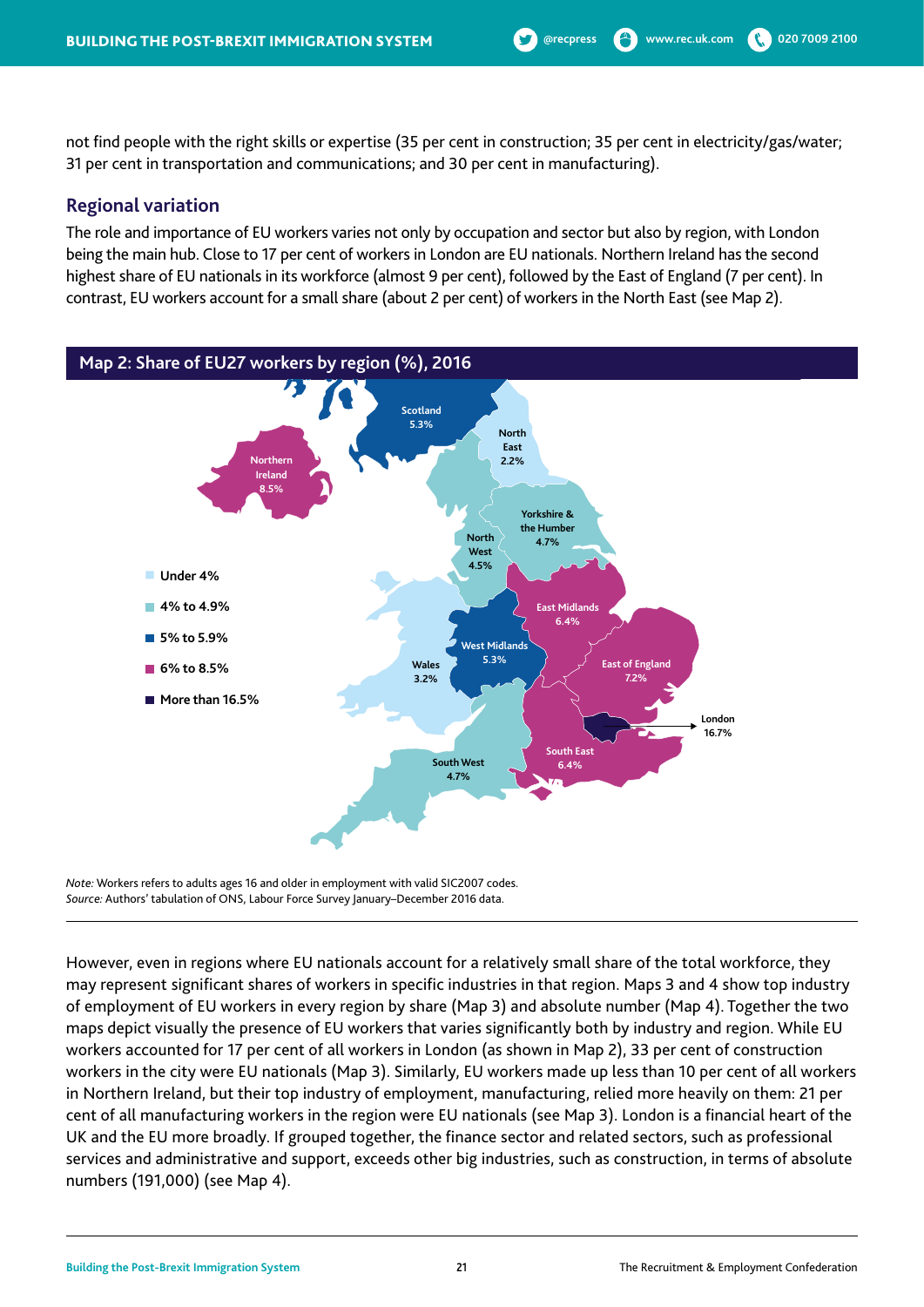not find people with the right skills or expertise (35 per cent in construction; 35 per cent in electricity/gas/water; 31 per cent in transportation and communications; and 30 per cent in manufacturing).

#### **Regional variation**

The role and importance of EU workers varies not only by occupation and sector but also by region, with London being the main hub. Close to 17 per cent of workers in London are EU nationals. Northern Ireland has the second highest share of EU nationals in its workforce (almost 9 per cent), followed by the East of England (7 per cent). In contrast, EU workers account for a small share (about 2 per cent) of workers in the North East (see Map 2).



*Note:* Workers refers to adults ages 16 and older in employment with valid SIC2007 codes. *Source:* Authors' tabulation of ONS, Labour Force Survey January–December 2016 data.

However, even in regions where EU nationals account for a relatively small share of the total workforce, they may represent significant shares of workers in specific industries in that region. Maps 3 and 4 show top industry of employment of EU workers in every region by share (Map 3) and absolute number (Map 4). Together the two maps depict visually the presence of EU workers that varies significantly both by industry and region. While EU workers accounted for 17 per cent of all workers in London (as shown in Map 2), 33 per cent of construction workers in the city were EU nationals (Map 3). Similarly, EU workers made up less than 10 per cent of all workers in Northern Ireland, but their top industry of employment, manufacturing, relied more heavily on them: 21 per cent of all manufacturing workers in the region were EU nationals (see Map 3). London is a financial heart of the UK and the EU more broadly. If grouped together, the finance sector and related sectors, such as professional services and administrative and support, exceeds other big industries, such as construction, in terms of absolute numbers (191,000) (see Map 4).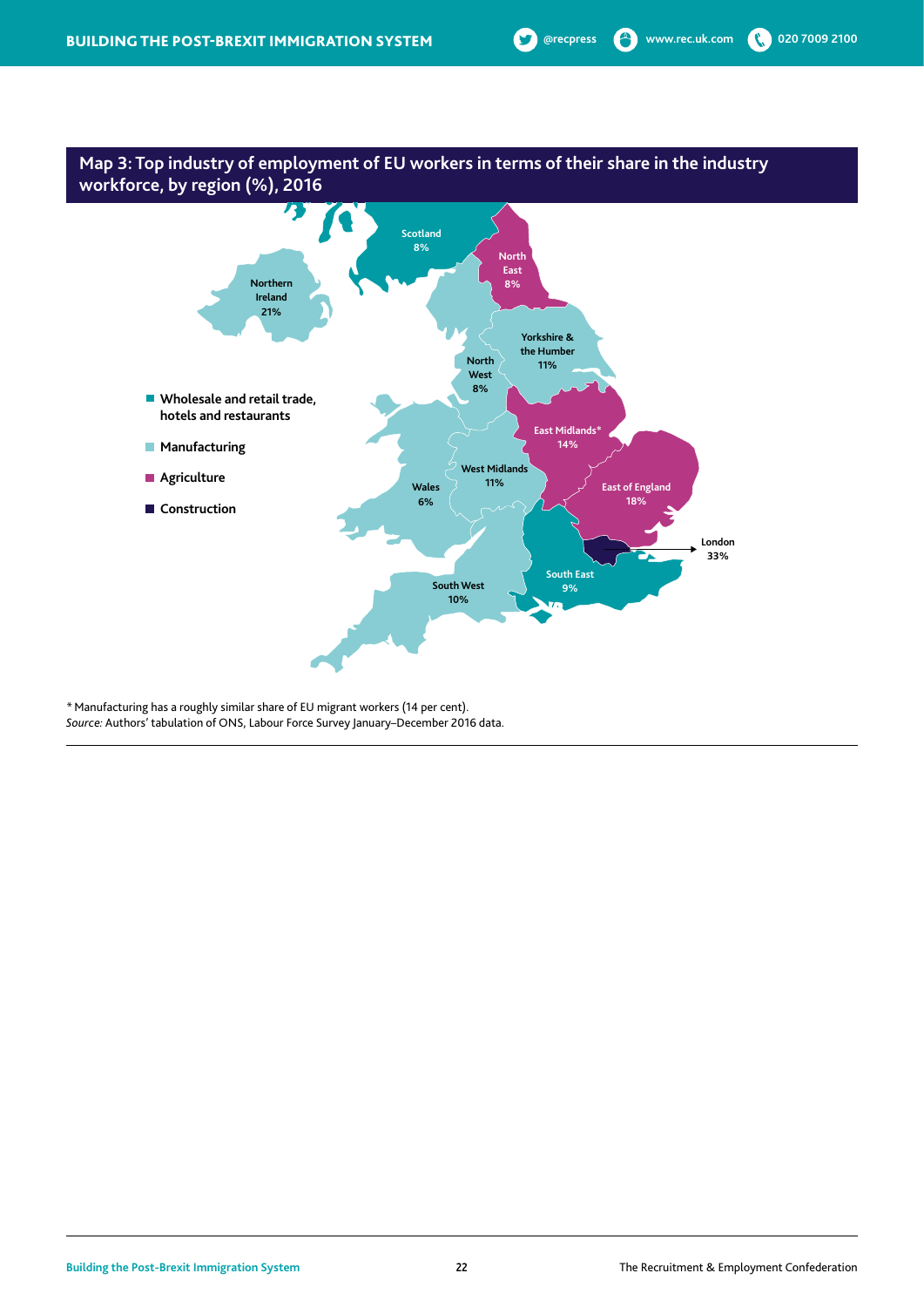

*\** Manufacturing has a roughly similar share of EU migrant workers (14 per cent). *Source:* Authors' tabulation of ONS, Labour Force Survey January–December 2016 data.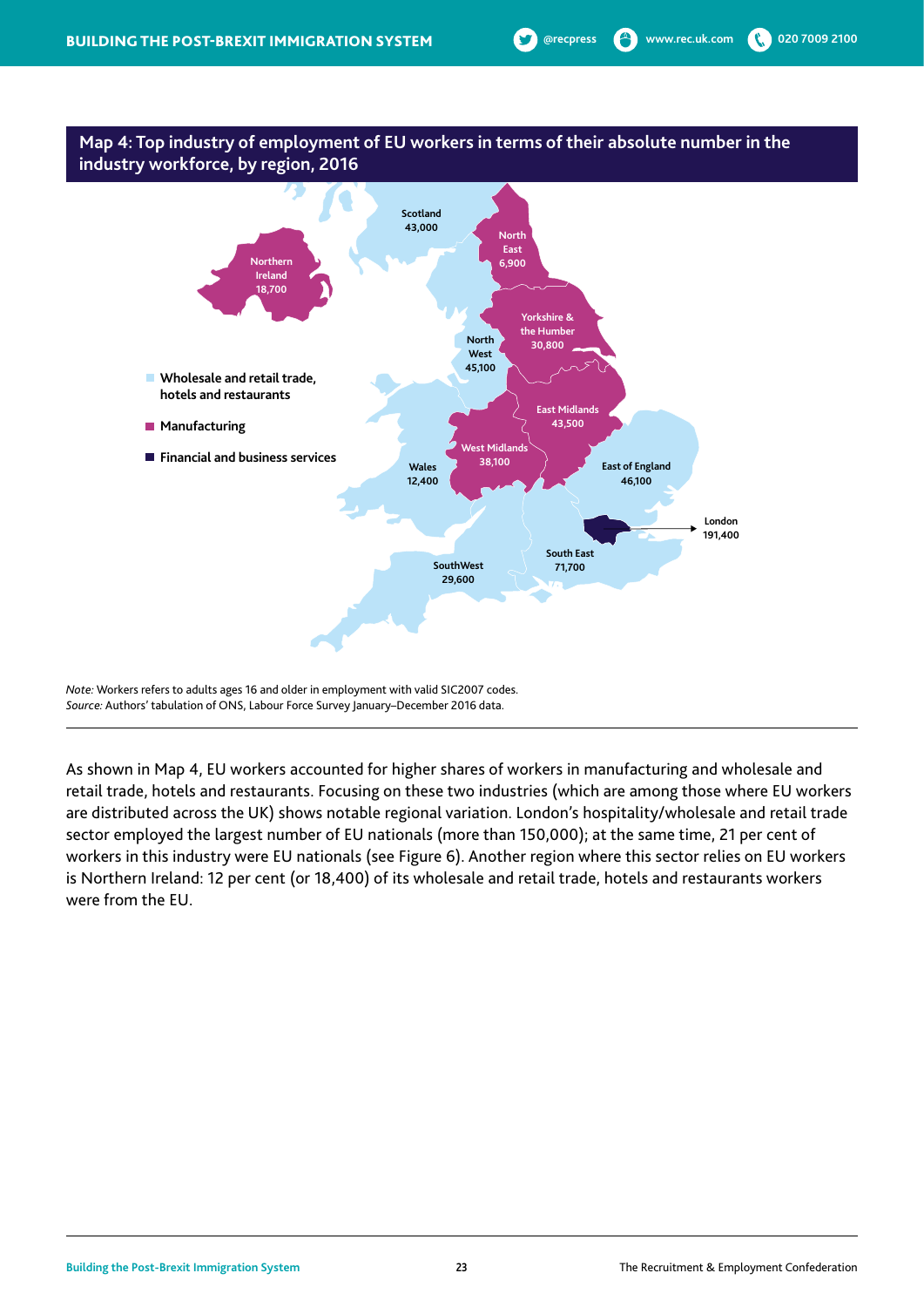

*Note:* Workers refers to adults ages 16 and older in employment with valid SIC2007 codes. *Source:* Authors' tabulation of ONS, Labour Force Survey January–December 2016 data.

As shown in Map 4, EU workers accounted for higher shares of workers in manufacturing and wholesale and retail trade, hotels and restaurants. Focusing on these two industries (which are among those where EU workers are distributed across the UK) shows notable regional variation. London's hospitality/wholesale and retail trade sector employed the largest number of EU nationals (more than 150,000); at the same time, 21 per cent of workers in this industry were EU nationals (see Figure 6). Another region where this sector relies on EU workers is Northern Ireland: 12 per cent (or 18,400) of its wholesale and retail trade, hotels and restaurants workers were from the EU.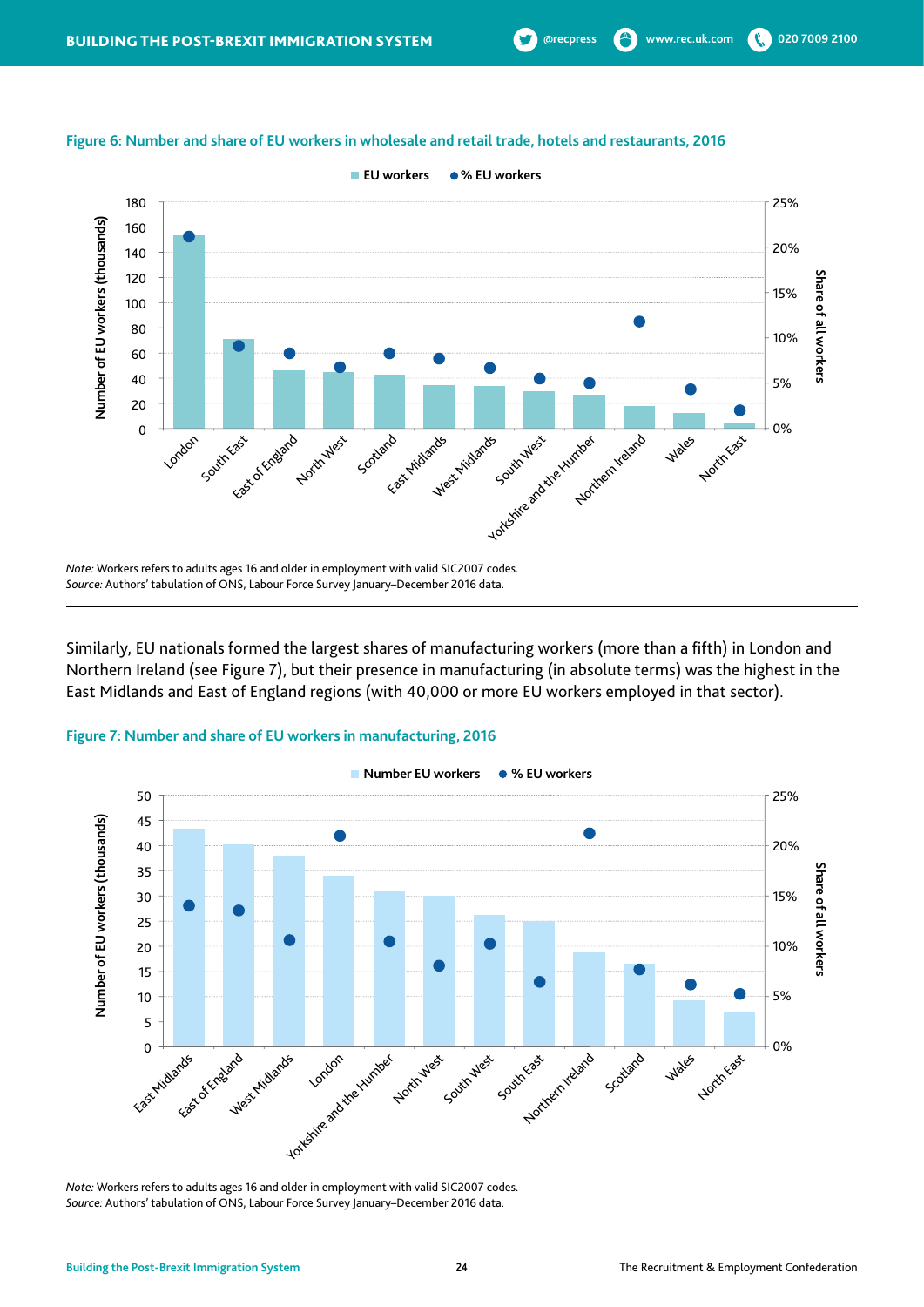

**Figure 6: Number and share of EU workers in wholesale and retail trade, hotels and restaurants, 2016**

Similarly, EU nationals formed the largest shares of manufacturing workers (more than a fifth) in London and Northern Ireland (see Figure 7), but their presence in manufacturing (in absolute terms) was the highest in the East Midlands and East of England regions (with 40,000 or more EU workers employed in that sector).





*Note:* Workers refers to adults ages 16 and older in employment with valid SIC2007 codes. *Source:* Authors' tabulation of ONS, Labour Force Survey January–December 2016 data.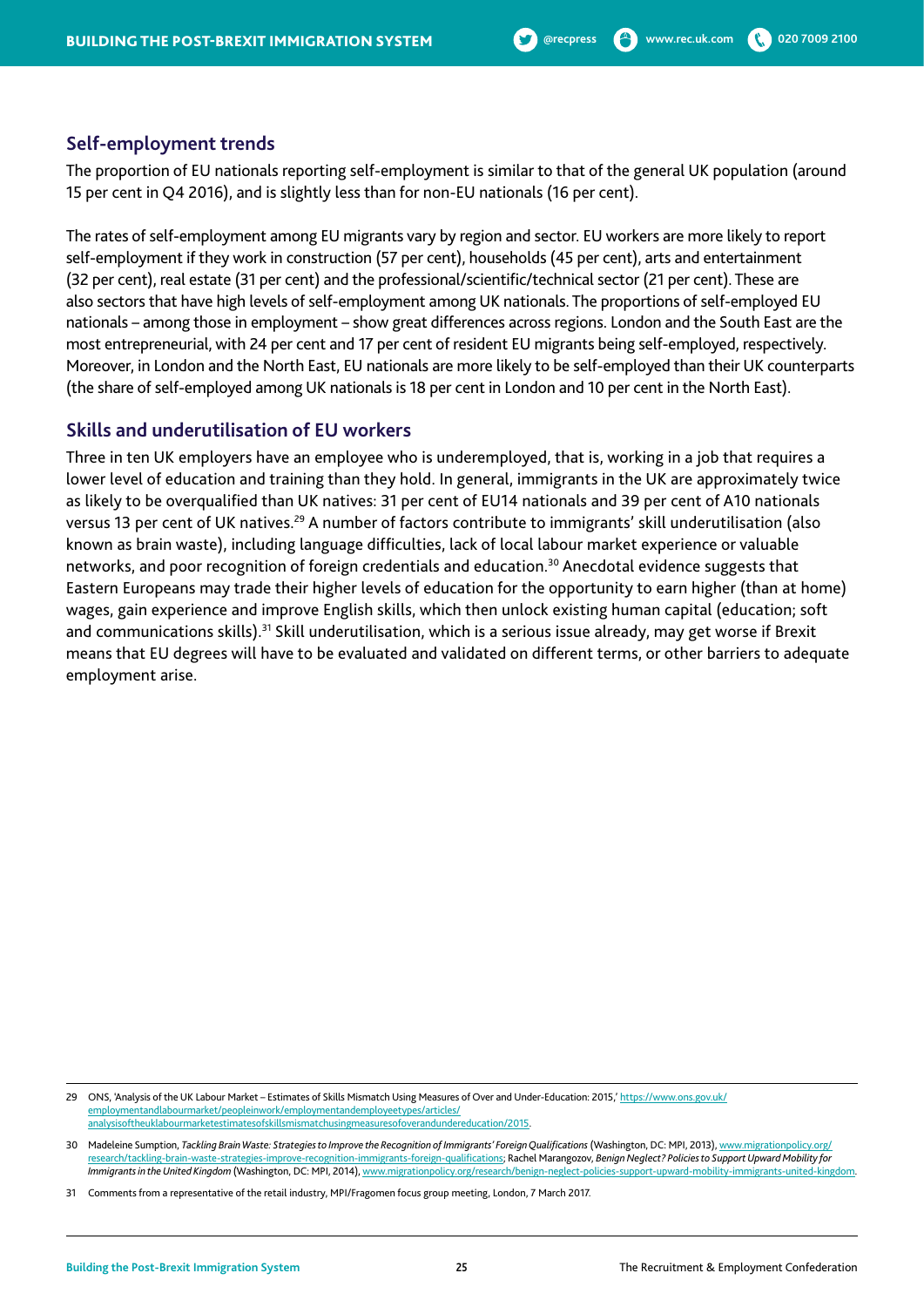#### **Self-employment trends**

The proportion of EU nationals reporting self-employment is similar to that of the general UK population (around 15 per cent in Q4 2016), and is slightly less than for non-EU nationals (16 per cent).

The rates of self-employment among EU migrants vary by region and sector. EU workers are more likely to report self-employment if they work in construction (57 per cent), households (45 per cent), arts and entertainment (32 per cent), real estate (31 per cent) and the professional/scientific/technical sector (21 per cent). These are also sectors that have high levels of self-employment among UK nationals. The proportions of self-employed EU nationals – among those in employment – show great differences across regions. London and the South East are the most entrepreneurial, with 24 per cent and 17 per cent of resident EU migrants being self-employed, respectively. Moreover, in London and the North East, EU nationals are more likely to be self-employed than their UK counterparts (the share of self-employed among UK nationals is 18 per cent in London and 10 per cent in the North East).

#### **Skills and underutilisation of EU workers**

Three in ten UK employers have an employee who is underemployed, that is, working in a job that requires a lower level of education and training than they hold. In general, immigrants in the UK are approximately twice as likely to be overqualified than UK natives: 31 per cent of EU14 nationals and 39 per cent of A10 nationals versus 13 per cent of UK natives.<sup>29</sup> A number of factors contribute to immigrants' skill underutilisation (also known as brain waste), including language difficulties, lack of local labour market experience or valuable networks, and poor recognition of foreign credentials and education.30 Anecdotal evidence suggests that Eastern Europeans may trade their higher levels of education for the opportunity to earn higher (than at home) wages, gain experience and improve English skills, which then unlock existing human capital (education; soft and communications skills).<sup>31</sup> Skill underutilisation, which is a serious issue already, may get worse if Brexit means that EU degrees will have to be evaluated and validated on different terms, or other barriers to adequate employment arise.

29 ONS, 'Analysis of the UK Labour Market – Estimates of Skills Mismatch Using Measures of Over and Under-Education: 2015,' https://www.ons.gov.uk/ employmentandlabourmarket/peopleinwork/employmentandemployeetypes/articles/ analysisoftheuklabourmarketestimatesofskillsmismatchusingmeasuresofoverandundereducation/2015.

<sup>30</sup> Madeleine Sumption, *Tackling Brain Waste: Strategies to Improve the Recognition of Immigrants' Foreign Qualifications* (Washington, DC: MPI, 2013), www.migrationpolicy.org/ research/tackling-brain-waste-strategies-improve-recognition-immigrants-foreign-qualifications; Rachel Marangozov, *Benign Neglect? Policies to Support Upward Mobility for Immigrants in the United Kingdom* (Washington, DC: MPI, 2014), www.migrationpolicy.org/research/benign-neglect-policies-support-upward-mobility-immigrants-united-kingdom.

<sup>31</sup> Comments from a representative of the retail industry, MPI/Fragomen focus group meeting, London, 7 March 2017.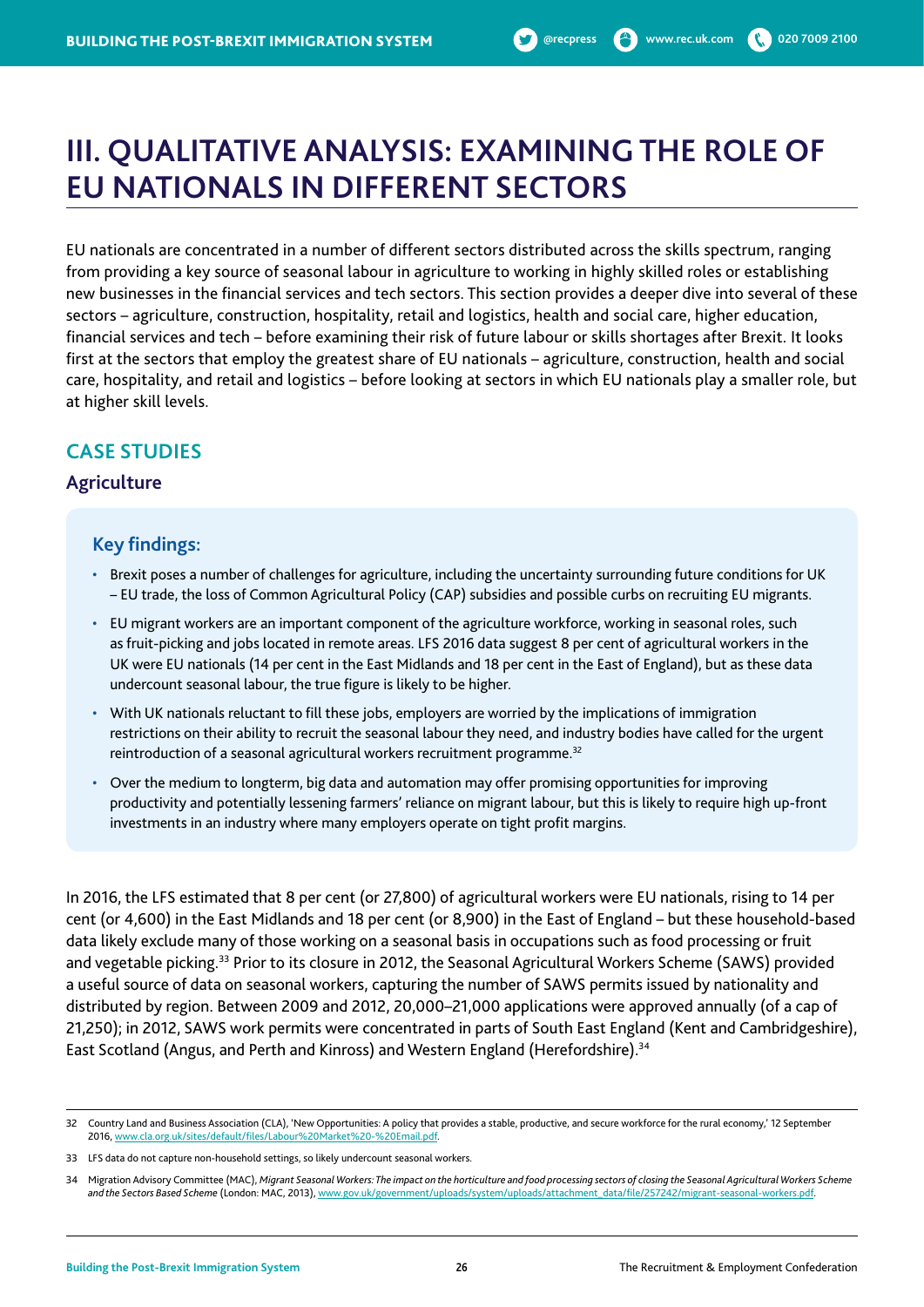## **III. QUALITATIVE ANALYSIS: EXAMINING THE ROLE OF EU NATIONALS IN DIFFERENT SECTORS**

EU nationals are concentrated in a number of different sectors distributed across the skills spectrum, ranging from providing a key source of seasonal labour in agriculture to working in highly skilled roles or establishing new businesses in the financial services and tech sectors. This section provides a deeper dive into several of these sectors – agriculture, construction, hospitality, retail and logistics, health and social care, higher education, financial services and tech – before examining their risk of future labour or skills shortages after Brexit. It looks first at the sectors that employ the greatest share of EU nationals – agriculture, construction, health and social care, hospitality, and retail and logistics – before looking at sectors in which EU nationals play a smaller role, but at higher skill levels.

### **CASE STUDIES**

#### **Agriculture**

#### **Key findings:**

- Brexit poses a number of challenges for agriculture, including the uncertainty surrounding future conditions for UK – EU trade, the loss of Common Agricultural Policy (CAP) subsidies and possible curbs on recruiting EU migrants.
- EU migrant workers are an important component of the agriculture workforce, working in seasonal roles, such as fruit-picking and jobs located in remote areas. LFS 2016 data suggest 8 per cent of agricultural workers in the UK were EU nationals (14 per cent in the East Midlands and 18 per cent in the East of England), but as these data undercount seasonal labour, the true figure is likely to be higher.
- With UK nationals reluctant to fill these jobs, employers are worried by the implications of immigration restrictions on their ability to recruit the seasonal labour they need, and industry bodies have called for the urgent reintroduction of a seasonal agricultural workers recruitment programme.<sup>32</sup>
- Over the medium to longterm, big data and automation may offer promising opportunities for improving productivity and potentially lessening farmers' reliance on migrant labour, but this is likely to require high up-front investments in an industry where many employers operate on tight profit margins.

In 2016, the LFS estimated that 8 per cent (or 27,800) of agricultural workers were EU nationals, rising to 14 per cent (or 4,600) in the East Midlands and 18 per cent (or 8,900) in the East of England – but these household-based data likely exclude many of those working on a seasonal basis in occupations such as food processing or fruit and vegetable picking.<sup>33</sup> Prior to its closure in 2012, the Seasonal Agricultural Workers Scheme (SAWS) provided a useful source of data on seasonal workers, capturing the number of SAWS permits issued by nationality and distributed by region. Between 2009 and 2012, 20,000–21,000 applications were approved annually (of a cap of 21,250); in 2012, SAWS work permits were concentrated in parts of South East England (Kent and Cambridgeshire), East Scotland (Angus, and Perth and Kinross) and Western England (Herefordshire).34

<sup>32</sup> Country Land and Business Association (CLA), 'New Opportunities: A policy that provides a stable, productive, and secure workforce for the rural economy,' 12 September 2016, www.cla.org.uk/sites/default/files/Labour%20Market%20-%20Email.pdf.

<sup>33</sup> LFS data do not capture non-household settings, so likely undercount seasonal workers.

<sup>34</sup> Migration Advisory Committee (MAC), *Migrant Seasonal Workers: The impact on the horticulture and food processing sectors of closing the Seasonal Agricultural Workers Scheme and the Sectors Based Scheme* (London: MAC, 2013), www.gov.uk/government/uploads/system/uploads/attachment\_data/file/257242/migrant-seasonal-workers.pdf.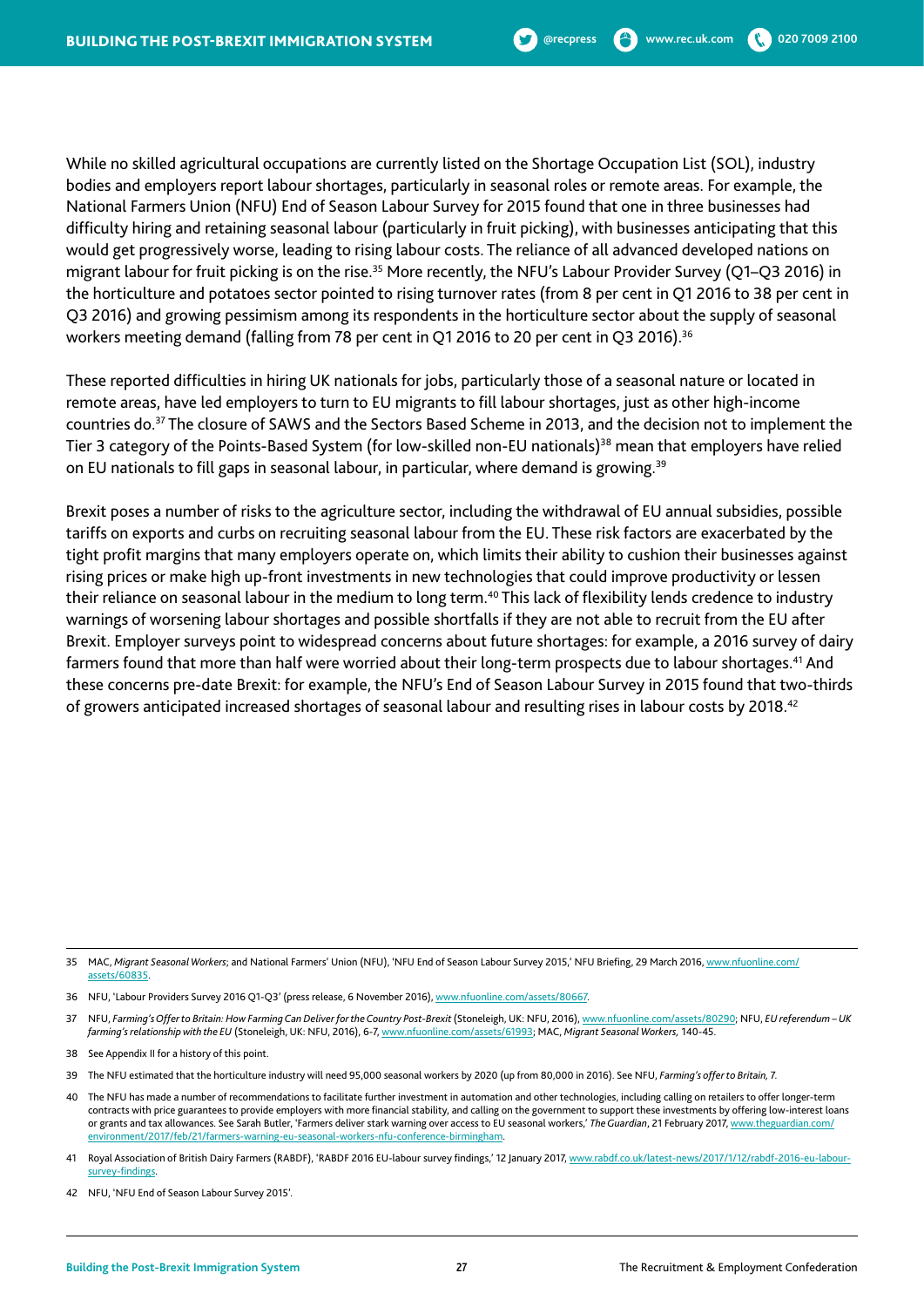While no skilled agricultural occupations are currently listed on the Shortage Occupation List (SOL), industry bodies and employers report labour shortages, particularly in seasonal roles or remote areas. For example, the National Farmers Union (NFU) End of Season Labour Survey for 2015 found that one in three businesses had difficulty hiring and retaining seasonal labour (particularly in fruit picking), with businesses anticipating that this would get progressively worse, leading to rising labour costs. The reliance of all advanced developed nations on migrant labour for fruit picking is on the rise.<sup>35</sup> More recently, the NFU's Labour Provider Survey (Q1-Q3 2016) in the horticulture and potatoes sector pointed to rising turnover rates (from 8 per cent in Q1 2016 to 38 per cent in Q3 2016) and growing pessimism among its respondents in the horticulture sector about the supply of seasonal workers meeting demand (falling from 78 per cent in Q1 2016 to 20 per cent in Q3 2016).<sup>36</sup>

These reported difficulties in hiring UK nationals for jobs, particularly those of a seasonal nature or located in remote areas, have led employers to turn to EU migrants to fill labour shortages, just as other high-income countries do.37 The closure of SAWS and the Sectors Based Scheme in 2013, and the decision not to implement the Tier 3 category of the Points-Based System (for low-skilled non-EU nationals)<sup>38</sup> mean that employers have relied on EU nationals to fill gaps in seasonal labour, in particular, where demand is growing.<sup>39</sup>

Brexit poses a number of risks to the agriculture sector, including the withdrawal of EU annual subsidies, possible tariffs on exports and curbs on recruiting seasonal labour from the EU. These risk factors are exacerbated by the tight profit margins that many employers operate on, which limits their ability to cushion their businesses against rising prices or make high up-front investments in new technologies that could improve productivity or lessen their reliance on seasonal labour in the medium to long term.<sup>40</sup> This lack of flexibility lends credence to industry warnings of worsening labour shortages and possible shortfalls if they are not able to recruit from the EU after Brexit. Employer surveys point to widespread concerns about future shortages: for example, a 2016 survey of dairy farmers found that more than half were worried about their long-term prospects due to labour shortages.<sup>41</sup> And these concerns pre-date Brexit: for example, the NFU's End of Season Labour Survey in 2015 found that two-thirds of growers anticipated increased shortages of seasonal labour and resulting rises in labour costs by 2018.42

36 NFU, 'Labour Providers Survey 2016 Q1-Q3' (press release, 6 November 2016), www.nfuonline.com/assets/80667.

- 38 See Appendix II for a history of this point.
- 39 The NFU estimated that the horticulture industry will need 95,000 seasonal workers by 2020 (up from 80,000 in 2016). See NFU, *Farming's offer to Britain,* 7.
- 40 The NFU has made a number of recommendations to facilitate further investment in automation and other technologies, including calling on retailers to offer longer-term contracts with price guarantees to provide employers with more financial stability, and calling on the government to support these investments by offering low-interest loans or grants and tax allowances. See Sarah Butler, 'Farmers deliver stark warning over access to EU seasonal workers,' *The Guardian*, 21 February 2017, www.theguardian.com/ environment/2017/feb/21/farmers-warning-eu-seasonal-workers-nfu-conference-birmingham.
- 41 Royal Association of British Dairy Farmers (RABDF), 'RABDF 2016 EU-labour survey findings,' 12 January 2017, www.rabdf.co.uk/latest-news/2017/1/12/rabdf-2016-eu-laboursurvey-findings.
- 42 NFU, 'NFU End of Season Labour Survey 2015'.

<sup>35</sup> MAC, *Migrant Seasonal Workers*; and National Farmers' Union (NFU), 'NFU End of Season Labour Survey 2015,' NFU Briefing, 29 March 2016, www.nfuonline.com/ assets/60835.

<sup>37</sup> NFU, *Farming's Offer to Britain: How Farming Can Deliver for the Country Post-Brexit* (Stoneleigh, UK: NFU, 2016), www.nfuonline.com/assets/80290; NFU, *EU referendum – UK farming's relationship with the EU* (Stoneleigh, UK: NFU, 2016), 6-7, www.nfuonline.com/assets/61993; MAC, *Migrant Seasonal Workers,* 140-45.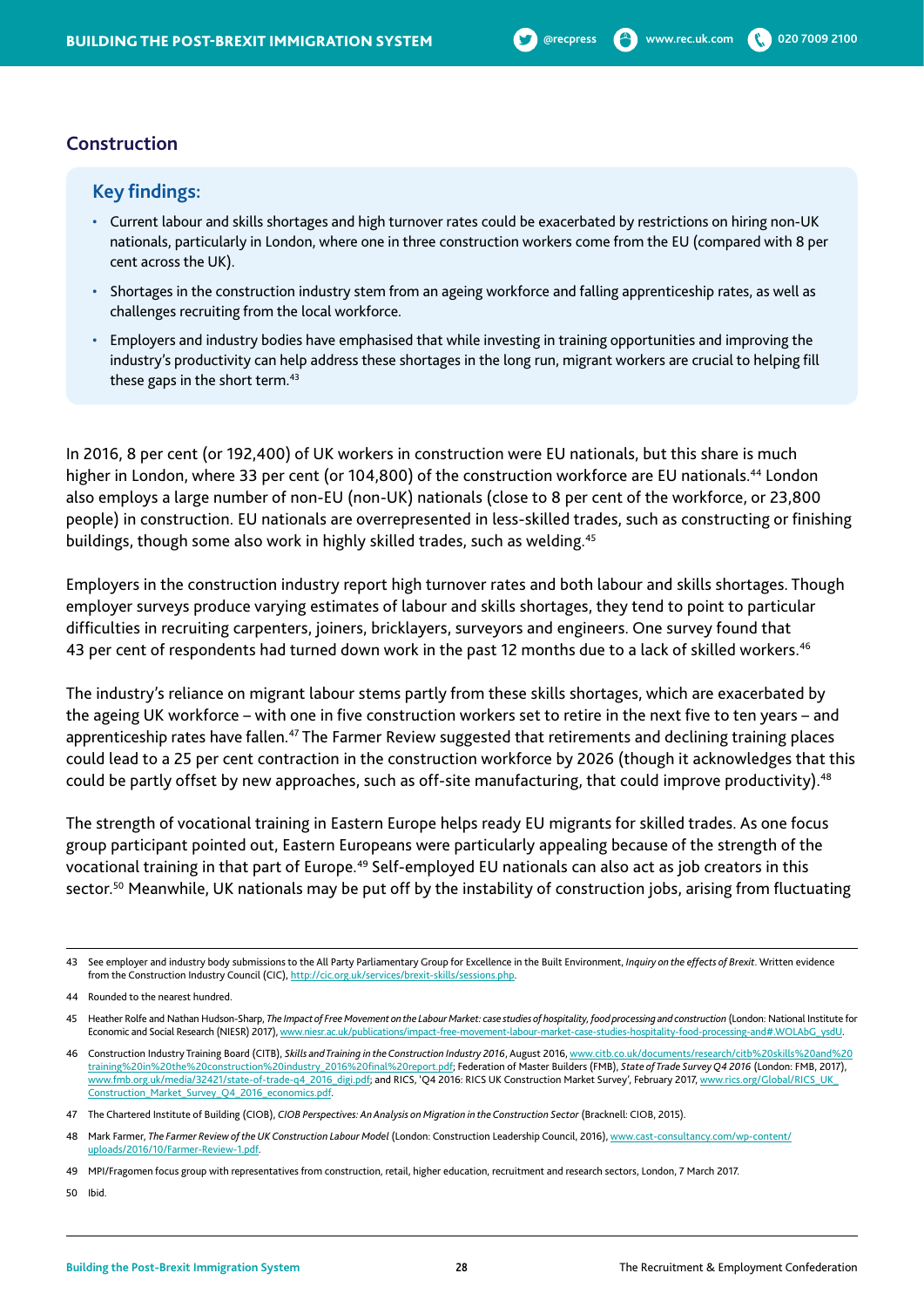#### **Construction**

#### **Key findings:**

- Current labour and skills shortages and high turnover rates could be exacerbated by restrictions on hiring non-UK nationals, particularly in London, where one in three construction workers come from the EU (compared with 8 per cent across the UK).
- Shortages in the construction industry stem from an ageing workforce and falling apprenticeship rates, as well as challenges recruiting from the local workforce.
- Employers and industry bodies have emphasised that while investing in training opportunities and improving the industry's productivity can help address these shortages in the long run, migrant workers are crucial to helping fill these gaps in the short term.<sup>43</sup>

In 2016, 8 per cent (or 192,400) of UK workers in construction were EU nationals, but this share is much higher in London, where 33 per cent (or 104,800) of the construction workforce are EU nationals.<sup>44</sup> London also employs a large number of non-EU (non-UK) nationals (close to 8 per cent of the workforce, or 23,800 people) in construction. EU nationals are overrepresented in less-skilled trades, such as constructing or finishing buildings, though some also work in highly skilled trades, such as welding.45

Employers in the construction industry report high turnover rates and both labour and skills shortages. Though employer surveys produce varying estimates of labour and skills shortages, they tend to point to particular difficulties in recruiting carpenters, joiners, bricklayers, surveyors and engineers. One survey found that 43 per cent of respondents had turned down work in the past 12 months due to a lack of skilled workers.<sup>46</sup>

The industry's reliance on migrant labour stems partly from these skills shortages, which are exacerbated by the ageing UK workforce – with one in five construction workers set to retire in the next five to ten years – and apprenticeship rates have fallen.<sup>47</sup> The Farmer Review suggested that retirements and declining training places could lead to a 25 per cent contraction in the construction workforce by 2026 (though it acknowledges that this could be partly offset by new approaches, such as off-site manufacturing, that could improve productivity).48

The strength of vocational training in Eastern Europe helps ready EU migrants for skilled trades. As one focus group participant pointed out, Eastern Europeans were particularly appealing because of the strength of the vocational training in that part of Europe.49 Self-employed EU nationals can also act as job creators in this sector.<sup>50</sup> Meanwhile, UK nationals may be put off by the instability of construction jobs, arising from fluctuating

46 Construction Industry Training Board (CITB), *Skills and Training in the Construction Industry 2016*, August 2016, www.citb.co.uk/documents/research/citb%20skills%20and%20 training%20in%20the%20construction%20industry\_2016%20final%20report.pdf; Federation of Master Builders (FMB), *State of Trade Survey Q4 2016* (London: FMB, 2017), www.fmb.org.uk/media/32421/state-of-trade-q4\_2016\_digi.pdf; and RICS, 'Q4 2016: RICS UK Construction Market Survey', February 2017, www.rics.org/Global/RICS\_UK\_ Construction\_Market\_Survey\_Q4\_2016\_economics.pdf.

50 Ibid.

<sup>43</sup> See employer and industry body submissions to the All Party Parliamentary Group for Excellence in the Built Environment, *Inquiry on the effects of Brexit*. Written evidence from the Construction Industry Council (CIC), http://cic.org.uk/services/brexit-skills/sessions.php.

<sup>44</sup> Rounded to the nearest hundred.

<sup>45</sup> Heather Rolfe and Nathan Hudson-Sharp, *The Impact of Free Movement on the Labour Market: case studies of hospitality, food processing and construction* (London: National Institute for Economic and Social Research (NIESR) 2017), www.niesr.ac.uk/publications/impact-free-movement-labour-market-case-studies-hospitality-food-processing-and#.WOLAbG\_ysdU.

<sup>47</sup> The Chartered Institute of Building (CIOB), *CIOB Perspectives: An Analysis on Migration in the Construction Sector* (Bracknell: CIOB, 2015).

<sup>48</sup> Mark Farmer, *The Farmer Review of the UK Construction Labour Model* (London: Construction Leadership Council, 2016), www.cast-consultancy.com/wp-content/ uploads/2016/10/Farmer-Review-1.pdf.

<sup>49</sup> MPI/Fragomen focus group with representatives from construction, retail, higher education, recruitment and research sectors, London, 7 March 2017.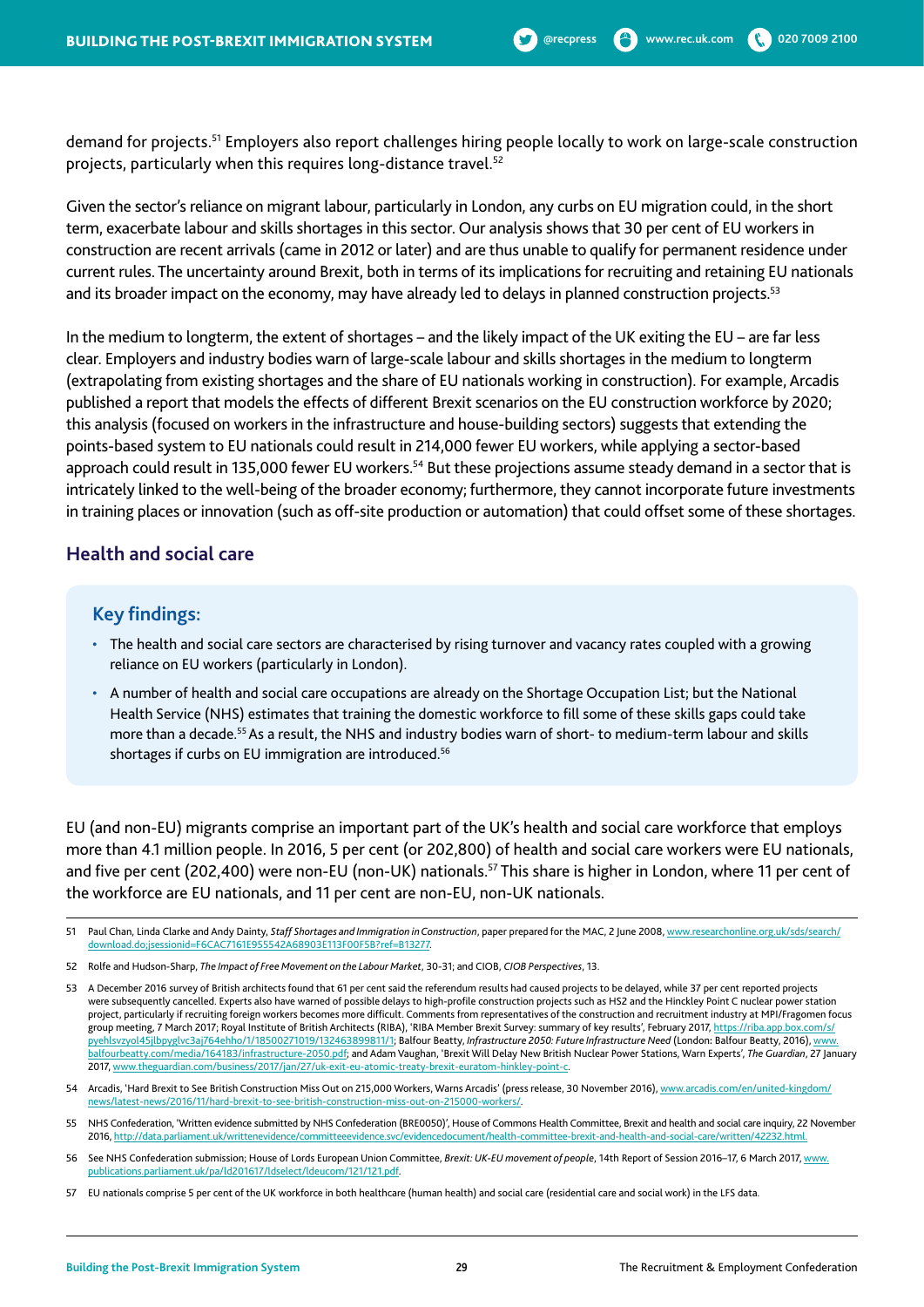demand for projects.51 Employers also report challenges hiring people locally to work on large-scale construction projects, particularly when this requires long-distance travel.<sup>52</sup>

Given the sector's reliance on migrant labour, particularly in London, any curbs on EU migration could, in the short term, exacerbate labour and skills shortages in this sector. Our analysis shows that 30 per cent of EU workers in construction are recent arrivals (came in 2012 or later) and are thus unable to qualify for permanent residence under current rules. The uncertainty around Brexit, both in terms of its implications for recruiting and retaining EU nationals and its broader impact on the economy, may have already led to delays in planned construction projects.<sup>53</sup>

In the medium to longterm, the extent of shortages – and the likely impact of the UK exiting the EU – are far less clear. Employers and industry bodies warn of large-scale labour and skills shortages in the medium to longterm (extrapolating from existing shortages and the share of EU nationals working in construction). For example, Arcadis published a report that models the effects of different Brexit scenarios on the EU construction workforce by 2020; this analysis (focused on workers in the infrastructure and house-building sectors) suggests that extending the points-based system to EU nationals could result in 214,000 fewer EU workers, while applying a sector-based approach could result in 135,000 fewer EU workers.<sup>54</sup> But these projections assume steady demand in a sector that is intricately linked to the well-being of the broader economy; furthermore, they cannot incorporate future investments in training places or innovation (such as off-site production or automation) that could offset some of these shortages.

#### **Health and social care**

#### **Key findings:**

- The health and social care sectors are characterised by rising turnover and vacancy rates coupled with a growing reliance on EU workers (particularly in London).
- A number of health and social care occupations are already on the Shortage Occupation List; but the National Health Service (NHS) estimates that training the domestic workforce to fill some of these skills gaps could take more than a decade.55 As a result, the NHS and industry bodies warn of short- to medium-term labour and skills shortages if curbs on EU immigration are introduced.<sup>56</sup>

EU (and non-EU) migrants comprise an important part of the UK's health and social care workforce that employs more than 4.1 million people. In 2016, 5 per cent (or 202,800) of health and social care workers were EU nationals, and five per cent (202,400) were non-EU (non-UK) nationals.<sup>57</sup> This share is higher in London, where 11 per cent of the workforce are EU nationals, and 11 per cent are non-EU, non-UK nationals.

Paul Chan, Linda Clarke and Andy Dainty, Staff Shortages and Immigration in Construction, paper prepared for the MAC, 2 June 2008, www.researchonline.org.uk/sds/search/ download.do;jsessionid=F6CAC7161E955542A68903E113F00F5B?ref=B13277.

<sup>52</sup> Rolfe and Hudson-Sharp, *The Impact of Free Movement on the Labour Market*, 30-31; and CIOB, *CIOB Perspectives*, 13.

<sup>53</sup> A December 2016 survey of British architects found that 61 per cent said the referendum results had caused projects to be delayed, while 37 per cent reported projects were subsequently cancelled. Experts also have warned of possible delays to high-profile construction projects such as HS2 and the Hinckley Point C nuclear power station project, particularly if recruiting foreign workers becomes more difficult. Comments from representatives of the construction and recruitment industry at MPI/Fragomen focus group meeting, 7 March 2017; Royal Institute of British Architects (RIBA), 'RIBA Member Brexit Survey: summary of key results', February 2017, https://riba.app.box.com/s/ pyehlsvzyol45jlbpyglvc3aj764ehho/1/18500271019/132463899811/1; Balfour Beatty, *Infrastructure 2050: Future Infrastructure Need* (London**:** Balfour Beatty, 2016), www. balfourbeatty.com/media/164183/infrastructure-2050.pdf; and Adam Vaughan, 'Brexit Will Delay New British Nuclear Power Stations, Warn Experts', *The Guardian*, 27 January 2017, www.theguardian.com/business/2017/jan/27/uk-exit-eu-atomic-treaty-brexit-euratom-hinkley-point-c.

<sup>54</sup> Arcadis, 'Hard Brexit to See British Construction Miss Out on 215,000 Workers, Warns Arcadis' (press release, 30 November 2016), www.arcadis.com/en/united-kingdom/ news/latest-news/2016/11/hard-brexit-to-see-british-construction-miss-out-on-215000-workers/.

<sup>55</sup> NHS Confederation, 'Written evidence submitted by NHS Confederation (BRE0050)', House of Commons Health Committee, Brexit and health and social care inquiry, 22 November 2016, http://data.parliament.uk/writtenevidence/committeeevidence.svc/evidencedocument/health-committee-brexit-and-health-and-social-care/written/42232.html.

<sup>56</sup> See NHS Confederation submission; House of Lords European Union Committee, *Brexit: UK-EU movement of people*, 14th Report of Session 2016–17, 6 March 2017, www. publications.parliament.uk/pa/ld201617/ldselect/ldeucom/121/121.pdf.

<sup>57</sup> EU nationals comprise 5 per cent of the UK workforce in both healthcare (human health) and social care (residential care and social work) in the LFS data.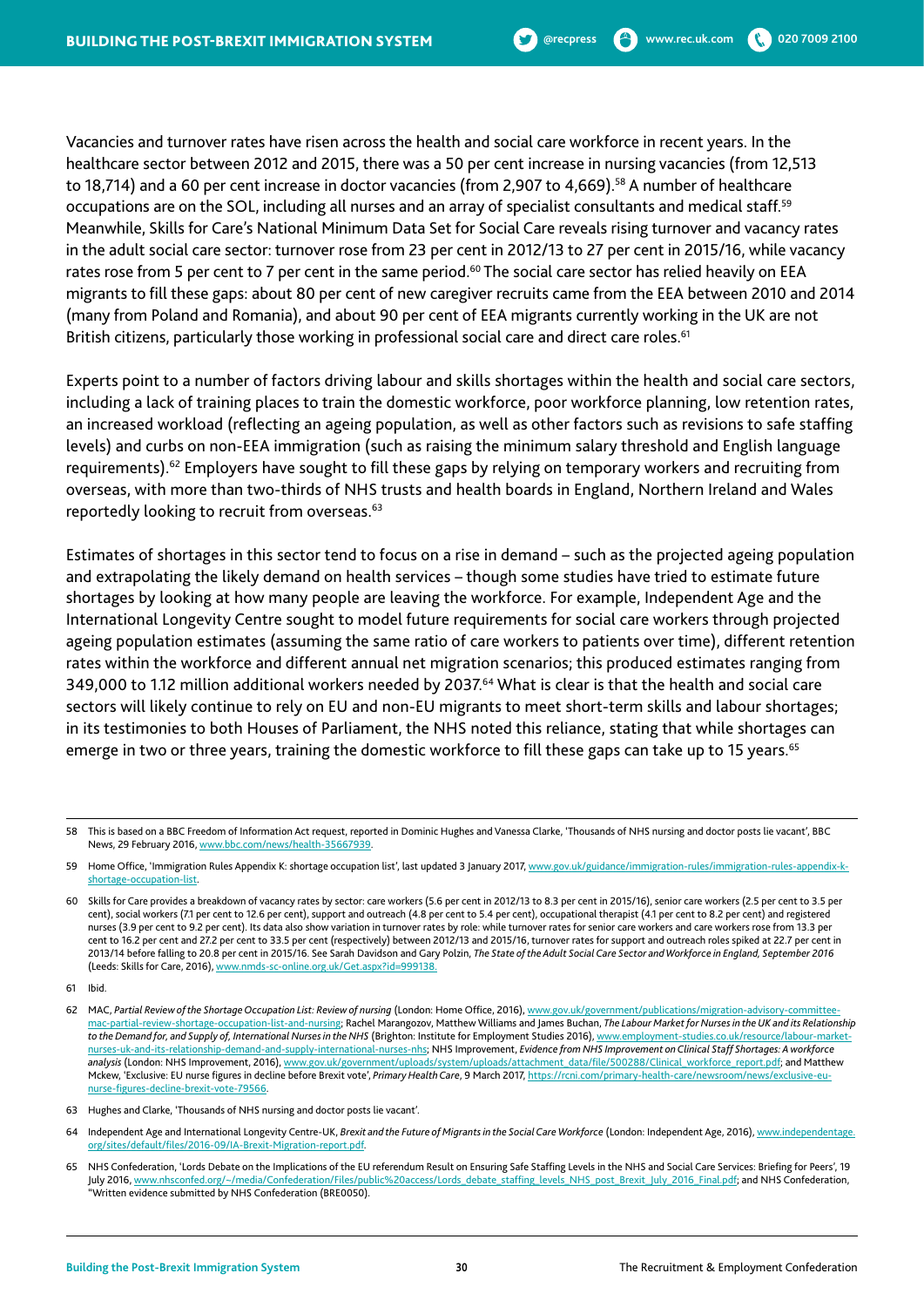Vacancies and turnover rates have risen across the health and social care workforce in recent years. In the healthcare sector between 2012 and 2015, there was a 50 per cent increase in nursing vacancies (from 12,513 to 18,714) and a 60 per cent increase in doctor vacancies (from 2,907 to 4,669).<sup>58</sup> A number of healthcare occupations are on the SOL, including all nurses and an array of specialist consultants and medical staff.59 Meanwhile, Skills for Care's National Minimum Data Set for Social Care reveals rising turnover and vacancy rates in the adult social care sector: turnover rose from 23 per cent in 2012/13 to 27 per cent in 2015/16, while vacancy rates rose from 5 per cent to 7 per cent in the same period.<sup>60</sup> The social care sector has relied heavily on EEA migrants to fill these gaps: about 80 per cent of new caregiver recruits came from the EEA between 2010 and 2014 (many from Poland and Romania), and about 90 per cent of EEA migrants currently working in the UK are not British citizens, particularly those working in professional social care and direct care roles.<sup>61</sup>

Experts point to a number of factors driving labour and skills shortages within the health and social care sectors, including a lack of training places to train the domestic workforce, poor workforce planning, low retention rates, an increased workload (reflecting an ageing population, as well as other factors such as revisions to safe staffing levels) and curbs on non-EEA immigration (such as raising the minimum salary threshold and English language requirements).<sup>62</sup> Employers have sought to fill these gaps by relying on temporary workers and recruiting from overseas, with more than two-thirds of NHS trusts and health boards in England, Northern Ireland and Wales reportedly looking to recruit from overseas.<sup>63</sup>

Estimates of shortages in this sector tend to focus on a rise in demand – such as the projected ageing population and extrapolating the likely demand on health services – though some studies have tried to estimate future shortages by looking at how many people are leaving the workforce. For example, Independent Age and the International Longevity Centre sought to model future requirements for social care workers through projected ageing population estimates (assuming the same ratio of care workers to patients over time), different retention rates within the workforce and different annual net migration scenarios; this produced estimates ranging from 349,000 to 1.12 million additional workers needed by 2037.64 What is clear is that the health and social care sectors will likely continue to rely on EU and non-EU migrants to meet short-term skills and labour shortages; in its testimonies to both Houses of Parliament, the NHS noted this reliance, stating that while shortages can emerge in two or three years, training the domestic workforce to fill these gaps can take up to 15 years.<sup>65</sup>

<sup>58</sup> This is based on a BBC Freedom of Information Act request, reported in Dominic Hughes and Vanessa Clarke, 'Thousands of NHS nursing and doctor posts lie vacant', BBC News, 29 February 2016, www.bbc.com/news/health-35667939.

<sup>59</sup> Home Office, 'Immigration Rules Appendix K: shortage occupation list', last updated 3 January 2017, www.gov.uk/guidance/immigration-rules/immigration-rules-appendix-kshortage-occupation-list.

<sup>60</sup> Skills for Care provides a breakdown of vacancy rates by sector: care workers (5.6 per cent in 2012/13 to 8.3 per cent in 2015/16), senior care workers (2.5 per cent to 3.5 per cent), social workers (7.1 per cent to 12.6 per cent), support and outreach (4.8 per cent to 5.4 per cent), occupational therapist (4.1 per cent to 8.2 per cent) and registered nurses (3.9 per cent to 9.2 per cent). Its data also show variation in turnover rates by role: while turnover rates for senior care workers and care workers rose from 13.3 per cent to 16.2 per cent and 27.2 per cent to 33.5 per cent (respectively) between 2012/13 and 2015/16, turnover rates for support and outreach roles spiked at 22.7 per cent in 2013/14 before falling to 20.8 per cent in 2015/16. See Sarah Davidson and Gary Polzin, *The State of the Adult Social Care Sector and Workforce in England, September 2016* (Leeds: Skills for Care, 2016), www.nmds-sc-online.org.uk/Get.aspx?id=999138.

<sup>61</sup> Ibid.

<sup>62</sup> MAC, Partial Review of the Shortage Occupation List: Review of nursing (London: Home Office, 2016), www.gov.uk/government/publications/migration-advisory-committeemac-partial-review-shortage-occupation-list-and-nursing; Rachel Marangozov, Matthew Williams and James Buchan, *The Labour Market for Nurses in the UK and its Relationship to the Demand for, and Supply of, International Nurses in the NHS* (Brighton: Institute for Employment Studies 2016), www.employment-studies.co.uk/resource/labour-marketnurses-uk-and-its-relationship-demand-and-supply-international-nurses-nhs; NHS Improvement, *Evidence from NHS Improvement on Clinical Staff Shortages: A workforce analysis* (London: NHS Improvement, 2016), www.gov.uk/government/uploads/system/uploads/attachment\_data/file/500288/Clinical\_workforce\_report.pdf; and Matthew Mckew, 'Exclusive: EU nurse figures in decline before Brexit vote', *Primary Health Care*, 9 March 2017, https://rcni.com/primary-health-care/newsroom/news/exclusive-eunurse-figures-decline-brexit-vote-79566.

<sup>63</sup> Hughes and Clarke, 'Thousands of NHS nursing and doctor posts lie vacant'.

<sup>64</sup> Independent Age and International Longevity Centre-UK, *Brexit and the Future of Migrants in the Social Care Workforce* (London: Independent Age, 2016), www.independentage. org/sites/default/files/2016-09/IA-Brexit-Migration-report.pdf.

<sup>65</sup> NHS Confederation, 'Lords Debate on the Implications of the EU referendum Result on Ensuring Safe Staffing Levels in the NHS and Social Care Services: Briefing for Peers', 19 July 2016, www.nhsconfed.org/~/media/Confederation/Files/public%20access/Lords\_debate\_staffing\_levels\_NHS\_post\_Brexit\_July\_2016\_Final.pdf; and NHS Confederation, "Written evidence submitted by NHS Confederation (BRE0050).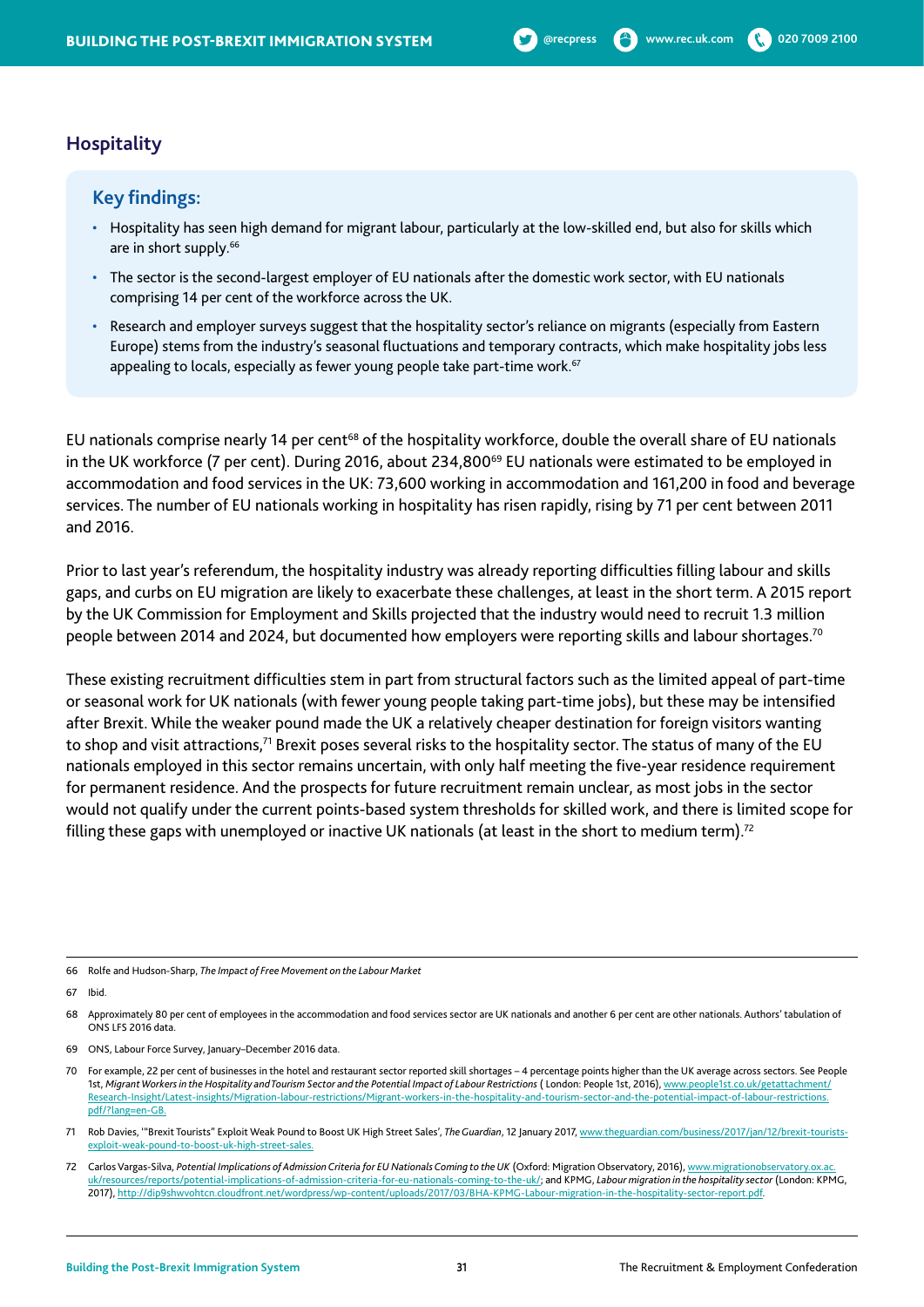#### **Hospitality**

#### **Key findings:**

- Hospitality has seen high demand for migrant labour, particularly at the low-skilled end, but also for skills which are in short supply.<sup>66</sup>
- The sector is the second-largest employer of EU nationals after the domestic work sector, with EU nationals comprising 14 per cent of the workforce across the UK.
- Research and employer surveys suggest that the hospitality sector's reliance on migrants (especially from Eastern Europe) stems from the industry's seasonal fluctuations and temporary contracts, which make hospitality jobs less appealing to locals, especially as fewer young people take part-time work.<sup>67</sup>

EU nationals comprise nearly 14 per cent<sup>68</sup> of the hospitality workforce, double the overall share of EU nationals in the UK workforce (7 per cent). During 2016, about 234,800<sup>69</sup> EU nationals were estimated to be employed in accommodation and food services in the UK: 73,600 working in accommodation and 161,200 in food and beverage services. The number of EU nationals working in hospitality has risen rapidly, rising by 71 per cent between 2011 and 2016.

Prior to last year's referendum, the hospitality industry was already reporting difficulties filling labour and skills gaps, and curbs on EU migration are likely to exacerbate these challenges, at least in the short term. A 2015 report by the UK Commission for Employment and Skills projected that the industry would need to recruit 1.3 million people between 2014 and 2024, but documented how employers were reporting skills and labour shortages.70

These existing recruitment difficulties stem in part from structural factors such as the limited appeal of part-time or seasonal work for UK nationals (with fewer young people taking part-time jobs), but these may be intensified after Brexit. While the weaker pound made the UK a relatively cheaper destination for foreign visitors wanting to shop and visit attractions,<sup>71</sup> Brexit poses several risks to the hospitality sector. The status of many of the EU nationals employed in this sector remains uncertain, with only half meeting the five-year residence requirement for permanent residence. And the prospects for future recruitment remain unclear, as most jobs in the sector would not qualify under the current points-based system thresholds for skilled work, and there is limited scope for filling these gaps with unemployed or inactive UK nationals (at least in the short to medium term).<sup>72</sup>

66 Rolfe and Hudson-Sharp, *The Impact of Free Movement on the Labour Market*

67 Ibid.

72 Carlos Vargas-Silva, *Potential Implications of Admission Criteria for EU Nationals Coming to the UK* (Oxford: Migration Observatory, 2016), www.migrationobservatory.ox.ac. uk/resources/reports/potential-implications-of-admission-criteria-for-eu-nationals-coming-to-the-uk/; and KPMG, *Labour migration in the hospitality sector* (London: KPMG, 2017), http://dip9shwvohtcn.cloudfront.net/wordpress/wp-content/uploads/2017/03/BHA-KPMG-Labour-migration-in-the-hospitality-sector-report.pdf.

<sup>68</sup> Approximately 80 per cent of employees in the accommodation and food services sector are UK nationals and another 6 per cent are other nationals. Authors' tabulation of ONS LFS 2016 data.

<sup>69</sup> ONS, Labour Force Survey, January–December 2016 data.

<sup>70</sup> For example, 22 per cent of businesses in the hotel and restaurant sector reported skill shortages – 4 percentage points higher than the UK average across sectors. See People 1st, *Migrant Workers in the Hospitality and Tourism Sector and the Potential Impact of Labour Restrictions* ( London: People 1st, 2016), www.people1st.co.uk/getattachment/ Research-Insight/Latest-insights/Migration-labour-restrictions/Migrant-workers-in-the-hospitality-and-tourism-sector-and-the-potential-impact-of-labour-restrictions. pdf/?lang=en-GB.

<sup>71</sup> Rob Davies, '"Brexit Tourists" Exploit Weak Pound to Boost UK High Street Sales', *The Guardian*, 12 January 2017, www.theguardian.com/business/2017/jan/12/brexit-touristsexploit-weak-pound-to-boost-uk-high-street-sales.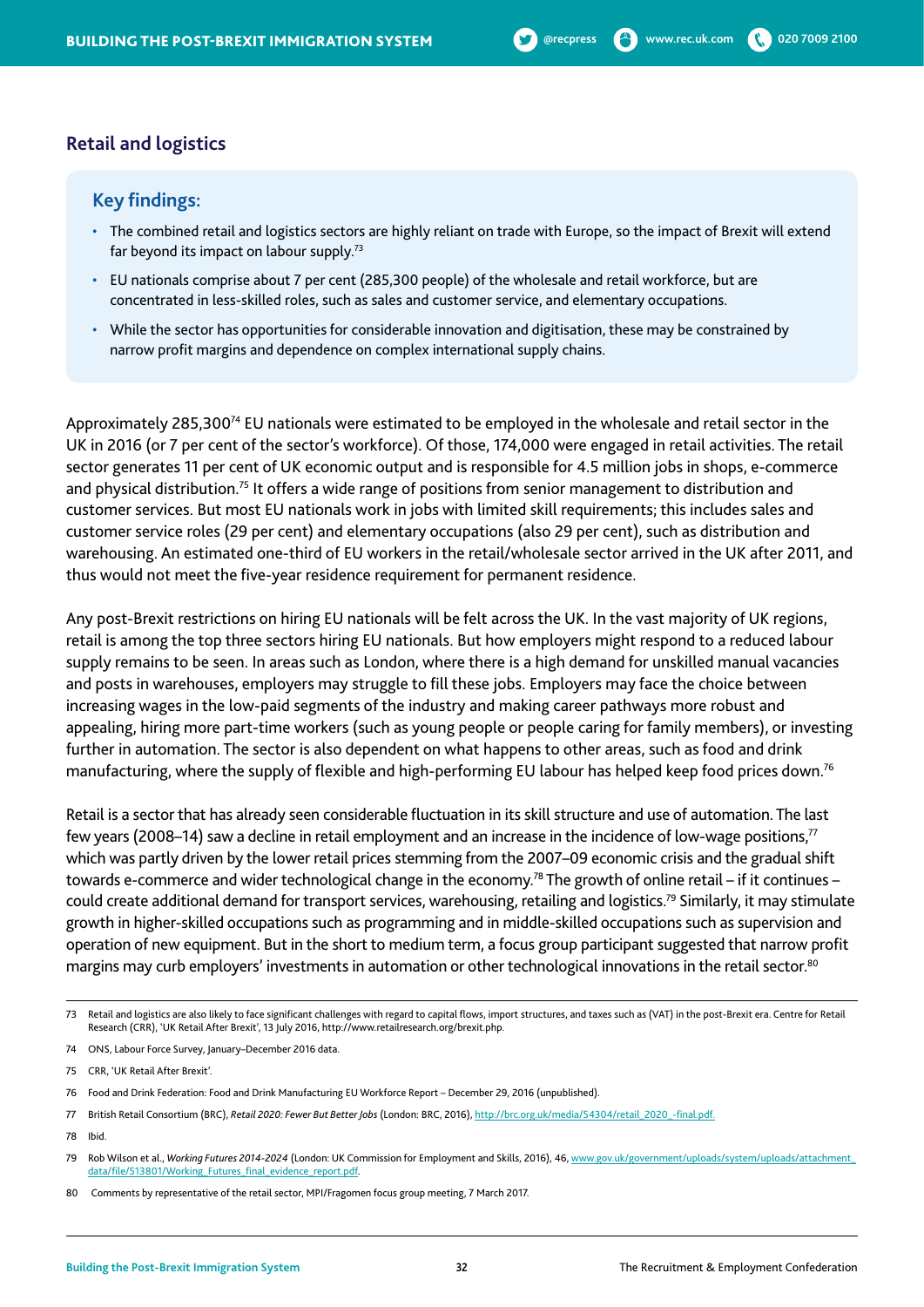#### **Retail and logistics**

#### **Key findings:**

- The combined retail and logistics sectors are highly reliant on trade with Europe, so the impact of Brexit will extend far beyond its impact on labour supply.<sup>73</sup>
- EU nationals comprise about 7 per cent (285,300 people) of the wholesale and retail workforce, but are concentrated in less-skilled roles, such as sales and customer service, and elementary occupations.
- While the sector has opportunities for considerable innovation and digitisation, these may be constrained by narrow profit margins and dependence on complex international supply chains.

Approximately 285,30074 EU nationals were estimated to be employed in the wholesale and retail sector in the UK in 2016 (or 7 per cent of the sector's workforce). Of those, 174,000 were engaged in retail activities. The retail sector generates 11 per cent of UK economic output and is responsible for 4.5 million jobs in shops, e-commerce and physical distribution.<sup>75</sup> It offers a wide range of positions from senior management to distribution and customer services. But most EU nationals work in jobs with limited skill requirements; this includes sales and customer service roles (29 per cent) and elementary occupations (also 29 per cent), such as distribution and warehousing. An estimated one-third of EU workers in the retail/wholesale sector arrived in the UK after 2011, and thus would not meet the five-year residence requirement for permanent residence.

Any post-Brexit restrictions on hiring EU nationals will be felt across the UK. In the vast majority of UK regions, retail is among the top three sectors hiring EU nationals. But how employers might respond to a reduced labour supply remains to be seen. In areas such as London, where there is a high demand for unskilled manual vacancies and posts in warehouses, employers may struggle to fill these jobs. Employers may face the choice between increasing wages in the low-paid segments of the industry and making career pathways more robust and appealing, hiring more part-time workers (such as young people or people caring for family members), or investing further in automation. The sector is also dependent on what happens to other areas, such as food and drink manufacturing, where the supply of flexible and high-performing EU labour has helped keep food prices down.76

Retail is a sector that has already seen considerable fluctuation in its skill structure and use of automation. The last few years (2008–14) saw a decline in retail employment and an increase in the incidence of low-wage positions, $77$ which was partly driven by the lower retail prices stemming from the 2007–09 economic crisis and the gradual shift towards e-commerce and wider technological change in the economy.<sup>78</sup> The growth of online retail – if it continues – could create additional demand for transport services, warehousing, retailing and logistics.79 Similarly, it may stimulate growth in higher-skilled occupations such as programming and in middle-skilled occupations such as supervision and operation of new equipment. But in the short to medium term, a focus group participant suggested that narrow profit margins may curb employers' investments in automation or other technological innovations in the retail sector.<sup>80</sup>

<sup>73</sup> Retail and logistics are also likely to face significant challenges with regard to capital flows, import structures, and taxes such as (VAT) in the post-Brexit era. Centre for Retail Research (CRR), 'UK Retail After Brexit', 13 July 2016, http://www.retailresearch.org/brexit.php.

<sup>74</sup> ONS, Labour Force Survey, January–December 2016 data.

<sup>75</sup> CRR, 'UK Retail After Brexit'.

<sup>76</sup> Food and Drink Federation: Food and Drink Manufacturing EU Workforce Report – December 29, 2016 (unpublished).

<sup>77</sup> British Retail Consortium (BRC), *Retail 2020: Fewer But Better Jobs* (London: BRC, 2016), http://brc.org.uk/media/54304/retail\_2020\_-final.pdf.

<sup>78</sup> Ibid.

<sup>79</sup> Rob Wilson et al., *Working Futures 2014-2024* (London: UK Commission for Employment and Skills, 2016), 46, www.gov.uk/government/uploads/system/uploads/attachment\_ data/file/513801/Working\_Futures\_final\_evidence\_report.pdf.

<sup>80</sup> Comments by representative of the retail sector, MPI/Fragomen focus group meeting, 7 March 2017.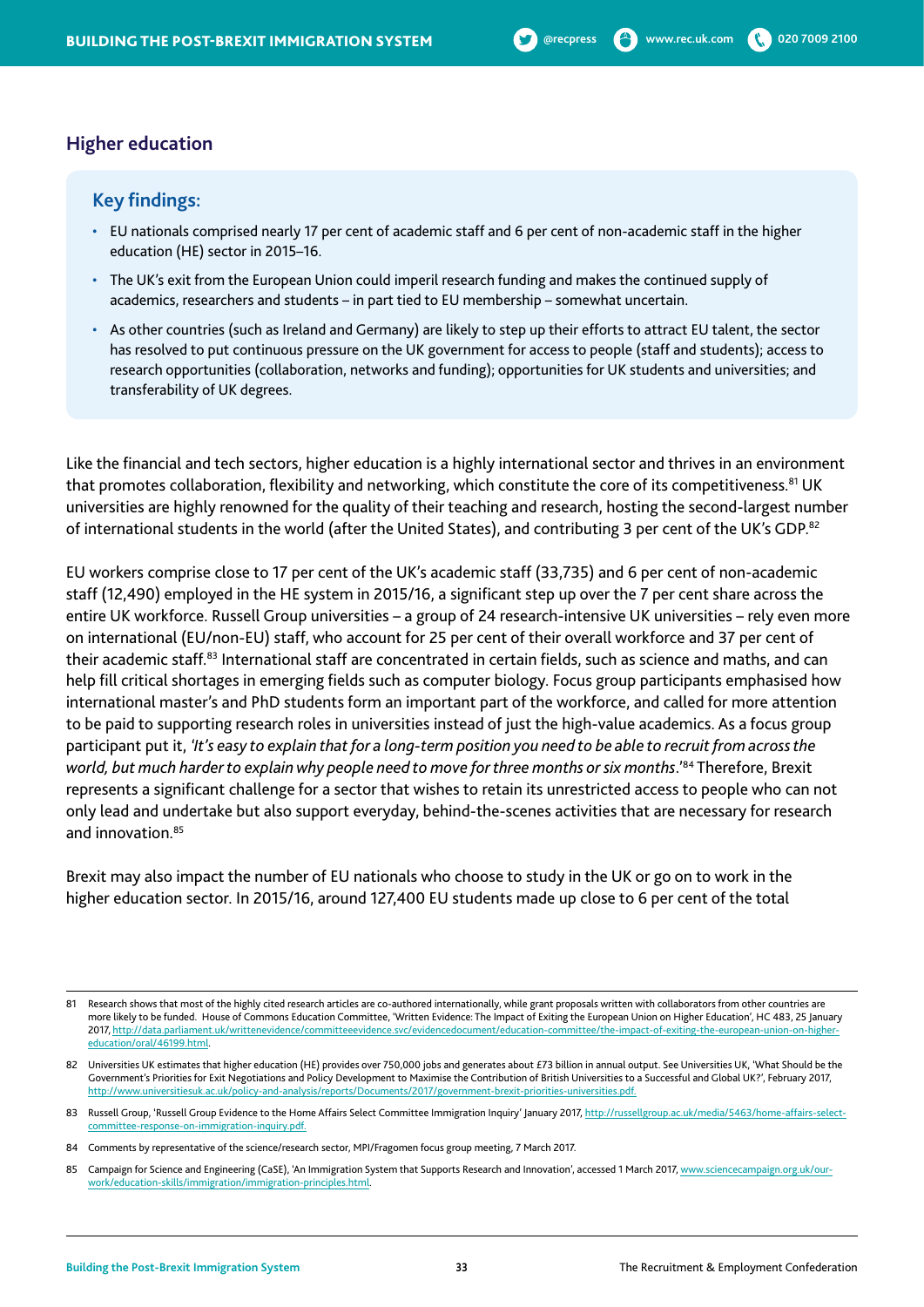#### **Higher education**

#### **Key findings:**

- EU nationals comprised nearly 17 per cent of academic staff and 6 per cent of non-academic staff in the higher education (HE) sector in 2015–16.
- The UK's exit from the European Union could imperil research funding and makes the continued supply of academics, researchers and students – in part tied to EU membership – somewhat uncertain.
- As other countries (such as Ireland and Germany) are likely to step up their efforts to attract EU talent, the sector has resolved to put continuous pressure on the UK government for access to people (staff and students); access to research opportunities (collaboration, networks and funding); opportunities for UK students and universities; and transferability of UK degrees.

Like the financial and tech sectors, higher education is a highly international sector and thrives in an environment that promotes collaboration, flexibility and networking, which constitute the core of its competitiveness.<sup>81</sup> UK universities are highly renowned for the quality of their teaching and research, hosting the second-largest number of international students in the world (after the United States), and contributing 3 per cent of the UK's GDP.82

EU workers comprise close to 17 per cent of the UK's academic staff (33,735) and 6 per cent of non-academic staff (12,490) employed in the HE system in 2015/16, a significant step up over the 7 per cent share across the entire UK workforce. Russell Group universities – a group of 24 research-intensive UK universities – rely even more on international (EU/non-EU) staff, who account for 25 per cent of their overall workforce and 37 per cent of their academic staff.83 International staff are concentrated in certain fields, such as science and maths, and can help fill critical shortages in emerging fields such as computer biology. Focus group participants emphasised how international master's and PhD students form an important part of the workforce, and called for more attention to be paid to supporting research roles in universities instead of just the high-value academics. As a focus group participant put it, *'It's easy to explain that for a long-term position you need to be able to recruit from across the world, but much harder to explain why people need to move for three months or six months*.'84 Therefore, Brexit represents a significant challenge for a sector that wishes to retain its unrestricted access to people who can not only lead and undertake but also support everyday, behind-the-scenes activities that are necessary for research and innovation.85

Brexit may also impact the number of EU nationals who choose to study in the UK or go on to work in the higher education sector. In 2015/16, around 127,400 EU students made up close to 6 per cent of the total

<sup>81</sup> Research shows that most of the highly cited research articles are co-authored internationally, while grant proposals written with collaborators from other countries are more likely to be funded. House of Commons Education Committee, 'Written Evidence: The Impact of Exiting the European Union on Higher Education', HC 483, 25 January 2017, http://data.parliament.uk/writtenevidence/committeeevidence.svc/evidencedocument/education-committee/the-impact-of-exiting-the-european-union-on-highereducation/oral/46199.html.

<sup>82</sup> Universities UK estimates that higher education (HE) provides over 750,000 jobs and generates about £73 billion in annual output. See Universities UK, 'What Should be the Government's Priorities for Exit Negotiations and Policy Development to Maximise the Contribution of British Universities to a Successful and Global UK?', February 2017, http://www.universitiesuk.ac.uk/policy-and-analysis/reports/Documents/2017/government-brexit-priorities-universities.pdf.

<sup>83</sup> Russell Group, 'Russell Group Evidence to the Home Affairs Select Committee Immigration Inquiry' January 2017, http://russellgroup.ac.uk/media/5463/home-affairs-selectcommittee-response-on-immigration-inquiry.pdf.

<sup>84</sup> Comments by representative of the science/research sector, MPI/Fragomen focus group meeting, 7 March 2017.

<sup>85</sup> Campaign for Science and Engineering (CaSE), 'An Immigration System that Supports Research and Innovation', accessed 1 March 2017, www.sciencecampaign.org.uk/ourwork/education-skills/immigration/immigration-principles.html.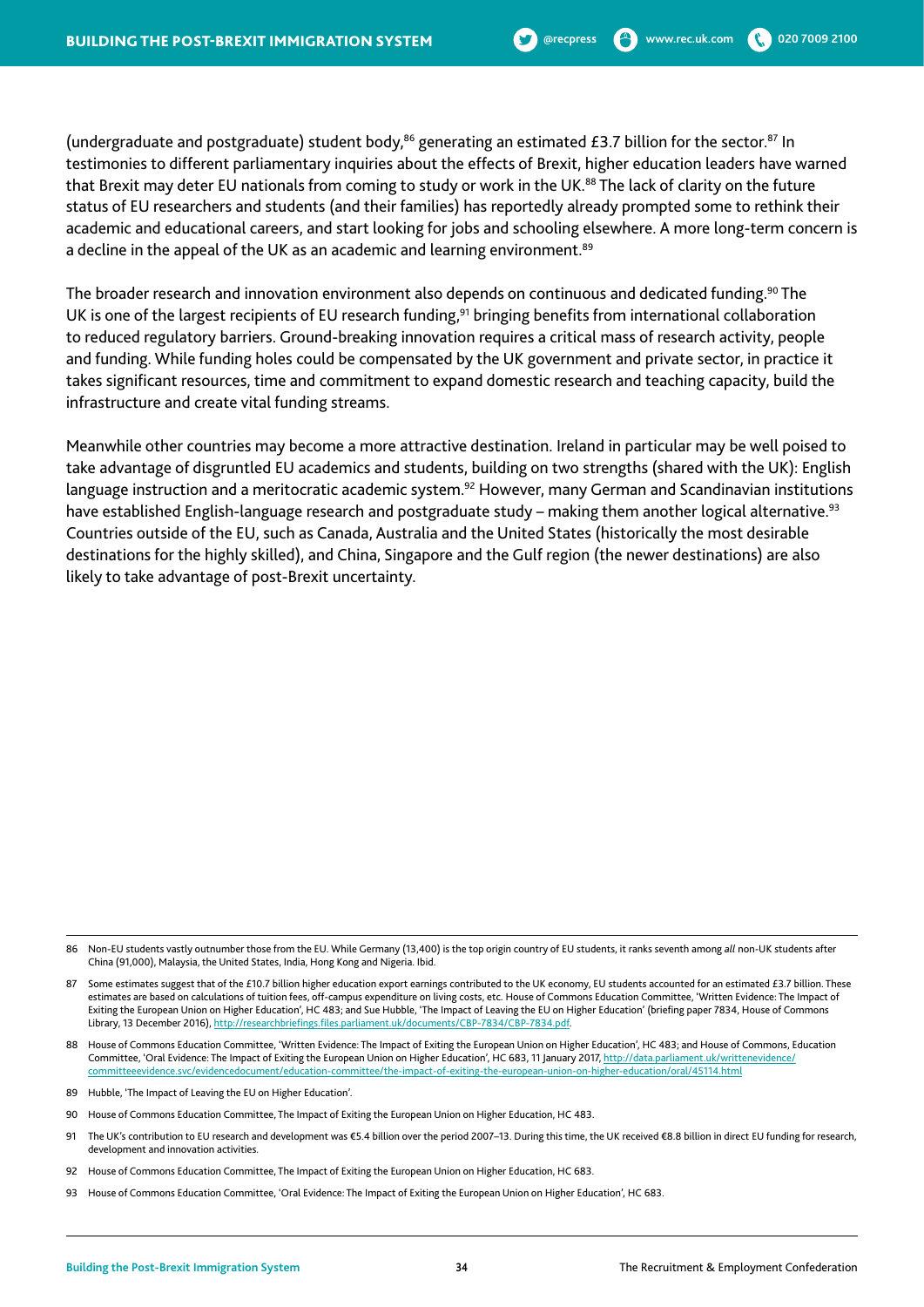(undergraduate and postgraduate) student body,<sup>86</sup> generating an estimated £3.7 billion for the sector.<sup>87</sup> In testimonies to different parliamentary inquiries about the effects of Brexit, higher education leaders have warned that Brexit may deter EU nationals from coming to study or work in the UK.<sup>88</sup> The lack of clarity on the future status of EU researchers and students (and their families) has reportedly already prompted some to rethink their academic and educational careers, and start looking for jobs and schooling elsewhere. A more long-term concern is a decline in the appeal of the UK as an academic and learning environment.<sup>89</sup>

The broader research and innovation environment also depends on continuous and dedicated funding.<sup>90</sup> The UK is one of the largest recipients of EU research funding,<sup>91</sup> bringing benefits from international collaboration to reduced regulatory barriers. Ground-breaking innovation requires a critical mass of research activity, people and funding. While funding holes could be compensated by the UK government and private sector, in practice it takes significant resources, time and commitment to expand domestic research and teaching capacity, build the infrastructure and create vital funding streams.

Meanwhile other countries may become a more attractive destination. Ireland in particular may be well poised to take advantage of disgruntled EU academics and students, building on two strengths (shared with the UK): English language instruction and a meritocratic academic system.<sup>92</sup> However, many German and Scandinavian institutions have established English-language research and postgraduate study – making them another logical alternative.<sup>93</sup> Countries outside of the EU, such as Canada, Australia and the United States (historically the most desirable destinations for the highly skilled), and China, Singapore and the Gulf region (the newer destinations) are also likely to take advantage of post-Brexit uncertainty.

- 88 House of Commons Education Committee, 'Written Evidence: The Impact of Exiting the European Union on Higher Education', HC 483; and House of Commons, Education Committee, 'Oral Evidence: The Impact of Exiting the European Union on Higher Education', HC 683, 11 January 2017, http://data.parliament.uk/writtenevidence/ committeeevidence.svc/evidencedocument/education-committee/the-impact-of-exiting-the-european-union-on-higher-education/oral/45114.html
- 89 Hubble, 'The Impact of Leaving the EU on Higher Education'.
- 90 House of Commons Education Committee, The Impact of Exiting the European Union on Higher Education, HC 483.
- The UK's contribution to EU research and development was €5.4 billion over the period 2007-13. During this time, the UK received €8.8 billion in direct EU funding for research, development and innovation activities.
- 92 House of Commons Education Committee, The Impact of Exiting the European Union on Higher Education, HC 683.
- 93 House of Commons Education Committee, 'Oral Evidence: The Impact of Exiting the European Union on Higher Education', HC 683.

<sup>86</sup> Non-EU students vastly outnumber those from the EU. While Germany (13,400) is the top origin country of EU students, it ranks seventh among *all* non-UK students after China (91,000), Malaysia, the United States, India, Hong Kong and Nigeria. Ibid.

<sup>87</sup> Some estimates suggest that of the £10.7 billion higher education export earnings contributed to the UK economy, EU students accounted for an estimated £3.7 billion. These estimates are based on calculations of tuition fees, off-campus expenditure on living costs, etc. House of Commons Education Committee, 'Written Evidence: The Impact of Exiting the European Union on Higher Education', HC 483; and Sue Hubble, 'The Impact of Leaving the EU on Higher Education' (briefing paper 7834, House of Commons Library, 13 December 2016), http://researchbriefings.files.parliament.uk/documents/CBP-7834/CBP-7834.pdf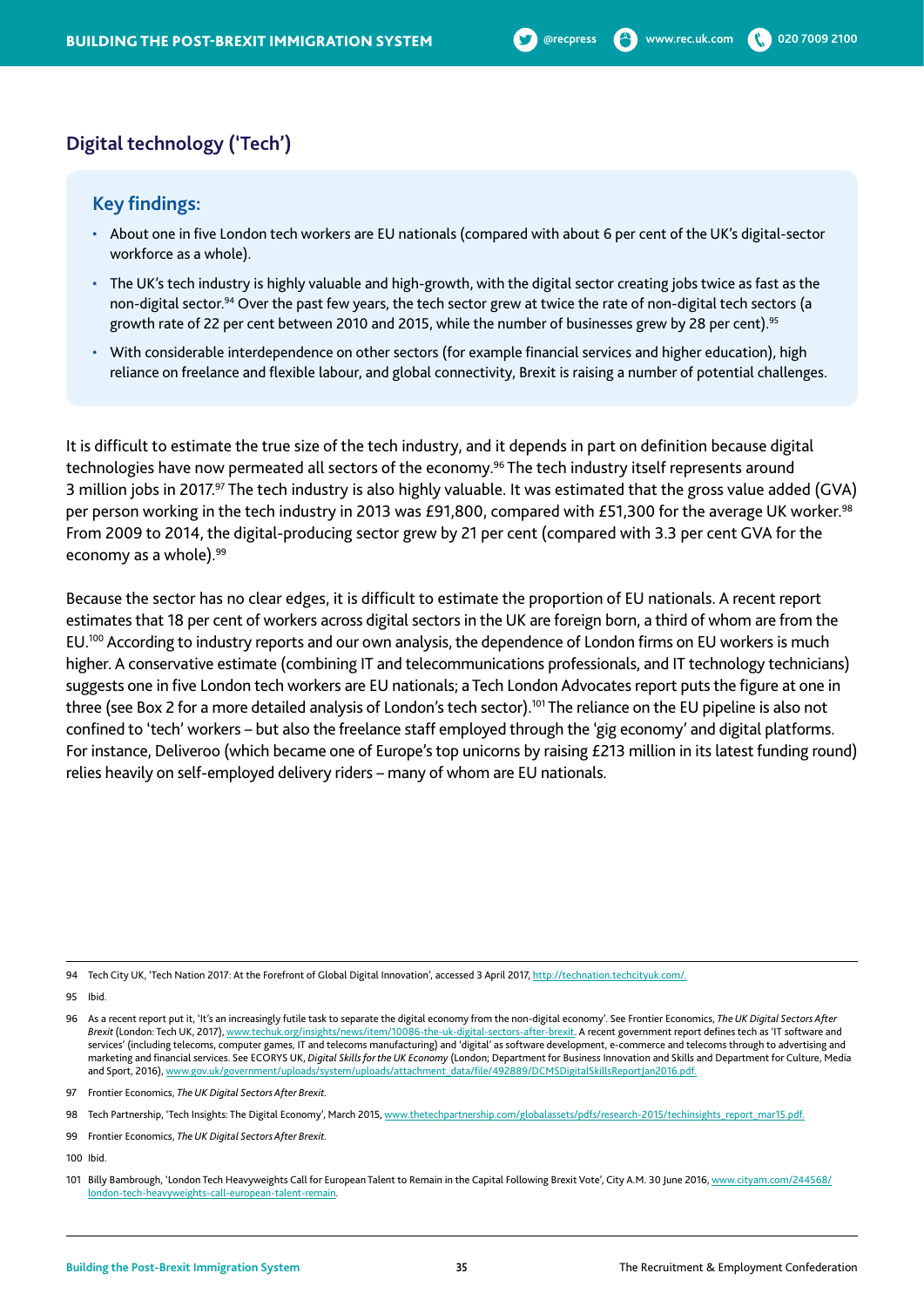#### **Digital technology ('Tech')**

#### **Key findings:**

- About one in five London tech workers are EU nationals (compared with about 6 per cent of the UK's digital-sector workforce as a whole).
- The UK's tech industry is highly valuable and high-growth, with the digital sector creating jobs twice as fast as the non-digital sector.<sup>94</sup> Over the past few years, the tech sector grew at twice the rate of non-digital tech sectors (a growth rate of 22 per cent between 2010 and 2015, while the number of businesses grew by 28 per cent).<sup>95</sup>
- With considerable interdependence on other sectors (for example financial services and higher education), high reliance on freelance and flexible labour, and global connectivity, Brexit is raising a number of potential challenges.

It is difficult to estimate the true size of the tech industry, and it depends in part on definition because digital technologies have now permeated all sectors of the economy.96 The tech industry itself represents around 3 million jobs in 2017.<sup>97</sup> The tech industry is also highly valuable. It was estimated that the gross value added (GVA) per person working in the tech industry in 2013 was £91,800, compared with £51,300 for the average UK worker.98 From 2009 to 2014, the digital-producing sector grew by 21 per cent (compared with 3.3 per cent GVA for the economy as a whole).<sup>99</sup>

Because the sector has no clear edges, it is difficult to estimate the proportion of EU nationals. A recent report estimates that 18 per cent of workers across digital sectors in the UK are foreign born, a third of whom are from the EU.100 According to industry reports and our own analysis, the dependence of London firms on EU workers is much higher. A conservative estimate (combining IT and telecommunications professionals, and IT technology technicians) suggests one in five London tech workers are EU nationals; a Tech London Advocates report puts the figure at one in three (see Box 2 for a more detailed analysis of London's tech sector).<sup>101</sup> The reliance on the EU pipeline is also not confined to 'tech' workers – but also the freelance staff employed through the 'gig economy' and digital platforms. For instance, Deliveroo (which became one of Europe's top unicorns by raising £213 million in its latest funding round) relies heavily on self-employed delivery riders – many of whom are EU nationals.

94 Tech City UK, 'Tech Nation 2017: At the Forefront of Global Digital Innovation', accessed 3 April 2017, http://technation.techcityuk.com/.

95 Ibid.

97 Frontier Economics, *The UK Digital Sectors After Brexit.*

98 Tech Partnership, 'Tech Insights: The Digital Economy', March 2015, www.thetechpartnership.com/globalassets/pdfs/research-2015/techinsights\_report\_mar15.pdf.

99 Frontier Economics, *The UK Digital Sectors After Brexit.*

100 Ibid.

<sup>96</sup> As a recent report put it, 'It's an increasingly futile task to separate the digital economy from the non-digital economy'. See Frontier Economics, *The UK Digital Sectors After Brexit* (London: Tech UK, 2017), www.techuk.org/insights/news/item/10086-the-uk-digital-sectors-after-brexit. A recent government report defines tech as 'IT software and services' (including telecoms, computer games, IT and telecoms manufacturing) and 'digital' as software development, e-commerce and telecoms through to advertising and marketing and financial services. See ECORYS UK, *Digital Skills for the UK Economy* (London; Department for Business Innovation and Skills and Department for Culture, Media and Sport, 2016), www.gov.uk/government/uploads/system/uploads/attachment\_data/file/492889/DCMSDigitalSkillsReportJan2016.pdf.

<sup>101</sup> Billy Bambrough, 'London Tech Heavyweights Call for European Talent to Remain in the Capital Following Brexit Vote', City A.M. 30 June 2016, www.cityam.com/244568/ london-tech-heavyweights-call-european-talent-remain.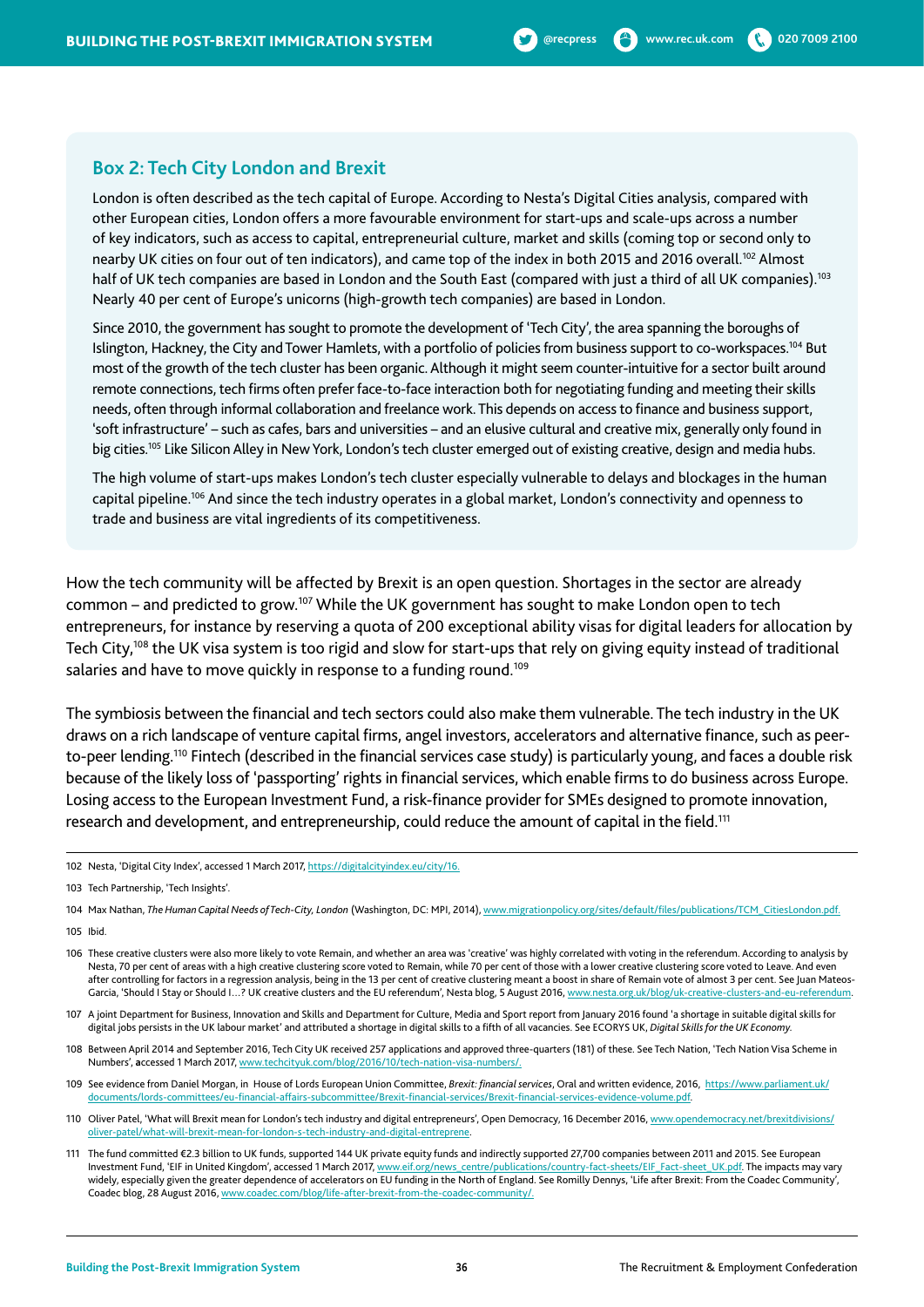#### **Box 2: Tech City London and Brexit**

London is often described as the tech capital of Europe. According to Nesta's Digital Cities analysis, compared with other European cities, London offers a more favourable environment for start-ups and scale-ups across a number of key indicators, such as access to capital, entrepreneurial culture, market and skills (coming top or second only to nearby UK cities on four out of ten indicators), and came top of the index in both 2015 and 2016 overall.<sup>102</sup> Almost half of UK tech companies are based in London and the South East (compared with just a third of all UK companies).<sup>103</sup> Nearly 40 per cent of Europe's unicorns (high-growth tech companies) are based in London.

Since 2010, the government has sought to promote the development of 'Tech City', the area spanning the boroughs of Islington, Hackney, the City and Tower Hamlets, with a portfolio of policies from business support to co-workspaces.<sup>104</sup> But most of the growth of the tech cluster has been organic. Although it might seem counter-intuitive for a sector built around remote connections, tech firms often prefer face-to-face interaction both for negotiating funding and meeting their skills needs, often through informal collaboration and freelance work. This depends on access to finance and business support, 'soft infrastructure' – such as cafes, bars and universities – and an elusive cultural and creative mix, generally only found in big cities.<sup>105</sup> Like Silicon Alley in New York, London's tech cluster emerged out of existing creative, design and media hubs.

The high volume of start-ups makes London's tech cluster especially vulnerable to delays and blockages in the human capital pipeline.106 And since the tech industry operates in a global market, London's connectivity and openness to trade and business are vital ingredients of its competitiveness.

How the tech community will be affected by Brexit is an open question. Shortages in the sector are already common – and predicted to grow.107 While the UK government has sought to make London open to tech entrepreneurs, for instance by reserving a quota of 200 exceptional ability visas for digital leaders for allocation by Tech City,<sup>108</sup> the UK visa system is too rigid and slow for start-ups that rely on giving equity instead of traditional salaries and have to move quickly in response to a funding round.<sup>109</sup>

The symbiosis between the financial and tech sectors could also make them vulnerable. The tech industry in the UK draws on a rich landscape of venture capital firms, angel investors, accelerators and alternative finance, such as peerto-peer lending.110 Fintech (described in the financial services case study) is particularly young, and faces a double risk because of the likely loss of 'passporting' rights in financial services, which enable firms to do business across Europe. Losing access to the European Investment Fund, a risk-finance provider for SMEs designed to promote innovation, research and development, and entrepreneurship, could reduce the amount of capital in the field.<sup>111</sup>

- 102 Nesta, 'Digital City Index', accessed 1 March 2017, https://digitalcityindex.eu/city/16.
- 103 Tech Partnership, 'Tech Insights'.

- 105 Ibid.
- 106 These creative clusters were also more likely to vote Remain, and whether an area was 'creative' was highly correlated with voting in the referendum. According to analysis by Nesta, 70 per cent of areas with a high creative clustering score voted to Remain, while 70 per cent of those with a lower creative clustering score voted to Leave. And even after controlling for factors in a regression analysis, being in the 13 per cent of creative clustering meant a boost in share of Remain vote of almost 3 per cent. See Juan Mateos-Garcia, 'Should I Stay or Should I...? UK creative clusters and the EU referendum', Nesta blog, 5 August 2016, www.nesta.org.uk/blog/uk-creative-clusters-and-eu-referendum.
- 107 A joint Department for Business, Innovation and Skills and Department for Culture, Media and Sport report from January 2016 found 'a shortage in suitable digital skills for digital jobs persists in the UK labour market' and attributed a shortage in digital skills to a fifth of all vacancies. See ECORYS UK, *Digital Skills for the UK Economy.*
- 108 Between April 2014 and September 2016, Tech City UK received 257 applications and approved three-quarters (181) of these. See Tech Nation, 'Tech Nation Visa Scheme in Numbers', **a**ccessed 1 March 2017, www.techcityuk.com/blog/2016/10/tech-nation-visa-numbers/.
- 109 See evidence from Daniel Morgan, in House of Lords European Union Committee, *Brexit: financial services*, Oral and written evidence, 2016, https://www.parliament.uk/ documents/lords-committees/eu-financial-affairs-subcommittee/Brexit-financial-services/Brexit-financial-services-evidence-volume.pdf.
- 110 Oliver Patel, 'What will Brexit mean for London's tech industry and digital entrepreneurs', Open Democracy, 16 December 2016, www.opendemocracy.net/brexitdivisions/ oliver-patel/what-will-brexit-mean-for-london-s-tech-industry-and-digital-entreprene.
- 111 The fund committed €2.3 billion to UK funds, supported 144 UK private equity funds and indirectly supported 27,700 companies between 2011 and 2015. See European Investment Fund, 'EIF in United Kingdom', accessed 1 March 2017, www.eif.org/news\_centre/publications/country-fact-sheets/EIF\_Fact-sheet\_UK.pdf. The impacts may vary widely, especially given the greater dependence of accelerators on EU funding in the North of England. See Romilly Dennys, 'Life after Brexit: From the Coadec Community', Coadec blog, 28 August 2016, www.coadec.com/blog/life-after-brexit-from-the-coadec-community/.

<sup>104</sup> Max Nathan, *The Human Capital Needs of Tech-City, London* (Washington, DC: MPI, 2014), www.migrationpolicy.org/sites/default/files/publications/TCM\_CitiesLondon.pdf.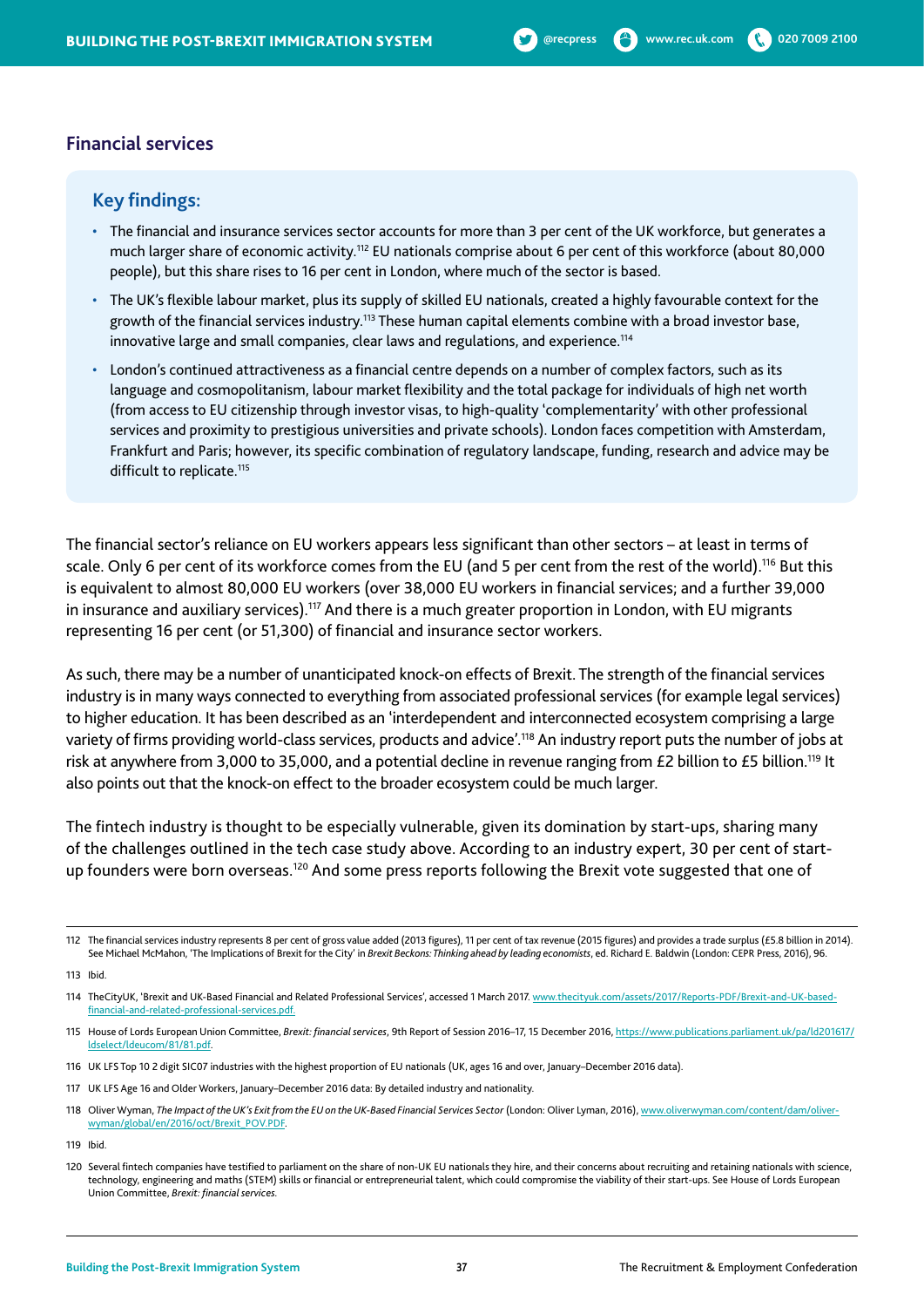#### **Financial services**

## **Key findings:**

- The financial and insurance services sector accounts for more than 3 per cent of the UK workforce, but generates a much larger share of economic activity.112 EU nationals comprise about 6 per cent of this workforce (about 80,000 people), but this share rises to 16 per cent in London, where much of the sector is based.
- The UK's flexible labour market, plus its supply of skilled EU nationals, created a highly favourable context for the growth of the financial services industry.<sup>113</sup> These human capital elements combine with a broad investor base, innovative large and small companies, clear laws and regulations, and experience.<sup>114</sup>
- London's continued attractiveness as a financial centre depends on a number of complex factors, such as its language and cosmopolitanism, labour market flexibility and the total package for individuals of high net worth (from access to EU citizenship through investor visas, to high-quality 'complementarity' with other professional services and proximity to prestigious universities and private schools). London faces competition with Amsterdam, Frankfurt and Paris; however, its specific combination of regulatory landscape, funding, research and advice may be difficult to replicate.<sup>115</sup>

The financial sector's reliance on EU workers appears less significant than other sectors – at least in terms of scale. Only 6 per cent of its workforce comes from the EU (and 5 per cent from the rest of the world).<sup>116</sup> But this is equivalent to almost 80,000 EU workers (over 38,000 EU workers in financial services; and a further 39,000 in insurance and auxiliary services).<sup>117</sup> And there is a much greater proportion in London, with EU migrants representing 16 per cent (or 51,300) of financial and insurance sector workers.

As such, there may be a number of unanticipated knock-on effects of Brexit. The strength of the financial services industry is in many ways connected to everything from associated professional services (for example legal services) to higher education. It has been described as an 'interdependent and interconnected ecosystem comprising a large variety of firms providing world-class services, products and advice'.118 An industry report puts the number of jobs at risk at anywhere from 3,000 to 35,000, and a potential decline in revenue ranging from £2 billion to £5 billion.<sup>119</sup> It also points out that the knock-on effect to the broader ecosystem could be much larger.

The fintech industry is thought to be especially vulnerable, given its domination by start-ups, sharing many of the challenges outlined in the tech case study above. According to an industry expert, 30 per cent of startup founders were born overseas.<sup>120</sup> And some press reports following the Brexit vote suggested that one of

<sup>112</sup> The financial services industry represents 8 per cent of gross value added (2013 figures), 11 per cent of tax revenue (2015 figures) and provides a trade surplus (£5.8 billion in 2014). See Michael McMahon, 'The Implications of Brexit for the City' in *Brexit Beckons: Thinking ahead by leading economists*, ed. Richard E. Baldwin (London: CEPR Press, 2016), 96.

<sup>113</sup> Ibid.

<sup>114</sup> TheCityUK, 'Brexit and UK-Based Financial and Related Professional Services', accessed 1 March 2017. www.thecityuk.com/assets/2017/Reports-PDF/Brexit-and-UK-basedfinancial-and-related-professional-services.pdf.

<sup>115</sup> House of Lords European Union Committee, *Brexit: financial services*, 9th Report of Session 2016–17, 15 December 2016, https://www.publications.parliament.uk/pa/ld201617/ ldselect/ldeucom/81/81.pdf.

<sup>116</sup> UK LFS Top 10 2 digit SIC07 industries with the highest proportion of EU nationals (UK, ages 16 and over, January–December 2016 data).

<sup>117</sup> UK LFS Age 16 and Older Workers, January–December 2016 data: By detailed industry and nationality.

<sup>118</sup> Oliver Wyman, The Impact of the UK's Exit from the EU on the UK-Based Financial Services Sector (London: Oliver Lyman, 2016), www.oliverwyman.com/content/dam/oliverwyman/global/en/2016/oct/Brexit\_POV.PDF.

<sup>119</sup> Ibid.

<sup>120</sup> Several fintech companies have testified to parliament on the share of non-UK EU nationals they hire, and their concerns about recruiting and retaining nationals with science, technology, engineering and maths (STEM) skills or financial or entrepreneurial talent, which could compromise the viability of their start-ups. See House of Lords European Union Committee, *Brexit: financial services.*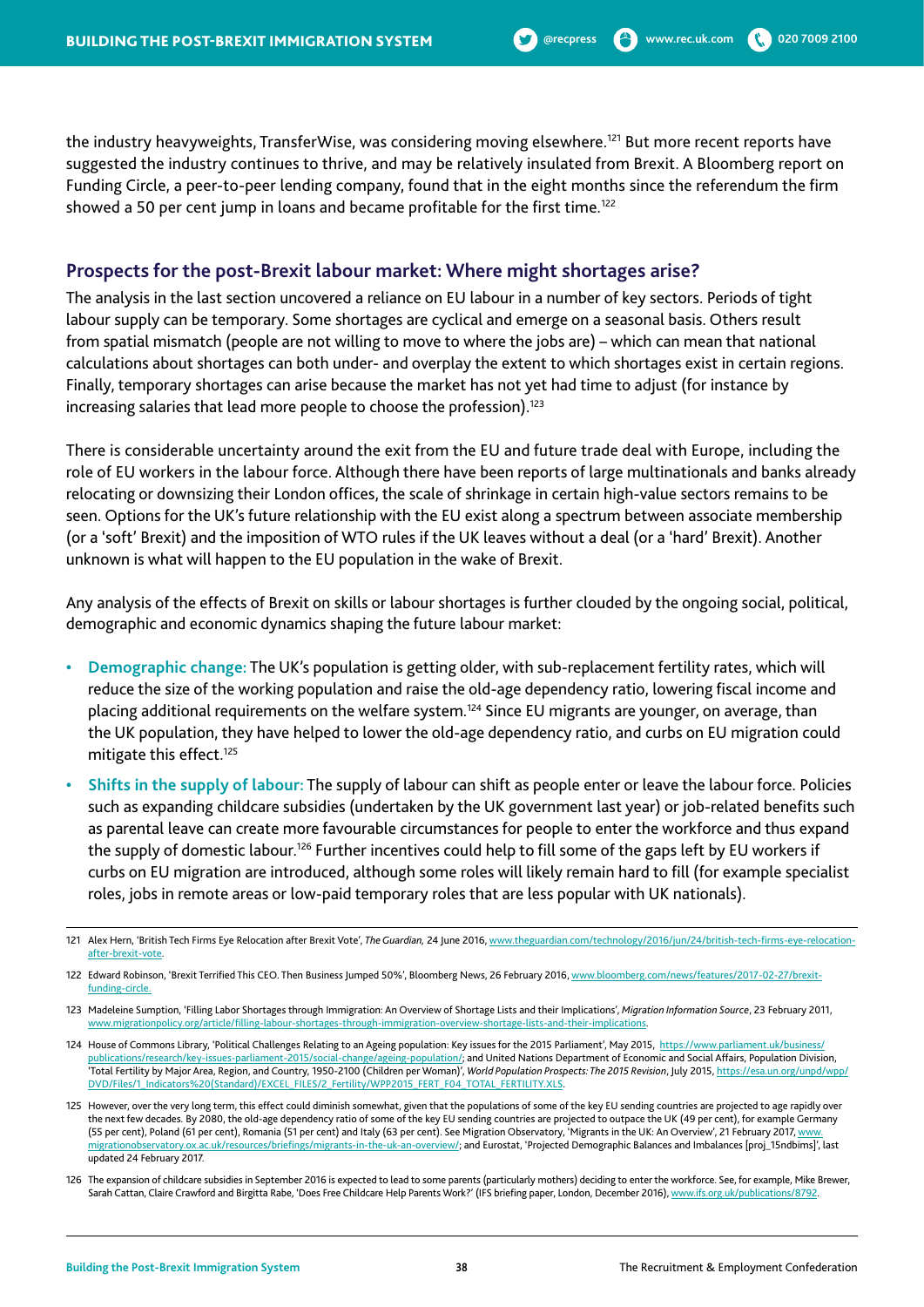the industry heavyweights, TransferWise, was considering moving elsewhere.<sup>121</sup> But more recent reports have suggested the industry continues to thrive, and may be relatively insulated from Brexit. A Bloomberg report on Funding Circle, a peer-to-peer lending company, found that in the eight months since the referendum the firm showed a 50 per cent jump in loans and became profitable for the first time.<sup>122</sup>

## **Prospects for the post-Brexit labour market: Where might shortages arise?**

The analysis in the last section uncovered a reliance on EU labour in a number of key sectors. Periods of tight labour supply can be temporary. Some shortages are cyclical and emerge on a seasonal basis. Others result from spatial mismatch (people are not willing to move to where the jobs are) – which can mean that national calculations about shortages can both under- and overplay the extent to which shortages exist in certain regions. Finally, temporary shortages can arise because the market has not yet had time to adjust (for instance by increasing salaries that lead more people to choose the profession).<sup>123</sup>

There is considerable uncertainty around the exit from the EU and future trade deal with Europe, including the role of EU workers in the labour force. Although there have been reports of large multinationals and banks already relocating or downsizing their London offices, the scale of shrinkage in certain high-value sectors remains to be seen. Options for the UK's future relationship with the EU exist along a spectrum between associate membership (or a 'soft' Brexit) and the imposition of WTO rules if the UK leaves without a deal (or a 'hard' Brexit). Another unknown is what will happen to the EU population in the wake of Brexit.

Any analysis of the effects of Brexit on skills or labour shortages is further clouded by the ongoing social, political, demographic and economic dynamics shaping the future labour market:

- **• Demographic change:** The UK's population is getting older, with sub-replacement fertility rates, which will reduce the size of the working population and raise the old-age dependency ratio, lowering fiscal income and placing additional requirements on the welfare system.<sup>124</sup> Since EU migrants are younger, on average, than the UK population, they have helped to lower the old-age dependency ratio, and curbs on EU migration could mitigate this effect.<sup>125</sup>
- **• Shifts in the supply of labour:** The supply of labour can shift as people enter or leave the labour force. Policies such as expanding childcare subsidies (undertaken by the UK government last year) or job-related benefits such as parental leave can create more favourable circumstances for people to enter the workforce and thus expand the supply of domestic labour.126 Further incentives could help to fill some of the gaps left by EU workers if curbs on EU migration are introduced, although some roles will likely remain hard to fill (for example specialist roles, jobs in remote areas or low-paid temporary roles that are less popular with UK nationals).

<sup>121</sup> Alex Hern, 'British Tech Firms Eye Relocation after Brexit Vote', *The Guardian,* 24 June 2016, www.theguardian.com/technology/2016/jun/24/british-tech-firms-eye-relocationafter-brexit-vote.

<sup>122</sup> Edward Robinson, 'Brexit Terrified This CEO. Then Business Jumped 50%', Bloomberg News, 26 February 2016, www.bloomberg.com/news/features/2017-02-27/brexitfunding-circle.

<sup>123</sup> Madeleine Sumption, 'Filling Labor Shortages through Immigration: An Overview of Shortage Lists and their Implications', *Migration Information Source*, 23 February 2011, www.migrationpolicy.org/article/filling-labour-shortages-through-immigration-overview-shortage-lists-and-their-implications.

<sup>124</sup> House of Commons Library, 'Political Challenges Relating to an Ageing population: Key issues for the 2015 Parliament', May 2015, https://www.parliament.uk/business/ publications/research/key-issues-parliament-2015/social-change/ageing-population/; and United Nations Department of Economic and Social Affairs, Population Division, 'Total Fertility by Major Area, Region, and Country, 1950-2100 (Children per Woman)', *World Population Prospects: The 2015 Revision*, July 2015, https://esa.un.org/unpd/wpp/ DVD/Files/1\_Indicators%20(Standard)/EXCEL\_FILES/2\_Fertility/WPP2015\_FERT\_F04\_TOTAL\_FERTILITY.XLS.

<sup>125</sup> However, over the very long term, this effect could diminish somewhat, given that the populations of some of the key EU sending countries are projected to age rapidly over the next few decades. By 2080, the old-age dependency ratio of some of the key EU sending countries are projected to outpace the UK (49 per cent), for example Germany (55 per cent), Poland (61 per cent), Romania (51 per cent) and Italy (63 per cent). See Migration Observatory, 'Migrants in the UK: An Overview', 21 February 2017, www. migrationobservatory.ox.ac.uk/resources/briefings/migrants-in-the-uk-an-overview/; and Eurostat, 'Projected Demographic Balances and Imbalances [proj\_15ndbims]', last updated 24 February 2017.

<sup>126</sup> The expansion of childcare subsidies in September 2016 is expected to lead to some parents (particularly mothers) deciding to enter the workforce. See, for example, Mike Brewer, Sarah Cattan, Claire Crawford and Birgitta Rabe, 'Does Free Childcare Help Parents Work?' (IFS briefing paper, London, December 2016), www.ifs.org.uk/publications/8792.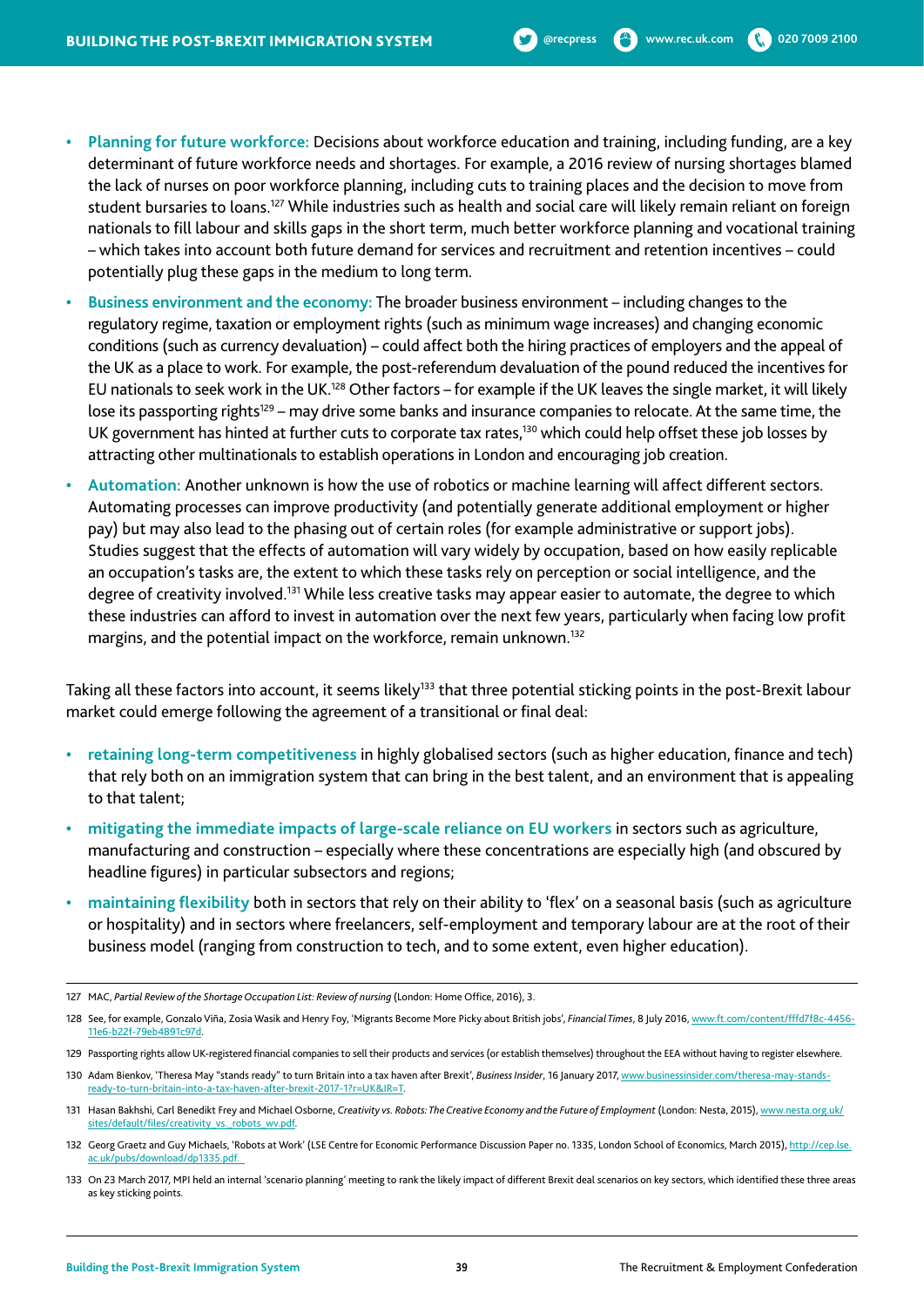- **• Planning for future workforce:** Decisions about workforce education and training, including funding, are a key determinant of future workforce needs and shortages. For example, a 2016 review of nursing shortages blamed the lack of nurses on poor workforce planning, including cuts to training places and the decision to move from student bursaries to loans.<sup>127</sup> While industries such as health and social care will likely remain reliant on foreign nationals to fill labour and skills gaps in the short term, much better workforce planning and vocational training – which takes into account both future demand for services and recruitment and retention incentives – could potentially plug these gaps in the medium to long term.
- **• Business environment and the economy:** The broader business environment including changes to the regulatory regime, taxation or employment rights (such as minimum wage increases) and changing economic conditions (such as currency devaluation) – could affect both the hiring practices of employers and the appeal of the UK as a place to work. For example, the post-referendum devaluation of the pound reduced the incentives for EU nationals to seek work in the UK.<sup>128</sup> Other factors – for example if the UK leaves the single market, it will likely lose its passporting rights<sup>129</sup> – may drive some banks and insurance companies to relocate. At the same time, the UK government has hinted at further cuts to corporate tax rates,<sup>130</sup> which could help offset these job losses by attracting other multinationals to establish operations in London and encouraging job creation.
- **• Automation:** Another unknown is how the use of robotics or machine learning will affect different sectors. Automating processes can improve productivity (and potentially generate additional employment or higher pay) but may also lead to the phasing out of certain roles (for example administrative or support jobs). Studies suggest that the effects of automation will vary widely by occupation, based on how easily replicable an occupation's tasks are, the extent to which these tasks rely on perception or social intelligence, and the degree of creativity involved.<sup>131</sup> While less creative tasks may appear easier to automate, the degree to which these industries can afford to invest in automation over the next few years, particularly when facing low profit margins, and the potential impact on the workforce, remain unknown.<sup>132</sup>

Taking all these factors into account, it seems likely<sup>133</sup> that three potential sticking points in the post-Brexit labour market could emerge following the agreement of a transitional or final deal:

- **• retaining long-term competitiveness** in highly globalised sectors (such as higher education, finance and tech) that rely both on an immigration system that can bring in the best talent, and an environment that is appealing to that talent;
- **• mitigating the immediate impacts of large-scale reliance on EU workers** in sectors such as agriculture, manufacturing and construction – especially where these concentrations are especially high (and obscured by headline figures) in particular subsectors and regions;
- **• maintaining flexibility** both in sectors that rely on their ability to 'flex' on a seasonal basis (such as agriculture or hospitality) and in sectors where freelancers, self-employment and temporary labour are at the root of their business model (ranging from construction to tech, and to some extent, even higher education).

- 131 Hasan Bakhshi, Carl Benedikt Frey and Michael Osborne, *Creativity vs. Robots: The Creative Economy and the Future of Employment* (London: Nesta, 2015), www.nesta.org.uk/ sites/default/files/creativity\_vs.\_robots\_wv.pdf.
- 132 Georg Graetz and Guy Michaels, 'Robots at Work' (LSE Centre for Economic Performance Discussion Paper no. 1335, London School of Economics, March 2015), http://cep.lse. ac.uk/pubs/download/dp1335.pdf.
- 133 On 23 March 2017, MPI held an internal 'scenario planning' meeting to rank the likely impact of different Brexit deal scenarios on key sectors, which identified these three areas as key sticking points.

<sup>127</sup> MAC, *Partial Review of the Shortage Occupation List: Review of nursing* (London: Home Office, 2016), 3.

<sup>128</sup> See, for example, Gonzalo Viña, Zosia Wasik and Henry Foy, 'Migrants Become More Picky about British jobs', *Financial Times*, 8 July 2016, www.ft.com/content/fffd7f8c-4456- 11e6-b22f-79eb4891c97d.

<sup>129</sup> Passporting rights allow UK-registered financial companies to sell their products and services (or establish themselves) throughout the EEA without having to register elsewhere.

<sup>130</sup> Adam Bienkov, 'Theresa May "stands ready" to turn Britain into a tax haven after Brexit', *Business Insider*, 16 January 2017, www.businessinsider.com/theresa-may-standsready-to-turn-britain-into-a-tax-haven-after-brexit-2017-1?r=UK&IR=T.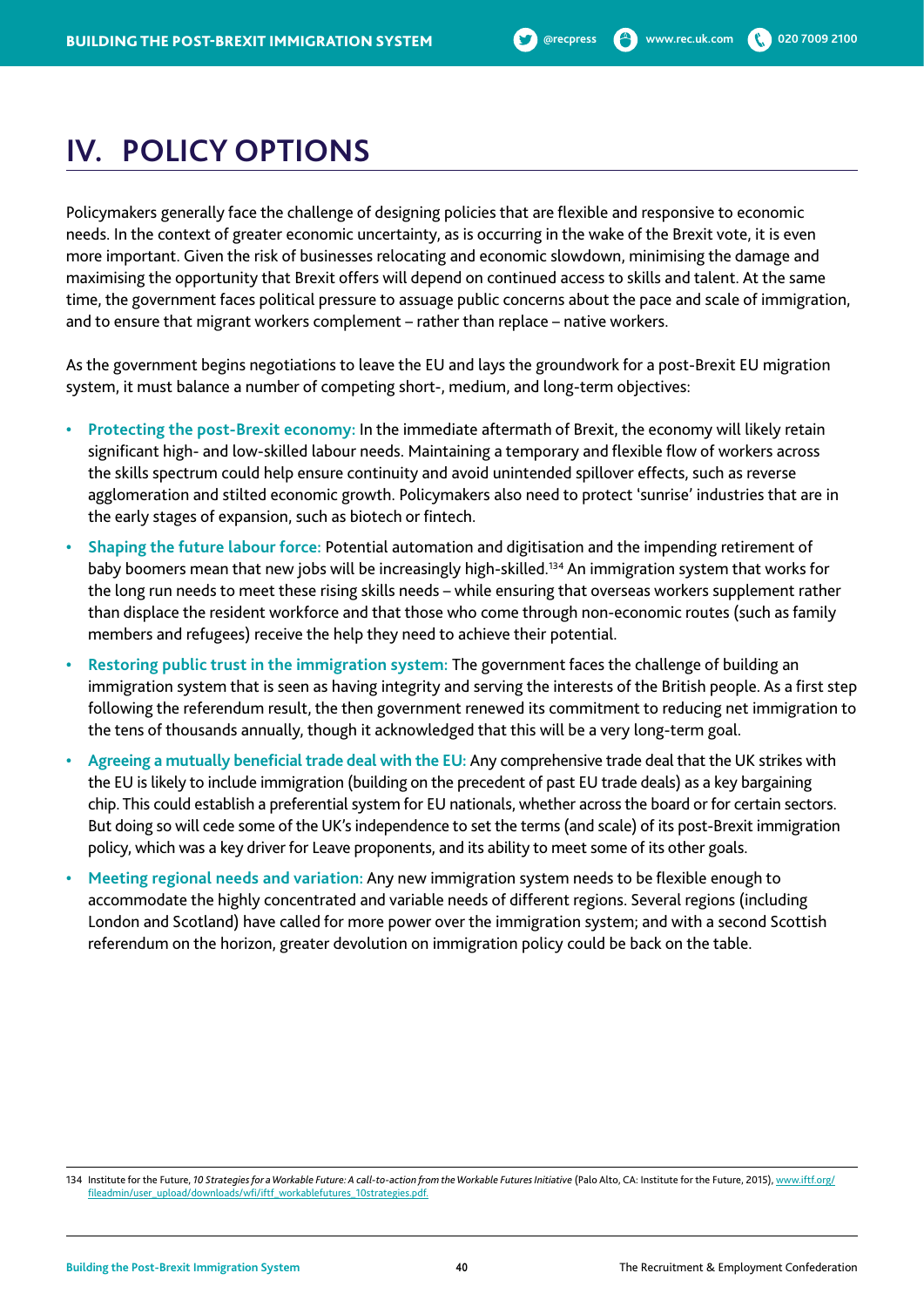# **IV. POLICY OPTIONS**

Policymakers generally face the challenge of designing policies that are flexible and responsive to economic needs. In the context of greater economic uncertainty, as is occurring in the wake of the Brexit vote, it is even more important. Given the risk of businesses relocating and economic slowdown, minimising the damage and maximising the opportunity that Brexit offers will depend on continued access to skills and talent. At the same time, the government faces political pressure to assuage public concerns about the pace and scale of immigration, and to ensure that migrant workers complement – rather than replace – native workers.

As the government begins negotiations to leave the EU and lays the groundwork for a post-Brexit EU migration system, it must balance a number of competing short-, medium, and long-term objectives:

- **• Protecting the post-Brexit economy:** In the immediate aftermath of Brexit, the economy will likely retain significant high- and low-skilled labour needs. Maintaining a temporary and flexible flow of workers across the skills spectrum could help ensure continuity and avoid unintended spillover effects, such as reverse agglomeration and stilted economic growth. Policymakers also need to protect 'sunrise' industries that are in the early stages of expansion, such as biotech or fintech.
- **• Shaping the future labour force:** Potential automation and digitisation and the impending retirement of baby boomers mean that new jobs will be increasingly high-skilled.<sup>134</sup> An immigration system that works for the long run needs to meet these rising skills needs – while ensuring that overseas workers supplement rather than displace the resident workforce and that those who come through non-economic routes (such as family members and refugees) receive the help they need to achieve their potential.
- **• Restoring public trust in the immigration system:** The government faces the challenge of building an immigration system that is seen as having integrity and serving the interests of the British people. As a first step following the referendum result, the then government renewed its commitment to reducing net immigration to the tens of thousands annually, though it acknowledged that this will be a very long-term goal.
- **• Agreeing a mutually beneficial trade deal with the EU:** Any comprehensive trade deal that the UK strikes with the EU is likely to include immigration (building on the precedent of past EU trade deals) as a key bargaining chip. This could establish a preferential system for EU nationals, whether across the board or for certain sectors. But doing so will cede some of the UK's independence to set the terms (and scale) of its post-Brexit immigration policy, which was a key driver for Leave proponents, and its ability to meet some of its other goals.
- **• Meeting regional needs and variation:** Any new immigration system needs to be flexible enough to accommodate the highly concentrated and variable needs of different regions. Several regions (including London and Scotland) have called for more power over the immigration system; and with a second Scottish referendum on the horizon, greater devolution on immigration policy could be back on the table.

<sup>134</sup> Institute for the Future, 10 Strategies for a Workable Future: A call-to-action from the Workable Futures Initiative (Palo Alto, CA: Institute for the Future, 2015), www.iftf.org/ fileadmin/user\_upload/downloads/wfi/iftf\_workablefutures\_10strategies.pdf.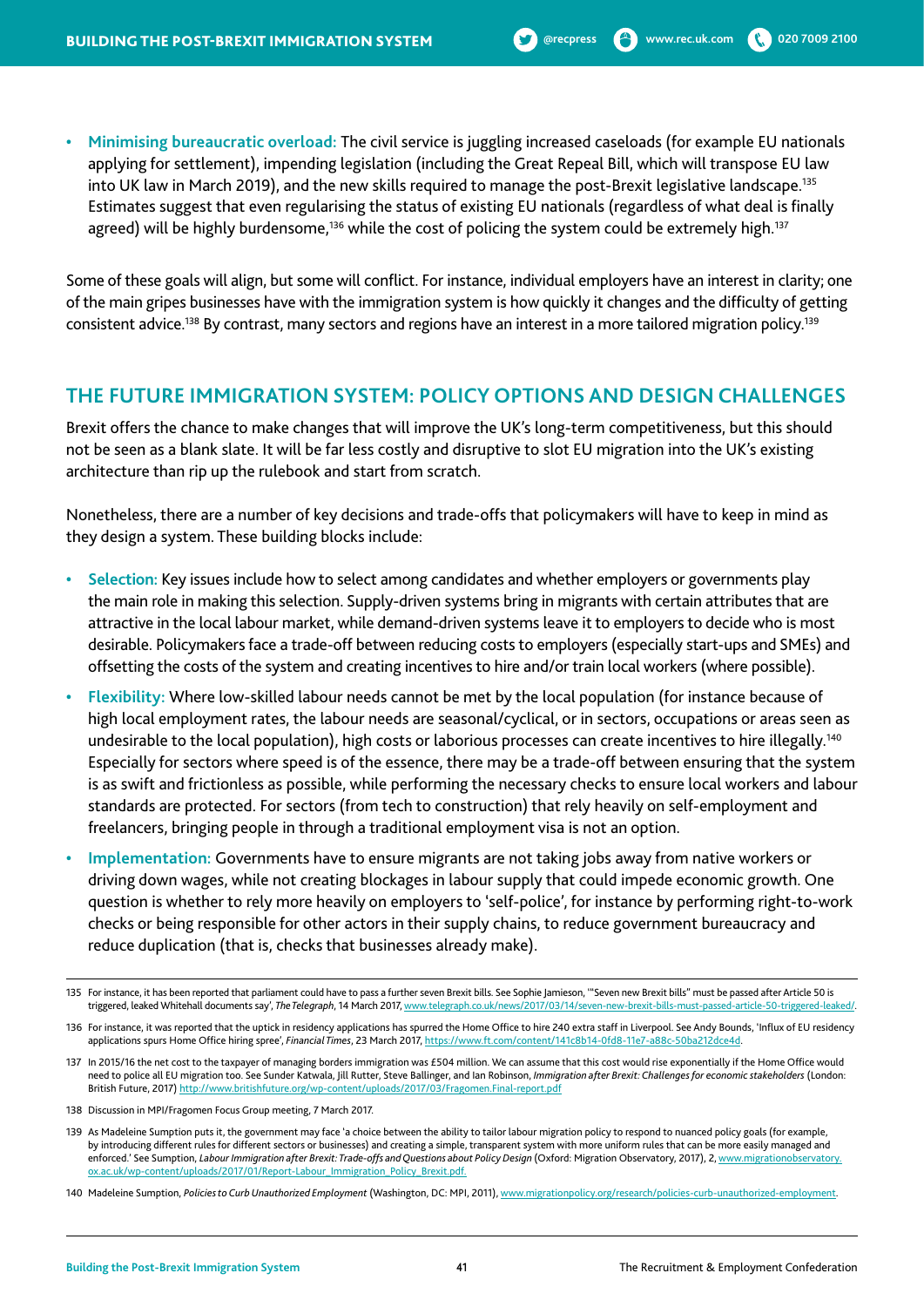**• Minimising bureaucratic overload:** The civil service is juggling increased caseloads (for example EU nationals applying for settlement), impending legislation (including the Great Repeal Bill, which will transpose EU law into UK law in March 2019), and the new skills required to manage the post-Brexit legislative landscape.135 Estimates suggest that even regularising the status of existing EU nationals (regardless of what deal is finally agreed) will be highly burdensome,<sup>136</sup> while the cost of policing the system could be extremely high.<sup>137</sup>

Some of these goals will align, but some will conflict. For instance, individual employers have an interest in clarity; one of the main gripes businesses have with the immigration system is how quickly it changes and the difficulty of getting consistent advice.<sup>138</sup> By contrast, many sectors and regions have an interest in a more tailored migration policy.<sup>139</sup>

# **THE FUTURE IMMIGRATION SYSTEM: POLICY OPTIONS AND DESIGN CHALLENGES**

Brexit offers the chance to make changes that will improve the UK's long-term competitiveness, but this should not be seen as a blank slate. It will be far less costly and disruptive to slot EU migration into the UK's existing architecture than rip up the rulebook and start from scratch.

Nonetheless, there are a number of key decisions and trade-offs that policymakers will have to keep in mind as they design a system. These building blocks include:

- **• Selection:** Key issues include how to select among candidates and whether employers or governments play the main role in making this selection. Supply-driven systems bring in migrants with certain attributes that are attractive in the local labour market, while demand-driven systems leave it to employers to decide who is most desirable. Policymakers face a trade-off between reducing costs to employers (especially start-ups and SMEs) and offsetting the costs of the system and creating incentives to hire and/or train local workers (where possible).
- **• Flexibility:** Where low-skilled labour needs cannot be met by the local population (for instance because of high local employment rates, the labour needs are seasonal/cyclical, or in sectors, occupations or areas seen as undesirable to the local population), high costs or laborious processes can create incentives to hire illegally.140 Especially for sectors where speed is of the essence, there may be a trade-off between ensuring that the system is as swift and frictionless as possible, while performing the necessary checks to ensure local workers and labour standards are protected. For sectors (from tech to construction) that rely heavily on self-employment and freelancers, bringing people in through a traditional employment visa is not an option.
- **• Implementation:** Governments have to ensure migrants are not taking jobs away from native workers or driving down wages, while not creating blockages in labour supply that could impede economic growth. One question is whether to rely more heavily on employers to 'self-police', for instance by performing right-to-work checks or being responsible for other actors in their supply chains, to reduce government bureaucracy and reduce duplication (that is, checks that businesses already make).

<sup>135</sup> For instance, it has been reported that parliament could have to pass a further seven Brexit bills. See Sophie Jamieson, '"Seven new Brexit bills" must be passed after Article 50 is triggered, leaked Whitehall documents say', *The Telegraph*, 14 March 2017, www.telegraph.co.uk/news/2017/03/14/seven-new-brexit-bills-must-passed-article-50-triggered-leaked/.

<sup>136</sup> For instance, it was reported that the uptick in residency applications has spurred the Home Office to hire 240 extra staff in Liverpool. See Andy Bounds, 'Influx of EU residency applications spurs Home Office hiring spree', *Financial Times*, 23 March 2017, https://www.ft.com/content/141c8b14-0fd8-11e7-a88c-50ba212dce4d.

<sup>137</sup> In 2015/16 the net cost to the taxpayer of managing borders immigration was £504 million. We can assume that this cost would rise exponentially if the Home Office would need to police all EU migration too. See Sunder Katwala, Jill Rutter, Steve Ballinger, and Ian Robinson, *Immigration after Brexit: Challenges for economic stakeholders* (London: British Future, 2017) http://www.britishfuture.org/wp-content/uploads/2017/03/Fragomen.Final-report.pdf

<sup>138</sup> Discussion in MPI/Fragomen Focus Group meeting, 7 March 2017.

<sup>139</sup> As Madeleine Sumption puts it, the government may face 'a choice between the ability to tailor labour migration policy to respond to nuanced policy goals (for example, by introducing different rules for different sectors or businesses) and creating a simple, transparent system with more uniform rules that can be more easily managed and enforced.' See Sumption, *Labour Immigration after Brexit: Trade-offs and Questions about Policy Design* (Oxford: Migration Observatory, 2017), 2, www.migrationobservatory. ox.ac.uk/wp-content/uploads/2017/01/Report-Labour\_Immigration\_Policy\_Brexit.pdf.

<sup>140</sup> Madeleine Sumption, *Policies to Curb Unauthorized Employment* (Washington, DC: MPI, 2011), www.migrationpolicy.org/research/policies-curb-unauthorized-employment.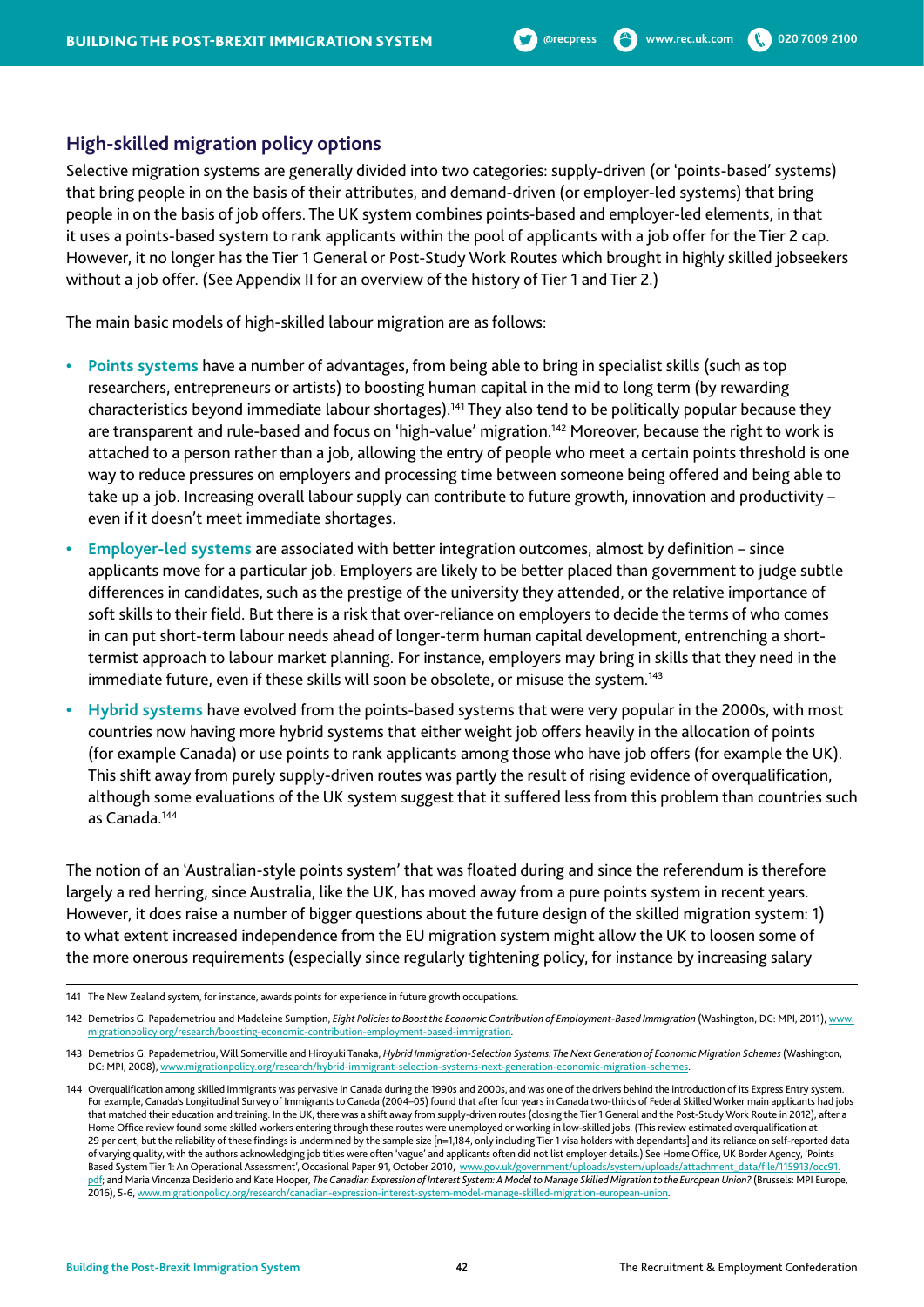#### **High-skilled migration policy options**

Selective migration systems are generally divided into two categories: supply-driven (or 'points-based' systems) that bring people in on the basis of their attributes, and demand-driven (or employer-led systems) that bring people in on the basis of job offers. The UK system combines points-based and employer-led elements, in that it uses a points-based system to rank applicants within the pool of applicants with a job offer for the Tier 2 cap. However, it no longer has the Tier 1 General or Post-Study Work Routes which brought in highly skilled jobseekers without a job offer. (See Appendix II for an overview of the history of Tier 1 and Tier 2.)

The main basic models of high-skilled labour migration are as follows:

- **• Points systems** have a number of advantages, from being able to bring in specialist skills (such as top researchers, entrepreneurs or artists) to boosting human capital in the mid to long term (by rewarding characteristics beyond immediate labour shortages).141 They also tend to be politically popular because they are transparent and rule-based and focus on 'high-value' migration.<sup>142</sup> Moreover, because the right to work is attached to a person rather than a job, allowing the entry of people who meet a certain points threshold is one way to reduce pressures on employers and processing time between someone being offered and being able to take up a job. Increasing overall labour supply can contribute to future growth, innovation and productivity – even if it doesn't meet immediate shortages.
- **• Employer-led systems** are associated with better integration outcomes, almost by definition since applicants move for a particular job. Employers are likely to be better placed than government to judge subtle differences in candidates, such as the prestige of the university they attended, or the relative importance of soft skills to their field. But there is a risk that over-reliance on employers to decide the terms of who comes in can put short-term labour needs ahead of longer-term human capital development, entrenching a shorttermist approach to labour market planning. For instance, employers may bring in skills that they need in the immediate future, even if these skills will soon be obsolete, or misuse the system.<sup>143</sup>
- **• Hybrid systems** have evolved from the points-based systems that were very popular in the 2000s, with most countries now having more hybrid systems that either weight job offers heavily in the allocation of points (for example Canada) or use points to rank applicants among those who have job offers (for example the UK). This shift away from purely supply-driven routes was partly the result of rising evidence of overqualification, although some evaluations of the UK system suggest that it suffered less from this problem than countries such as Canada.144

The notion of an 'Australian-style points system' that was floated during and since the referendum is therefore largely a red herring, since Australia, like the UK, has moved away from a pure points system in recent years. However, it does raise a number of bigger questions about the future design of the skilled migration system: 1) to what extent increased independence from the EU migration system might allow the UK to loosen some of the more onerous requirements (especially since regularly tightening policy, for instance by increasing salary

<sup>141</sup> The New Zealand system, for instance, awards points for experience in future growth occupations.

<sup>142</sup> Demetrios G. Papademetriou and Madeleine Sumption, *Eight Policies to Boost the Economic Contribution of Employment-Based Immigration* (Washington, DC: MPI, 2011), www. migrationpolicy.org/research/boosting-economic-contribution-employment-based-immigration.

<sup>143</sup> Demetrios G. Papademetriou, Will Somerville and Hiroyuki Tanaka, *Hybrid Immigration-Selection Systems: The Next Generation of Economic Migration Schemes* (Washington, DC: MPI, 2008), www.migrationpolicy.org/research/hybrid-immigrant-selection-systems-next-generation-economic-migration-schemes.

<sup>144</sup> Overqualification among skilled immigrants was pervasive in Canada during the 1990s and 2000s, and was one of the drivers behind the introduction of its Express Entry system. For example, Canada's Longitudinal Survey of Immigrants to Canada (2004–05) found that after four years in Canada two-thirds of Federal Skilled Worker main applicants had jobs that matched their education and training. In the UK, there was a shift away from supply-driven routes (closing the Tier 1 General and the Post-Study Work Route in 2012), after a Home Office review found some skilled workers entering through these routes were unemployed or working in low-skilled jobs. (This review estimated overqualification at 29 per cent, but the reliability of these findings is undermined by the sample size [n=1,184, only including Tier 1 visa holders with dependants] and its reliance on self-reported data of varying quality, with the authors acknowledging job titles were often 'vague' and applicants often did not list employer details.) See Home Office, UK Border Agency, 'Points Based System Tier 1: An Operational Assessment', Occasional Paper 91, October 2010, www.gov.uk/government/uploads/system/uploads/attachment\_data/file/115913/occ91 pdf; and Maria Vincenza Desiderio and Kate Hooper, *The Canadian Expression of Interest System: A Model to Manage Skilled Migration to the European Union?* (Brussels: MPI Europe, 2016), 5-6, www.migrationpolicy.org/research/canadian-expression-interest-system-model-manage-skilled-migration-european-union.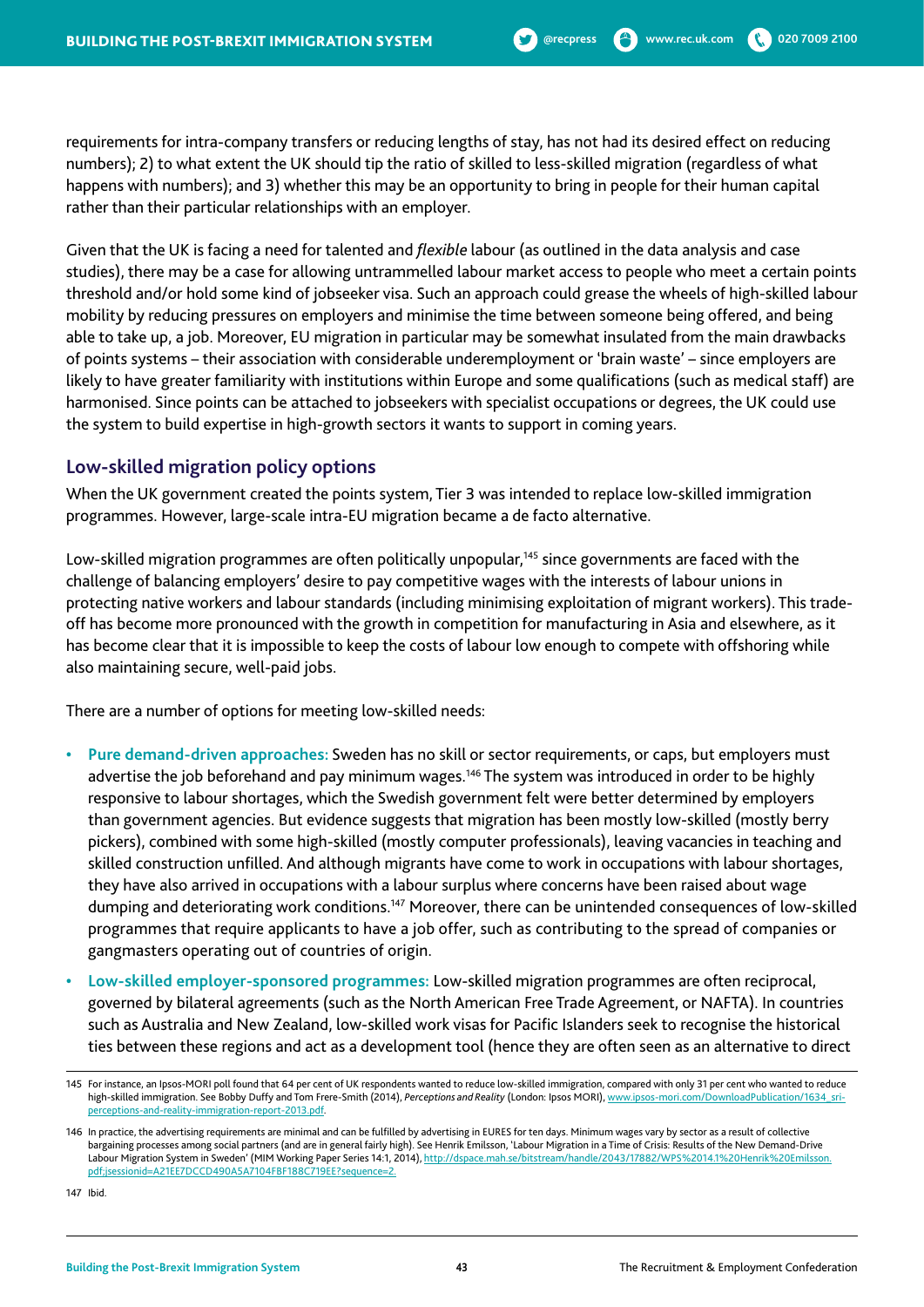requirements for intra-company transfers or reducing lengths of stay, has not had its desired effect on reducing numbers); 2) to what extent the UK should tip the ratio of skilled to less-skilled migration (regardless of what happens with numbers); and 3) whether this may be an opportunity to bring in people for their human capital rather than their particular relationships with an employer.

Given that the UK is facing a need for talented and *flexible* labour (as outlined in the data analysis and case studies), there may be a case for allowing untrammelled labour market access to people who meet a certain points threshold and/or hold some kind of jobseeker visa. Such an approach could grease the wheels of high-skilled labour mobility by reducing pressures on employers and minimise the time between someone being offered, and being able to take up, a job. Moreover, EU migration in particular may be somewhat insulated from the main drawbacks of points systems – their association with considerable underemployment or 'brain waste' – since employers are likely to have greater familiarity with institutions within Europe and some qualifications (such as medical staff) are harmonised. Since points can be attached to jobseekers with specialist occupations or degrees, the UK could use the system to build expertise in high-growth sectors it wants to support in coming years.

#### **Low-skilled migration policy options**

When the UK government created the points system, Tier 3 was intended to replace low-skilled immigration programmes. However, large-scale intra-EU migration became a de facto alternative.

Low-skilled migration programmes are often politically unpopular,<sup>145</sup> since governments are faced with the challenge of balancing employers' desire to pay competitive wages with the interests of labour unions in protecting native workers and labour standards (including minimising exploitation of migrant workers). This tradeoff has become more pronounced with the growth in competition for manufacturing in Asia and elsewhere, as it has become clear that it is impossible to keep the costs of labour low enough to compete with offshoring while also maintaining secure, well-paid jobs.

There are a number of options for meeting low-skilled needs:

- **• Pure demand-driven approaches:** Sweden has no skill or sector requirements, or caps, but employers must advertise the job beforehand and pay minimum wages.<sup>146</sup> The system was introduced in order to be highly responsive to labour shortages, which the Swedish government felt were better determined by employers than government agencies. But evidence suggests that migration has been mostly low-skilled (mostly berry pickers), combined with some high-skilled (mostly computer professionals), leaving vacancies in teaching and skilled construction unfilled. And although migrants have come to work in occupations with labour shortages, they have also arrived in occupations with a labour surplus where concerns have been raised about wage dumping and deteriorating work conditions.<sup>147</sup> Moreover, there can be unintended consequences of low-skilled programmes that require applicants to have a job offer, such as contributing to the spread of companies or gangmasters operating out of countries of origin.
- **• Low-skilled employer-sponsored programmes:** Low-skilled migration programmes are often reciprocal, governed by bilateral agreements (such as the North American Free Trade Agreement, or NAFTA). In countries such as Australia and New Zealand, low-skilled work visas for Pacific Islanders seek to recognise the historical ties between these regions and act as a development tool (hence they are often seen as an alternative to direct

147 Ibid.

<sup>145</sup> For instance, an Ipsos-MORI poll found that 64 per cent of UK respondents wanted to reduce low-skilled immigration, compared with only 31 per cent who wanted to reduce high-skilled immigration. See Bobby Duffy and Tom Frere-Smith (2014), *Perceptions and Reality* (London: Ipsos MORI), www.ipsos-mori.com/DownloadPublication/1634\_sriperceptions-and-reality-immigration-report-2013.pdf.

<sup>146</sup> In practice, the advertising requirements are minimal and can be fulfilled by advertising in EURES for ten days. Minimum wages vary by sector as a result of collective bargaining processes among social partners (and are in general fairly high). See Henrik Emilsson, 'Labour Migration in a Time of Crisis: Results of the New Demand-Drive Labour Migration System in Sweden' (MIM Working Paper Series 14:1, 2014), http://dspace.mah.se/bitstream/handle/2043/17882/WPS%2014.1%20Henrik%20Emilsson. pdf;jsessionid=A21EE7DCCD490A5A7104FBF188C719EE?sequence=2.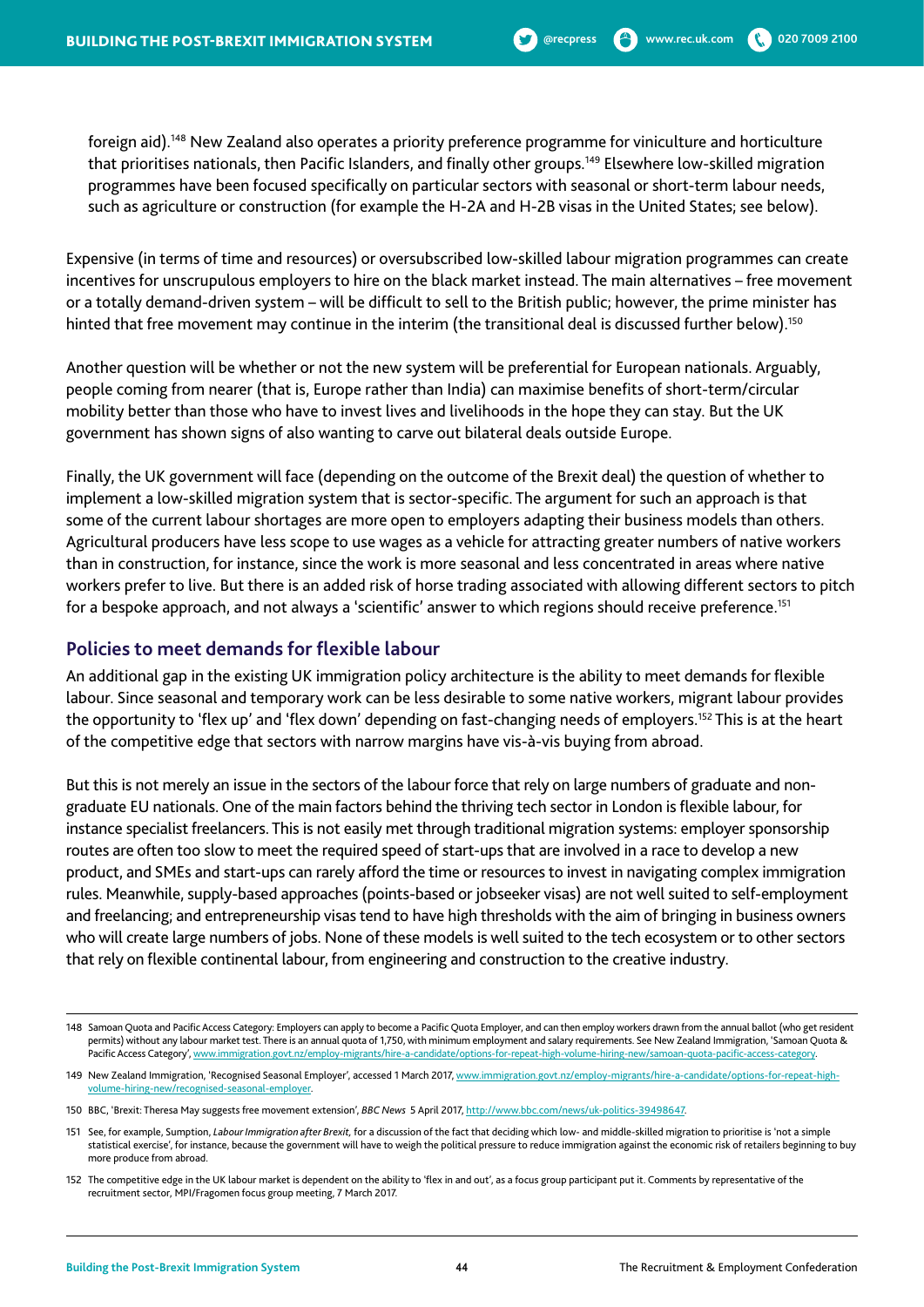Expensive (in terms of time and resources) or oversubscribed low-skilled labour migration programmes can create incentives for unscrupulous employers to hire on the black market instead. The main alternatives – free movement or a totally demand-driven system – will be difficult to sell to the British public; however, the prime minister has hinted that free movement may continue in the interim (the transitional deal is discussed further below).<sup>150</sup>

Another question will be whether or not the new system will be preferential for European nationals. Arguably, people coming from nearer (that is, Europe rather than India) can maximise benefits of short-term/circular mobility better than those who have to invest lives and livelihoods in the hope they can stay. But the UK government has shown signs of also wanting to carve out bilateral deals outside Europe.

Finally, the UK government will face (depending on the outcome of the Brexit deal) the question of whether to implement a low-skilled migration system that is sector-specific. The argument for such an approach is that some of the current labour shortages are more open to employers adapting their business models than others. Agricultural producers have less scope to use wages as a vehicle for attracting greater numbers of native workers than in construction, for instance, since the work is more seasonal and less concentrated in areas where native workers prefer to live. But there is an added risk of horse trading associated with allowing different sectors to pitch for a bespoke approach, and not always a 'scientific' answer to which regions should receive preference.<sup>151</sup>

## **Policies to meet demands for flexible labour**

An additional gap in the existing UK immigration policy architecture is the ability to meet demands for flexible labour. Since seasonal and temporary work can be less desirable to some native workers, migrant labour provides the opportunity to 'flex up' and 'flex down' depending on fast-changing needs of employers.<sup>152</sup> This is at the heart of the competitive edge that sectors with narrow margins have vis-à-vis buying from abroad.

But this is not merely an issue in the sectors of the labour force that rely on large numbers of graduate and nongraduate EU nationals. One of the main factors behind the thriving tech sector in London is flexible labour, for instance specialist freelancers. This is not easily met through traditional migration systems: employer sponsorship routes are often too slow to meet the required speed of start-ups that are involved in a race to develop a new product, and SMEs and start-ups can rarely afford the time or resources to invest in navigating complex immigration rules. Meanwhile, supply-based approaches (points-based or jobseeker visas) are not well suited to self-employment and freelancing; and entrepreneurship visas tend to have high thresholds with the aim of bringing in business owners who will create large numbers of jobs. None of these models is well suited to the tech ecosystem or to other sectors that rely on flexible continental labour, from engineering and construction to the creative industry.

<sup>148</sup> Samoan Quota and Pacific Access Category: Employers can apply to become a Pacific Quota Employer, and can then employ workers drawn from the annual ballot (who get resident permits) without any labour market test. There is an annual quota of 1,750, with minimum employment and salary requirements. See New Zealand Immigration, 'Samoan Quota & Pacific Access Category', www.immigration.govt.nz/employ-migrants/hire-a-candidate/options-for-repeat-high-volume-hiring-new/samoan-quota-pacific-access-category.

<sup>149</sup> New Zealand Immigration, 'Recognised Seasonal Employer', accessed 1 March 2017, www.immigration.govt.nz/employ-migrants/hire-a-candidate/options-for-repeat-highvolume-hiring-new/recognised-seasonal-employer.

<sup>150</sup> BBC, 'Brexit: Theresa May suggests free movement extension', *BBC News* 5 April 2017, http://www.bbc.com/news/uk-politics-39498647.

<sup>151</sup> See, for example, Sumption, *Labour Immigration after Brexit,* for a discussion of the fact that deciding which low- and middle-skilled migration to prioritise is 'not a simple statistical exercise', for instance, because the government will have to weigh the political pressure to reduce immigration against the economic risk of retailers beginning to buy more produce from abroad.

<sup>152</sup> The competitive edge in the UK labour market is dependent on the ability to 'flex in and out', as a focus group participant put it. Comments by representative of the recruitment sector, MPI/Fragomen focus group meeting, 7 March 2017.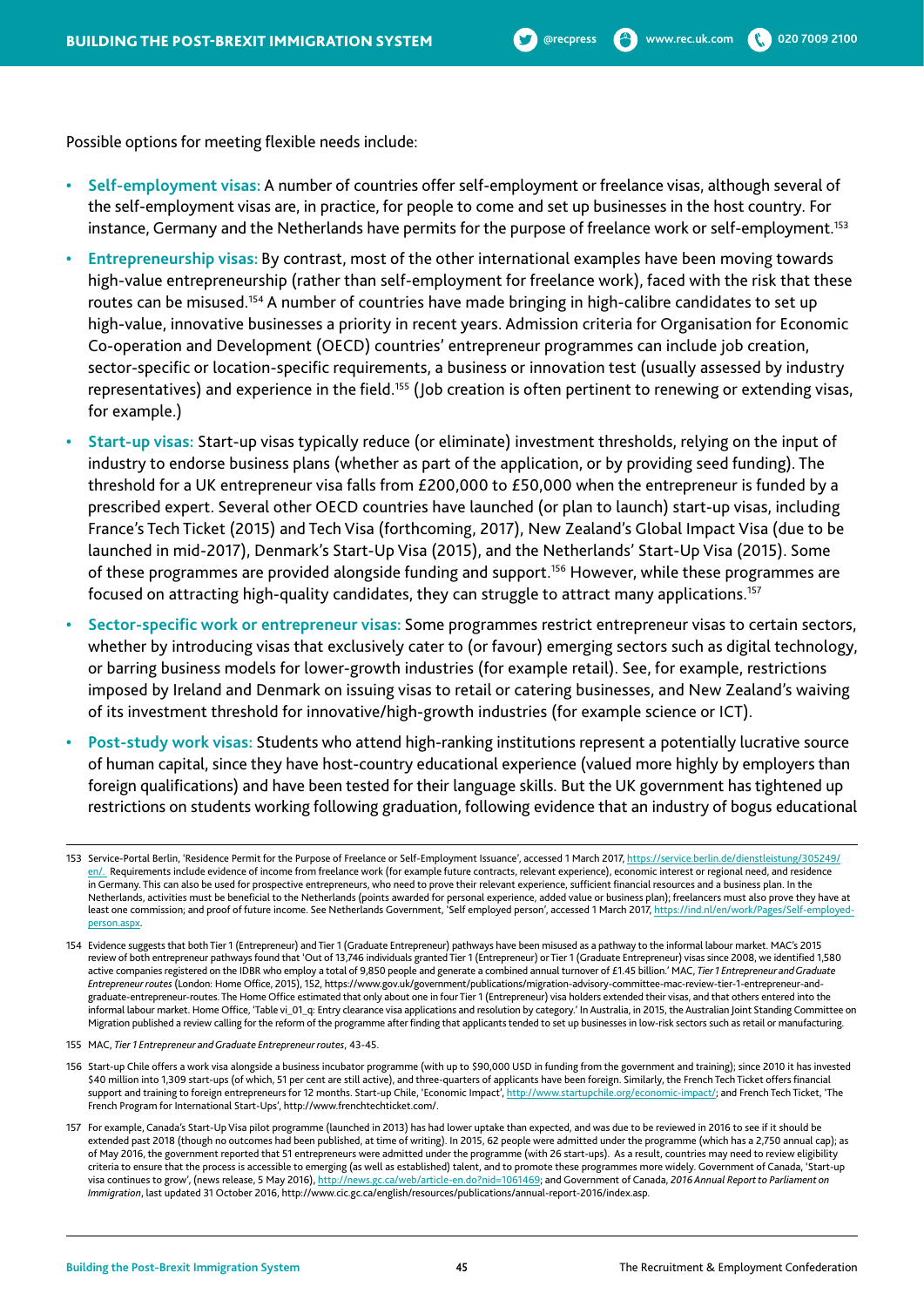Possible options for meeting flexible needs include:

- **• Self-employment visas:** A number of countries offer self-employment or freelance visas, although several of the self-employment visas are, in practice, for people to come and set up businesses in the host country. For instance, Germany and the Netherlands have permits for the purpose of freelance work or self-employment.<sup>153</sup>
- **• Entrepreneurship visas:** By contrast, most of the other international examples have been moving towards high-value entrepreneurship (rather than self-employment for freelance work), faced with the risk that these routes can be misused.<sup>154</sup> A number of countries have made bringing in high-calibre candidates to set up high-value, innovative businesses a priority in recent years. Admission criteria for Organisation for Economic Co-operation and Development (OECD) countries' entrepreneur programmes can include job creation, sector-specific or location-specific requirements, a business or innovation test (usually assessed by industry representatives) and experience in the field.<sup>155</sup> (Job creation is often pertinent to renewing or extending visas, for example.)
- **• Start-up visas:** Start-up visas typically reduce (or eliminate) investment thresholds, relying on the input of industry to endorse business plans (whether as part of the application, or by providing seed funding). The threshold for a UK entrepreneur visa falls from £200,000 to £50,000 when the entrepreneur is funded by a prescribed expert. Several other OECD countries have launched (or plan to launch) start-up visas, including France's Tech Ticket (2015) and Tech Visa (forthcoming, 2017), New Zealand's Global Impact Visa (due to be launched in mid-2017), Denmark's Start-Up Visa (2015), and the Netherlands' Start-Up Visa (2015). Some of these programmes are provided alongside funding and support.<sup>156</sup> However, while these programmes are focused on attracting high-quality candidates, they can struggle to attract many applications.<sup>157</sup>
- **• Sector-specific work or entrepreneur visas:** Some programmes restrict entrepreneur visas to certain sectors, whether by introducing visas that exclusively cater to (or favour) emerging sectors such as digital technology, or barring business models for lower-growth industries (for example retail). See, for example, restrictions imposed by Ireland and Denmark on issuing visas to retail or catering businesses, and New Zealand's waiving of its investment threshold for innovative/high-growth industries (for example science or ICT).
- **• Post-study work visas:** Students who attend high-ranking institutions represent a potentially lucrative source of human capital, since they have host-country educational experience (valued more highly by employers than foreign qualifications) and have been tested for their language skills. But the UK government has tightened up restrictions on students working following graduation, following evidence that an industry of bogus educational

- 155 MAC, *Tier 1 Entrepreneur and Graduate Entrepreneur routes*, 43-45.
- 156 Start-up Chile offers a work visa alongside a business incubator programme (with up to \$90,000 USD in funding from the government and training); since 2010 it has invested \$40 million into 1,309 start-ups (of which, 51 per cent are still active), and three-quarters of applicants have been foreign. Similarly, the French Tech Ticket offers financial support and training to foreign entrepreneurs for 12 months. Start-up Chile, 'Economic Impact', http://www.startupchile.org/economic-impact/; and French Tech Ticket, 'The French Program for International Start-Ups', http://www.frenchtechticket.com/.
- 157 For example, Canada's Start-Up Visa pilot programme (launched in 2013) has had lower uptake than expected, and was due to be reviewed in 2016 to see if it should be extended past 2018 (though no outcomes had been published, at time of writing). In 2015, 62 people were admitted under the programme (which has a 2,750 annual cap); as of May 2016, the government reported that 51 entrepreneurs were admitted under the programme (with 26 start-ups). As a result, countries may need to review eligibility criteria to ensure that the process is accessible to emerging (as well as established) talent, and to promote these programmes more widely. Government of Canada, 'Start-up visa continues to grow', (news release, 5 May 2016), http://news.gc.ca/web/article-en.do?nid=1061469; and Government of Canada, *2016 Annual Report to Parliament on Immigration*, last updated 31 October 2016, http://www.cic.gc.ca/english/resources/publications/annual-report-2016/index.asp.

<sup>153</sup> Service-Portal Berlin, 'Residence Permit for the Purpose of Freelance or Self-Employment Issuance', accessed 1 March 2017, https://service.berlin.de/dienstleistung/305249/ en/. Requirements include evidence of income from freelance work (for example future contracts, relevant experience), economic interest or regional need, and residence in Germany. This can also be used for prospective entrepreneurs, who need to prove their relevant experience, sufficient financial resources and a business plan. In the Netherlands, activities must be beneficial to the Netherlands (points awarded for personal experience, added value or business plan); freelancers must also prove they have at least one commission; and proof of future income. See Netherlands Government, 'Self employed person', accessed 1 March 2017, https://ind.nl/en/work/Pages/Self-employedperson.aspx.

<sup>154</sup> Evidence suggests that both Tier 1 (Entrepreneur) and Tier 1 (Graduate Entrepreneur) pathways have been misused as a pathway to the informal labour market. MAC's 2015 review of both entrepreneur pathways found that 'Out of 13,746 individuals granted Tier 1 (Entrepreneur) or Tier 1 (Graduate Entrepreneur) visas since 2008, we identified 1,580 active companies registered on the IDBR who employ a total of 9,850 people and generate a combined annual turnover of £1.45 billion.' MAC, *Tier 1 Entrepreneur and Graduate Entrepreneur routes* (London: Home Office, 2015), 152, https://www.gov.uk/government/publications/migration-advisory-committee-mac-review-tier-1-entrepreneur-andgraduate-entrepreneur-routes. The Home Office estimated that only about one in four Tier 1 (Entrepreneur) visa holders extended their visas, and that others entered into the informal labour market. Home Office, 'Table vi\_01\_q: Entry clearance visa applications and resolution by category.' In Australia, in 2015, the Australian Joint Standing Committee on Migration published a review calling for the reform of the programme after finding that applicants tended to set up businesses in low-risk sectors such as retail or manufacturing.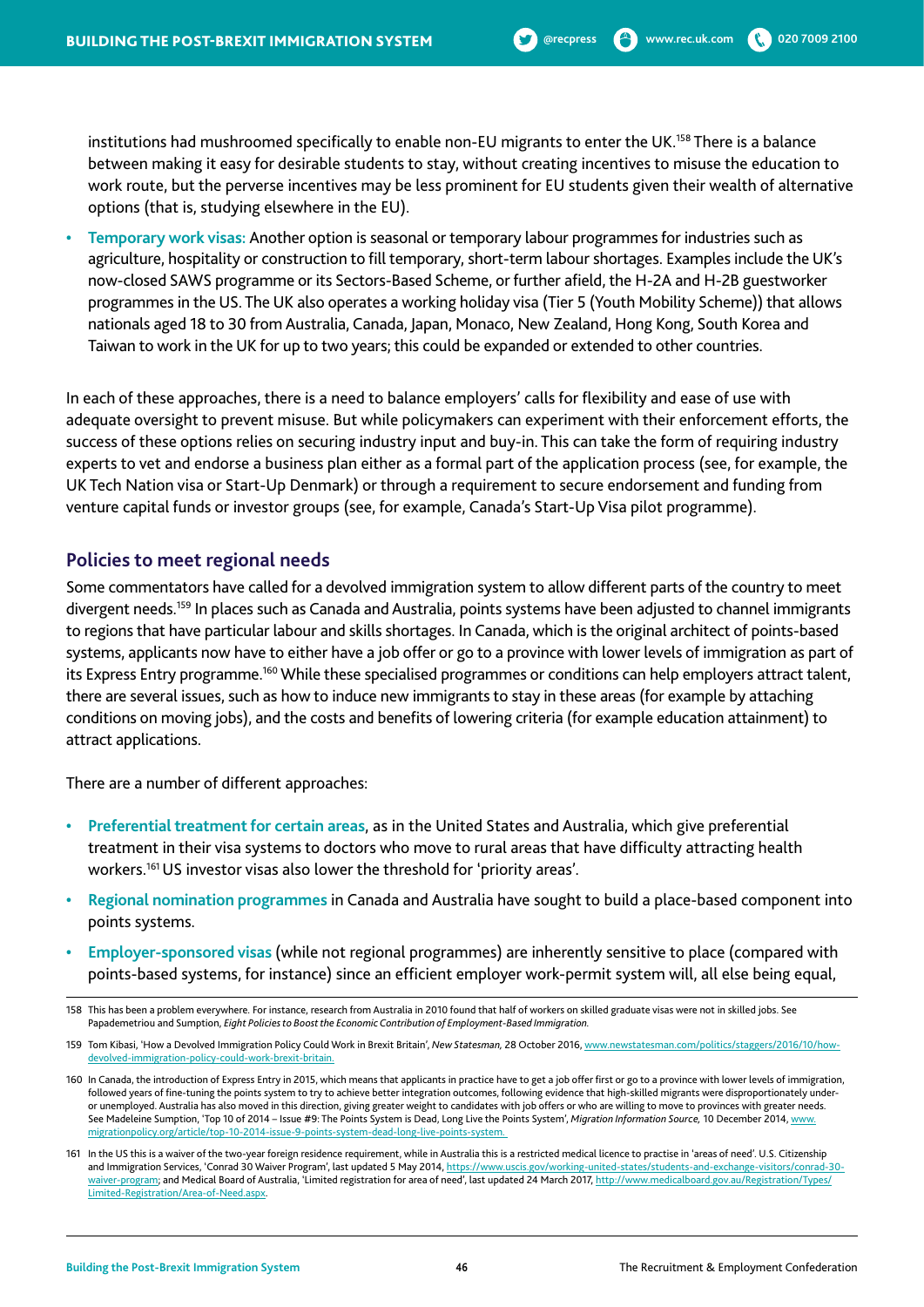institutions had mushroomed specifically to enable non-EU migrants to enter the UK.<sup>158</sup> There is a balance between making it easy for desirable students to stay, without creating incentives to misuse the education to work route, but the perverse incentives may be less prominent for EU students given their wealth of alternative options (that is, studying elsewhere in the EU).

**• Temporary work visas:** Another option is seasonal or temporary labour programmes for industries such as agriculture, hospitality or construction to fill temporary, short-term labour shortages. Examples include the UK's now-closed SAWS programme or its Sectors-Based Scheme, or further afield, the H-2A and H-2B guestworker programmes in the US. The UK also operates a working holiday visa (Tier 5 (Youth Mobility Scheme)) that allows nationals aged 18 to 30 from Australia, Canada, Japan, Monaco, New Zealand, Hong Kong, South Korea and Taiwan to work in the UK for up to two years; this could be expanded or extended to other countries.

In each of these approaches, there is a need to balance employers' calls for flexibility and ease of use with adequate oversight to prevent misuse. But while policymakers can experiment with their enforcement efforts, the success of these options relies on securing industry input and buy-in. This can take the form of requiring industry experts to vet and endorse a business plan either as a formal part of the application process (see, for example, the UK Tech Nation visa or Start-Up Denmark) or through a requirement to secure endorsement and funding from venture capital funds or investor groups (see, for example, Canada's Start-Up Visa pilot programme).

## **Policies to meet regional needs**

Some commentators have called for a devolved immigration system to allow different parts of the country to meet divergent needs.<sup>159</sup> In places such as Canada and Australia, points systems have been adjusted to channel immigrants to regions that have particular labour and skills shortages. In Canada, which is the original architect of points-based systems, applicants now have to either have a job offer or go to a province with lower levels of immigration as part of its Express Entry programme.<sup>160</sup> While these specialised programmes or conditions can help employers attract talent, there are several issues, such as how to induce new immigrants to stay in these areas (for example by attaching conditions on moving jobs), and the costs and benefits of lowering criteria (for example education attainment) to attract applications.

There are a number of different approaches:

- **• Preferential treatment for certain areas**, as in the United States and Australia, which give preferential treatment in their visa systems to doctors who move to rural areas that have difficulty attracting health workers.161 US investor visas also lower the threshold for 'priority areas'.
- **• Regional nomination programmes** in Canada and Australia have sought to build a place-based component into points systems.
- **• Employer-sponsored visas** (while not regional programmes) are inherently sensitive to place (compared with points-based systems, for instance) since an efficient employer work-permit system will, all else being equal,

161 In the US this is a waiver of the two-year foreign residence requirement, while in Australia this is a restricted medical licence to practise in 'areas of need'. U.S. Citizenship and Immigration Services, 'Conrad 30 Waiver Program', last updated 5 May 2014, https://www.uscis.gov/working-united-states/students-and-exchange-visitors/conrad-30waiver-program; and Medical Board of Australia, 'Limited registration for area of need', last updated 24 March 2017, http://www.medicalboard.gov.au/Registration/Types/ Limited-Registration/Area-of-Need.aspx.

<sup>158</sup> This has been a problem everywhere. For instance, research from Australia in 2010 found that half of workers on skilled graduate visas were not in skilled jobs. See Papademetriou and Sumption, *Eight Policies to Boost the Economic Contribution of Employment-Based Immigration.*

<sup>159</sup> Tom Kibasi, 'How a Devolved Immigration Policy Could Work in Brexit Britain', *New Statesman,* 28 October 2016, www.newstatesman.com/politics/staggers/2016/10/howdevolved-immigration-policy-could-work-brexit-britain.

<sup>160</sup> In Canada, the introduction of Express Entry in 2015, which means that applicants in practice have to get a job offer first or go to a province with lower levels of immigration, followed years of fine-tuning the points system to try to achieve better integration outcomes, following evidence that high-skilled migrants were disproportionately underor unemployed. Australia has also moved in this direction, giving greater weight to candidates with job offers or who are willing to move to provinces with greater needs. See Madeleine Sumption, 'Top 10 of 2014 – Issue #9: The Points System is Dead, Long Live the Points System', *Migration Information Source,* 10 December 2014, www. migrationpolicy.org/article/top-10-2014-issue-9-points-system-dead-long-live-points-system.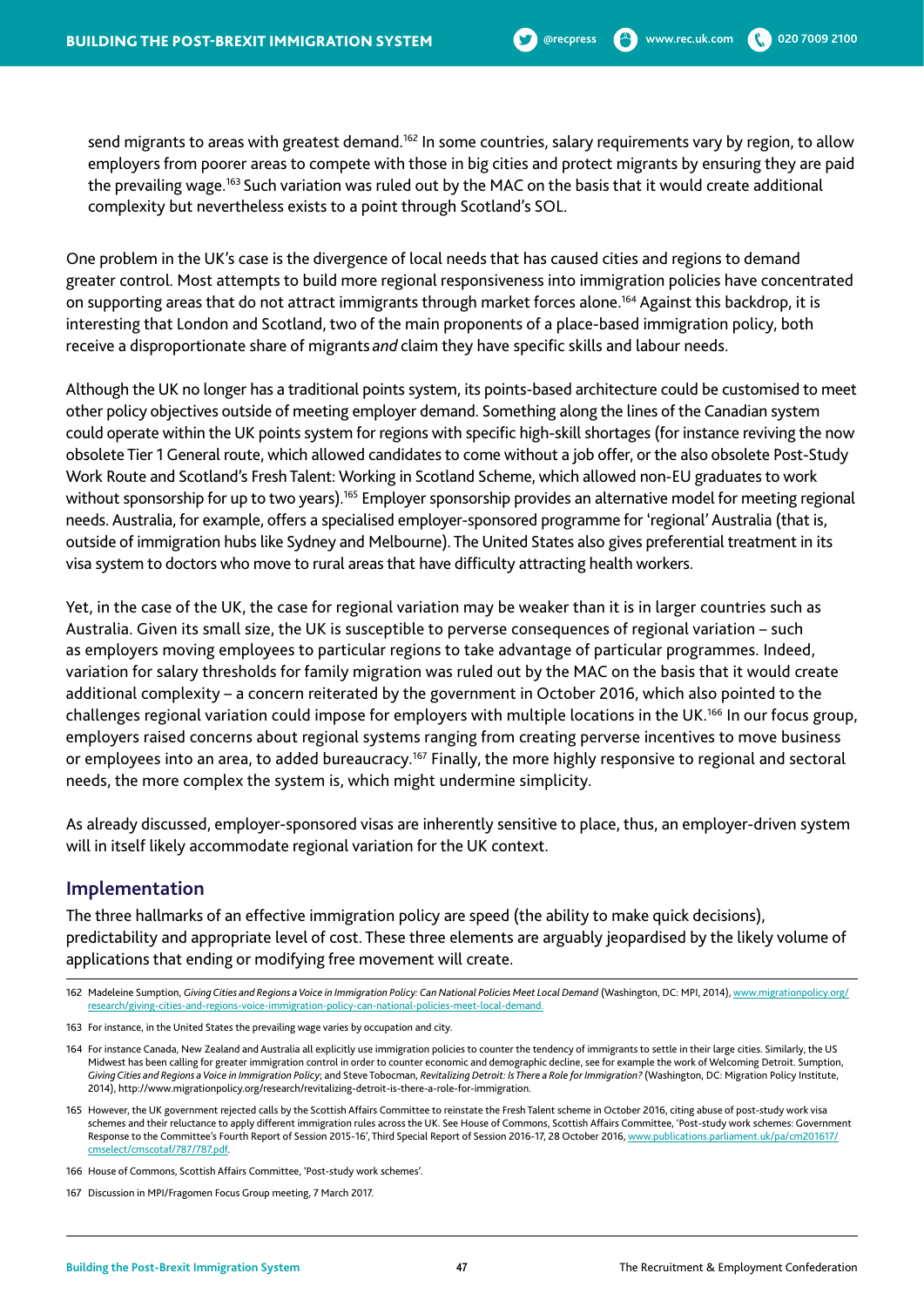send migrants to areas with greatest demand.<sup>162</sup> In some countries, salary requirements vary by region, to allow employers from poorer areas to compete with those in big cities and protect migrants by ensuring they are paid the prevailing wage.<sup>163</sup> Such variation was ruled out by the MAC on the basis that it would create additional complexity but nevertheless exists to a point through Scotland's SOL.

One problem in the UK's case is the divergence of local needs that has caused cities and regions to demand greater control. Most attempts to build more regional responsiveness into immigration policies have concentrated on supporting areas that do not attract immigrants through market forces alone.164 Against this backdrop, it is interesting that London and Scotland, two of the main proponents of a place-based immigration policy, both receive a disproportionate share of migrants *and* claim they have specific skills and labour needs.

Although the UK no longer has a traditional points system, its points-based architecture could be customised to meet other policy objectives outside of meeting employer demand. Something along the lines of the Canadian system could operate within the UK points system for regions with specific high-skill shortages (for instance reviving the now obsolete Tier 1 General route, which allowed candidates to come without a job offer, or the also obsolete Post-Study Work Route and Scotland's Fresh Talent: Working in Scotland Scheme, which allowed non-EU graduates to work without sponsorship for up to two years).<sup>165</sup> Employer sponsorship provides an alternative model for meeting regional needs. Australia, for example, offers a specialised employer-sponsored programme for 'regional' Australia (that is, outside of immigration hubs like Sydney and Melbourne). The United States also gives preferential treatment in its visa system to doctors who move to rural areas that have difficulty attracting health workers.

Yet, in the case of the UK, the case for regional variation may be weaker than it is in larger countries such as Australia. Given its small size, the UK is susceptible to perverse consequences of regional variation – such as employers moving employees to particular regions to take advantage of particular programmes. Indeed, variation for salary thresholds for family migration was ruled out by the MAC on the basis that it would create additional complexity – a concern reiterated by the government in October 2016, which also pointed to the challenges regional variation could impose for employers with multiple locations in the UK.<sup>166</sup> In our focus group, employers raised concerns about regional systems ranging from creating perverse incentives to move business or employees into an area, to added bureaucracy.<sup>167</sup> Finally, the more highly responsive to regional and sectoral needs, the more complex the system is, which might undermine simplicity.

As already discussed, employer-sponsored visas are inherently sensitive to place, thus, an employer-driven system will in itself likely accommodate regional variation for the UK context.

#### **Implementation**

The three hallmarks of an effective immigration policy are speed (the ability to make quick decisions), predictability and appropriate level of cost. These three elements are arguably jeopardised by the likely volume of applications that ending or modifying free movement will create.

165 However, the UK government rejected calls by the Scottish Affairs Committee to reinstate the Fresh Talent scheme in October 2016, citing abuse of post-study work visa schemes and their reluctance to apply different immigration rules across the UK. See House of Commons, Scottish Affairs Committee, 'Post-study work schemes: Government Response to the Committee's Fourth Report of Session 2015-16', Third Special Report of Session 2016-17, 28 October 2016, www.publications.parliament.uk/pa/cm201617/ cmselect/cmscotaf/787/787.pdf.

<sup>162</sup> Madeleine Sumption, *Giving Cities and Regions a Voice in Immigration Policy: Can National Policies Meet Local Demand (Washington, DC: MPI, 2014), www.migrationpolicy.org/* research/giving-cities-and-regions-voice-immigration-policy-can-national-policies-meet-local-demand.

<sup>163</sup> For instance, in the United States the prevailing wage varies by occupation and city.

<sup>164</sup> For instance Canada, New Zealand and Australia all explicitly use immigration policies to counter the tendency of immigrants to settle in their large cities. Similarly, the US Midwest has been calling for greater immigration control in order to counter economic and demographic decline, see for example the work of Welcoming Detroit. Sumption, *Giving Cities and Regions a Voice in Immigration Policy*; and Steve Tobocman, *Revitalizing Detroit: Is There a Role for Immigration?* (Washington, DC: Migration Policy Institute, 2014), http://www.migrationpolicy.org/research/revitalizing-detroit-is-there-a-role-for-immigration.

<sup>166</sup> House of Commons, Scottish Affairs Committee, 'Post-study work schemes'.

<sup>167</sup> Discussion in MPI/Fragomen Focus Group meeting, 7 March 2017.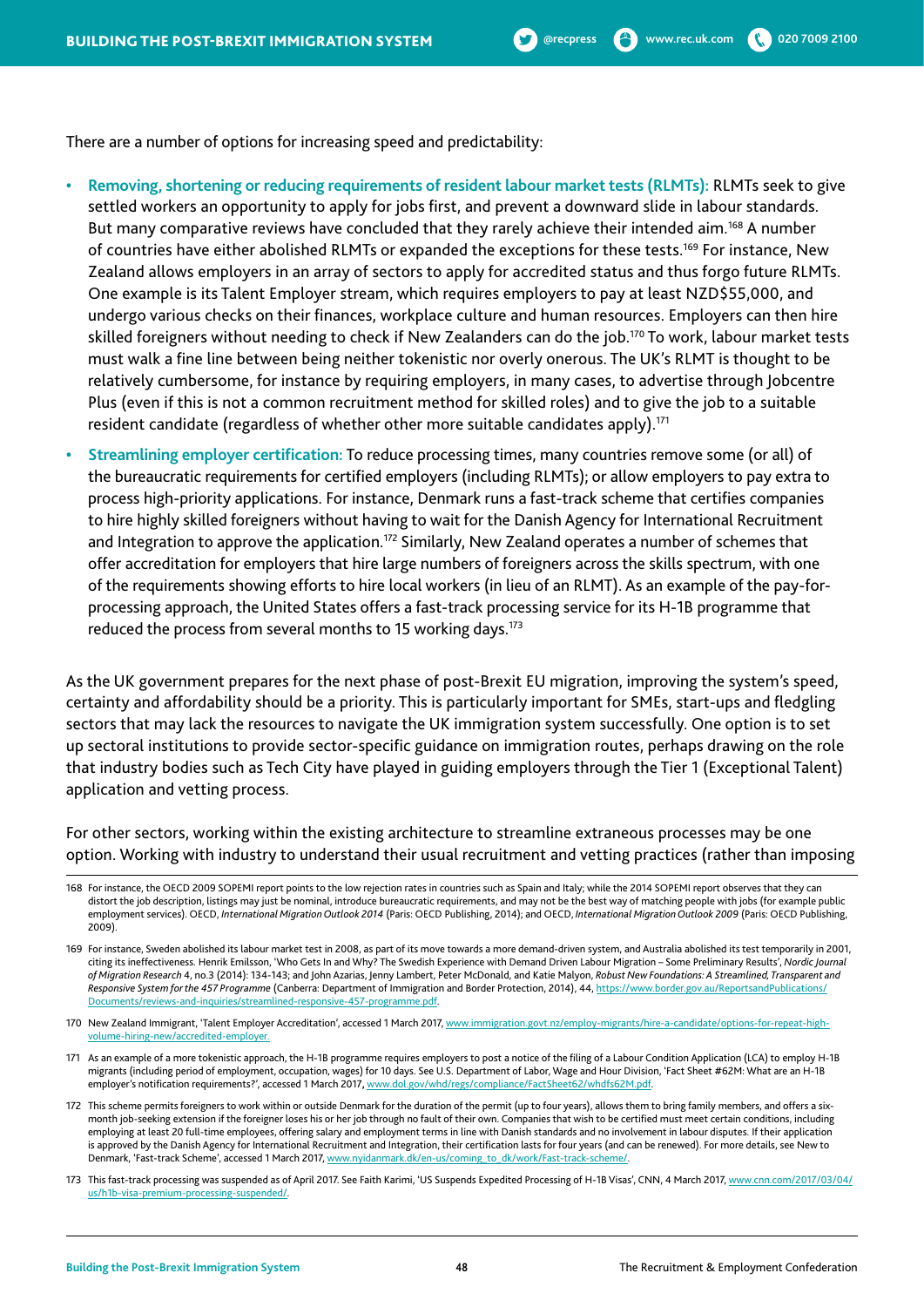There are a number of options for increasing speed and predictability:

- **• Removing, shortening or reducing requirements of resident labour market tests (RLMTs):** RLMTs seek to give settled workers an opportunity to apply for jobs first, and prevent a downward slide in labour standards. But many comparative reviews have concluded that they rarely achieve their intended aim.<sup>168</sup> A number of countries have either abolished RLMTs or expanded the exceptions for these tests.<sup>169</sup> For instance, New Zealand allows employers in an array of sectors to apply for accredited status and thus forgo future RLMTs. One example is its Talent Employer stream, which requires employers to pay at least NZD\$55,000, and undergo various checks on their finances, workplace culture and human resources. Employers can then hire skilled foreigners without needing to check if New Zealanders can do the job.<sup>170</sup> To work, labour market tests must walk a fine line between being neither tokenistic nor overly onerous. The UK's RLMT is thought to be relatively cumbersome, for instance by requiring employers, in many cases, to advertise through Jobcentre Plus (even if this is not a common recruitment method for skilled roles) and to give the job to a suitable resident candidate (regardless of whether other more suitable candidates apply).171
- **• Streamlining employer certification:** To reduce processing times, many countries remove some (or all) of the bureaucratic requirements for certified employers (including RLMTs); or allow employers to pay extra to process high-priority applications. For instance, Denmark runs a fast-track scheme that certifies companies to hire highly skilled foreigners without having to wait for the Danish Agency for International Recruitment and Integration to approve the application.<sup>172</sup> Similarly, New Zealand operates a number of schemes that offer accreditation for employers that hire large numbers of foreigners across the skills spectrum, with one of the requirements showing efforts to hire local workers (in lieu of an RLMT). As an example of the pay-forprocessing approach, the United States offers a fast-track processing service for its H-1B programme that reduced the process from several months to 15 working days.<sup>173</sup>

As the UK government prepares for the next phase of post-Brexit EU migration, improving the system's speed, certainty and affordability should be a priority. This is particularly important for SMEs, start-ups and fledgling sectors that may lack the resources to navigate the UK immigration system successfully. One option is to set up sectoral institutions to provide sector-specific guidance on immigration routes, perhaps drawing on the role that industry bodies such as Tech City have played in guiding employers through the Tier 1 (Exceptional Talent) application and vetting process.

For other sectors, working within the existing architecture to streamline extraneous processes may be one option. Working with industry to understand their usual recruitment and vetting practices (rather than imposing

170 New Zealand Immigrant, 'Talent Employer Accreditation', accessed 1 March 2017, www.immigration.govt.nz/employ-migrants/hire-a-candidate/options-for-repeat-highvolume-hiring-new/accredited-employer.

- 171 As an example of a more tokenistic approach, the H-1B programme requires employers to post a notice of the filing of a Labour Condition Application (LCA) to employ H-1B migrants (including period of employment, occupation, wages) for 10 days. See U.S. Department of Labor, Wage and Hour Division, 'Fact Sheet #62M: What are an H-1B employer's notification requirements?', accessed 1 March 2017**,** www.dol.gov/whd/regs/compliance/FactSheet62/whdfs62M.pdf.
- 172 This scheme permits foreigners to work within or outside Denmark for the duration of the permit (up to four years), allows them to bring family members, and offers a sixmonth job-seeking extension if the foreigner loses his or her job through no fault of their own. Companies that wish to be certified must meet certain conditions, including employing at least 20 full-time employees, offering salary and employment terms in line with Danish standards and no involvement in labour disputes. If their application is approved by the Danish Agency for International Recruitment and Integration, their certification lasts for four years (and can be renewed). For more details, see New to Denmark, 'Fast-track Scheme', accessed 1 March 2017, www.nyidanmark.dk/en-us/coming\_to\_dk/work/Fast-track-scheme/.
- 173 This fast-track processing was suspended as of April 2017. See Faith Karimi, 'US Suspends Expedited Processing of H-1B Visas', CNN, 4 March 2017, www.cnn.com/2017/03/04/ us/h1b-visa-premium-processing-suspended/.

<sup>168</sup> For instance, the OECD 2009 SOPEMI report points to the low rejection rates in countries such as Spain and Italy; while the 2014 SOPEMI report observes that they can distort the job description, listings may just be nominal, introduce bureaucratic requirements, and may not be the best way of matching people with jobs (for example public employment services). OECD, *International Migration Outlook 2014* (Paris: OECD Publishing, 2014); and OECD, *International Migration Outlook 2009* (Paris: OECD Publishing, 2009).

<sup>169</sup> For instance, Sweden abolished its labour market test in 2008, as part of its move towards a more demand-driven system, and Australia abolished its test temporarily in 2001, citing its ineffectiveness. Henrik Emilsson, 'Who Gets In and Why? The Swedish Experience with Demand Driven Labour Migration – Some Preliminary Results', *Nordic Journal of Migration Research* 4, no.3 (2014): 134-143; and John Azarias, Jenny Lambert, Peter McDonald, and Katie Malyon, *Robust New Foundations: A Streamlined, Transparent and Responsive System for the 457 Programme* (Canberra: Department of Immigration and Border Protection, 2014), 44, https://www.border.gov.au/ReportsandPublications/ Documents/reviews-and-inquiries/streamlined-responsive-457-programme.pdf.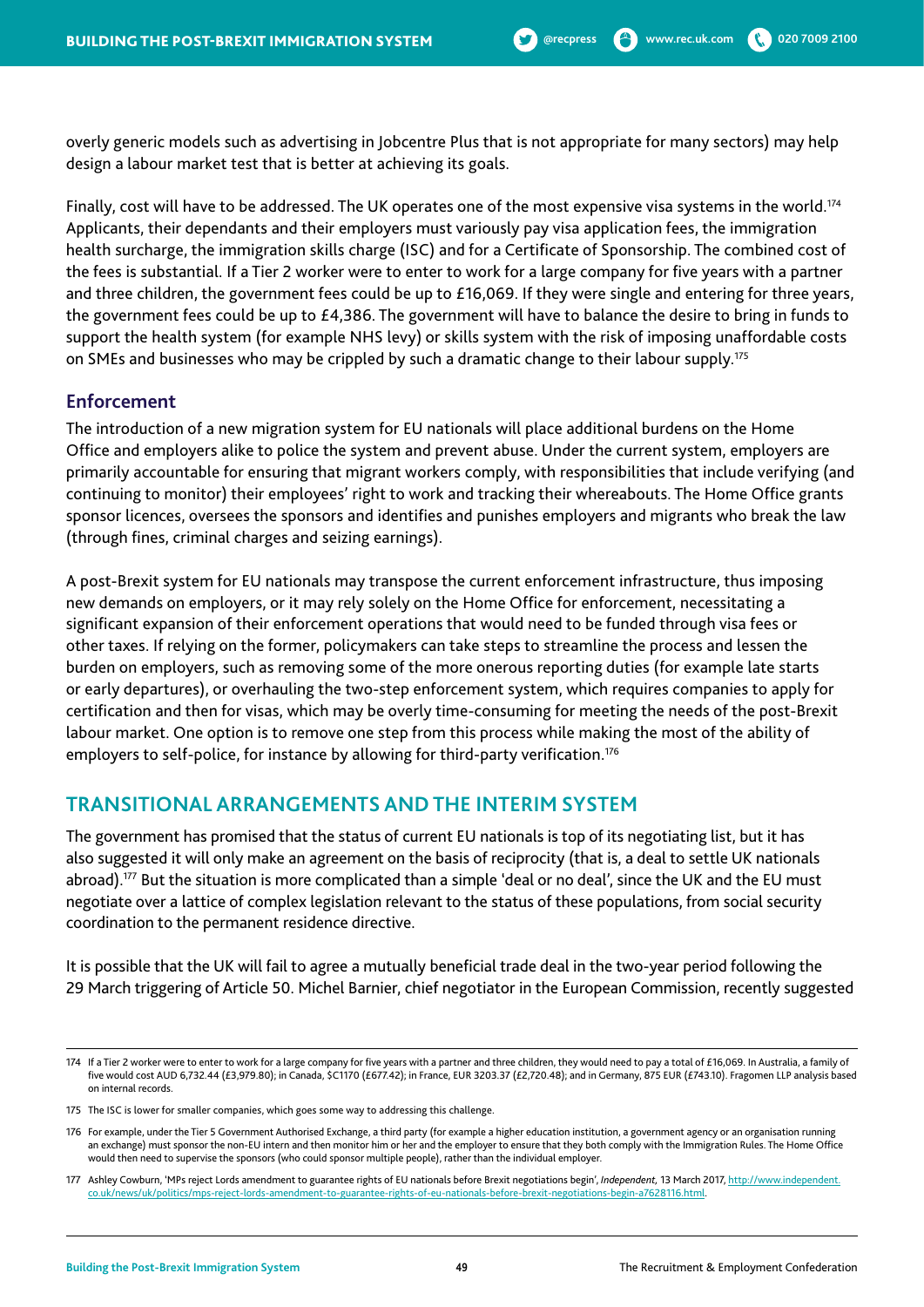Finally, cost will have to be addressed. The UK operates one of the most expensive visa systems in the world.174 Applicants, their dependants and their employers must variously pay visa application fees, the immigration health surcharge, the immigration skills charge (ISC) and for a Certificate of Sponsorship. The combined cost of the fees is substantial. If a Tier 2 worker were to enter to work for a large company for five years with a partner and three children, the government fees could be up to £16,069. If they were single and entering for three years, the government fees could be up to £4,386. The government will have to balance the desire to bring in funds to support the health system (for example NHS levy) or skills system with the risk of imposing unaffordable costs on SMEs and businesses who may be crippled by such a dramatic change to their labour supply.175

## **Enforcement**

The introduction of a new migration system for EU nationals will place additional burdens on the Home Office and employers alike to police the system and prevent abuse. Under the current system, employers are primarily accountable for ensuring that migrant workers comply, with responsibilities that include verifying (and continuing to monitor) their employees' right to work and tracking their whereabouts. The Home Office grants sponsor licences, oversees the sponsors and identifies and punishes employers and migrants who break the law (through fines, criminal charges and seizing earnings).

A post-Brexit system for EU nationals may transpose the current enforcement infrastructure, thus imposing new demands on employers, or it may rely solely on the Home Office for enforcement, necessitating a significant expansion of their enforcement operations that would need to be funded through visa fees or other taxes. If relying on the former, policymakers can take steps to streamline the process and lessen the burden on employers, such as removing some of the more onerous reporting duties (for example late starts or early departures), or overhauling the two-step enforcement system, which requires companies to apply for certification and then for visas, which may be overly time-consuming for meeting the needs of the post-Brexit labour market. One option is to remove one step from this process while making the most of the ability of employers to self-police, for instance by allowing for third-party verification.<sup>176</sup>

# **TRANSITIONAL ARRANGEMENTS AND THE INTERIM SYSTEM**

The government has promised that the status of current EU nationals is top of its negotiating list, but it has also suggested it will only make an agreement on the basis of reciprocity (that is, a deal to settle UK nationals abroad).177 But the situation is more complicated than a simple 'deal or no deal', since the UK and the EU must negotiate over a lattice of complex legislation relevant to the status of these populations, from social security coordination to the permanent residence directive.

It is possible that the UK will fail to agree a mutually beneficial trade deal in the two-year period following the 29 March triggering of Article 50. Michel Barnier, chief negotiator in the European Commission, recently suggested

<sup>174</sup> If a Tier 2 worker were to enter to work for a large company for five years with a partner and three children, they would need to pay a total of £16,069. In Australia, a family of five would cost AUD 6,732.44 (£3,979.80); in Canada, \$C1170 (£677.42); in France, EUR 3203.37 (£2,720.48); and in Germany, 875 EUR (£743.10). Fragomen LLP analysis based on internal records.

<sup>175</sup> The ISC is lower for smaller companies, which goes some way to addressing this challenge.

<sup>176</sup> For example, under the Tier 5 Government Authorised Exchange, a third party (for example a higher education institution, a government agency or an organisation running an exchange) must sponsor the non-EU intern and then monitor him or her and the employer to ensure that they both comply with the Immigration Rules. The Home Office would then need to supervise the sponsors (who could sponsor multiple people), rather than the individual employer.

<sup>177</sup> Ashley Cowburn, 'MPs reject Lords amendment to guarantee rights of EU nationals before Brexit negotiations begin', *Independent,* 13 March 2017, http://www.independent. co.uk/news/uk/politics/mps-reject-lords-amendment-to-guarantee-rights-of-eu-nationals-before-brexit-negotiations-begin-a7628116.html.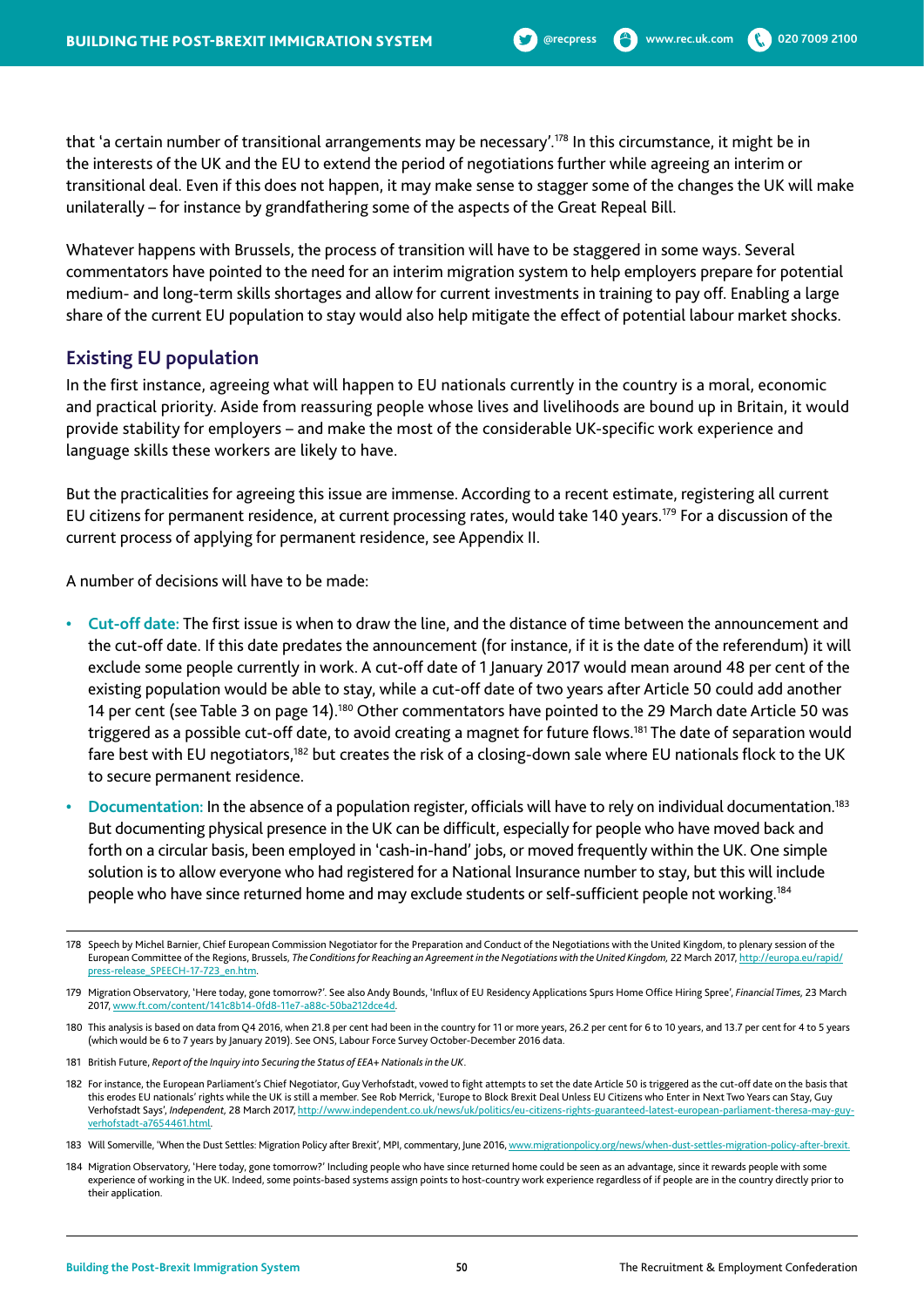that 'a certain number of transitional arrangements may be necessary'.178 In this circumstance, it might be in the interests of the UK and the EU to extend the period of negotiations further while agreeing an interim or transitional deal. Even if this does not happen, it may make sense to stagger some of the changes the UK will make unilaterally – for instance by grandfathering some of the aspects of the Great Repeal Bill.

Whatever happens with Brussels, the process of transition will have to be staggered in some ways. Several commentators have pointed to the need for an interim migration system to help employers prepare for potential medium- and long-term skills shortages and allow for current investments in training to pay off. Enabling a large share of the current EU population to stay would also help mitigate the effect of potential labour market shocks.

## **Existing EU population**

In the first instance, agreeing what will happen to EU nationals currently in the country is a moral, economic and practical priority. Aside from reassuring people whose lives and livelihoods are bound up in Britain, it would provide stability for employers – and make the most of the considerable UK-specific work experience and language skills these workers are likely to have.

But the practicalities for agreeing this issue are immense. According to a recent estimate, registering all current EU citizens for permanent residence, at current processing rates, would take 140 years.179 For a discussion of the current process of applying for permanent residence, see Appendix II.

A number of decisions will have to be made:

- **• Cut-off date:** The first issue is when to draw the line, and the distance of time between the announcement and the cut-off date. If this date predates the announcement (for instance, if it is the date of the referendum) it will exclude some people currently in work. A cut-off date of 1 January 2017 would mean around 48 per cent of the existing population would be able to stay, while a cut-off date of two years after Article 50 could add another 14 per cent (see Table 3 on page 14).<sup>180</sup> Other commentators have pointed to the 29 March date Article 50 was triggered as a possible cut-off date, to avoid creating a magnet for future flows.<sup>181</sup> The date of separation would fare best with EU negotiators,182 but creates the risk of a closing-down sale where EU nationals flock to the UK to secure permanent residence.
- **• Documentation:** In the absence of a population register, officials will have to rely on individual documentation.183 But documenting physical presence in the UK can be difficult, especially for people who have moved back and forth on a circular basis, been employed in 'cash-in-hand' jobs, or moved frequently within the UK. One simple solution is to allow everyone who had registered for a National Insurance number to stay, but this will include people who have since returned home and may exclude students or self-sufficient people not working.184

<sup>178</sup> Speech by Michel Barnier, Chief European Commission Negotiator for the Preparation and Conduct of the Negotiations with the United Kingdom, to plenary session of the European Committee of the Regions, Brussels, *The Conditions for Reaching an Agreement in the Negotiations with the United Kingdom,* 22 March 2017, http://europa.eu/rapid/ press-release\_SPEECH-17-723\_en.htm.

<sup>179</sup> Migration Observatory, 'Here today, gone tomorrow?'. See also Andy Bounds, 'Influx of EU Residency Applications Spurs Home Office Hiring Spree', *Financial Times,* 23 March 2017, www.ft.com/content/141c8b14-0fd8-11e7-a88c-50ba212dce4d.

<sup>180</sup> This analysis is based on data from Q4 2016, when 21.8 per cent had been in the country for 11 or more years, 26.2 per cent for 6 to 10 years, and 13.7 per cent for 4 to 5 years (which would be 6 to 7 years by January 2019). See ONS, Labour Force Survey October-December 2016 data.

<sup>181</sup> British Future, *Report of the Inquiry into Securing the Status of EEA+ Nationals in the UK*.

<sup>182</sup> For instance, the European Parliament's Chief Negotiator, Guy Verhofstadt, vowed to fight attempts to set the date Article 50 is triggered as the cut-off date on the basis that this erodes EU nationals' rights while the UK is still a member. See Rob Merrick, 'Europe to Block Brexit Deal Unless EU Citizens who Enter in Next Two Years can Stay, Guy Verhofstadt Says', *Independent,* 28 March 2017, http://www.independent.co.uk/news/uk/politics/eu-citizens-rights-guaranteed-latest-european-parliament-theresa-may-guyverhofstadt-a7654461.html.

<sup>183</sup> Will Somerville, 'When the Dust Settles: Migration Policy after Brexit', MPI, commentary, June 2016, www.migrationpolicy.org/news/when-dust-settles-migration-policy-after-brexit.

<sup>184</sup> Migration Observatory, 'Here today, gone tomorrow?' Including people who have since returned home could be seen as an advantage, since it rewards people with some experience of working in the UK. Indeed, some points-based systems assign points to host-country work experience regardless of if people are in the country directly prior to their application.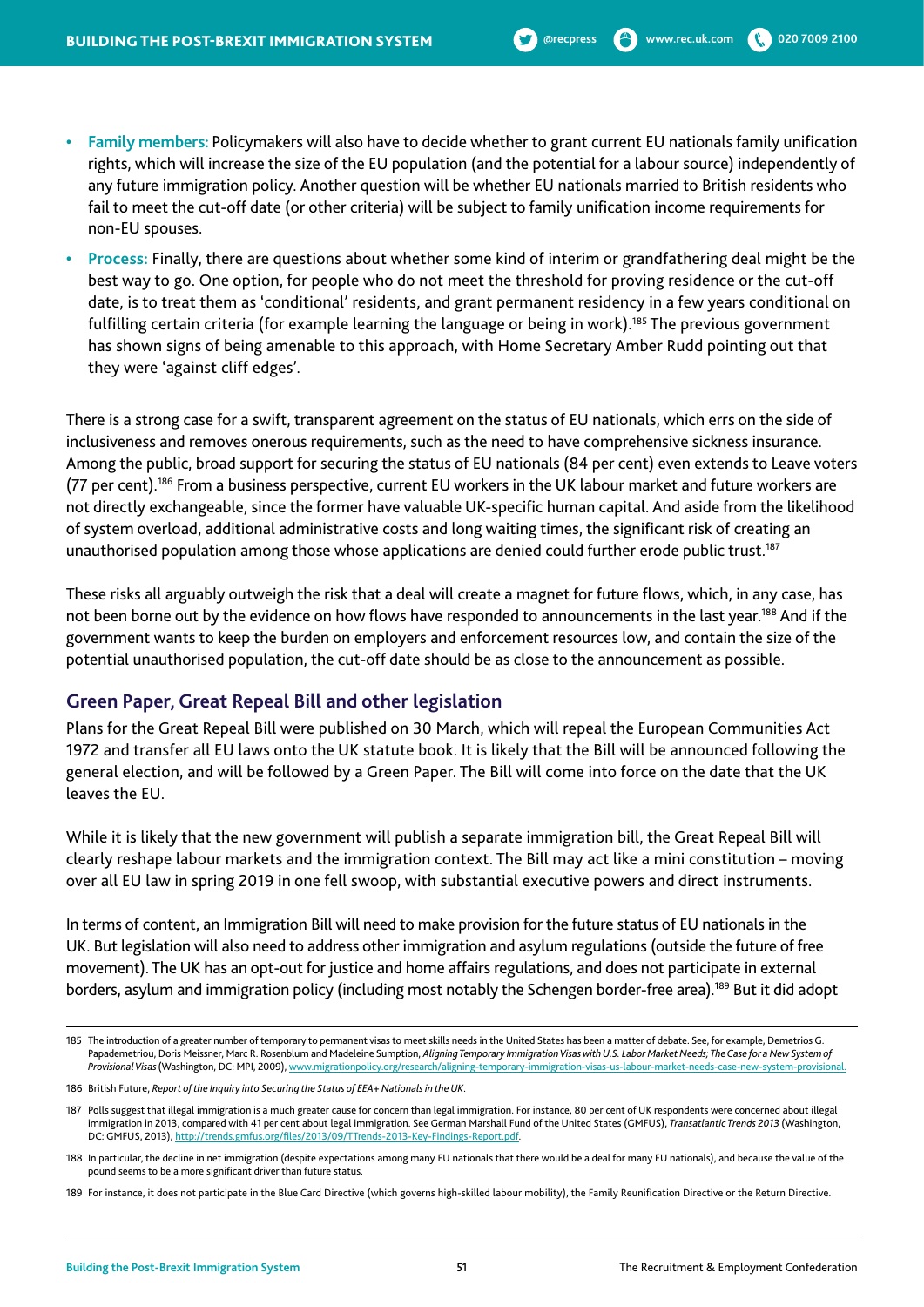- **• Family members:** Policymakers will also have to decide whether to grant current EU nationals family unification rights, which will increase the size of the EU population (and the potential for a labour source) independently of any future immigration policy. Another question will be whether EU nationals married to British residents who fail to meet the cut-off date (or other criteria) will be subject to family unification income requirements for non-EU spouses.
- **• Process:** Finally, there are questions about whether some kind of interim or grandfathering deal might be the best way to go. One option, for people who do not meet the threshold for proving residence or the cut-off date, is to treat them as 'conditional' residents, and grant permanent residency in a few years conditional on fulfilling certain criteria (for example learning the language or being in work).<sup>185</sup> The previous government has shown signs of being amenable to this approach, with Home Secretary Amber Rudd pointing out that they were 'against cliff edges'.

There is a strong case for a swift, transparent agreement on the status of EU nationals, which errs on the side of inclusiveness and removes onerous requirements, such as the need to have comprehensive sickness insurance. Among the public, broad support for securing the status of EU nationals (84 per cent) even extends to Leave voters (77 per cent).186 From a business perspective, current EU workers in the UK labour market and future workers are not directly exchangeable, since the former have valuable UK-specific human capital. And aside from the likelihood of system overload, additional administrative costs and long waiting times, the significant risk of creating an unauthorised population among those whose applications are denied could further erode public trust.<sup>187</sup>

These risks all arguably outweigh the risk that a deal will create a magnet for future flows, which, in any case, has not been borne out by the evidence on how flows have responded to announcements in the last year.<sup>188</sup> And if the government wants to keep the burden on employers and enforcement resources low, and contain the size of the potential unauthorised population, the cut-off date should be as close to the announcement as possible.

## **Green Paper, Great Repeal Bill and other legislation**

Plans for the Great Repeal Bill were published on 30 March, which will repeal the European Communities Act 1972 and transfer all EU laws onto the UK statute book. It is likely that the Bill will be announced following the general election, and will be followed by a Green Paper. The Bill will come into force on the date that the UK leaves the EU.

While it is likely that the new government will publish a separate immigration bill, the Great Repeal Bill will clearly reshape labour markets and the immigration context. The Bill may act like a mini constitution – moving over all EU law in spring 2019 in one fell swoop, with substantial executive powers and direct instruments.

In terms of content, an Immigration Bill will need to make provision for the future status of EU nationals in the UK. But legislation will also need to address other immigration and asylum regulations (outside the future of free movement). The UK has an opt-out for justice and home affairs regulations, and does not participate in external borders, asylum and immigration policy (including most notably the Schengen border-free area).189 But it did adopt

<sup>185</sup> The introduction of a greater number of temporary to permanent visas to meet skills needs in the United States has been a matter of debate. See, for example, Demetrios G. Papademetriou, Doris Meissner, Marc R. Rosenblum and Madeleine Sumption, *Aligning Temporary Immigration Visas with U.S. Labor Market Needs; The Case for a New System of Provisional Visas* (Washington, DC: MPI, 2009), www.migrationpolicy.org/research/aligning-temporary-immigration-visas-us-labour-market-needs-case-new-system-provisional.

<sup>186</sup> British Future, *Report of the Inquiry into Securing the Status of EEA+ Nationals in the UK.*

<sup>187</sup> Polls suggest that illegal immigration is a much greater cause for concern than legal immigration. For instance, 80 per cent of UK respondents were concerned about illegal immigration in 2013, compared with 41 per cent about legal immigration. See German Marshall Fund of the United States (GMFUS), *Transatlantic Trends 2013* (Washington, DC: GMFUS, 2013), http://trends.gmfus.org/files/2013/09/TTrends-2013-Key-Findings-Report.pdf.

<sup>188</sup> In particular, the decline in net immigration (despite expectations among many EU nationals that there would be a deal for many EU nationals), and because the value of the pound seems to be a more significant driver than future status.

<sup>189</sup> For instance, it does not participate in the Blue Card Directive (which governs high-skilled labour mobility), the Family Reunification Directive or the Return Directive.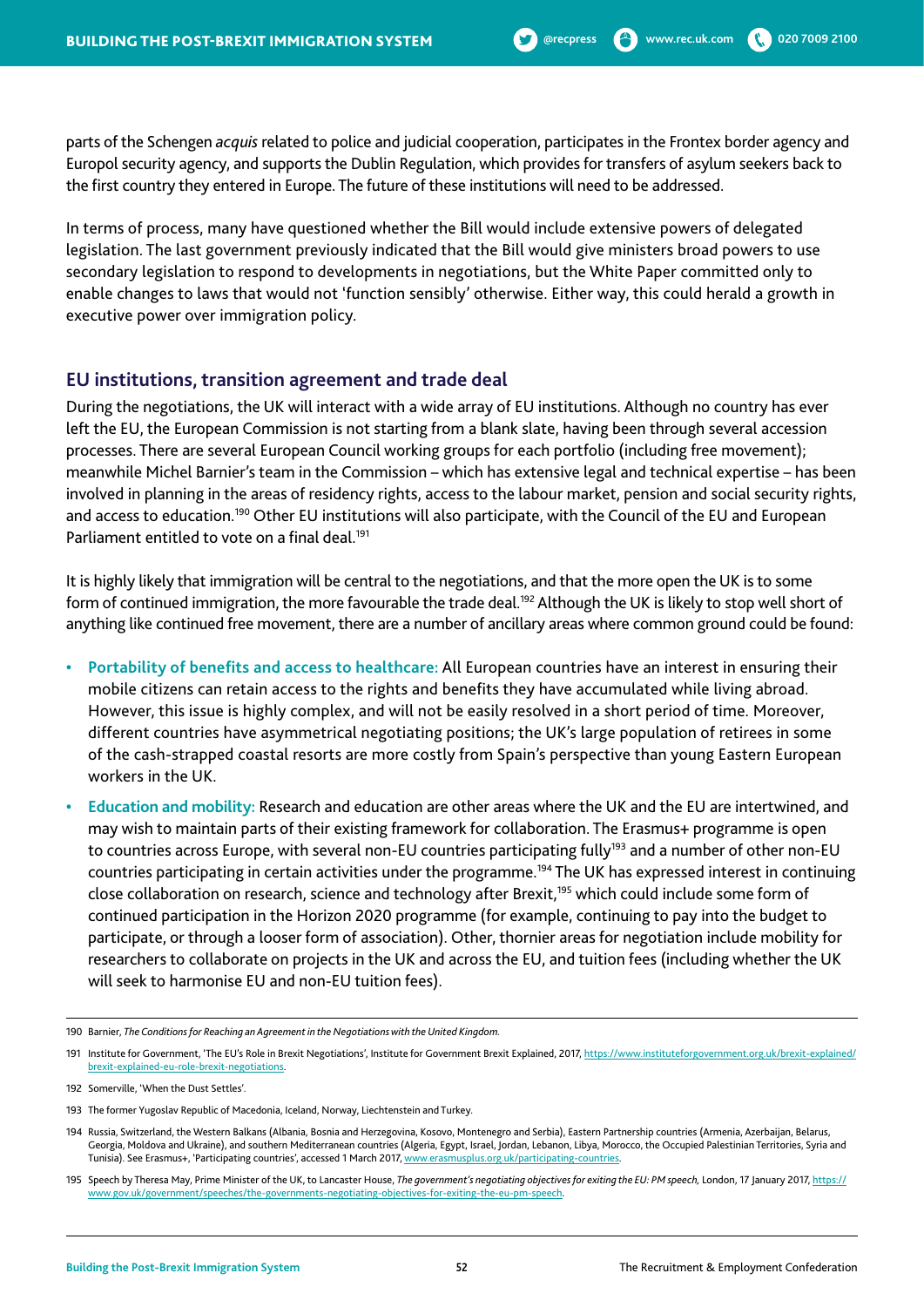parts of the Schengen *acquis* related to police and judicial cooperation, participates in the Frontex border agency and Europol security agency, and supports the Dublin Regulation, which provides for transfers of asylum seekers back to the first country they entered in Europe. The future of these institutions will need to be addressed.

In terms of process, many have questioned whether the Bill would include extensive powers of delegated legislation. The last government previously indicated that the Bill would give ministers broad powers to use secondary legislation to respond to developments in negotiations, but the White Paper committed only to enable changes to laws that would not 'function sensibly' otherwise. Either way, this could herald a growth in executive power over immigration policy.

### **EU institutions, transition agreement and trade deal**

During the negotiations, the UK will interact with a wide array of EU institutions. Although no country has ever left the EU, the European Commission is not starting from a blank slate, having been through several accession processes. There are several European Council working groups for each portfolio (including free movement); meanwhile Michel Barnier's team in the Commission – which has extensive legal and technical expertise – has been involved in planning in the areas of residency rights, access to the labour market, pension and social security rights, and access to education.<sup>190</sup> Other EU institutions will also participate, with the Council of the EU and European Parliament entitled to vote on a final deal.<sup>191</sup>

It is highly likely that immigration will be central to the negotiations, and that the more open the UK is to some form of continued immigration, the more favourable the trade deal.<sup>192</sup> Although the UK is likely to stop well short of anything like continued free movement, there are a number of ancillary areas where common ground could be found:

- **• Portability of benefits and access to healthcare:** All European countries have an interest in ensuring their mobile citizens can retain access to the rights and benefits they have accumulated while living abroad. However, this issue is highly complex, and will not be easily resolved in a short period of time. Moreover, different countries have asymmetrical negotiating positions; the UK's large population of retirees in some of the cash-strapped coastal resorts are more costly from Spain's perspective than young Eastern European workers in the UK.
- **• Education and mobility:** Research and education are other areas where the UK and the EU are intertwined, and may wish to maintain parts of their existing framework for collaboration. The Erasmus+ programme is open to countries across Europe, with several non-EU countries participating fully<sup>193</sup> and a number of other non-EU countries participating in certain activities under the programme.<sup>194</sup> The UK has expressed interest in continuing close collaboration on research, science and technology after Brexit,195 which could include some form of continued participation in the Horizon 2020 programme (for example, continuing to pay into the budget to participate, or through a looser form of association). Other, thornier areas for negotiation include mobility for researchers to collaborate on projects in the UK and across the EU, and tuition fees (including whether the UK will seek to harmonise EU and non-EU tuition fees).

<sup>190</sup> Barnier, *The Conditions for Reaching an Agreement in the Negotiations with the United Kingdom.*

<sup>191</sup> Institute for Government, 'The EU's Role in Brexit Negotiations', Institute for Government Brexit Explained, 2017, https://www.instituteforgovernment.org.uk/brexit-explained/ brexit-explained-eu-role-brexit-negotiations.

<sup>192</sup> Somerville, 'When the Dust Settles'.

<sup>193</sup> The former Yugoslav Republic of Macedonia, Iceland, Norway, Liechtenstein and Turkey.

<sup>194</sup> Russia, Switzerland, the Western Balkans (Albania, Bosnia and Herzegovina, Kosovo, Montenegro and Serbia), Eastern Partnership countries (Armenia, Azerbaijan, Belarus, Georgia, Moldova and Ukraine), and southern Mediterranean countries (Algeria, Egypt, Israel, Jordan, Lebanon, Libya, Morocco, the Occupied Palestinian Territories, Syria and Tunisia). See Erasmus+, 'Participating countries', accessed 1 March 2017, www.erasmusplus.org.uk/participating-countries

<sup>195</sup> Speech by Theresa May, Prime Minister of the UK, to Lancaster House, *The government's negotiating objectives for exiting the EU: PM speech,* London, 17 January 2017, https:// www.gov.uk/government/speeches/the-governments-negotiating-objectives-for-exiting-the-eu-pm-speech.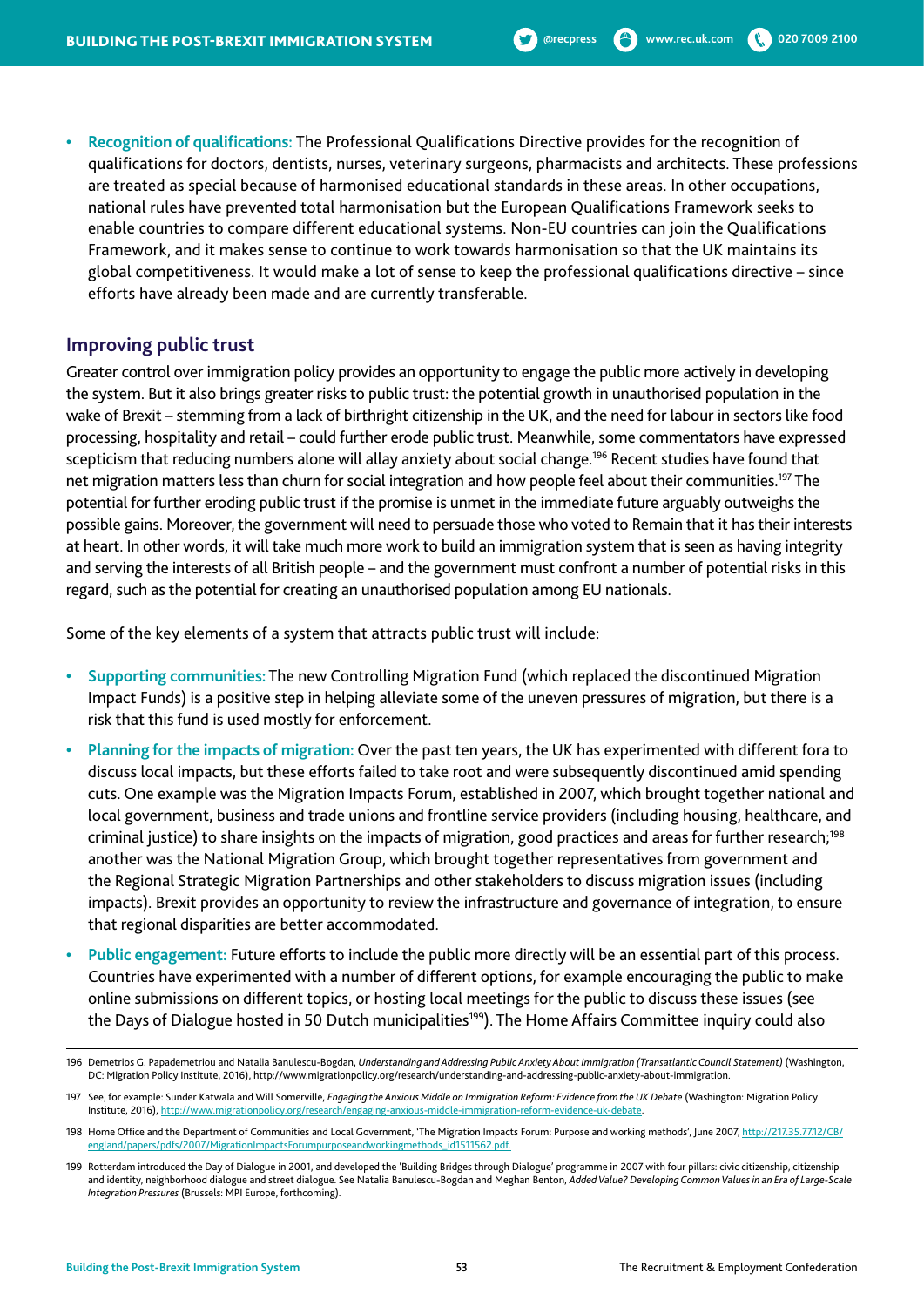**• Recognition of qualifications:** The Professional Qualifications Directive provides for the recognition of qualifications for doctors, dentists, nurses, veterinary surgeons, pharmacists and architects. These professions are treated as special because of harmonised educational standards in these areas. In other occupations, national rules have prevented total harmonisation but the European Qualifications Framework seeks to enable countries to compare different educational systems. Non-EU countries can join the Qualifications Framework, and it makes sense to continue to work towards harmonisation so that the UK maintains its global competitiveness. It would make a lot of sense to keep the professional qualifications directive – since efforts have already been made and are currently transferable.

## **Improving public trust**

Greater control over immigration policy provides an opportunity to engage the public more actively in developing the system. But it also brings greater risks to public trust: the potential growth in unauthorised population in the wake of Brexit – stemming from a lack of birthright citizenship in the UK, and the need for labour in sectors like food processing, hospitality and retail – could further erode public trust. Meanwhile, some commentators have expressed scepticism that reducing numbers alone will allay anxiety about social change.196 Recent studies have found that net migration matters less than churn for social integration and how people feel about their communities.197 The potential for further eroding public trust if the promise is unmet in the immediate future arguably outweighs the possible gains. Moreover, the government will need to persuade those who voted to Remain that it has their interests at heart. In other words, it will take much more work to build an immigration system that is seen as having integrity and serving the interests of all British people – and the government must confront a number of potential risks in this regard, such as the potential for creating an unauthorised population among EU nationals.

Some of the key elements of a system that attracts public trust will include:

- **• Supporting communities:** The new Controlling Migration Fund (which replaced the discontinued Migration Impact Funds) is a positive step in helping alleviate some of the uneven pressures of migration, but there is a risk that this fund is used mostly for enforcement.
- **• Planning for the impacts of migration:** Over the past ten years, the UK has experimented with different fora to discuss local impacts, but these efforts failed to take root and were subsequently discontinued amid spending cuts. One example was the Migration Impacts Forum, established in 2007, which brought together national and local government, business and trade unions and frontline service providers (including housing, healthcare, and criminal justice) to share insights on the impacts of migration, good practices and areas for further research;<sup>198</sup> another was the National Migration Group, which brought together representatives from government and the Regional Strategic Migration Partnerships and other stakeholders to discuss migration issues (including impacts). Brexit provides an opportunity to review the infrastructure and governance of integration, to ensure that regional disparities are better accommodated.
- **• Public engagement:** Future efforts to include the public more directly will be an essential part of this process. Countries have experimented with a number of different options, for example encouraging the public to make online submissions on different topics, or hosting local meetings for the public to discuss these issues (see the Days of Dialogue hosted in 50 Dutch municipalities<sup>199</sup>). The Home Affairs Committee inquiry could also

<sup>196</sup> Demetrios G. Papademetriou and Natalia Banulescu-Bogdan, *Understanding and Addressing Public Anxiety About Immigration (Transatlantic Council Statement)* (Washington, DC: Migration Policy Institute, 2016), http://www.migrationpolicy.org/research/understanding-and-addressing-public-anxiety-about-immigration.

<sup>197</sup> See, for example: Sunder Katwala and Will Somerville, *Engaging the Anxious Middle on Immigration Reform: Evidence from the UK Debate* (Washington: Migration Policy Institute, 2016), http://www.migrationpolicy.org/research/engaging-anxious-middle-immigration-reform-evidence-uk-debate.

<sup>198</sup> Home Office and the Department of Communities and Local Government, 'The Migration Impacts Forum: Purpose and working methods', June 2007, http://217.35.77.12/CB/ england/papers/pdfs/2007/MigrationImpactsForumpurposeandworkingmethods\_id1511562.pdf.

<sup>199</sup> Rotterdam introduced the Day of Dialogue in 2001, and developed the 'Building Bridges through Dialogue' programme in 2007 with four pillars: civic citizenship, citizenship and identity, neighborhood dialogue and street dialogue. See Natalia Banulescu-Bogdan and Meghan Benton, *Added Value? Developing Common Values in an Era of Large-Scale Integration Pressures* (Brussels: MPI Europe, forthcoming).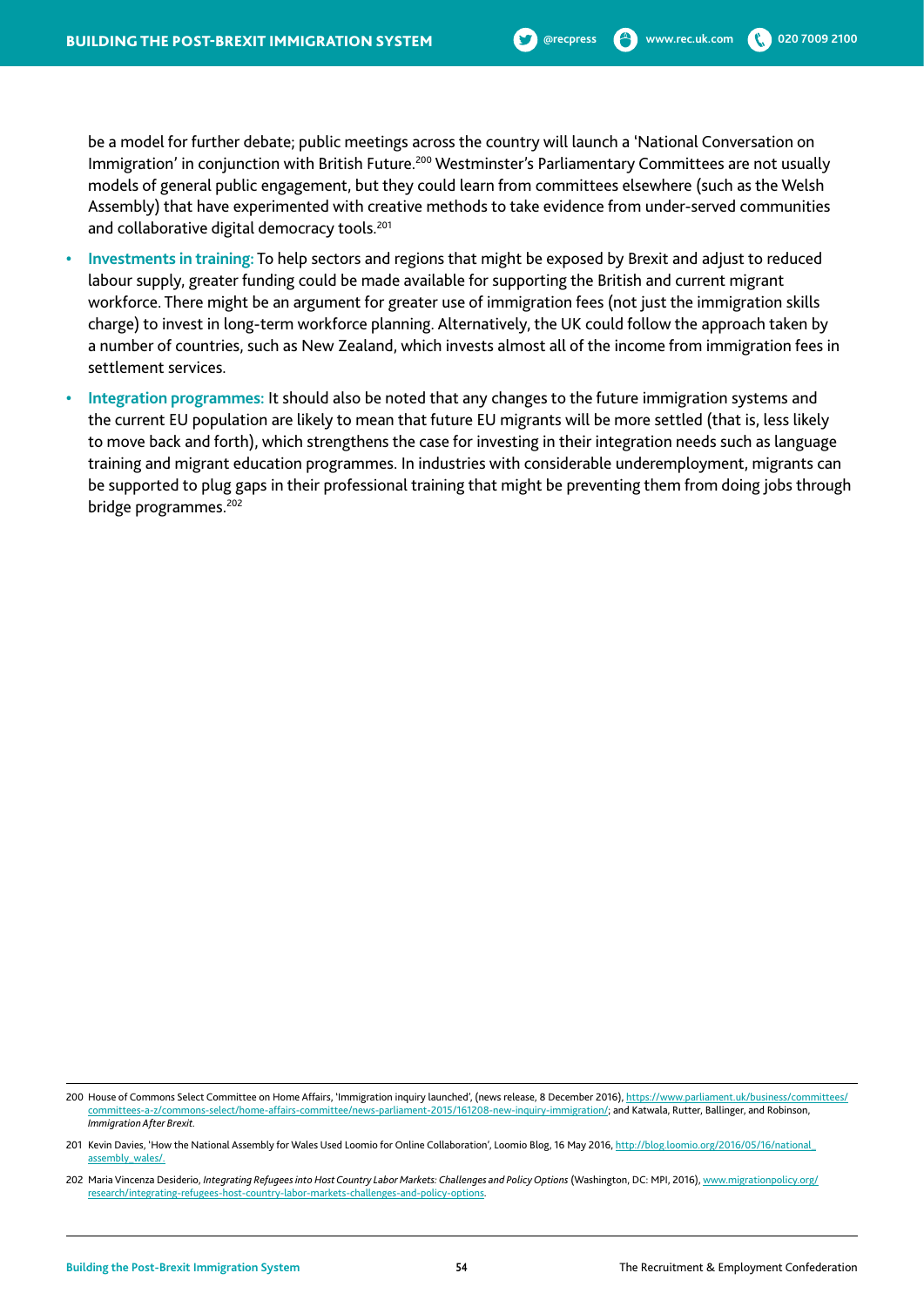be a model for further debate; public meetings across the country will launch a 'National Conversation on Immigration' in conjunction with British Future.<sup>200</sup> Westminster's Parliamentary Committees are not usually models of general public engagement, but they could learn from committees elsewhere (such as the Welsh Assembly) that have experimented with creative methods to take evidence from under-served communities and collaborative digital democracy tools.<sup>201</sup>

- **• Investments in training:** To help sectors and regions that might be exposed by Brexit and adjust to reduced labour supply, greater funding could be made available for supporting the British and current migrant workforce. There might be an argument for greater use of immigration fees (not just the immigration skills charge) to invest in long-term workforce planning. Alternatively, the UK could follow the approach taken by a number of countries, such as New Zealand, which invests almost all of the income from immigration fees in settlement services.
- **• Integration programmes:** It should also be noted that any changes to the future immigration systems and the current EU population are likely to mean that future EU migrants will be more settled (that is, less likely to move back and forth), which strengthens the case for investing in their integration needs such as language training and migrant education programmes. In industries with considerable underemployment, migrants can be supported to plug gaps in their professional training that might be preventing them from doing jobs through bridge programmes.<sup>202</sup>

<sup>200</sup> House of Commons Select Committee on Home Affairs, 'Immigration inquiry launched', (news release, 8 December 2016), https://www.parliament.uk/business/committees/ committees-a-z/commons-select/home-affairs-committee/news-parliament-2015/161208-new-inquiry-immigration/; and Katwala, Rutter, Ballinger, and Robinson, *Immigration After Brexit.*

<sup>201</sup> Kevin Davies, 'How the National Assembly for Wales Used Loomio for Online Collaboration', Loomio Blog, 16 May 2016, http://blog.loomio.org/2016/05/16/national\_ assembly\_wales/.

<sup>202</sup> Maria Vincenza Desiderio, Integrating Refugees into Host Country Labor Markets: Challenges and Policy Options (Washington, DC: MPI, 2016), www.migrationpolicy.org/ research/integrating-refugees-host-country-labor-markets-challenges-and-policy-options.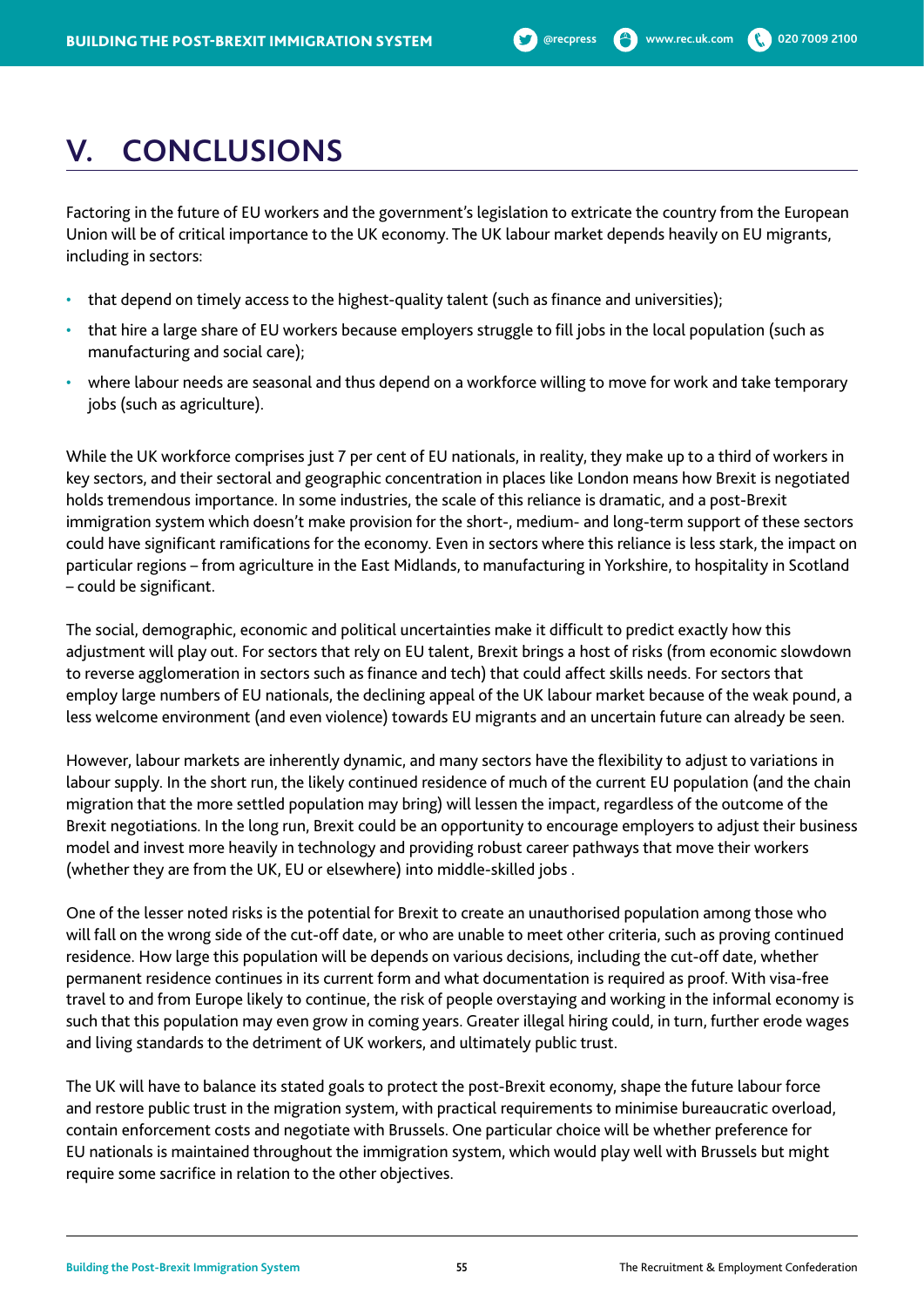# **V. CONCLUSIONS**

Factoring in the future of EU workers and the government's legislation to extricate the country from the European Union will be of critical importance to the UK economy. The UK labour market depends heavily on EU migrants, including in sectors:

- that depend on timely access to the highest-quality talent (such as finance and universities);
- that hire a large share of EU workers because employers struggle to fill jobs in the local population (such as manufacturing and social care);
- where labour needs are seasonal and thus depend on a workforce willing to move for work and take temporary jobs (such as agriculture).

While the UK workforce comprises just 7 per cent of EU nationals, in reality, they make up to a third of workers in key sectors, and their sectoral and geographic concentration in places like London means how Brexit is negotiated holds tremendous importance. In some industries, the scale of this reliance is dramatic, and a post-Brexit immigration system which doesn't make provision for the short-, medium- and long-term support of these sectors could have significant ramifications for the economy. Even in sectors where this reliance is less stark, the impact on particular regions – from agriculture in the East Midlands, to manufacturing in Yorkshire, to hospitality in Scotland – could be significant.

The social, demographic, economic and political uncertainties make it difficult to predict exactly how this adjustment will play out. For sectors that rely on EU talent, Brexit brings a host of risks (from economic slowdown to reverse agglomeration in sectors such as finance and tech) that could affect skills needs. For sectors that employ large numbers of EU nationals, the declining appeal of the UK labour market because of the weak pound, a less welcome environment (and even violence) towards EU migrants and an uncertain future can already be seen.

However, labour markets are inherently dynamic, and many sectors have the flexibility to adjust to variations in labour supply. In the short run, the likely continued residence of much of the current EU population (and the chain migration that the more settled population may bring) will lessen the impact, regardless of the outcome of the Brexit negotiations. In the long run, Brexit could be an opportunity to encourage employers to adjust their business model and invest more heavily in technology and providing robust career pathways that move their workers (whether they are from the UK, EU or elsewhere) into middle-skilled jobs .

One of the lesser noted risks is the potential for Brexit to create an unauthorised population among those who will fall on the wrong side of the cut-off date, or who are unable to meet other criteria, such as proving continued residence. How large this population will be depends on various decisions, including the cut-off date, whether permanent residence continues in its current form and what documentation is required as proof. With visa-free travel to and from Europe likely to continue, the risk of people overstaying and working in the informal economy is such that this population may even grow in coming years. Greater illegal hiring could, in turn, further erode wages and living standards to the detriment of UK workers, and ultimately public trust.

The UK will have to balance its stated goals to protect the post-Brexit economy, shape the future labour force and restore public trust in the migration system, with practical requirements to minimise bureaucratic overload, contain enforcement costs and negotiate with Brussels. One particular choice will be whether preference for EU nationals is maintained throughout the immigration system, which would play well with Brussels but might require some sacrifice in relation to the other objectives.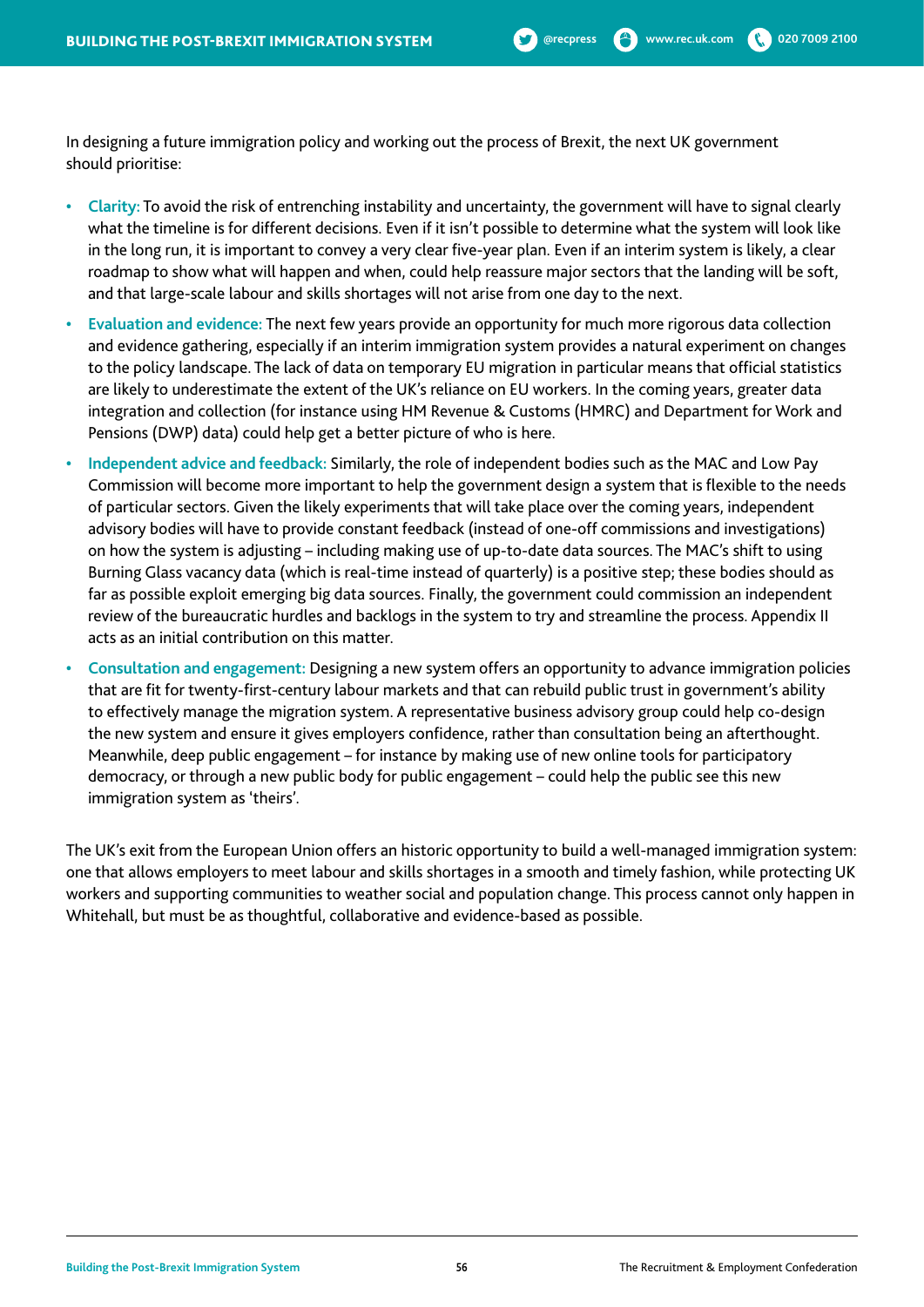In designing a future immigration policy and working out the process of Brexit, the next UK government should prioritise:

- **• Clarity:** To avoid the risk of entrenching instability and uncertainty, the government will have to signal clearly what the timeline is for different decisions. Even if it isn't possible to determine what the system will look like in the long run, it is important to convey a very clear five-year plan. Even if an interim system is likely, a clear roadmap to show what will happen and when, could help reassure major sectors that the landing will be soft, and that large-scale labour and skills shortages will not arise from one day to the next.
- **• Evaluation and evidence:** The next few years provide an opportunity for much more rigorous data collection and evidence gathering, especially if an interim immigration system provides a natural experiment on changes to the policy landscape. The lack of data on temporary EU migration in particular means that official statistics are likely to underestimate the extent of the UK's reliance on EU workers. In the coming years, greater data integration and collection (for instance using HM Revenue & Customs (HMRC) and Department for Work and Pensions (DWP) data) could help get a better picture of who is here.
- **• Independent advice and feedback:** Similarly, the role of independent bodies such as the MAC and Low Pay Commission will become more important to help the government design a system that is flexible to the needs of particular sectors. Given the likely experiments that will take place over the coming years, independent advisory bodies will have to provide constant feedback (instead of one-off commissions and investigations) on how the system is adjusting – including making use of up-to-date data sources. The MAC's shift to using Burning Glass vacancy data (which is real-time instead of quarterly) is a positive step; these bodies should as far as possible exploit emerging big data sources. Finally, the government could commission an independent review of the bureaucratic hurdles and backlogs in the system to try and streamline the process. Appendix II acts as an initial contribution on this matter.
- **• Consultation and engagement:** Designing a new system offers an opportunity to advance immigration policies that are fit for twenty-first-century labour markets and that can rebuild public trust in government's ability to effectively manage the migration system. A representative business advisory group could help co-design the new system and ensure it gives employers confidence, rather than consultation being an afterthought. Meanwhile, deep public engagement – for instance by making use of new online tools for participatory democracy, or through a new public body for public engagement – could help the public see this new immigration system as 'theirs'.

The UK's exit from the European Union offers an historic opportunity to build a well-managed immigration system: one that allows employers to meet labour and skills shortages in a smooth and timely fashion, while protecting UK workers and supporting communities to weather social and population change. This process cannot only happen in Whitehall, but must be as thoughtful, collaborative and evidence-based as possible.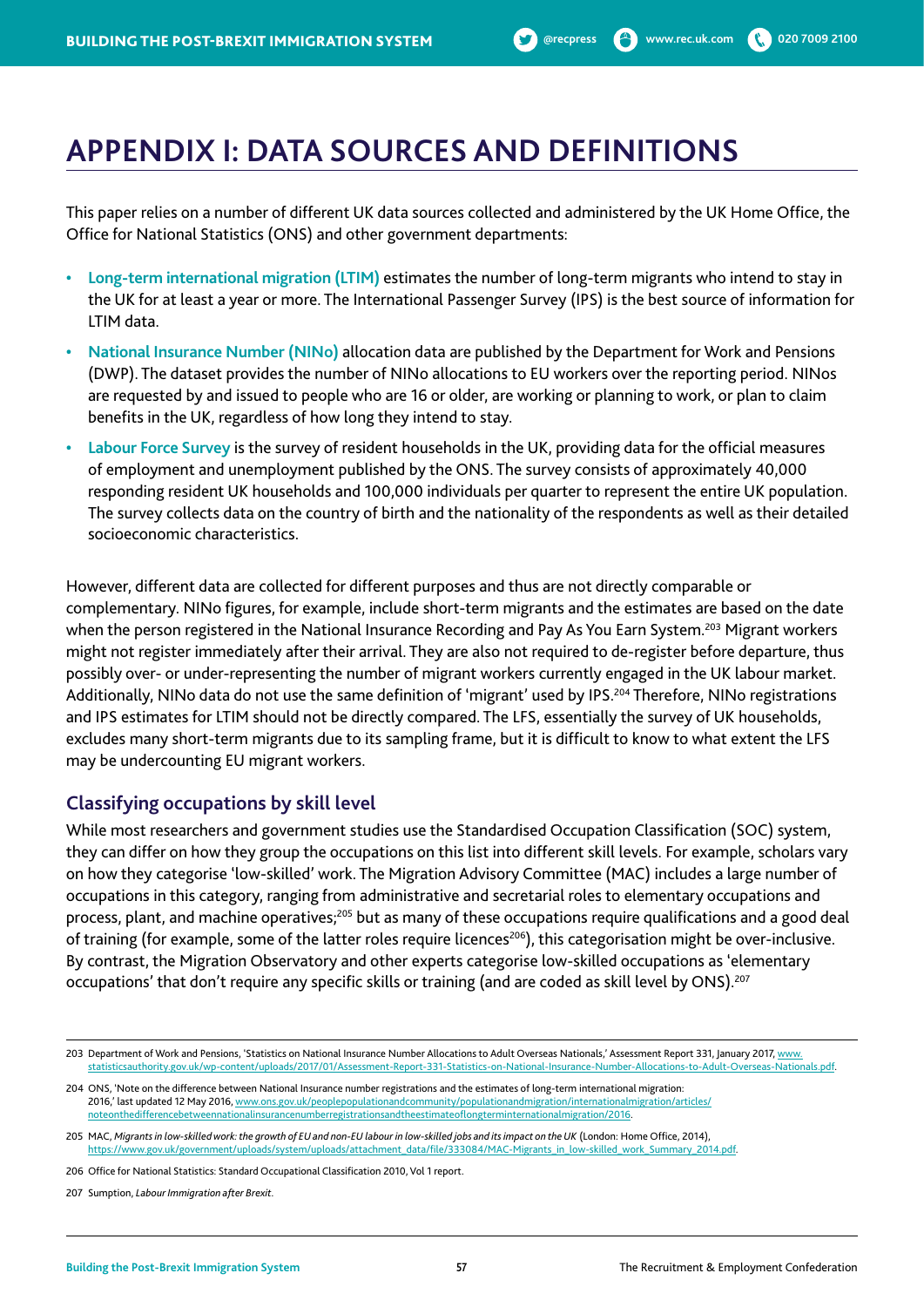# **APPENDIX I: DATA SOURCES AND DEFINITIONS**

This paper relies on a number of different UK data sources collected and administered by the UK Home Office, the Office for National Statistics (ONS) and other government departments:

- **• Long-term international migration (LTIM)** estimates the number of long-term migrants who intend to stay in the UK for at least a year or more. The International Passenger Survey (IPS) is the best source of information for LTIM data.
- **• National Insurance Number (NINo)** allocation data are published by the Department for Work and Pensions (DWP). The dataset provides the number of NINo allocations to EU workers over the reporting period. NINos are requested by and issued to people who are 16 or older, are working or planning to work, or plan to claim benefits in the UK, regardless of how long they intend to stay.
- **• Labour Force Survey** is the survey of resident households in the UK, providing data for the official measures of employment and unemployment published by the ONS. The survey consists of approximately 40,000 responding resident UK households and 100,000 individuals per quarter to represent the entire UK population. The survey collects data on the country of birth and the nationality of the respondents as well as their detailed socioeconomic characteristics.

However, different data are collected for different purposes and thus are not directly comparable or complementary. NINo figures, for example, include short-term migrants and the estimates are based on the date when the person registered in the National Insurance Recording and Pay As You Earn System.<sup>203</sup> Migrant workers might not register immediately after their arrival. They are also not required to de-register before departure, thus possibly over- or under-representing the number of migrant workers currently engaged in the UK labour market. Additionally, NINo data do not use the same definition of 'migrant' used by IPS.<sup>204</sup> Therefore, NINo registrations and IPS estimates for LTIM should not be directly compared. The LFS, essentially the survey of UK households, excludes many short-term migrants due to its sampling frame, but it is difficult to know to what extent the LFS may be undercounting EU migrant workers.

### **Classifying occupations by skill level**

While most researchers and government studies use the Standardised Occupation Classification (SOC) system, they can differ on how they group the occupations on this list into different skill levels. For example, scholars vary on how they categorise 'low-skilled' work. The Migration Advisory Committee (MAC) includes a large number of occupations in this category, ranging from administrative and secretarial roles to elementary occupations and process, plant, and machine operatives;<sup>205</sup> but as many of these occupations require qualifications and a good deal of training (for example, some of the latter roles require licences<sup>206</sup>), this categorisation might be over-inclusive. By contrast, the Migration Observatory and other experts categorise low-skilled occupations as 'elementary occupations' that don't require any specific skills or training (and are coded as skill level by ONS).<sup>207</sup>

<sup>203</sup> Department of Work and Pensions, 'Statistics on National Insurance Number Allocations to Adult Overseas Nationals,' Assessment Report 331, January 2017, www. statisticsauthority.gov.uk/wp-content/uploads/2017/01/Assessment-Report-331-Statistics-on-National-Insurance-Number-Allocations-to-Adult-Overseas-Nationals.pdf.

<sup>204</sup> ONS, 'Note on the difference between National Insurance number registrations and the estimates of long-term international migration: 2016,' last updated 12 May 2016, www.ons.gov.uk/peoplepopulationandcommunity/populationandmigration/internationalmigration/articles/ noteonthedifferencebetweennationalinsurancenumberregistrationsandtheestimateoflongterminternationalmigration/2016.

<sup>205</sup> MAC, *Migrants in low-skilled work: the growth of EU and non-EU labour in low-skilled jobs and its impact on the UK* (London: Home Office, 2014), https://www.gov.uk/government/uploads/system/uploads/attachment\_data/file/333084/MAC-Migrants\_in\_low-skilled\_work\_Summary\_2014.pdf.

<sup>206</sup> Office for National Statistics: Standard Occupational Classification 2010, Vol 1 report.

<sup>207</sup> Sumption, *Labour Immigration after Brexit*.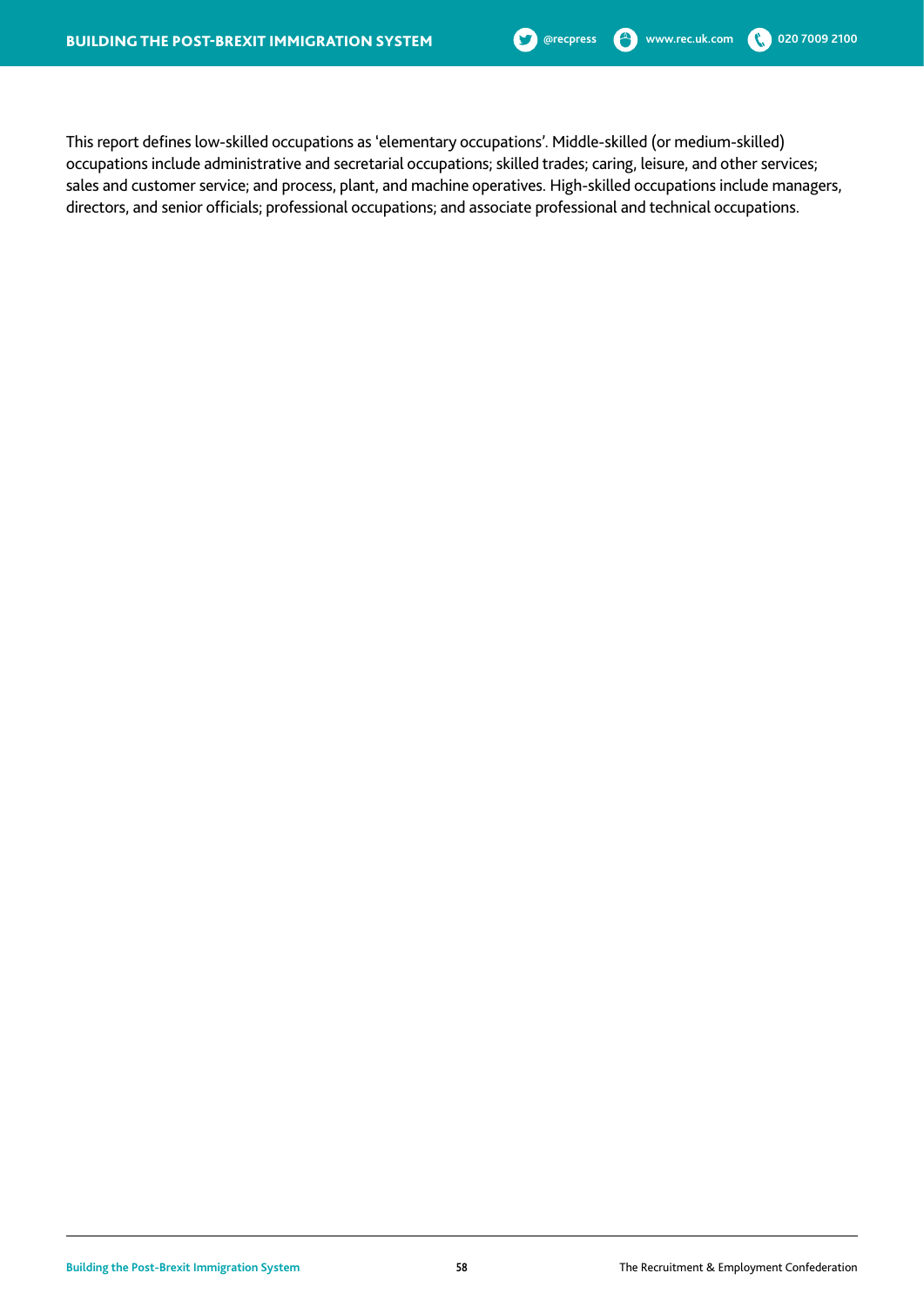This report defines low-skilled occupations as 'elementary occupations'. Middle-skilled (or medium-skilled) occupations include administrative and secretarial occupations; skilled trades; caring, leisure, and other services; sales and customer service; and process, plant, and machine operatives. High-skilled occupations include managers, directors, and senior officials; professional occupations; and associate professional and technical occupations.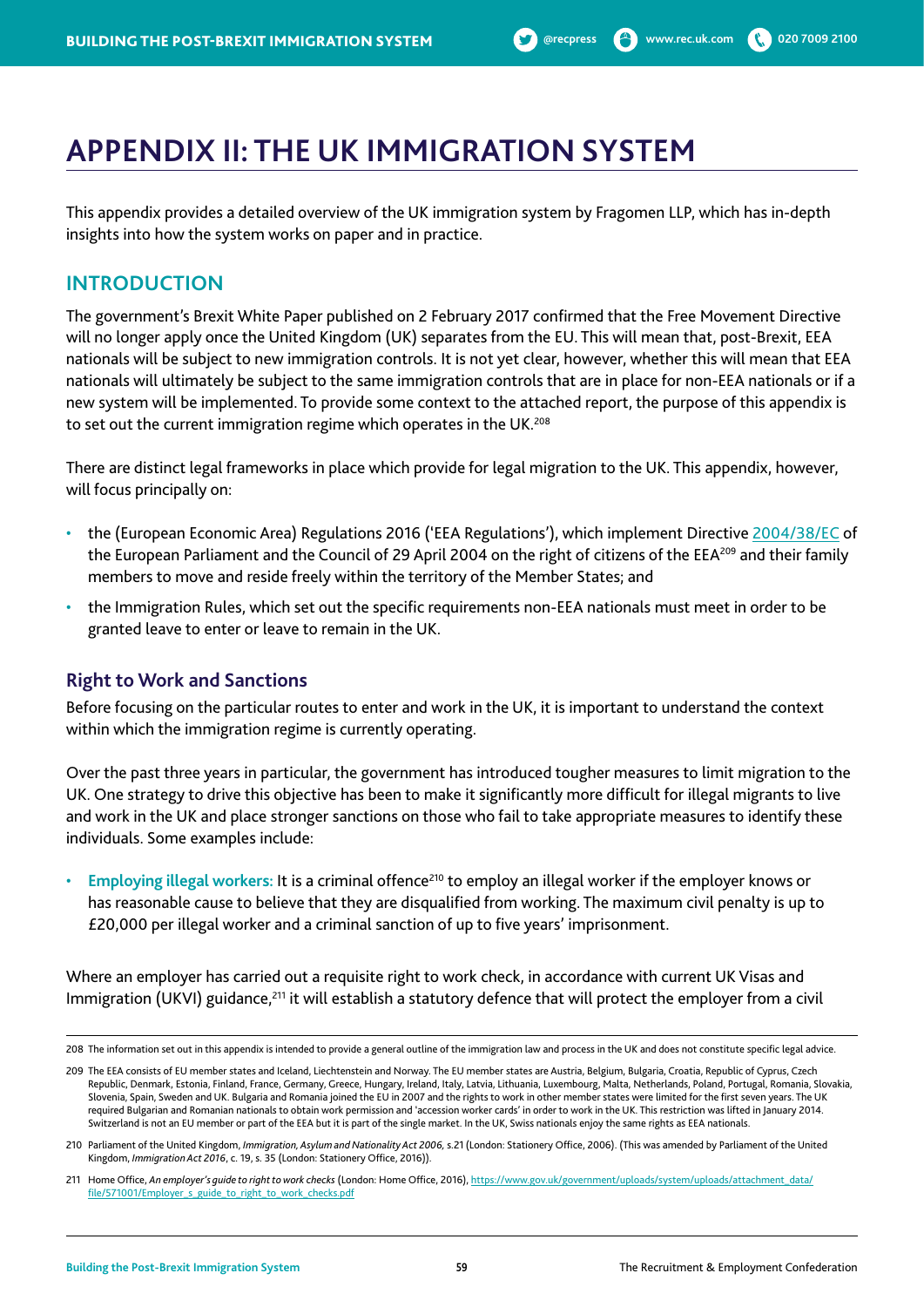# **APPENDIX II: THE UK IMMIGRATION SYSTEM**

This appendix provides a detailed overview of the UK immigration system by Fragomen LLP, which has in-depth insights into how the system works on paper and in practice.

# **INTRODUCTION**

The government's Brexit White Paper published on 2 February 2017 confirmed that the Free Movement Directive will no longer apply once the United Kingdom (UK) separates from the EU. This will mean that, post-Brexit, EEA nationals will be subject to new immigration controls. It is not yet clear, however, whether this will mean that EEA nationals will ultimately be subject to the same immigration controls that are in place for non-EEA nationals or if a new system will be implemented. To provide some context to the attached report, the purpose of this appendix is to set out the current immigration regime which operates in the UK.<sup>208</sup>

There are distinct legal frameworks in place which provide for legal migration to the UK. This appendix, however, will focus principally on:

- the (European Economic Area) Regulations 2016 ('EEA Regulations'), which implement Directive 2004/38/EC of the European Parliament and the Council of 29 April 2004 on the right of citizens of the EEA<sup>209</sup> and their family members to move and reside freely within the territory of the Member States; and
- the Immigration Rules, which set out the specific requirements non-EEA nationals must meet in order to be granted leave to enter or leave to remain in the UK.

## **Right to Work and Sanctions**

Before focusing on the particular routes to enter and work in the UK, it is important to understand the context within which the immigration regime is currently operating.

Over the past three years in particular, the government has introduced tougher measures to limit migration to the UK. One strategy to drive this objective has been to make it significantly more difficult for illegal migrants to live and work in the UK and place stronger sanctions on those who fail to take appropriate measures to identify these individuals. Some examples include:

**Employing illegal workers:** It is a criminal offence<sup>210</sup> to employ an illegal worker if the employer knows or has reasonable cause to believe that they are disqualified from working. The maximum civil penalty is up to £20,000 per illegal worker and a criminal sanction of up to five years' imprisonment.

Where an employer has carried out a requisite right to work check, in accordance with current UK Visas and Immigration (UKVI) guidance,<sup>211</sup> it will establish a statutory defence that will protect the employer from a civil

<sup>208</sup> The information set out in this appendix is intended to provide a general outline of the immigration law and process in the UK and does not constitute specific legal advice.

<sup>209</sup> The EEA consists of EU member states and Iceland, Liechtenstein and Norway. The EU member states are Austria, Belgium, Bulgaria, Croatia, Republic of Cyprus, Czech Republic, Denmark, Estonia, Finland, France, Germany, Greece, Hungary, Ireland, Italy, Latvia, Lithuania, Luxembourg, Malta, Netherlands, Poland, Portugal, Romania, Slovakia, Slovenia, Spain, Sweden and UK. Bulgaria and Romania joined the EU in 2007 and the rights to work in other member states were limited for the first seven years. The UK required Bulgarian and Romanian nationals to obtain work permission and 'accession worker cards' in order to work in the UK. This restriction was lifted in January 2014. Switzerland is not an EU member or part of the EEA but it is part of the single market. In the UK, Swiss nationals enjoy the same rights as EEA nationals

<sup>210</sup> Parliament of the United Kingdom, *Immigration, Asylum and Nationality Act 2006,* s.21 (London: Stationery Office, 2006). (This was amended by Parliament of the United Kingdom, *Immigration Act 2016*, c. 19, s. 35 (London: Stationery Office, 2016)).

<sup>211</sup> Home Office, An employer's guide to right to work checks (London: Home Office, 2016), https://www.gov.uk/government/uploads/system/uploads/attachment\_data/ file/571001/Employer\_s\_guide\_to\_right\_to\_work\_checks.pdf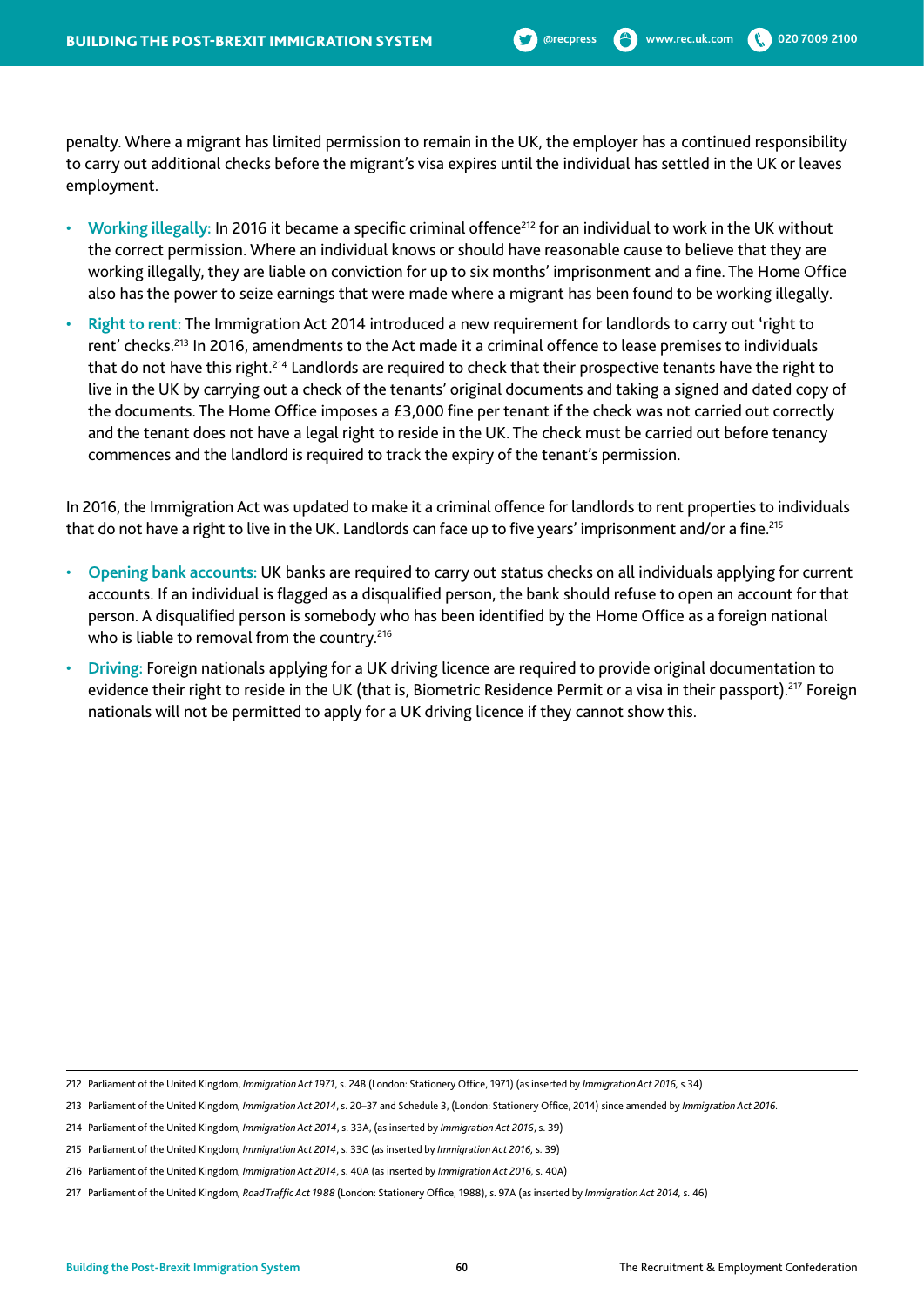- Working illegally: In 2016 it became a specific criminal offence<sup>212</sup> for an individual to work in the UK without the correct permission. Where an individual knows or should have reasonable cause to believe that they are working illegally, they are liable on conviction for up to six months' imprisonment and a fine. The Home Office also has the power to seize earnings that were made where a migrant has been found to be working illegally.
- **Right to rent:** The Immigration Act 2014 introduced a new requirement for landlords to carry out 'right to rent' checks.213 In 2016, amendments to the Act made it a criminal offence to lease premises to individuals that do not have this right.<sup>214</sup> Landlords are required to check that their prospective tenants have the right to live in the UK by carrying out a check of the tenants' original documents and taking a signed and dated copy of the documents. The Home Office imposes a £3,000 fine per tenant if the check was not carried out correctly and the tenant does not have a legal right to reside in the UK. The check must be carried out before tenancy commences and the landlord is required to track the expiry of the tenant's permission.

In 2016, the Immigration Act was updated to make it a criminal offence for landlords to rent properties to individuals that do not have a right to live in the UK. Landlords can face up to five years' imprisonment and/or a fine.<sup>215</sup>

- **Opening bank accounts:** UK banks are required to carry out status checks on all individuals applying for current accounts. If an individual is flagged as a disqualified person, the bank should refuse to open an account for that person. A disqualified person is somebody who has been identified by the Home Office as a foreign national who is liable to removal from the country.<sup>216</sup>
- **Driving:** Foreign nationals applying for a UK driving licence are required to provide original documentation to evidence their right to reside in the UK (that is, Biometric Residence Permit or a visa in their passport).<sup>217</sup> Foreign nationals will not be permitted to apply for a UK driving licence if they cannot show this.

<sup>212</sup> Parliament of the United Kingdom, *Immigration Act 1971*, s. 24B (London: Stationery Office, 1971) (as inserted by *Immigration Act 2016,* s.34)

<sup>213</sup> Parliament of the United Kingdom*, Immigration Act 2014*,s. 20–37 and Schedule 3, (London: Stationery Office, 2014) since amended by *Immigration Act 2016.*

<sup>214</sup> Parliament of the United Kingdom*, Immigration Act 2014*, s. 33A, (as inserted by *Immigration Act 2016*, s. 39)

<sup>215</sup> Parliament of the United Kingdom*, Immigration Act 2014*, s. 33C (as inserted by *Immigration Act 2016,* s. 39)

<sup>216</sup> Parliament of the United Kingdom*, Immigration Act 2014*, s. 40A (as inserted by *Immigration Act 2016,* s. 40A)

<sup>217</sup> Parliament of the United Kingdom*, Road Traffic Act 1988* (London: Stationery Office, 1988), s. 97A (as inserted by *Immigration Act 2014,* s. 46)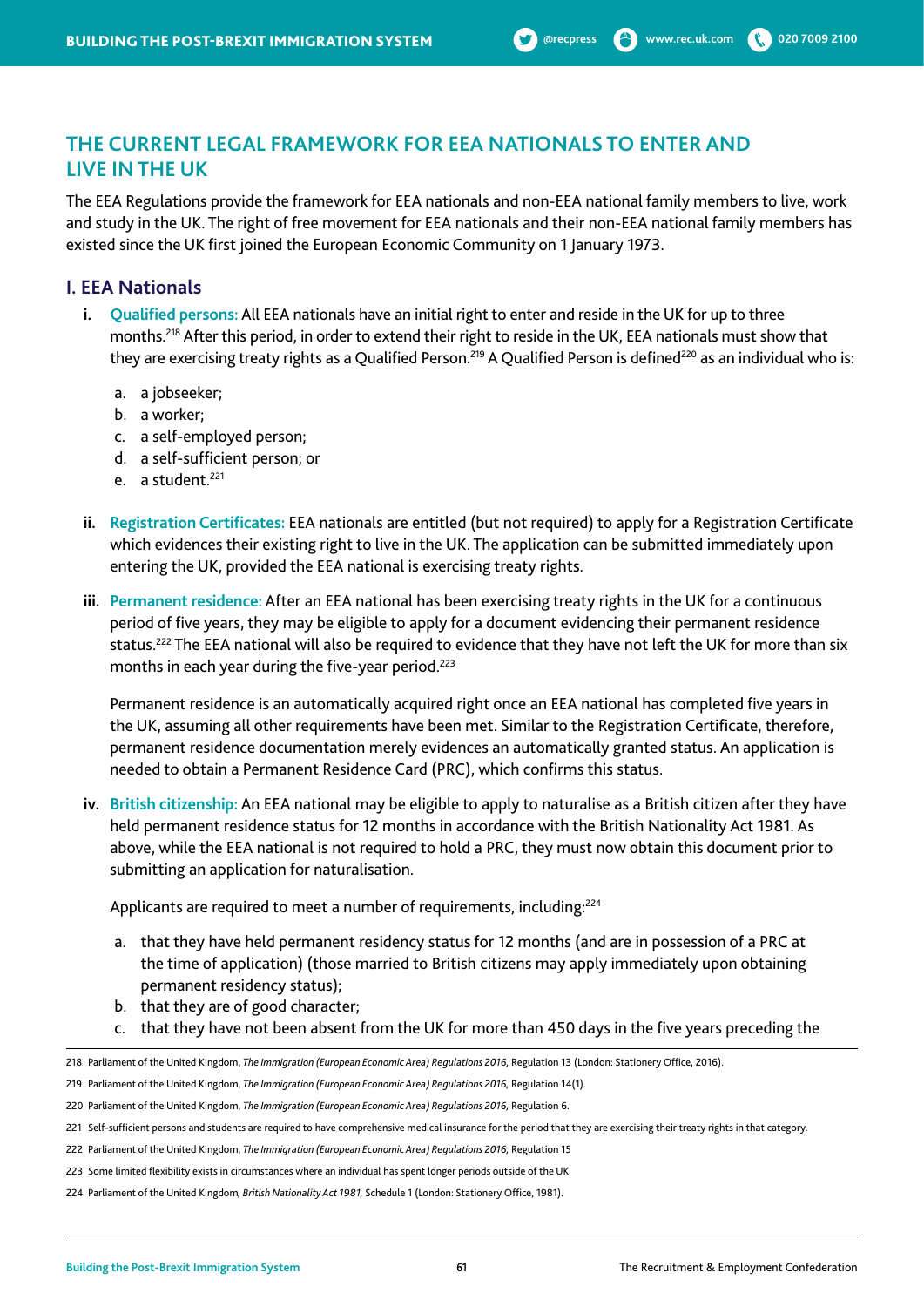# **THE CURRENT LEGAL FRAMEWORK FOR EEA NATIONALS TO ENTER AND LIVE IN THE UK**

The EEA Regulations provide the framework for EEA nationals and non-EEA national family members to live, work and study in the UK. The right of free movement for EEA nationals and their non-EEA national family members has existed since the UK first joined the European Economic Community on 1 January 1973.

## **I. EEA Nationals**

- **i. Qualified persons:** All EEA nationals have an initial right to enter and reside in the UK for up to three months.218 After this period, in order to extend their right to reside in the UK, EEA nationals must show that they are exercising treaty rights as a Qualified Person.<sup>219</sup> A Qualified Person is defined<sup>220</sup> as an individual who is:
	- a. a jobseeker;
	- b. a worker;
	- c. a self-employed person;
	- d. a self-sufficient person; or
	- e. a student. $221$
- **ii. Registration Certificates:** EEA nationals are entitled (but not required) to apply for a Registration Certificate which evidences their existing right to live in the UK. The application can be submitted immediately upon entering the UK, provided the EEA national is exercising treaty rights.
- **iii. Permanent residence:** After an EEA national has been exercising treaty rights in the UK for a continuous period of five years, they may be eligible to apply for a document evidencing their permanent residence status.<sup>222</sup> The EEA national will also be required to evidence that they have not left the UK for more than six months in each year during the five-year period.<sup>223</sup>

Permanent residence is an automatically acquired right once an EEA national has completed five years in the UK, assuming all other requirements have been met. Similar to the Registration Certificate, therefore, permanent residence documentation merely evidences an automatically granted status. An application is needed to obtain a Permanent Residence Card (PRC), which confirms this status.

**iv. British citizenship:** An EEA national may be eligible to apply to naturalise as a British citizen after they have held permanent residence status for 12 months in accordance with the British Nationality Act 1981. As above, while the EEA national is not required to hold a PRC, they must now obtain this document prior to submitting an application for naturalisation.

Applicants are required to meet a number of requirements, including:<sup>224</sup>

- a. that they have held permanent residency status for 12 months (and are in possession of a PRC at the time of application) (those married to British citizens may apply immediately upon obtaining permanent residency status);
- b. that they are of good character;
- c. that they have not been absent from the UK for more than 450 days in the five years preceding the

<sup>218</sup> Parliament of the United Kingdom, *The Immigration (European Economic Area) Regulations 2016*, Regulation 13 (London: Stationery Office, 2016).

<sup>219</sup> Parliament of the United Kingdom, *The Immigration (European Economic Area) Regulations 2016,* Regulation 14(1).

<sup>220</sup> Parliament of the United Kingdom, *The Immigration (European Economic Area) Regulations 2016*, Regulation 6.

<sup>221</sup> Self-sufficient persons and students are required to have comprehensive medical insurance for the period that they are exercising their treaty rights in that category.

<sup>222</sup> Parliament of the United Kingdom, *The Immigration (European Economic Area) Regulations 2016*, Regulation 15

<sup>223</sup> Some limited flexibility exists in circumstances where an individual has spent longer periods outside of the UK

<sup>224</sup> Parliament of the United Kingdom*, British Nationality Act 1981,* Schedule 1 (London: Stationery Office, 1981).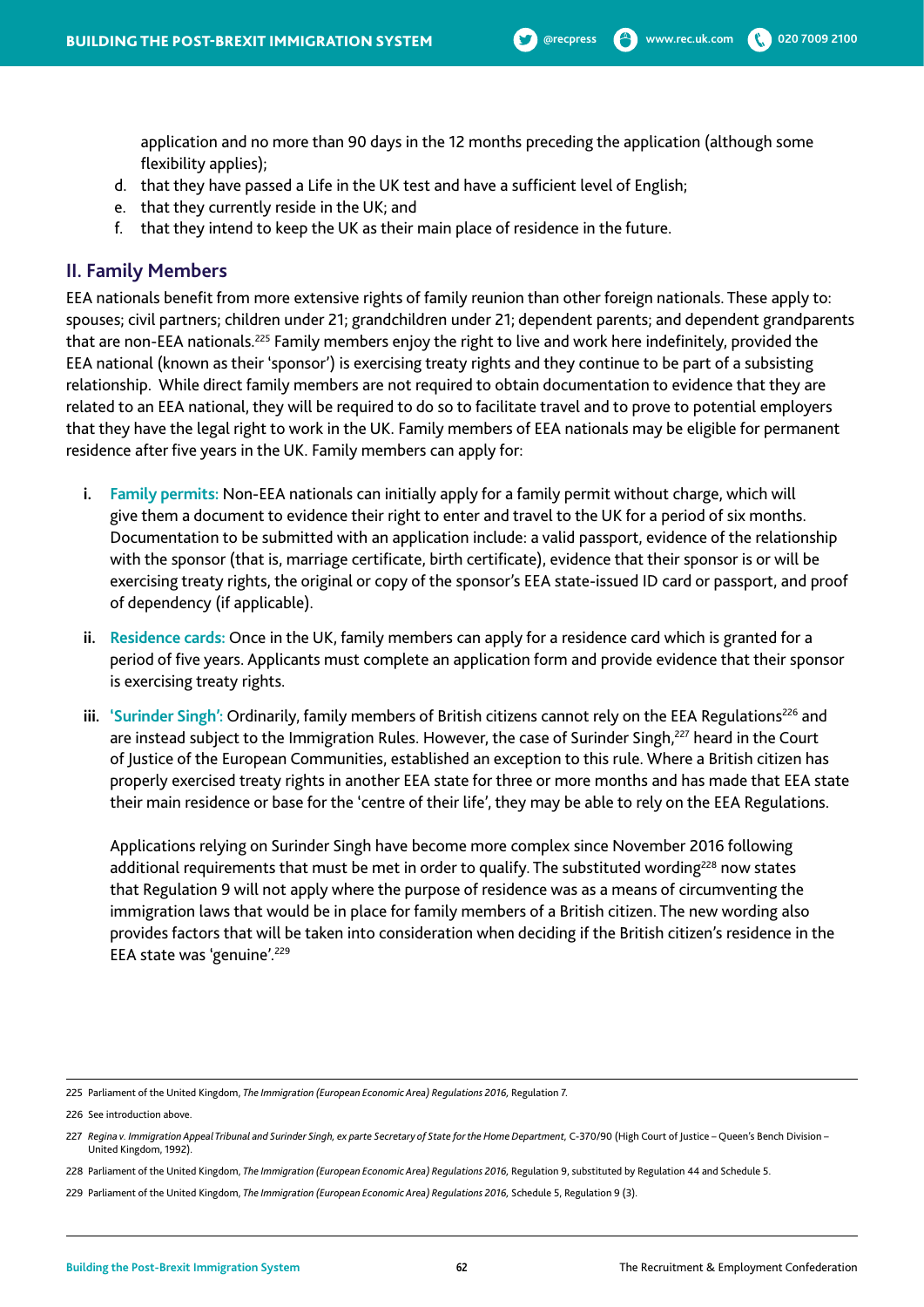application and no more than 90 days in the 12 months preceding the application (although some flexibility applies);

- d. that they have passed a Life in the UK test and have a sufficient level of English;
- e. that they currently reside in the UK; and
- f. that they intend to keep the UK as their main place of residence in the future.

### **II. Family Members**

EEA nationals benefit from more extensive rights of family reunion than other foreign nationals. These apply to: spouses; civil partners; children under 21; grandchildren under 21; dependent parents; and dependent grandparents that are non-EEA nationals.225 Family members enjoy the right to live and work here indefinitely, provided the EEA national (known as their 'sponsor') is exercising treaty rights and they continue to be part of a subsisting relationship. While direct family members are not required to obtain documentation to evidence that they are related to an EEA national, they will be required to do so to facilitate travel and to prove to potential employers that they have the legal right to work in the UK. Family members of EEA nationals may be eligible for permanent residence after five years in the UK. Family members can apply for:

- **i. Family permits:** Non-EEA nationals can initially apply for a family permit without charge, which will give them a document to evidence their right to enter and travel to the UK for a period of six months. Documentation to be submitted with an application include: a valid passport, evidence of the relationship with the sponsor (that is, marriage certificate, birth certificate), evidence that their sponsor is or will be exercising treaty rights, the original or copy of the sponsor's EEA state-issued ID card or passport, and proof of dependency (if applicable).
- **ii. Residence cards:** Once in the UK, family members can apply for a residence card which is granted for a period of five years. Applicants must complete an application form and provide evidence that their sponsor is exercising treaty rights.
- iii. 'Surinder Singh': Ordinarily, family members of British citizens cannot rely on the EEA Regulations<sup>226</sup> and are instead subject to the Immigration Rules. However, the case of Surinder Singh,<sup>227</sup> heard in the Court of Justice of the European Communities, established an exception to this rule. Where a British citizen has properly exercised treaty rights in another EEA state for three or more months and has made that EEA state their main residence or base for the 'centre of their life', they may be able to rely on the EEA Regulations.

Applications relying on Surinder Singh have become more complex since November 2016 following additional requirements that must be met in order to qualify. The substituted wording<sup>228</sup> now states that Regulation 9 will not apply where the purpose of residence was as a means of circumventing the immigration laws that would be in place for family members of a British citizen. The new wording also provides factors that will be taken into consideration when deciding if the British citizen's residence in the EEA state was 'genuine'.<sup>229</sup>

<sup>225</sup> Parliament of the United Kingdom, *The Immigration (European Economic Area) Regulations 2016,* Regulation 7.

<sup>226</sup> See introduction above.

<sup>227</sup> *Regina v. Immigration Appeal Tribunal and Surinder Singh, ex parte Secretary of State for the Home Department,* C-370/90 (High Court of Justice – Queen's Bench Division – United Kingdom, 1992).

<sup>228</sup> Parliament of the United Kingdom, *The Immigration (European Economic Area) Regulations 2016*, Regulation 9, substituted by Regulation 44 and Schedule 5.

<sup>229</sup> Parliament of the United Kingdom, *The Immigration (European Economic Area) Regulations 2016,* Schedule 5, Regulation 9 (3).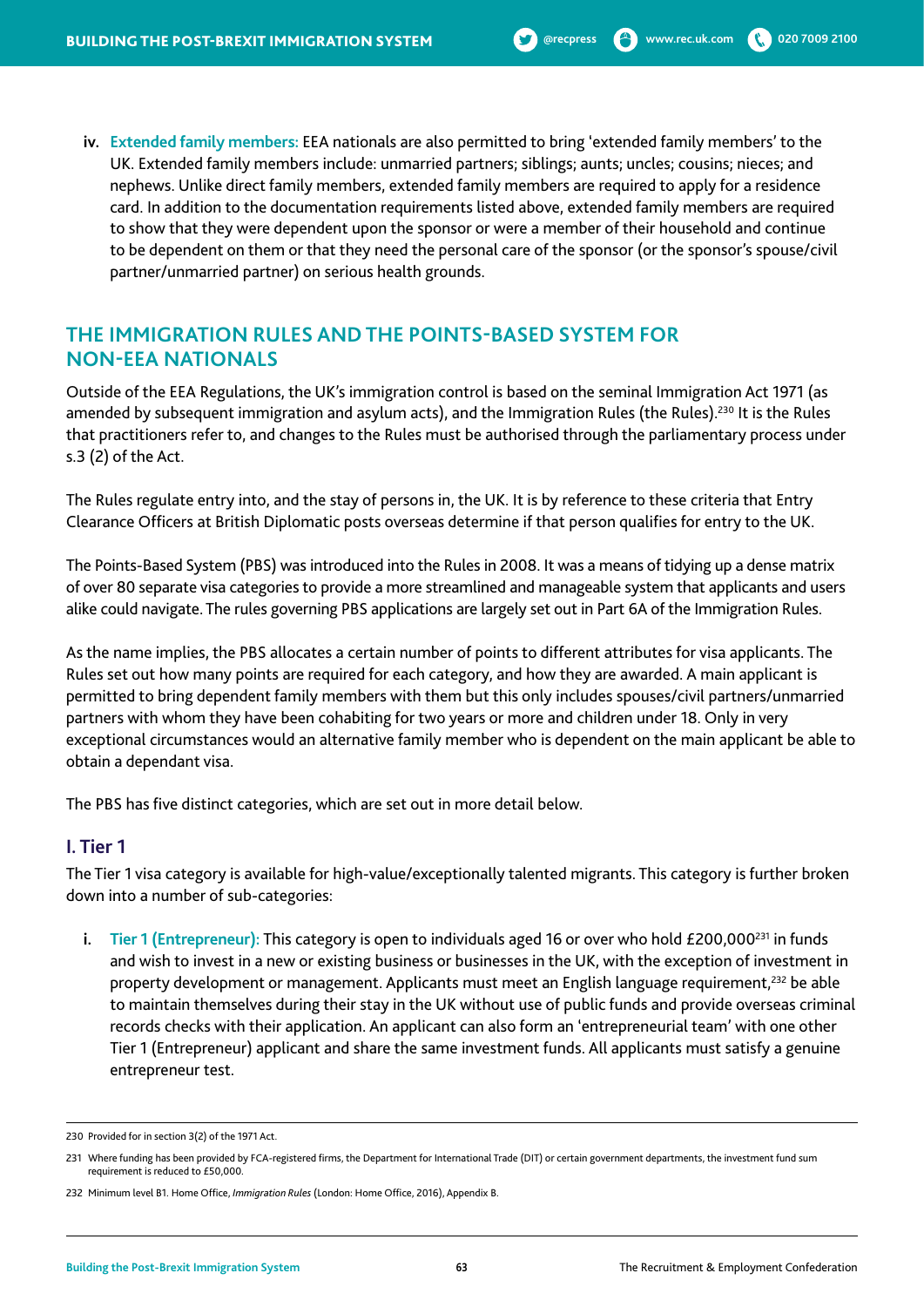**iv. Extended family members:** EEA nationals are also permitted to bring 'extended family members' to the UK. Extended family members include: unmarried partners; siblings; aunts; uncles; cousins; nieces; and nephews. Unlike direct family members, extended family members are required to apply for a residence card. In addition to the documentation requirements listed above, extended family members are required to show that they were dependent upon the sponsor or were a member of their household and continue to be dependent on them or that they need the personal care of the sponsor (or the sponsor's spouse/civil partner/unmarried partner) on serious health grounds.

## **THE IMMIGRATION RULES AND THE POINTS-BASED SYSTEM FOR NON-EEA NATIONALS**

Outside of the EEA Regulations, the UK's immigration control is based on the seminal Immigration Act 1971 (as amended by subsequent immigration and asylum acts), and the Immigration Rules (the Rules).<sup>230</sup> It is the Rules that practitioners refer to, and changes to the Rules must be authorised through the parliamentary process under s.3 (2) of the Act.

The Rules regulate entry into, and the stay of persons in, the UK. It is by reference to these criteria that Entry Clearance Officers at British Diplomatic posts overseas determine if that person qualifies for entry to the UK.

The Points-Based System (PBS) was introduced into the Rules in 2008. It was a means of tidying up a dense matrix of over 80 separate visa categories to provide a more streamlined and manageable system that applicants and users alike could navigate. The rules governing PBS applications are largely set out in Part 6A of the Immigration Rules.

As the name implies, the PBS allocates a certain number of points to different attributes for visa applicants. The Rules set out how many points are required for each category, and how they are awarded. A main applicant is permitted to bring dependent family members with them but this only includes spouses/civil partners/unmarried partners with whom they have been cohabiting for two years or more and children under 18. Only in very exceptional circumstances would an alternative family member who is dependent on the main applicant be able to obtain a dependant visa.

The PBS has five distinct categories, which are set out in more detail below.

### **I. Tier 1**

The Tier 1 visa category is available for high-value/exceptionally talented migrants. This category is further broken down into a number of sub-categories:

**i.** Tier 1 (Entrepreneur): This category is open to individuals aged 16 or over who hold £200,000<sup>231</sup> in funds and wish to invest in a new or existing business or businesses in the UK, with the exception of investment in property development or management. Applicants must meet an English language requirement,<sup>232</sup> be able to maintain themselves during their stay in the UK without use of public funds and provide overseas criminal records checks with their application. An applicant can also form an 'entrepreneurial team' with one other Tier 1 (Entrepreneur) applicant and share the same investment funds. All applicants must satisfy a genuine entrepreneur test.

<sup>230</sup> Provided for in section 3(2) of the 1971 Act.

<sup>231</sup> Where funding has been provided by FCA-registered firms, the Department for International Trade (DIT) or certain government departments, the investment fund sum requirement is reduced to £50,000.

<sup>232</sup> Minimum level B1. Home Office, *Immigration Rules* (London: Home Office, 2016), Appendix B.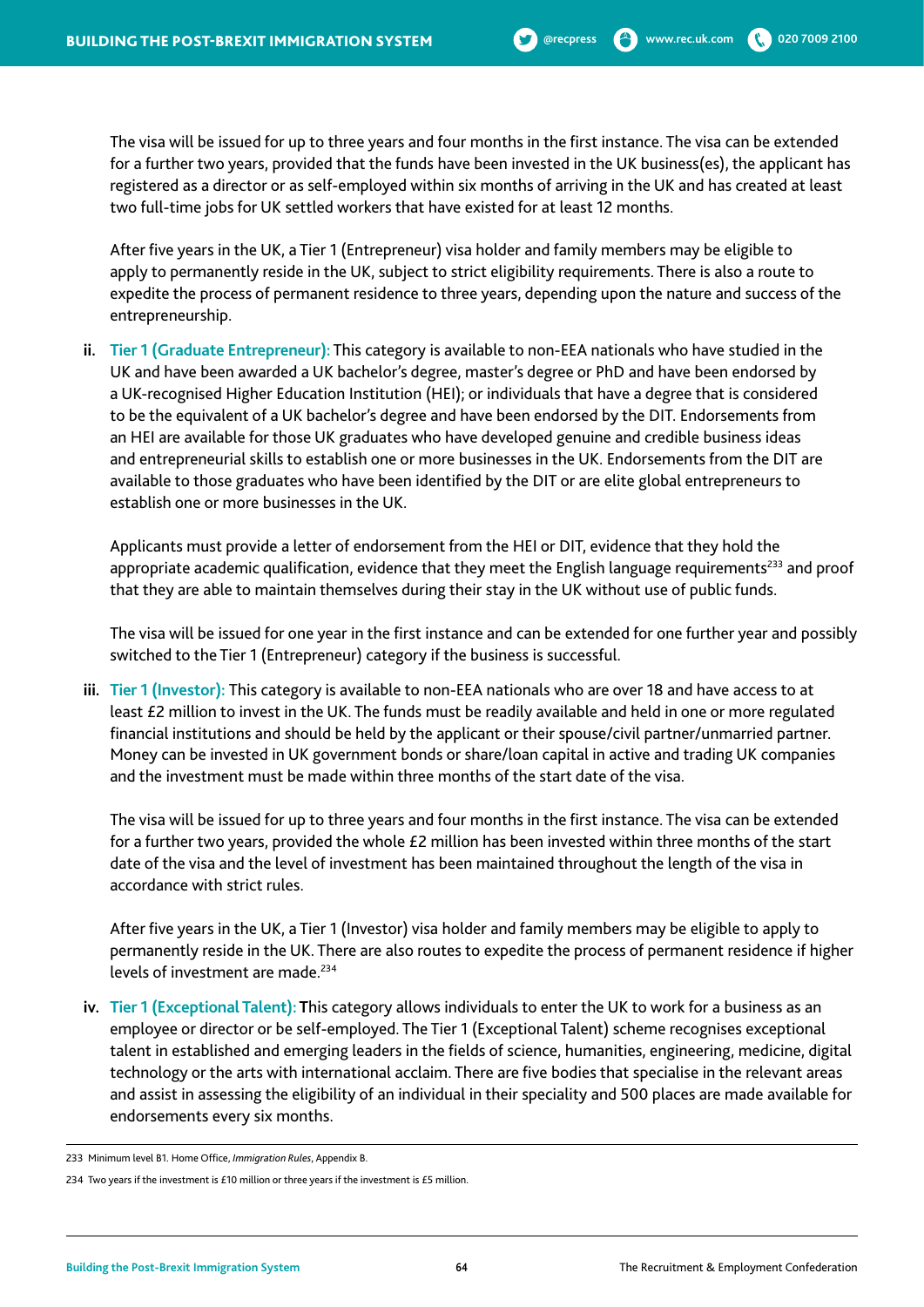The visa will be issued for up to three years and four months in the first instance. The visa can be extended for a further two years, provided that the funds have been invested in the UK business(es), the applicant has registered as a director or as self-employed within six months of arriving in the UK and has created at least two full-time jobs for UK settled workers that have existed for at least 12 months.

After five years in the UK, a Tier 1 (Entrepreneur) visa holder and family members may be eligible to apply to permanently reside in the UK, subject to strict eligibility requirements. There is also a route to expedite the process of permanent residence to three years, depending upon the nature and success of the entrepreneurship.

**ii. Tier 1 (Graduate Entrepreneur):** This category is available to non-EEA nationals who have studied in the UK and have been awarded a UK bachelor's degree, master's degree or PhD and have been endorsed by a UK-recognised Higher Education Institution (HEI); or individuals that have a degree that is considered to be the equivalent of a UK bachelor's degree and have been endorsed by the DIT. Endorsements from an HEI are available for those UK graduates who have developed genuine and credible business ideas and entrepreneurial skills to establish one or more businesses in the UK. Endorsements from the DIT are available to those graduates who have been identified by the DIT or are elite global entrepreneurs to establish one or more businesses in the UK.

Applicants must provide a letter of endorsement from the HEI or DIT, evidence that they hold the appropriate academic qualification, evidence that they meet the English language requirements<sup>233</sup> and proof that they are able to maintain themselves during their stay in the UK without use of public funds.

The visa will be issued for one year in the first instance and can be extended for one further year and possibly switched to the Tier 1 (Entrepreneur) category if the business is successful.

**iii. Tier 1 (Investor):** This category is available to non-EEA nationals who are over 18 and have access to at least £2 million to invest in the UK. The funds must be readily available and held in one or more regulated financial institutions and should be held by the applicant or their spouse/civil partner/unmarried partner. Money can be invested in UK government bonds or share/loan capital in active and trading UK companies and the investment must be made within three months of the start date of the visa.

The visa will be issued for up to three years and four months in the first instance. The visa can be extended for a further two years, provided the whole £2 million has been invested within three months of the start date of the visa and the level of investment has been maintained throughout the length of the visa in accordance with strict rules.

After five years in the UK, a Tier 1 (Investor) visa holder and family members may be eligible to apply to permanently reside in the UK. There are also routes to expedite the process of permanent residence if higher levels of investment are made.<sup>234</sup>

**iv. Tier 1 (Exceptional Talent): T**his category allows individuals to enter the UK to work for a business as an employee or director or be self-employed. The Tier 1 (Exceptional Talent) scheme recognises exceptional talent in established and emerging leaders in the fields of science, humanities, engineering, medicine, digital technology or the arts with international acclaim. There are five bodies that specialise in the relevant areas and assist in assessing the eligibility of an individual in their speciality and 500 places are made available for endorsements every six months.

<sup>233</sup> Minimum level B1. Home Office, *Immigration Rules*, Appendix B.

<sup>234</sup> Two years if the investment is £10 million or three years if the investment is £5 million.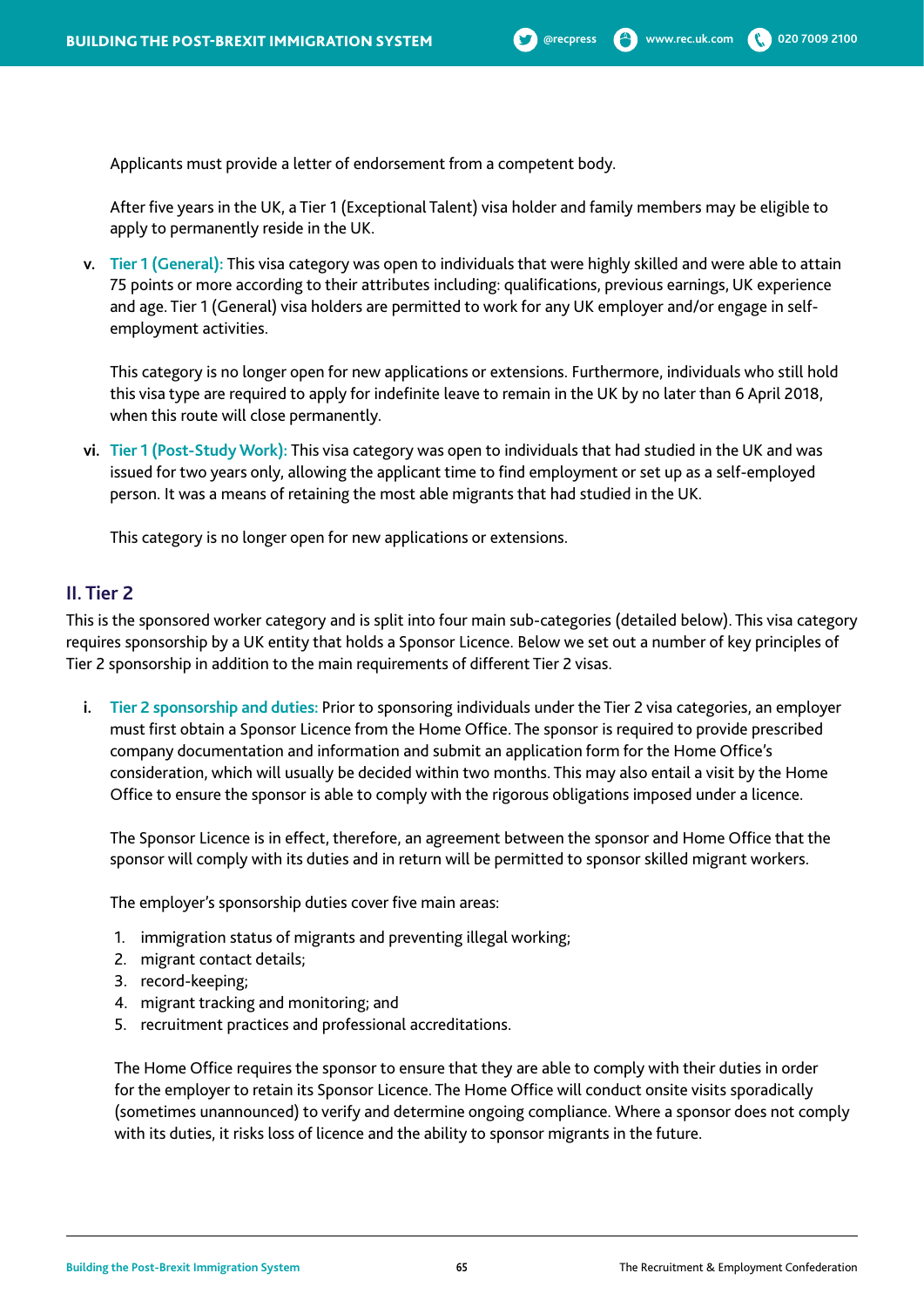Applicants must provide a letter of endorsement from a competent body.

After five years in the UK, a Tier 1 (Exceptional Talent) visa holder and family members may be eligible to apply to permanently reside in the UK.

**v. Tier 1 (General):** This visa category was open to individuals that were highly skilled and were able to attain 75 points or more according to their attributes including: qualifications, previous earnings, UK experience and age. Tier 1 (General) visa holders are permitted to work for any UK employer and/or engage in selfemployment activities.

This category is no longer open for new applications or extensions. Furthermore, individuals who still hold this visa type are required to apply for indefinite leave to remain in the UK by no later than 6 April 2018, when this route will close permanently.

**vi. Tier 1 (Post-Study Work):** This visa category was open to individuals that had studied in the UK and was issued for two years only, allowing the applicant time to find employment or set up as a self-employed person. It was a means of retaining the most able migrants that had studied in the UK.

This category is no longer open for new applications or extensions.

#### **II. Tier 2**

This is the sponsored worker category and is split into four main sub-categories (detailed below). This visa category requires sponsorship by a UK entity that holds a Sponsor Licence. Below we set out a number of key principles of Tier 2 sponsorship in addition to the main requirements of different Tier 2 visas.

**i. Tier 2 sponsorship and duties:** Prior to sponsoring individuals under the Tier 2 visa categories, an employer must first obtain a Sponsor Licence from the Home Office. The sponsor is required to provide prescribed company documentation and information and submit an application form for the Home Office's consideration, which will usually be decided within two months. This may also entail a visit by the Home Office to ensure the sponsor is able to comply with the rigorous obligations imposed under a licence.

The Sponsor Licence is in effect, therefore, an agreement between the sponsor and Home Office that the sponsor will comply with its duties and in return will be permitted to sponsor skilled migrant workers.

The employer's sponsorship duties cover five main areas:

- 1. immigration status of migrants and preventing illegal working;
- 2. migrant contact details;
- 3. record-keeping;
- 4. migrant tracking and monitoring; and
- 5. recruitment practices and professional accreditations.

The Home Office requires the sponsor to ensure that they are able to comply with their duties in order for the employer to retain its Sponsor Licence. The Home Office will conduct onsite visits sporadically (sometimes unannounced) to verify and determine ongoing compliance. Where a sponsor does not comply with its duties, it risks loss of licence and the ability to sponsor migrants in the future.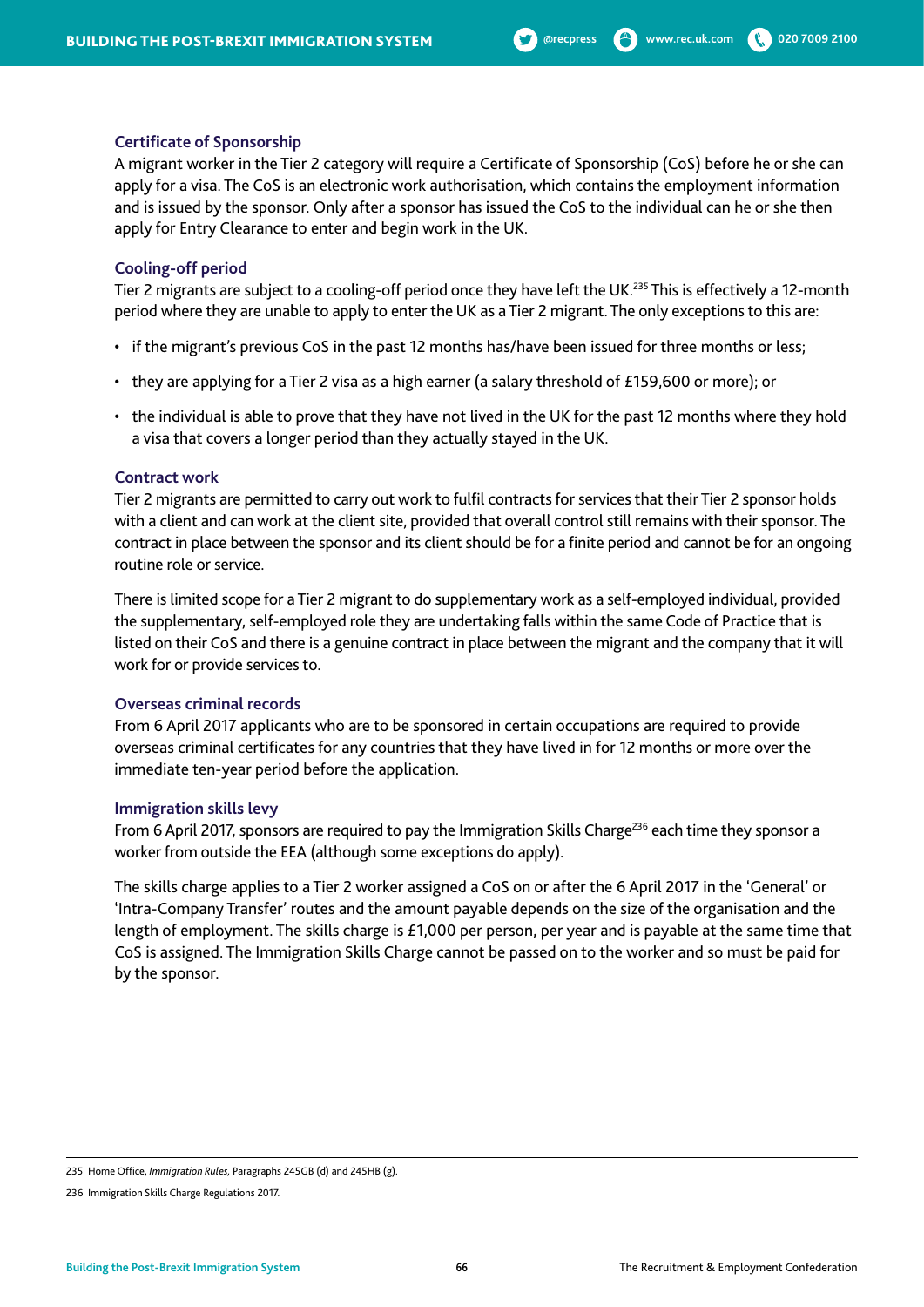#### **Certificate of Sponsorship**

A migrant worker in the Tier 2 category will require a Certificate of Sponsorship (CoS) before he or she can apply for a visa. The CoS is an electronic work authorisation, which contains the employment information and is issued by the sponsor. Only after a sponsor has issued the CoS to the individual can he or she then apply for Entry Clearance to enter and begin work in the UK.

#### **Cooling-off period**

Tier 2 migrants are subject to a cooling-off period once they have left the UK.<sup>235</sup> This is effectively a 12-month period where they are unable to apply to enter the UK as a Tier 2 migrant. The only exceptions to this are:

- if the migrant's previous CoS in the past 12 months has/have been issued for three months or less;
- they are applying for a Tier 2 visa as a high earner (a salary threshold of £159,600 or more); or
- the individual is able to prove that they have not lived in the UK for the past 12 months where they hold a visa that covers a longer period than they actually stayed in the UK.

#### **Contract work**

Tier 2 migrants are permitted to carry out work to fulfil contracts for services that their Tier 2 sponsor holds with a client and can work at the client site, provided that overall control still remains with their sponsor. The contract in place between the sponsor and its client should be for a finite period and cannot be for an ongoing routine role or service.

There is limited scope for a Tier 2 migrant to do supplementary work as a self-employed individual, provided the supplementary, self-employed role they are undertaking falls within the same Code of Practice that is listed on their CoS and there is a genuine contract in place between the migrant and the company that it will work for or provide services to.

#### **Overseas criminal records**

From 6 April 2017 applicants who are to be sponsored in certain occupations are required to provide overseas criminal certificates for any countries that they have lived in for 12 months or more over the immediate ten-year period before the application.

#### **Immigration skills levy**

From 6 April 2017, sponsors are required to pay the Immigration Skills Charge<sup>236</sup> each time they sponsor a worker from outside the EEA (although some exceptions do apply).

The skills charge applies to a Tier 2 worker assigned a CoS on or after the 6 April 2017 in the 'General' or 'Intra-Company Transfer' routes and the amount payable depends on the size of the organisation and the length of employment. The skills charge is £1,000 per person, per year and is payable at the same time that CoS is assigned. The Immigration Skills Charge cannot be passed on to the worker and so must be paid for by the sponsor.

<sup>235</sup> Home Office, *Immigration Rules,* Paragraphs 245GB (d) and 245HB (g).

<sup>236</sup> Immigration Skills Charge Regulations 2017.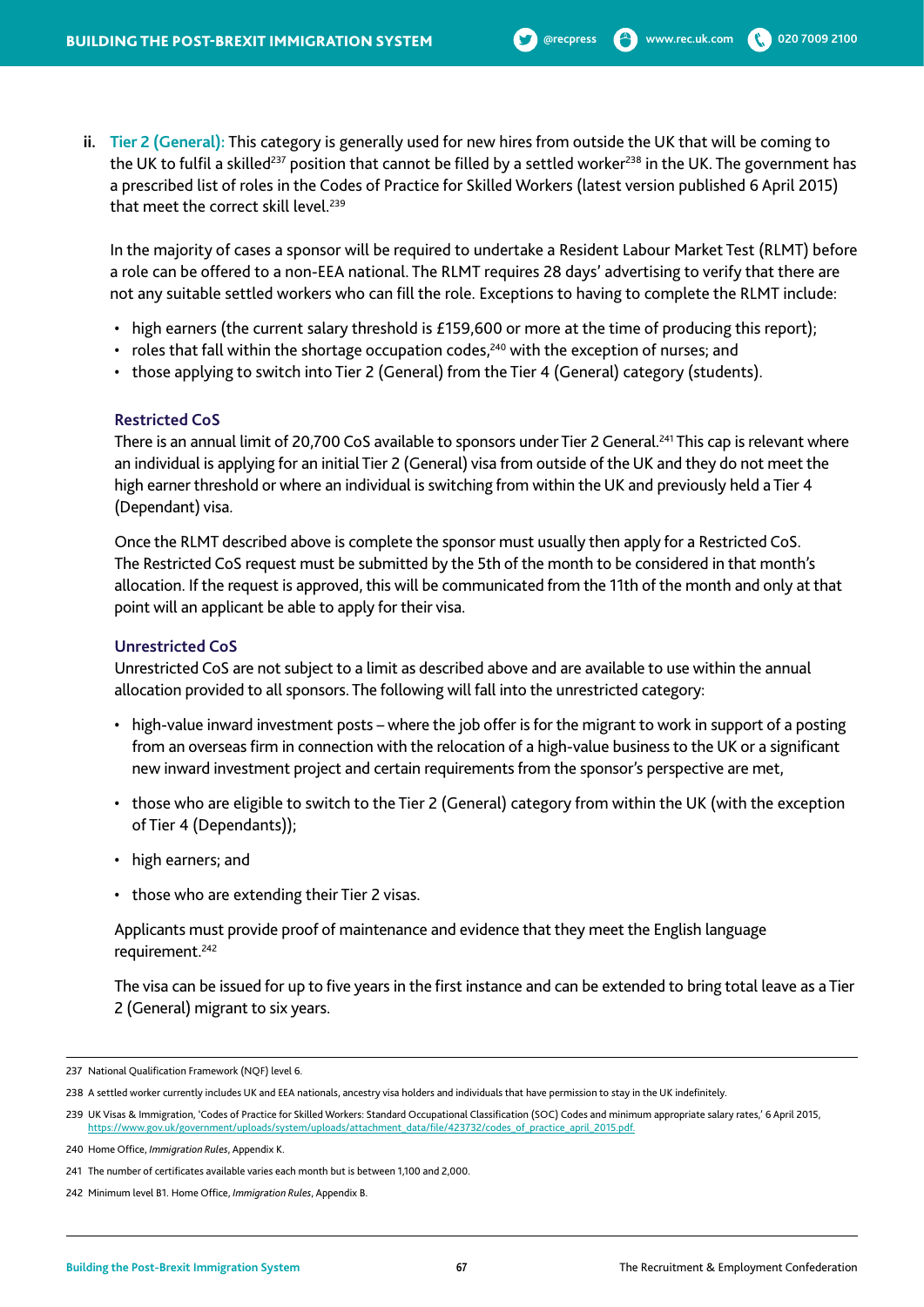In the majority of cases a sponsor will be required to undertake a Resident Labour Market Test (RLMT) before a role can be offered to a non-EEA national. The RLMT requires 28 days' advertising to verify that there are not any suitable settled workers who can fill the role. Exceptions to having to complete the RLMT include:

- high earners (the current salary threshold is £159,600 or more at the time of producing this report);
- roles that fall within the shortage occupation codes,<sup>240</sup> with the exception of nurses; and
- those applying to switch into Tier 2 (General) from the Tier 4 (General) category (students).

#### **Restricted CoS**

There is an annual limit of 20,700 CoS available to sponsors under Tier 2 General.<sup>241</sup> This cap is relevant where an individual is applying for an initial Tier 2 (General) visa from outside of the UK and they do not meet the high earner threshold or where an individual is switching from within the UK and previously held a Tier 4 (Dependant) visa.

Once the RLMT described above is complete the sponsor must usually then apply for a Restricted CoS. The Restricted CoS request must be submitted by the 5th of the month to be considered in that month's allocation. If the request is approved, this will be communicated from the 11th of the month and only at that point will an applicant be able to apply for their visa.

#### **Unrestricted CoS**

Unrestricted CoS are not subject to a limit as described above and are available to use within the annual allocation provided to all sponsors. The following will fall into the unrestricted category:

- high-value inward investment posts where the job offer is for the migrant to work in support of a posting from an overseas firm in connection with the relocation of a high-value business to the UK or a significant new inward investment project and certain requirements from the sponsor's perspective are met,
- those who are eligible to switch to the Tier 2 (General) category from within the UK (with the exception of Tier 4 (Dependants));
- high earners; and
- those who are extending their Tier 2 visas.

Applicants must provide proof of maintenance and evidence that they meet the English language requirement.<sup>242</sup>

The visa can be issued for up to five years in the first instance and can be extended to bring total leave as a Tier 2 (General) migrant to six years.

<sup>237</sup> National Qualification Framework (NQF) level 6.

<sup>238</sup> A settled worker currently includes UK and EEA nationals, ancestry visa holders and individuals that have permission to stay in the UK indefinitely.

<sup>239</sup> UK Visas & Immigration, 'Codes of Practice for Skilled Workers: Standard Occupational Classification (SOC) Codes and minimum appropriate salary rates,' 6 April 2015, https://www.gov.uk/government/uploads/system/uploads/attachment\_data/file/423732/codes\_of\_practice\_april\_2015.pdf.

<sup>240</sup> Home Office, *Immigration Rules*, Appendix K.

<sup>241</sup> The number of certificates available varies each month but is between 1,100 and 2,000.

<sup>242</sup> Minimum level B1. Home Office, *Immigration Rules*, Appendix B.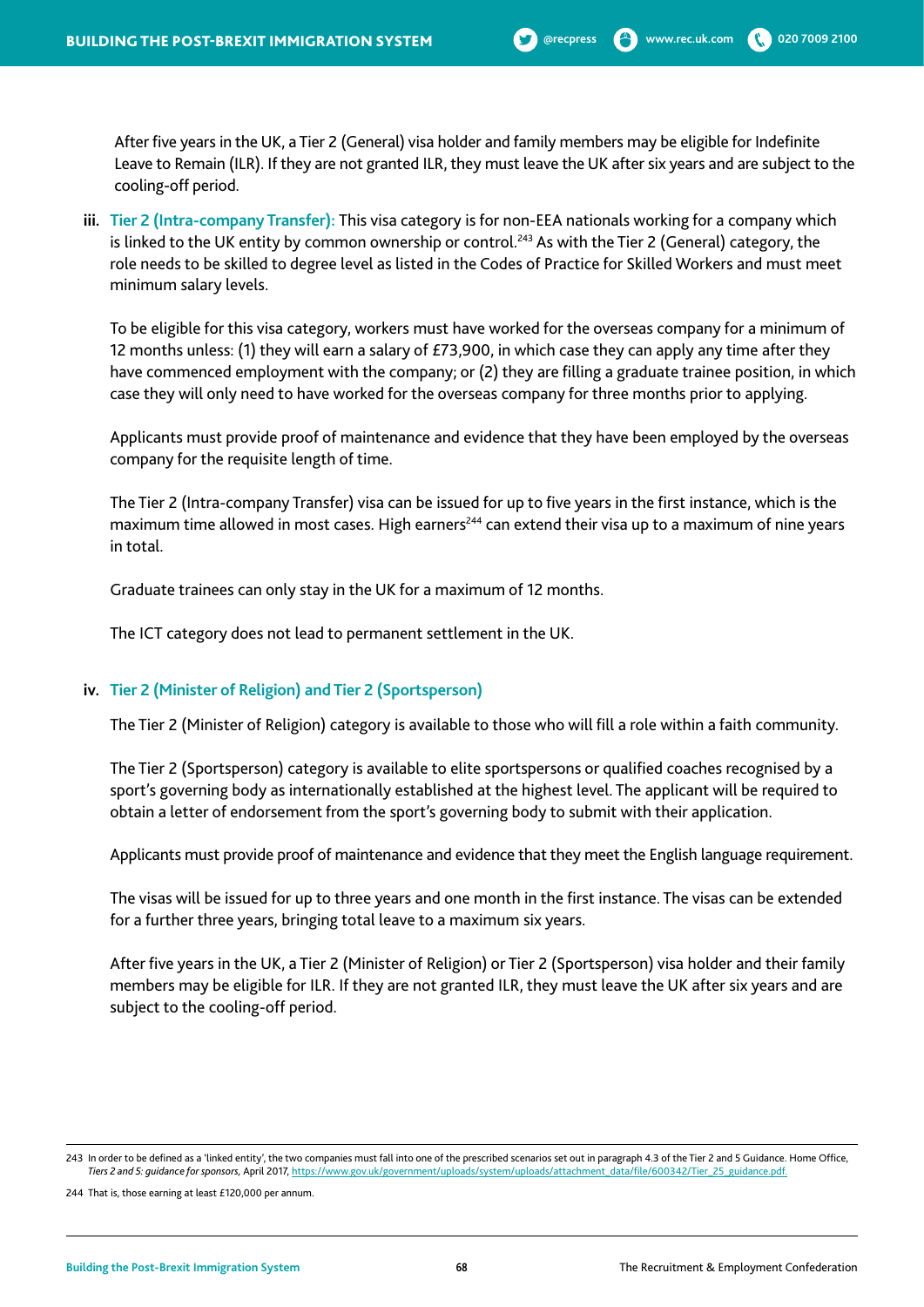**iii. Tier 2 (Intra-company Transfer):** This visa category is for non-EEA nationals working for a company which is linked to the UK entity by common ownership or control.<sup>243</sup> As with the Tier 2 (General) category, the role needs to be skilled to degree level as listed in the Codes of Practice for Skilled Workers and must meet minimum salary levels.

To be eligible for this visa category, workers must have worked for the overseas company for a minimum of 12 months unless: (1) they will earn a salary of £73,900, in which case they can apply any time after they have commenced employment with the company; or (2) they are filling a graduate trainee position, in which case they will only need to have worked for the overseas company for three months prior to applying.

Applicants must provide proof of maintenance and evidence that they have been employed by the overseas company for the requisite length of time.

The Tier 2 (Intra-company Transfer) visa can be issued for up to five years in the first instance, which is the maximum time allowed in most cases. High earners<sup>244</sup> can extend their visa up to a maximum of nine years in total.

Graduate trainees can only stay in the UK for a maximum of 12 months.

The ICT category does not lead to permanent settlement in the UK.

### **iv. Tier 2 (Minister of Religion) and Tier 2 (Sportsperson)**

The Tier 2 (Minister of Religion) category is available to those who will fill a role within a faith community.

The Tier 2 (Sportsperson) category is available to elite sportspersons or qualified coaches recognised by a sport's governing body as internationally established at the highest level. The applicant will be required to obtain a letter of endorsement from the sport's governing body to submit with their application.

Applicants must provide proof of maintenance and evidence that they meet the English language requirement.

The visas will be issued for up to three years and one month in the first instance. The visas can be extended for a further three years, bringing total leave to a maximum six years.

After five years in the UK, a Tier 2 (Minister of Religion) or Tier 2 (Sportsperson) visa holder and their family members may be eligible for ILR. If they are not granted ILR, they must leave the UK after six years and are subject to the cooling-off period.

<sup>243</sup> In order to be defined as a 'linked entity', the two companies must fall into one of the prescribed scenarios set out in paragraph 4.3 of the Tier 2 and 5 Guidance. Home Office, *Tiers 2 and 5: guidance for sponsors,* April 2017, https://www.gov.uk/government/uploads/system/uploads/attachment\_data/file/600342/Tier\_25\_guidance.pdf.

<sup>244</sup> That is, those earning at least £120,000 per annum.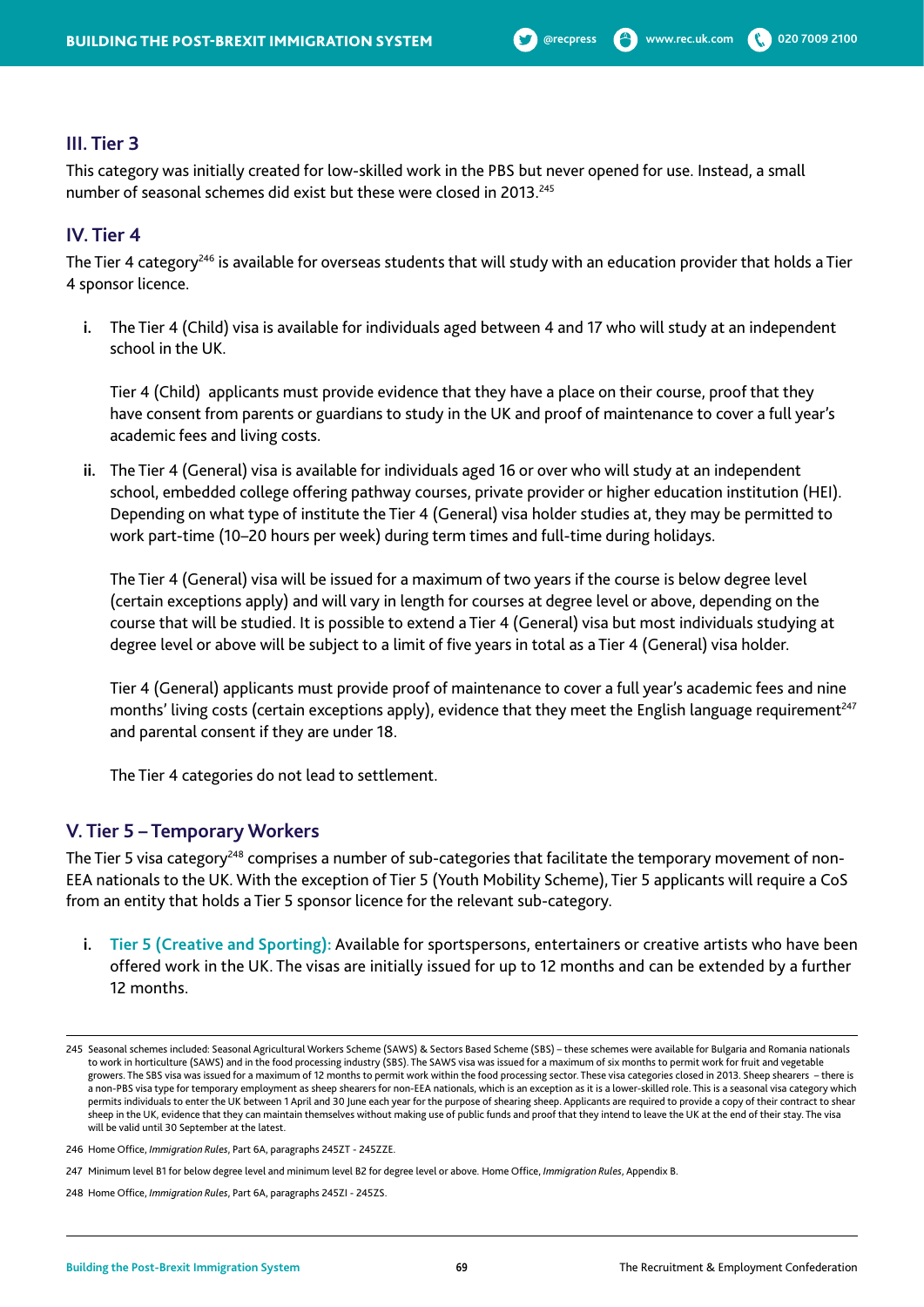#### **III. Tier 3**

This category was initially created for low-skilled work in the PBS but never opened for use. Instead, a small number of seasonal schemes did exist but these were closed in 2013.245

## **IV. Tier 4**

The Tier 4 category<sup>246</sup> is available for overseas students that will study with an education provider that holds a Tier 4 sponsor licence.

**i.** The Tier 4 (Child) visa is available for individuals aged between 4 and 17 who will study at an independent school in the UK.

Tier 4 (Child) applicants must provide evidence that they have a place on their course, proof that they have consent from parents or guardians to study in the UK and proof of maintenance to cover a full year's academic fees and living costs.

**ii.** The Tier 4 (General) visa is available for individuals aged 16 or over who will study at an independent school, embedded college offering pathway courses, private provider or higher education institution (HEI). Depending on what type of institute the Tier 4 (General) visa holder studies at, they may be permitted to work part-time (10–20 hours per week) during term times and full-time during holidays.

The Tier 4 (General) visa will be issued for a maximum of two years if the course is below degree level (certain exceptions apply) and will vary in length for courses at degree level or above, depending on the course that will be studied. It is possible to extend a Tier 4 (General) visa but most individuals studying at degree level or above will be subject to a limit of five years in total as a Tier 4 (General) visa holder.

Tier 4 (General) applicants must provide proof of maintenance to cover a full year's academic fees and nine months' living costs (certain exceptions apply), evidence that they meet the English language requirement<sup>247</sup> and parental consent if they are under 18.

The Tier 4 categories do not lead to settlement.

### **V. Tier 5 – Temporary Workers**

The Tier 5 visa category<sup>248</sup> comprises a number of sub-categories that facilitate the temporary movement of non-EEA nationals to the UK. With the exception of Tier 5 (Youth Mobility Scheme), Tier 5 applicants will require a CoS from an entity that holds a Tier 5 sponsor licence for the relevant sub-category.

**i. Tier 5 (Creative and Sporting):** Available for sportspersons, entertainers or creative artists who have been offered work in the UK. The visas are initially issued for up to 12 months and can be extended by a further 12 months.

<sup>245</sup> Seasonal schemes included: Seasonal Agricultural Workers Scheme (SAWS) & Sectors Based Scheme (SBS) – these schemes were available for Bulgaria and Romania nationals to work in horticulture (SAWS) and in the food processing industry (SBS). The SAWS visa was issued for a maximum of six months to permit work for fruit and vegetable growers. The SBS visa was issued for a maximum of 12 months to permit work within the food processing sector. These visa categories closed in 2013. Sheep shearers – there is a non-PBS visa type for temporary employment as sheep shearers for non-EEA nationals, which is an exception as it is a lower-skilled role. This is a seasonal visa category which permits individuals to enter the UK between 1 April and 30 June each year for the purpose of shearing sheep. Applicants are required to provide a copy of their contract to shear sheep in the UK, evidence that they can maintain themselves without making use of public funds and proof that they intend to leave the UK at the end of their stay. The visa will be valid until 30 September at the latest.

<sup>246</sup> Home Office, *Immigration Rules*, Part 6A, paragraphs 245ZT - 245ZZE.

<sup>247</sup> Minimum level B1 for below degree level and minimum level B2 for degree level or above. Home Office, *Immigration Rules*, Appendix B.

<sup>248</sup> Home Office, *Immigration Rules*, Part 6A, paragraphs 245ZI - 245ZS.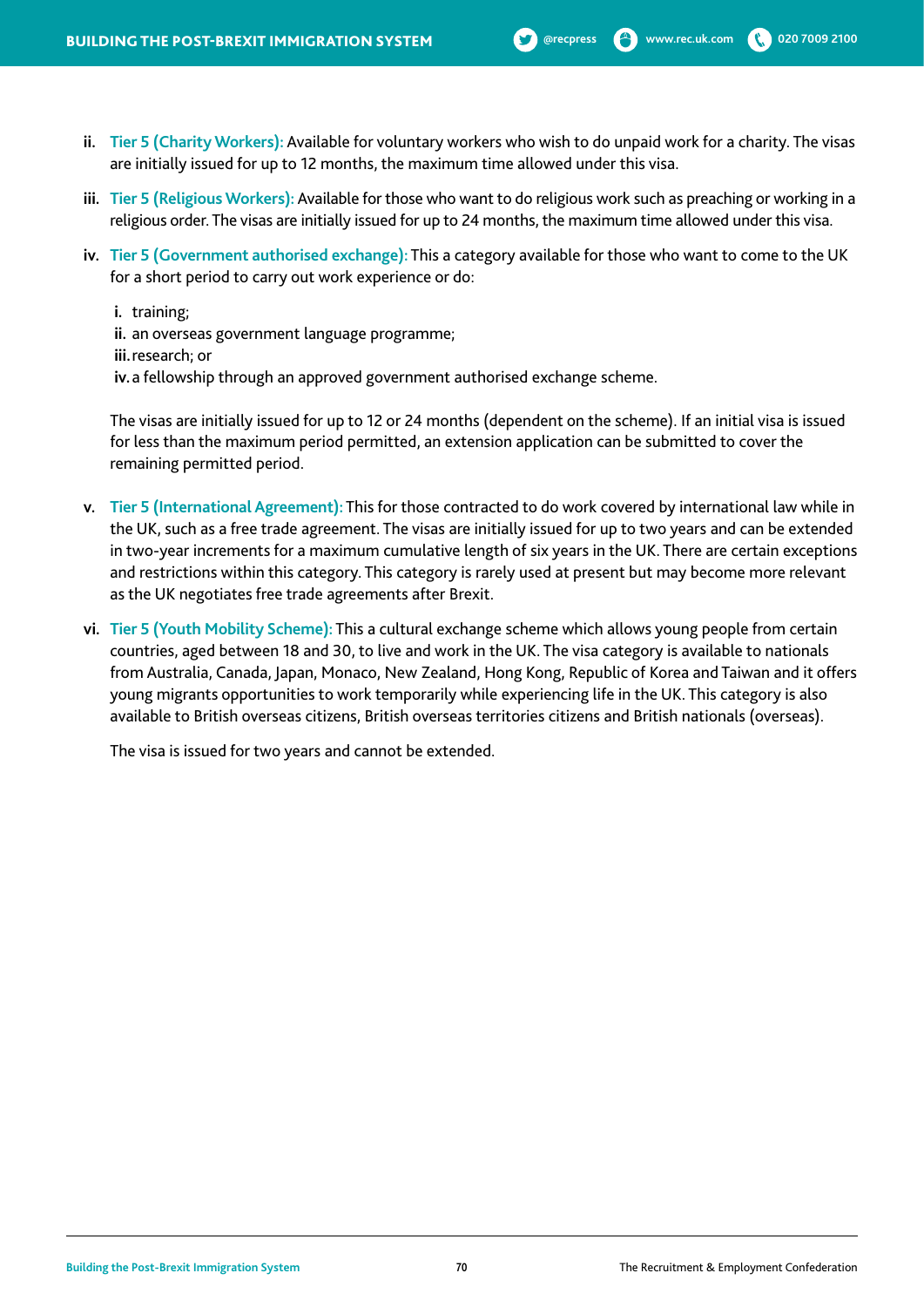- **iii. Tier 5 (Religious Workers):** Available for those who want to do religious work such as preaching or working in a religious order. The visas are initially issued for up to 24 months, the maximum time allowed under this visa.
- **iv. Tier 5 (Government authorised exchange):** This a category available for those who want to come to the UK for a short period to carry out work experience or do:

**i.** training; **ii.** an overseas government language programme; **iii.**research; or **iv.**a fellowship through an approved government authorised exchange scheme.

The visas are initially issued for up to 12 or 24 months (dependent on the scheme). If an initial visa is issued for less than the maximum period permitted, an extension application can be submitted to cover the remaining permitted period.

- **v. Tier 5 (International Agreement):** This for those contracted to do work covered by international law while in the UK, such as a free trade agreement. The visas are initially issued for up to two years and can be extended in two-year increments for a maximum cumulative length of six years in the UK. There are certain exceptions and restrictions within this category. This category is rarely used at present but may become more relevant as the UK negotiates free trade agreements after Brexit.
- **vi. Tier 5 (Youth Mobility Scheme):** This a cultural exchange scheme which allows young people from certain countries, aged between 18 and 30, to live and work in the UK. The visa category is available to nationals from Australia, Canada, Japan, Monaco, New Zealand, Hong Kong, Republic of Korea and Taiwan and it offers young migrants opportunities to work temporarily while experiencing life in the UK. This category is also available to British overseas citizens, British overseas territories citizens and British nationals (overseas).

The visa is issued for two years and cannot be extended.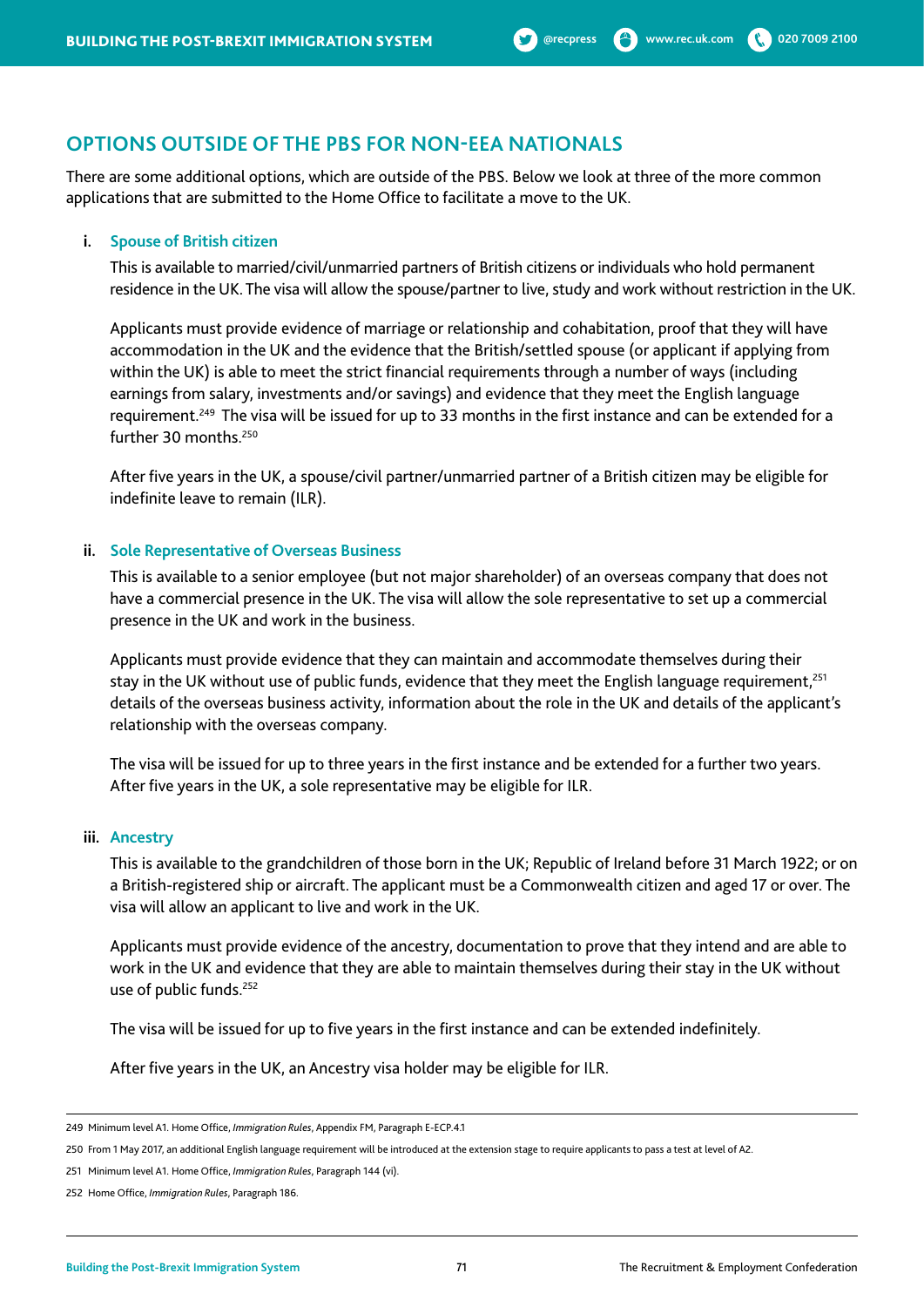## **OPTIONS OUTSIDE OF THE PBS FOR NON-EEA NATIONALS**

There are some additional options, which are outside of the PBS. Below we look at three of the more common applications that are submitted to the Home Office to facilitate a move to the UK.

#### **i. Spouse of British citizen**

This is available to married/civil/unmarried partners of British citizens or individuals who hold permanent residence in the UK. The visa will allow the spouse/partner to live, study and work without restriction in the UK.

Applicants must provide evidence of marriage or relationship and cohabitation, proof that they will have accommodation in the UK and the evidence that the British/settled spouse (or applicant if applying from within the UK) is able to meet the strict financial requirements through a number of ways (including earnings from salary, investments and/or savings) and evidence that they meet the English language requirement.<sup>249</sup> The visa will be issued for up to 33 months in the first instance and can be extended for a further  $30$  months  $^{250}$ 

After five years in the UK, a spouse/civil partner/unmarried partner of a British citizen may be eligible for indefinite leave to remain (ILR).

#### **ii. Sole Representative of Overseas Business**

This is available to a senior employee (but not major shareholder) of an overseas company that does not have a commercial presence in the UK. The visa will allow the sole representative to set up a commercial presence in the UK and work in the business.

Applicants must provide evidence that they can maintain and accommodate themselves during their stay in the UK without use of public funds, evidence that they meet the English language requirement,<sup>251</sup> details of the overseas business activity, information about the role in the UK and details of the applicant's relationship with the overseas company.

The visa will be issued for up to three years in the first instance and be extended for a further two years. After five years in the UK, a sole representative may be eligible for ILR.

#### **iii. Ancestry**

This is available to the grandchildren of those born in the UK; Republic of Ireland before 31 March 1922; or on a British-registered ship or aircraft. The applicant must be a Commonwealth citizen and aged 17 or over. The visa will allow an applicant to live and work in the UK.

Applicants must provide evidence of the ancestry, documentation to prove that they intend and are able to work in the UK and evidence that they are able to maintain themselves during their stay in the UK without use of public funds.<sup>252</sup>

The visa will be issued for up to five years in the first instance and can be extended indefinitely.

After five years in the UK, an Ancestry visa holder may be eligible for ILR.

<sup>249</sup> Minimum level A1. Home Office, *Immigration Rules*, Appendix FM, Paragraph E-ECP.4.1

<sup>250</sup> From 1 May 2017, an additional English language requirement will be introduced at the extension stage to require applicants to pass a test at level of A2.

<sup>251</sup> Minimum level A1. Home Office, *Immigration Rules*, Paragraph 144 (vi).

<sup>252</sup> Home Office, *Immigration Rules*, Paragraph 186.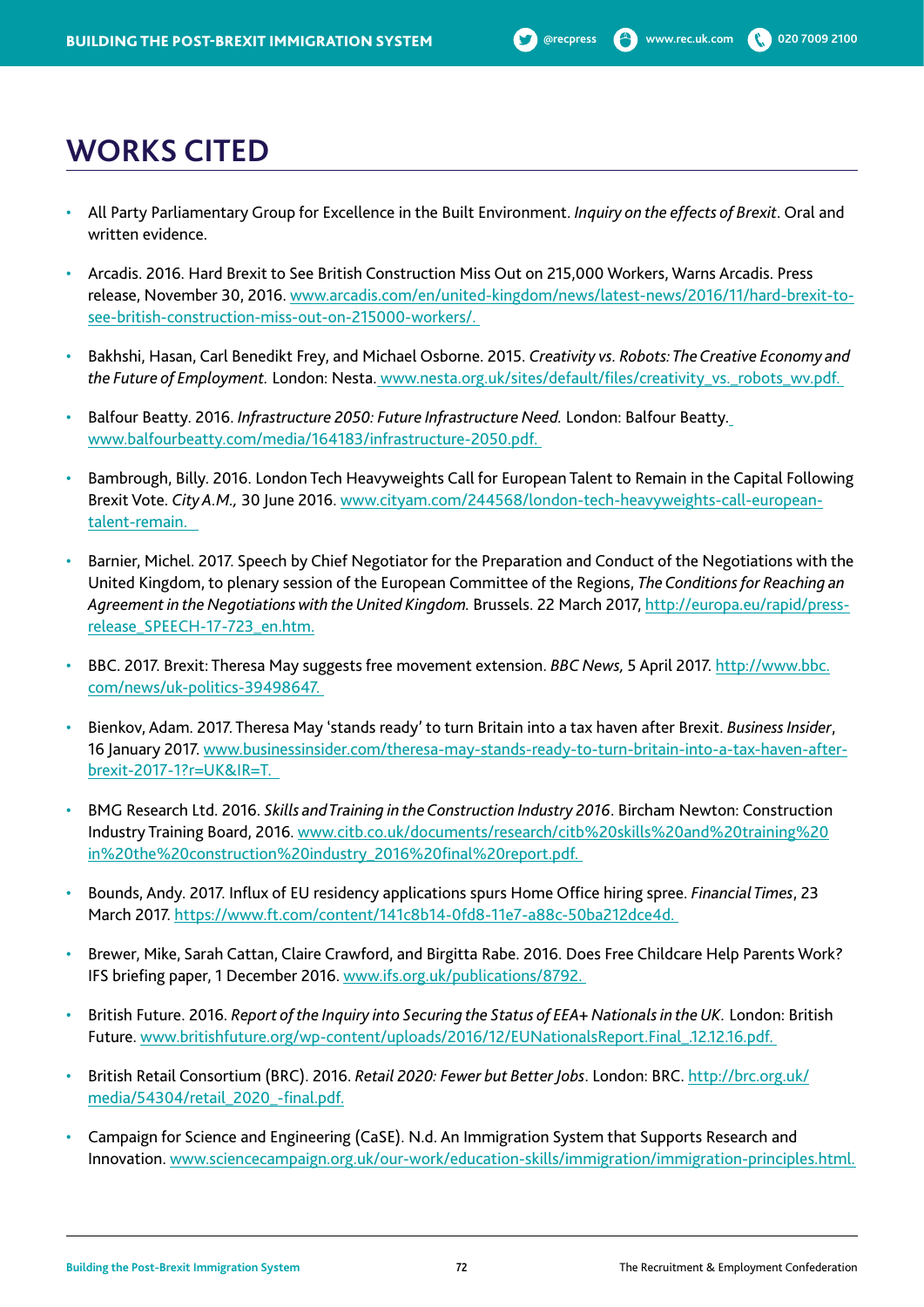# **WORKS CITED**

- All Party Parliamentary Group for Excellence in the Built Environment. *Inquiry on the effects of Brexit*. Oral and written evidence.
- Arcadis. 2016. Hard Brexit to See British Construction Miss Out on 215,000 Workers, Warns Arcadis. Press release, November 30, 2016. www.arcadis.com/en/united-kingdom/news/latest-news/2016/11/hard-brexit-tosee-british-construction-miss-out-on-215000-workers/.
- Bakhshi, Hasan, Carl Benedikt Frey, and Michael Osborne. 2015. *Creativity vs. Robots: The Creative Economy and the Future of Employment.* London: Nesta. www.nesta.org.uk/sites/default/files/creativity\_vs.\_robots\_wv.pdf.
- Balfour Beatty. 2016. *Infrastructure 2050: Future Infrastructure Need.* London: Balfour Beatty. www.balfourbeatty.com/media/164183/infrastructure-2050.pdf.
- Bambrough, Billy. 2016. London Tech Heavyweights Call for European Talent to Remain in the Capital Following Brexit Vote. *City A.M.,* 30 June 2016. www.cityam.com/244568/london-tech-heavyweights-call-europeantalent-remain.
- Barnier, Michel. 2017. Speech by Chief Negotiator for the Preparation and Conduct of the Negotiations with the United Kingdom, to plenary session of the European Committee of the Regions, *The Conditions for Reaching an Agreement in the Negotiations with the United Kingdom.* Brussels. 22 March 2017, http://europa.eu/rapid/pressrelease\_SPEECH-17-723\_en.htm.
- BBC. 2017. Brexit: Theresa May suggests free movement extension. *BBC News,* 5 April 2017. http://www.bbc. com/news/uk-politics-39498647.
- Bienkov, Adam. 2017. Theresa May 'stands ready' to turn Britain into a tax haven after Brexit. *Business Insider*, 16 January 2017. www.businessinsider.com/theresa-may-stands-ready-to-turn-britain-into-a-tax-haven-afterbrexit-2017-1?r=UK&IR=T.
- BMG Research Ltd. 2016. *Skills and Training in the Construction Industry 2016*. Bircham Newton: Construction Industry Training Board, 2016. www.citb.co.uk/documents/research/citb%20skills%20and%20training%20 in%20the%20construction%20industry\_2016%20final%20report.pdf.
- Bounds, Andy. 2017. Influx of EU residency applications spurs Home Office hiring spree. *Financial Times*, 23 March 2017. https://www.ft.com/content/141c8b14-0fd8-11e7-a88c-50ba212dce4d.
- Brewer, Mike, Sarah Cattan, Claire Crawford, and Birgitta Rabe. 2016. Does Free Childcare Help Parents Work? IFS briefing paper, 1 December 2016. www.ifs.org.uk/publications/8792.
- British Future. 2016. *Report of the Inquiry into Securing the Status of EEA+ Nationals in the UK.* London: British Future. www.britishfuture.org/wp-content/uploads/2016/12/EUNationalsReport.Final\_.12.12.16.pdf.
- British Retail Consortium (BRC). 2016. *Retail 2020: Fewer but Better Jobs*. London: BRC. http://brc.org.uk/ media/54304/retail\_2020\_-final.pdf.
- Campaign for Science and Engineering (CaSE). N.d. An Immigration System that Supports Research and Innovation. www.sciencecampaign.org.uk/our-work/education-skills/immigration/immigration-principles.html.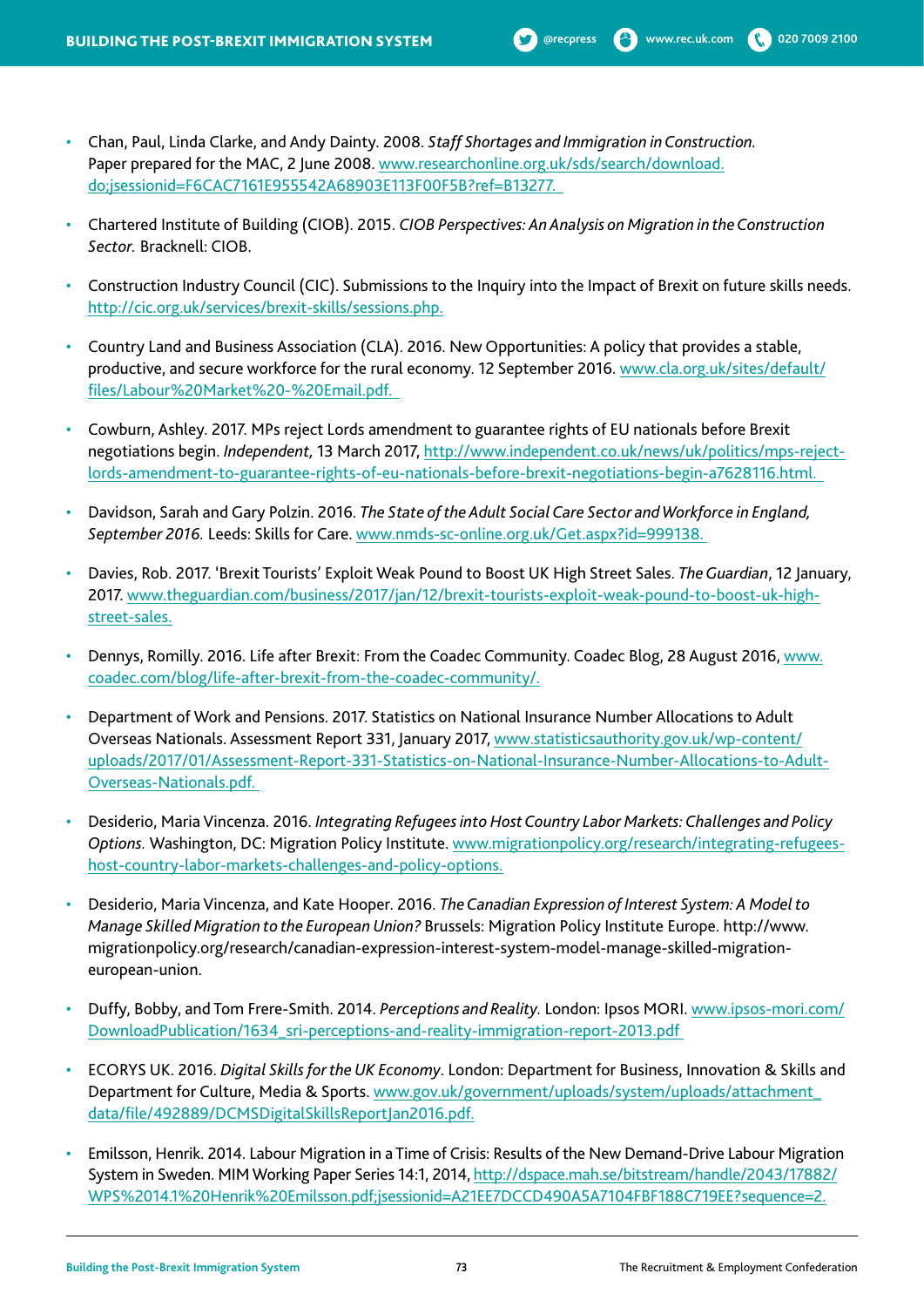- Chartered Institute of Building (CIOB). 2015. *CIOB Perspectives: An Analysis on Migration in the Construction Sector.* Bracknell: CIOB.
- Construction Industry Council (CIC). Submissions to the Inquiry into the Impact of Brexit on future skills needs. http://cic.org.uk/services/brexit-skills/sessions.php.
- Country Land and Business Association (CLA). 2016. New Opportunities: A policy that provides a stable, productive, and secure workforce for the rural economy. 12 September 2016. www.cla.org.uk/sites/default/ files/Labour%20Market%20-%20Email.pdf.
- Cowburn, Ashley. 2017. MPs reject Lords amendment to guarantee rights of EU nationals before Brexit negotiations begin. *Independent,* 13 March 2017, http://www.independent.co.uk/news/uk/politics/mps-rejectlords-amendment-to-guarantee-rights-of-eu-nationals-before-brexit-negotiations-begin-a7628116.html.
- Davidson, Sarah and Gary Polzin. 2016. *The State of the Adult Social Care Sector and Workforce in England, September 2016.* Leeds: Skills for Care. www.nmds-sc-online.org.uk/Get.aspx?id=999138.
- Davies, Rob. 2017. 'Brexit Tourists' Exploit Weak Pound to Boost UK High Street Sales. *The Guardian*, 12 January, 2017. www.theguardian.com/business/2017/jan/12/brexit-tourists-exploit-weak-pound-to-boost-uk-highstreet-sales.
- Dennys, Romilly. 2016. Life after Brexit: From the Coadec Community. Coadec Blog, 28 August 2016, www. coadec.com/blog/life-after-brexit-from-the-coadec-community/.
- Department of Work and Pensions. 2017. Statistics on National Insurance Number Allocations to Adult Overseas Nationals. Assessment Report 331, January 2017, www.statisticsauthority.gov.uk/wp-content/ uploads/2017/01/Assessment-Report-331-Statistics-on-National-Insurance-Number-Allocations-to-Adult-Overseas-Nationals.pdf.
- Desiderio, Maria Vincenza. 2016. *Integrating Refugees into Host Country Labor Markets: Challenges and Policy Options.* Washington, DC: Migration Policy Institute. www.migrationpolicy.org/research/integrating-refugeeshost-country-labor-markets-challenges-and-policy-options.
- Desiderio, Maria Vincenza, and Kate Hooper. 2016. *The Canadian Expression of Interest System: A Model to Manage Skilled Migration to the European Union?* Brussels: Migration Policy Institute Europe. http://www. migrationpolicy.org/research/canadian-expression-interest-system-model-manage-skilled-migrationeuropean-union.
- Duffy, Bobby, and Tom Frere-Smith. 2014. *Perceptions and Reality.* London: Ipsos MORI. www.ipsos-mori.com/ DownloadPublication/1634\_sri-perceptions-and-reality-immigration-report-2013.pdf
- ECORYS UK. 2016. *Digital Skills for the UK Economy*. London: Department for Business, Innovation & Skills and Department for Culture, Media & Sports. www.gov.uk/government/uploads/system/uploads/attachment\_ data/file/492889/DCMSDigitalSkillsReportJan2016.pdf.
- Emilsson, Henrik. 2014. Labour Migration in a Time of Crisis: Results of the New Demand-Drive Labour Migration System in Sweden. MIM Working Paper Series 14:1, 2014, http://dspace.mah.se/bitstream/handle/2043/17882/ WPS%2014.1%20Henrik%20Emilsson.pdf;jsessionid=A21EE7DCCD490A5A7104FBF188C719EE?sequence=2.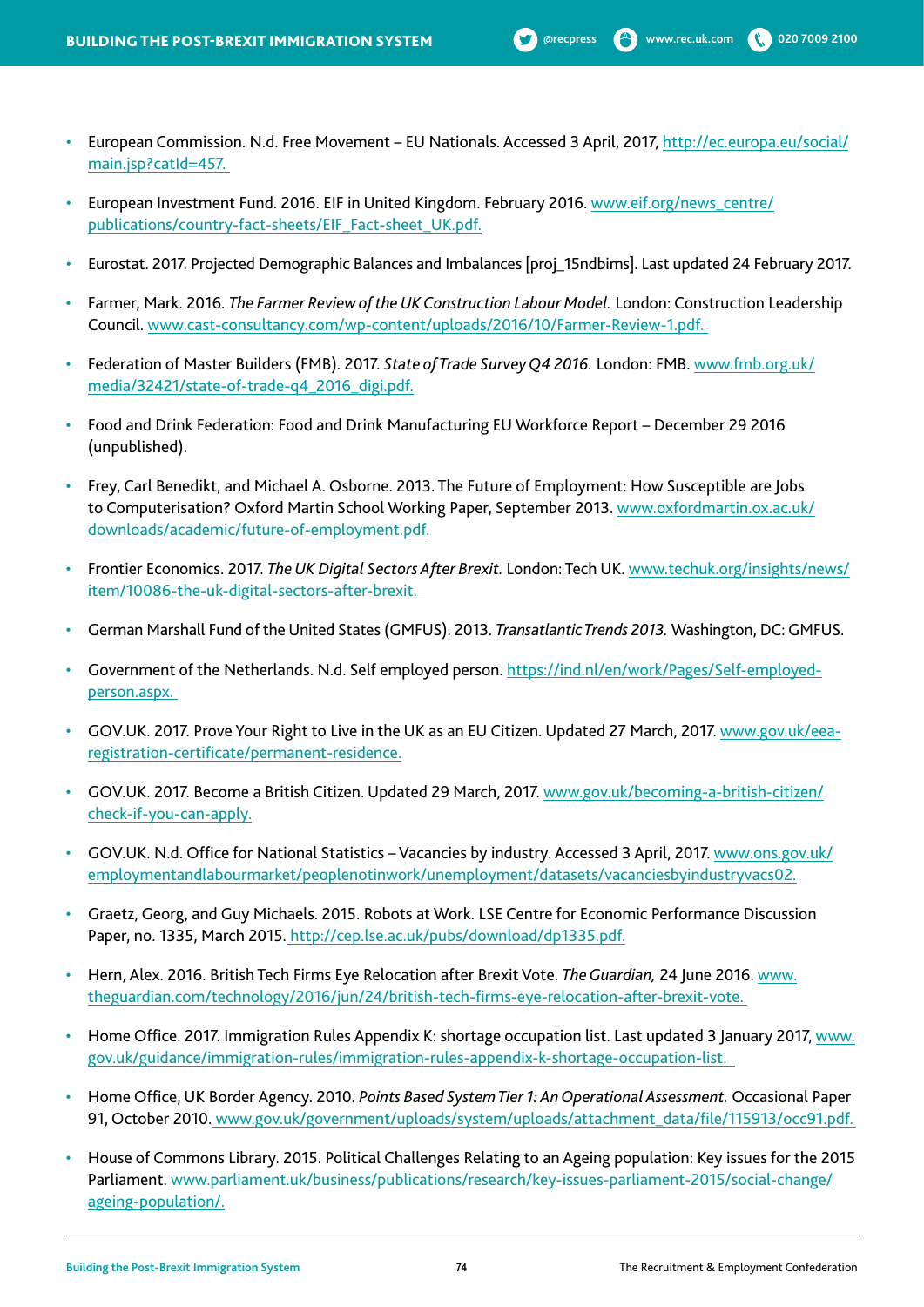- European Investment Fund. 2016. EIF in United Kingdom. February 2016. www.eif.org/news\_centre/ publications/country-fact-sheets/EIF\_Fact-sheet\_UK.pdf.
- Eurostat. 2017. Projected Demographic Balances and Imbalances [proj\_15ndbims]. Last updated 24 February 2017.
- Farmer, Mark. 2016. *The Farmer Review of the UK Construction Labour Model.* London: Construction Leadership Council. www.cast-consultancy.com/wp-content/uploads/2016/10/Farmer-Review-1.pdf.
- Federation of Master Builders (FMB). 2017. *State of Trade Survey Q4 2016.* London: FMB. www.fmb.org.uk/ media/32421/state-of-trade-q4\_2016\_digi.pdf.
- Food and Drink Federation: Food and Drink Manufacturing EU Workforce Report December 29 2016 (unpublished).
- Frey, Carl Benedikt, and Michael A. Osborne. 2013. The Future of Employment: How Susceptible are Jobs to Computerisation? Oxford Martin School Working Paper, September 2013. www.oxfordmartin.ox.ac.uk/ downloads/academic/future-of-employment.pdf.
- Frontier Economics. 2017. *The UK Digital Sectors After Brexit.* London: Tech UK. www.techuk.org/insights/news/ item/10086-the-uk-digital-sectors-after-brexit.
- German Marshall Fund of the United States (GMFUS). 2013. *Transatlantic Trends 2013.* Washington, DC: GMFUS.
- Government of the Netherlands. N.d. Self employed person. https://ind.nl/en/work/Pages/Self-employedperson.aspx.
- GOV.UK. 2017. Prove Your Right to Live in the UK as an EU Citizen. Updated 27 March, 2017. www.gov.uk/eearegistration-certificate/permanent-residence.
- GOV.UK. 2017. Become a British Citizen. Updated 29 March, 2017. www.gov.uk/becoming-a-british-citizen/ check-if-you-can-apply.
- GOV.UK. N.d. Office for National Statistics Vacancies by industry. Accessed 3 April, 2017. www.ons.gov.uk/ employmentandlabourmarket/peoplenotinwork/unemployment/datasets/vacanciesbyindustryvacs02.
- Graetz, Georg, and Guy Michaels. 2015. Robots at Work. LSE Centre for Economic Performance Discussion Paper, no. 1335, March 2015. http://cep.lse.ac.uk/pubs/download/dp1335.pdf.
- Hern, Alex. 2016. British Tech Firms Eye Relocation after Brexit Vote. *The Guardian,* 24 June 2016. www. theguardian.com/technology/2016/jun/24/british-tech-firms-eye-relocation-after-brexit-vote.
- Home Office. 2017. Immigration Rules Appendix K: shortage occupation list. Last updated 3 January 2017, www. gov.uk/guidance/immigration-rules/immigration-rules-appendix-k-shortage-occupation-list.
- Home Office, UK Border Agency. 2010. *Points Based System Tier 1: An Operational Assessment.* Occasional Paper 91, October 2010. www.gov.uk/government/uploads/system/uploads/attachment\_data/file/115913/occ91.pdf.
- House of Commons Library. 2015. Political Challenges Relating to an Ageing population: Key issues for the 2015 Parliament. www.parliament.uk/business/publications/research/key-issues-parliament-2015/social-change/ ageing-population/.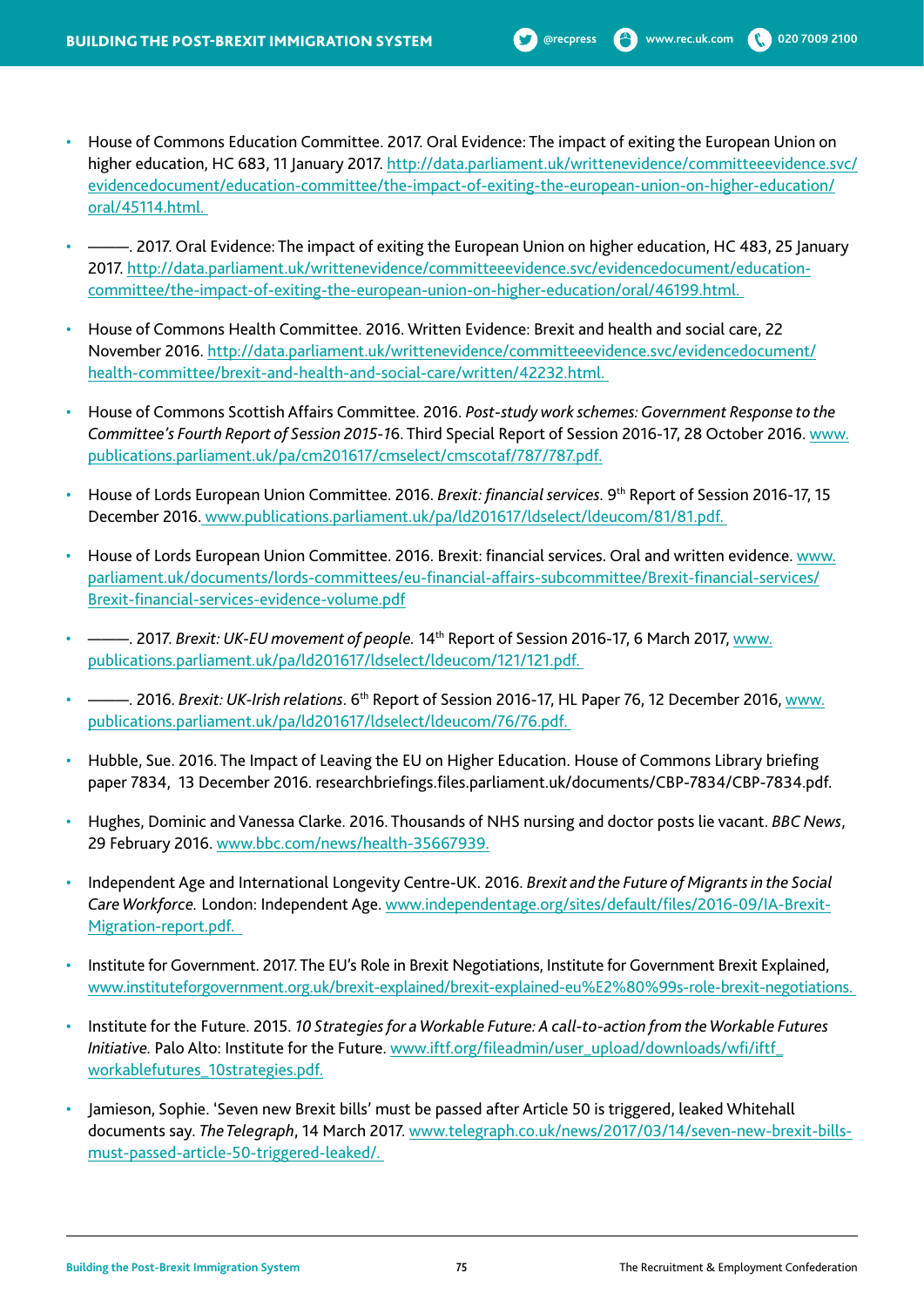- ———. 2017. Oral Evidence: The impact of exiting the European Union on higher education, HC 483, 25 January 2017. http://data.parliament.uk/writtenevidence/committeeevidence.svc/evidencedocument/educationcommittee/the-impact-of-exiting-the-european-union-on-higher-education/oral/46199.html.
- House of Commons Health Committee. 2016. Written Evidence: Brexit and health and social care, 22 November 2016. http://data.parliament.uk/writtenevidence/committeeevidence.svc/evidencedocument/ health-committee/brexit-and-health-and-social-care/written/42232.html.
- House of Commons Scottish Affairs Committee. 2016. *Post-study work schemes: Government Response to the Committee's Fourth Report of Session 2015-1*6. Third Special Report of Session 2016-17, 28 October 2016. www. publications.parliament.uk/pa/cm201617/cmselect/cmscotaf/787/787.pdf.
- House of Lords European Union Committee. 2016. *Brexit: financial services.* 9th Report of Session 2016-17, 15 December 2016. www.publications.parliament.uk/pa/ld201617/ldselect/ldeucom/81/81.pdf.
- House of Lords European Union Committee. 2016. Brexit: financial services. Oral and written evidence. www. parliament.uk/documents/lords-committees/eu-financial-affairs-subcommittee/Brexit-financial-services/ Brexit-financial-services-evidence-volume.pdf
- ———. 2017. *Brexit: UK-EU movement of people.* 14th Report of Session 2016-17, 6 March 2017, www. publications.parliament.uk/pa/ld201617/ldselect/ldeucom/121/121.pdf.
- ———. 2016. *Brexit: UK-Irish relations*. 6th Report of Session 2016-17, HL Paper 76, 12 December 2016, www. publications.parliament.uk/pa/ld201617/ldselect/ldeucom/76/76.pdf.
- Hubble, Sue. 2016. The Impact of Leaving the EU on Higher Education. House of Commons Library briefing paper 7834, 13 December 2016. researchbriefings.files.parliament.uk/documents/CBP-7834/CBP-7834.pdf.
- Hughes, Dominic and Vanessa Clarke. 2016. Thousands of NHS nursing and doctor posts lie vacant. *BBC News*, 29 February 2016. www.bbc.com/news/health-35667939.
- Independent Age and International Longevity Centre-UK. 2016. *Brexit and the Future of Migrants in the Social Care Workforce.* London: Independent Age. www.independentage.org/sites/default/files/2016-09/IA-Brexit-Migration-report.pdf.
- Institute for Government. 2017. The EU's Role in Brexit Negotiations, Institute for Government Brexit Explained, www.instituteforgovernment.org.uk/brexit-explained/brexit-explained-eu%E2%80%99s-role-brexit-negotiations.
- Institute for the Future. 2015. *10 Strategies for a Workable Future: A call-to-action from the Workable Futures Initiative.* Palo Alto: Institute for the Future. www.iftf.org/fileadmin/user\_upload/downloads/wfi/iftf workablefutures\_10strategies.pdf.
- Jamieson, Sophie. 'Seven new Brexit bills' must be passed after Article 50 is triggered, leaked Whitehall documents say. *The Telegraph*, 14 March 2017. www.telegraph.co.uk/news/2017/03/14/seven-new-brexit-billsmust-passed-article-50-triggered-leaked/.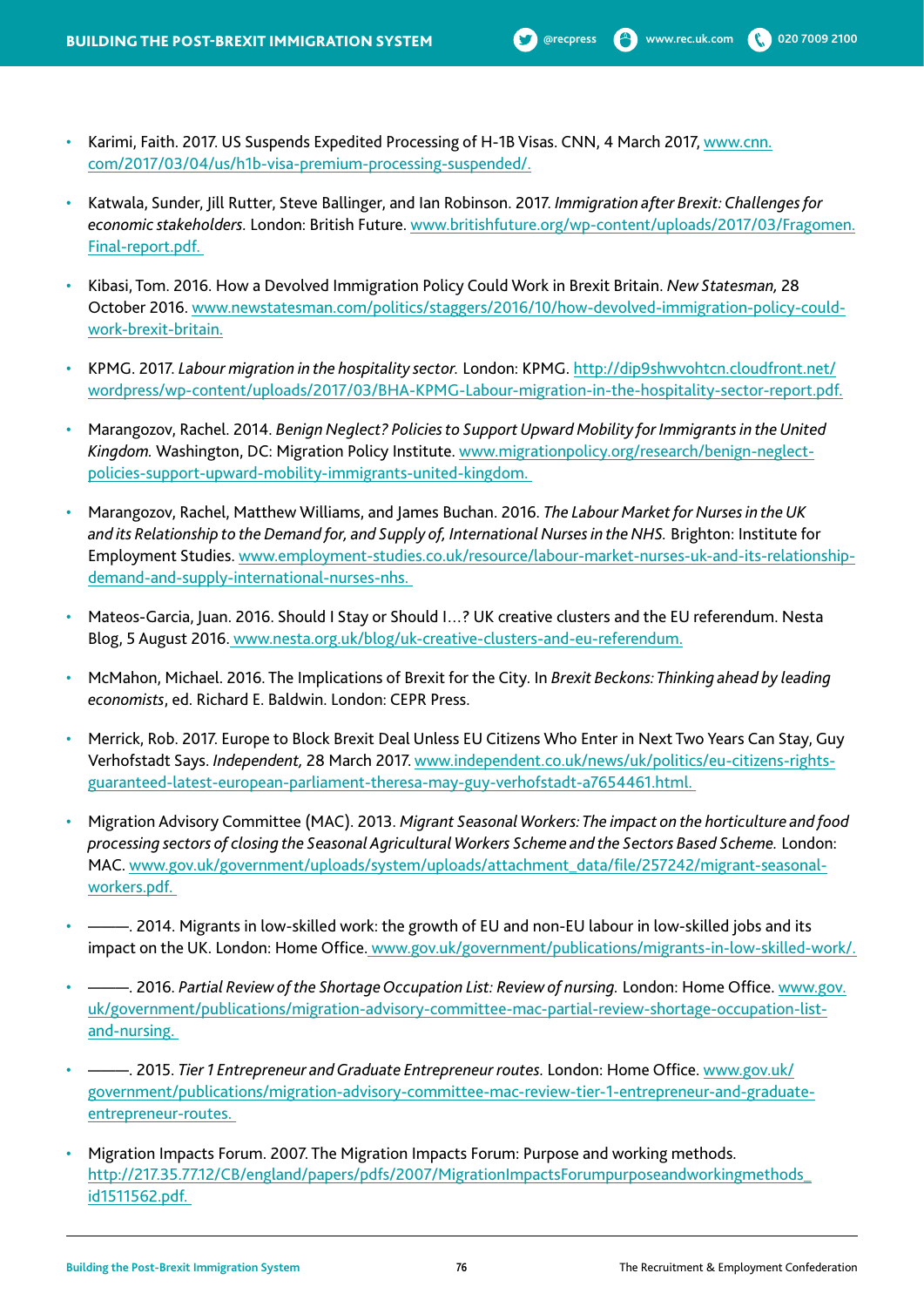- Katwala, Sunder, Jill Rutter, Steve Ballinger, and Ian Robinson. 2017. *Immigration after Brexit: Challenges for economic stakeholders.* London: British Future. www.britishfuture.org/wp-content/uploads/2017/03/Fragomen. Final-report.pdf.
- Kibasi, Tom. 2016. How a Devolved Immigration Policy Could Work in Brexit Britain. *New Statesman,* 28 October 2016. www.newstatesman.com/politics/staggers/2016/10/how-devolved-immigration-policy-couldwork-brexit-britain.
- KPMG. 2017. *Labour migration in the hospitality sector.* London: KPMG. http://dip9shwvohtcn.cloudfront.net/ wordpress/wp-content/uploads/2017/03/BHA-KPMG-Labour-migration-in-the-hospitality-sector-report.pdf.
- Marangozov, Rachel. 2014. *Benign Neglect? Policies to Support Upward Mobility for Immigrants in the United Kingdom.* Washington, DC: Migration Policy Institute. www.migrationpolicy.org/research/benign-neglectpolicies-support-upward-mobility-immigrants-united-kingdom.
- Marangozov, Rachel, Matthew Williams, and James Buchan. 2016. *The Labour Market for Nurses in the UK and its Relationship to the Demand for, and Supply of, International Nurses in the NHS.* Brighton: Institute for Employment Studies. www.employment-studies.co.uk/resource/labour-market-nurses-uk-and-its-relationshipdemand-and-supply-international-nurses-nhs.
- Mateos-Garcia, Juan. 2016. Should I Stay or Should I…? UK creative clusters and the EU referendum. Nesta Blog, 5 August 2016. www.nesta.org.uk/blog/uk-creative-clusters-and-eu-referendum.
- McMahon, Michael. 2016. The Implications of Brexit for the City. In *Brexit Beckons: Thinking ahead by leading economists*, ed. Richard E. Baldwin. London: CEPR Press.
- Merrick, Rob. 2017. Europe to Block Brexit Deal Unless EU Citizens Who Enter in Next Two Years Can Stay, Guy Verhofstadt Says. *Independent,* 28 March 2017. www.independent.co.uk/news/uk/politics/eu-citizens-rightsguaranteed-latest-european-parliament-theresa-may-guy-verhofstadt-a7654461.html.
- Migration Advisory Committee (MAC). 2013. *Migrant Seasonal Workers: The impact on the horticulture and food processing sectors of closing the Seasonal Agricultural Workers Scheme and the Sectors Based Scheme.* London: MAC. www.gov.uk/government/uploads/system/uploads/attachment\_data/file/257242/migrant-seasonalworkers.pdf.
- ———. 2014. Migrants in low-skilled work: the growth of EU and non-EU labour in low-skilled jobs and its impact on the UK. London: Home Office. www.gov.uk/government/publications/migrants-in-low-skilled-work/.
- ———. 2016. *Partial Review of the Shortage Occupation List: Review of nursing.* London: Home Office. www.gov. uk/government/publications/migration-advisory-committee-mac-partial-review-shortage-occupation-listand-nursing.
- ———. 2015. *Tier 1 Entrepreneur and Graduate Entrepreneur routes.* London: Home Office. www.gov.uk/ government/publications/migration-advisory-committee-mac-review-tier-1-entrepreneur-and-graduateentrepreneur-routes.
- Migration Impacts Forum. 2007. The Migration Impacts Forum: Purpose and working methods. http://217.35.77.12/CB/england/papers/pdfs/2007/MigrationImpactsForumpurposeandworkingmethods\_ id1511562.pdf.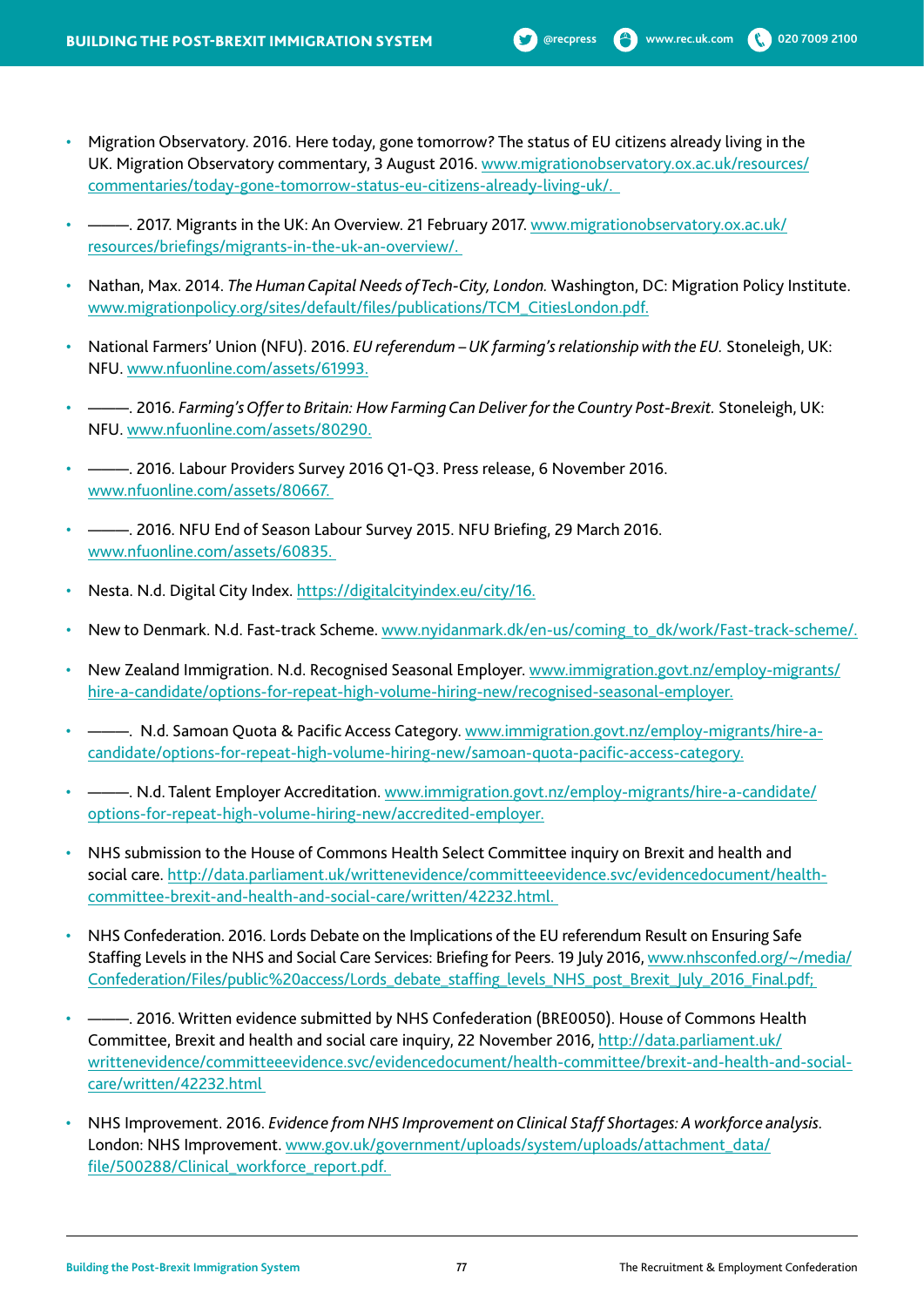- 2017. Migrants in the UK: An Overview. 21 February 2017. www.migrationobservatory.ox.ac.uk/ resources/briefings/migrants-in-the-uk-an-overview/.
- Nathan, Max. 2014. *The Human Capital Needs of Tech-City, London.* Washington, DC: Migration Policy Institute. www.migrationpolicy.org/sites/default/files/publications/TCM\_CitiesLondon.pdf.
- National Farmers' Union (NFU). 2016. *EU referendum UK farming's relationship with the EU.* Stoneleigh, UK: NFU. www.nfuonline.com/assets/61993.
- ———. 2016. *Farming's Offer to Britain: How Farming Can Deliver for the Country Post-Brexit.* Stoneleigh, UK: NFU. www.nfuonline.com/assets/80290.
- ———. 2016. Labour Providers Survey 2016 Q1-Q3. Press release, 6 November 2016. www.nfuonline.com/assets/80667.
- ———. 2016. NFU End of Season Labour Survey 2015. NFU Briefing, 29 March 2016. www.nfuonline.com/assets/60835.
- Nesta. N.d. Digital City Index. https://digitalcityindex.eu/city/16.
- New to Denmark. N.d. Fast-track Scheme. www.nyidanmark.dk/en-us/coming\_to\_dk/work/Fast-track-scheme/.
- New Zealand Immigration. N.d. Recognised Seasonal Employer. www.immigration.govt.nz/employ-migrants/ hire-a-candidate/options-for-repeat-high-volume-hiring-new/recognised-seasonal-employer.
- ———. N.d. Samoan Quota & Pacific Access Category. www.immigration.govt.nz/employ-migrants/hire-acandidate/options-for-repeat-high-volume-hiring-new/samoan-quota-pacific-access-category.
- ———. N.d. Talent Employer Accreditation. www.immigration.govt.nz/employ-migrants/hire-a-candidate/ options-for-repeat-high-volume-hiring-new/accredited-employer.
- NHS submission to the House of Commons Health Select Committee inquiry on Brexit and health and social care. http://data.parliament.uk/writtenevidence/committeeevidence.svc/evidencedocument/healthcommittee-brexit-and-health-and-social-care/written/42232.html.
- NHS Confederation. 2016. Lords Debate on the Implications of the EU referendum Result on Ensuring Safe Staffing Levels in the NHS and Social Care Services: Briefing for Peers. 19 July 2016, www.nhsconfed.org/~/media/ Confederation/Files/public%20access/Lords\_debate\_staffing\_levels\_NHS\_post\_Brexit\_July\_2016\_Final.pdf;
- ———. 2016. Written evidence submitted by NHS Confederation (BRE0050). House of Commons Health Committee, Brexit and health and social care inquiry, 22 November 2016, http://data.parliament.uk/ writtenevidence/committeeevidence.svc/evidencedocument/health-committee/brexit-and-health-and-socialcare/written/42232.html
- NHS Improvement. 2016. *Evidence from NHS Improvement on Clinical Staff Shortages: A workforce analysis.* London: NHS Improvement. www.gov.uk/government/uploads/system/uploads/attachment\_data/ file/500288/Clinical\_workforce\_report.pdf.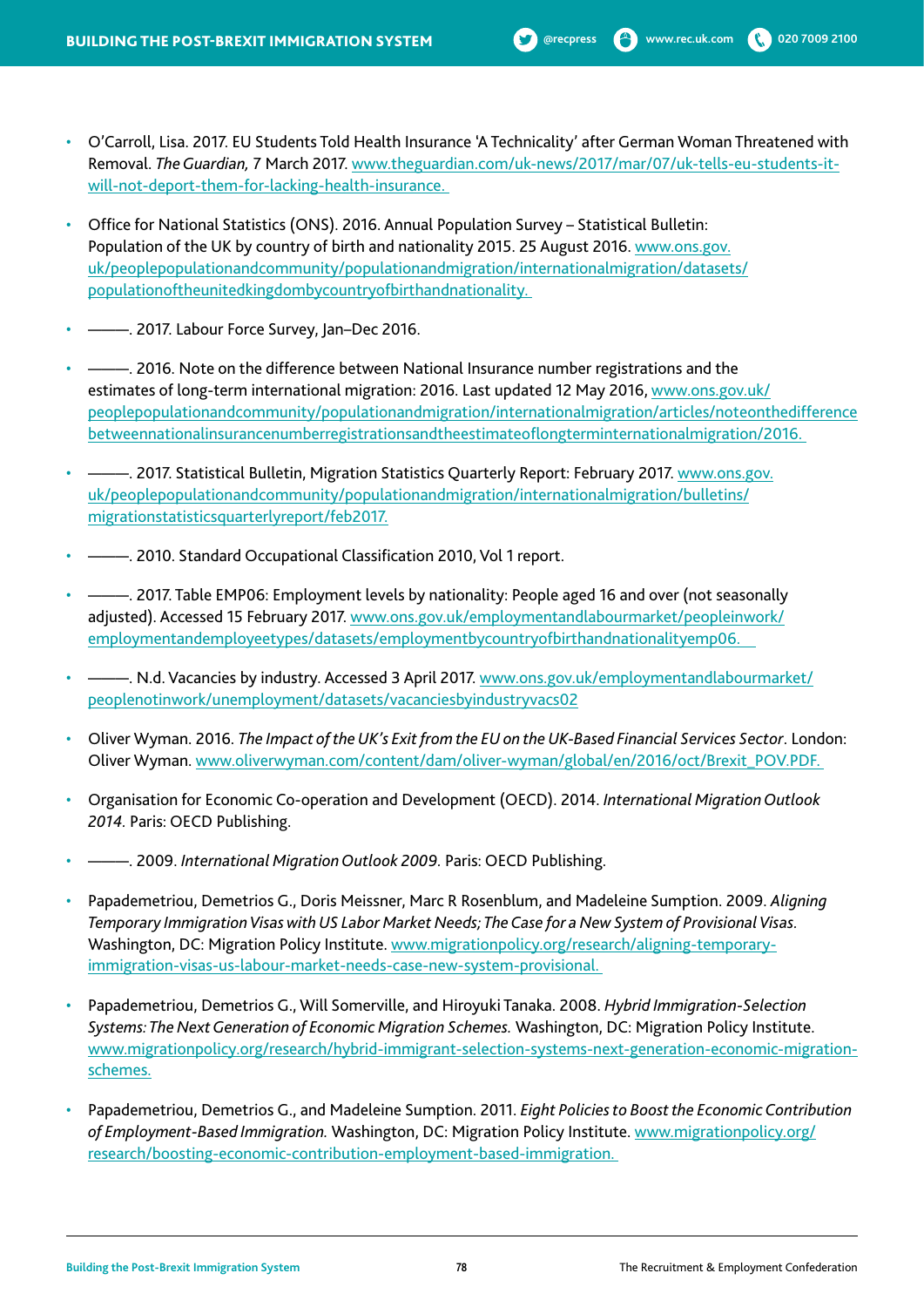- Office for National Statistics (ONS). 2016. Annual Population Survey Statistical Bulletin: Population of the UK by country of birth and nationality 2015. 25 August 2016. www.ons.gov. uk/peoplepopulationandcommunity/populationandmigration/internationalmigration/datasets/ populationoftheunitedkingdombycountryofbirthandnationality.
- ———. 2017. Labour Force Survey, Jan–Dec 2016.
- $-$ . 2016. Note on the difference between National Insurance number registrations and the estimates of long-term international migration: 2016. Last updated 12 May 2016, www.ons.gov.uk/ peoplepopulationandcommunity/populationandmigration/internationalmigration/articles/noteonthedifference betweennationalinsurancenumberregistrationsandtheestimateoflongterminternationalmigration/2016.
- <sup>-</sup> 2017. Statistical Bulletin, Migration Statistics Quarterly Report: February 2017. www.ons.gov. uk/peoplepopulationandcommunity/populationandmigration/internationalmigration/bulletins/ migrationstatisticsquarterlyreport/feb2017.
- 2010. Standard Occupational Classification 2010, Vol 1 report.
- ———. 2017. Table EMP06: Employment levels by nationality: People aged 16 and over (not seasonally adjusted). Accessed 15 February 2017. www.ons.gov.uk/employmentandlabourmarket/peopleinwork/ employmentandemployeetypes/datasets/employmentbycountryofbirthandnationalityemp06.
- -. N.d. Vacancies by industry. Accessed 3 April 2017. www.ons.gov.uk/employmentandlabourmarket/ peoplenotinwork/unemployment/datasets/vacanciesbyindustryvacs02
- Oliver Wyman. 2016. *The Impact of the UK's Exit from the EU on the UK-Based Financial Services Sector*. London: Oliver Wyman. www.oliverwyman.com/content/dam/oliver-wyman/global/en/2016/oct/Brexit\_POV.PDF.
- Organisation for Economic Co-operation and Development (OECD). 2014. *International Migration Outlook 2014.* Paris: OECD Publishing.
- ———. 2009. *International Migration Outlook 2009.* Paris: OECD Publishing.
- Papademetriou, Demetrios G., Doris Meissner, Marc R Rosenblum, and Madeleine Sumption. 2009. *Aligning Temporary Immigration Visas with US Labor Market Needs; The Case for a New System of Provisional Visas.*  Washington, DC: Migration Policy Institute. www.migrationpolicy.org/research/aligning-temporaryimmigration-visas-us-labour-market-needs-case-new-system-provisional.
- Papademetriou, Demetrios G., Will Somerville, and Hiroyuki Tanaka. 2008. *Hybrid Immigration-Selection Systems: The Next Generation of Economic Migration Schemes.* Washington, DC: Migration Policy Institute. www.migrationpolicy.org/research/hybrid-immigrant-selection-systems-next-generation-economic-migrationschemes.
- Papademetriou, Demetrios G., and Madeleine Sumption. 2011. *Eight Policies to Boost the Economic Contribution of Employment-Based Immigration.* Washington, DC: Migration Policy Institute. www.migrationpolicy.org/ research/boosting-economic-contribution-employment-based-immigration.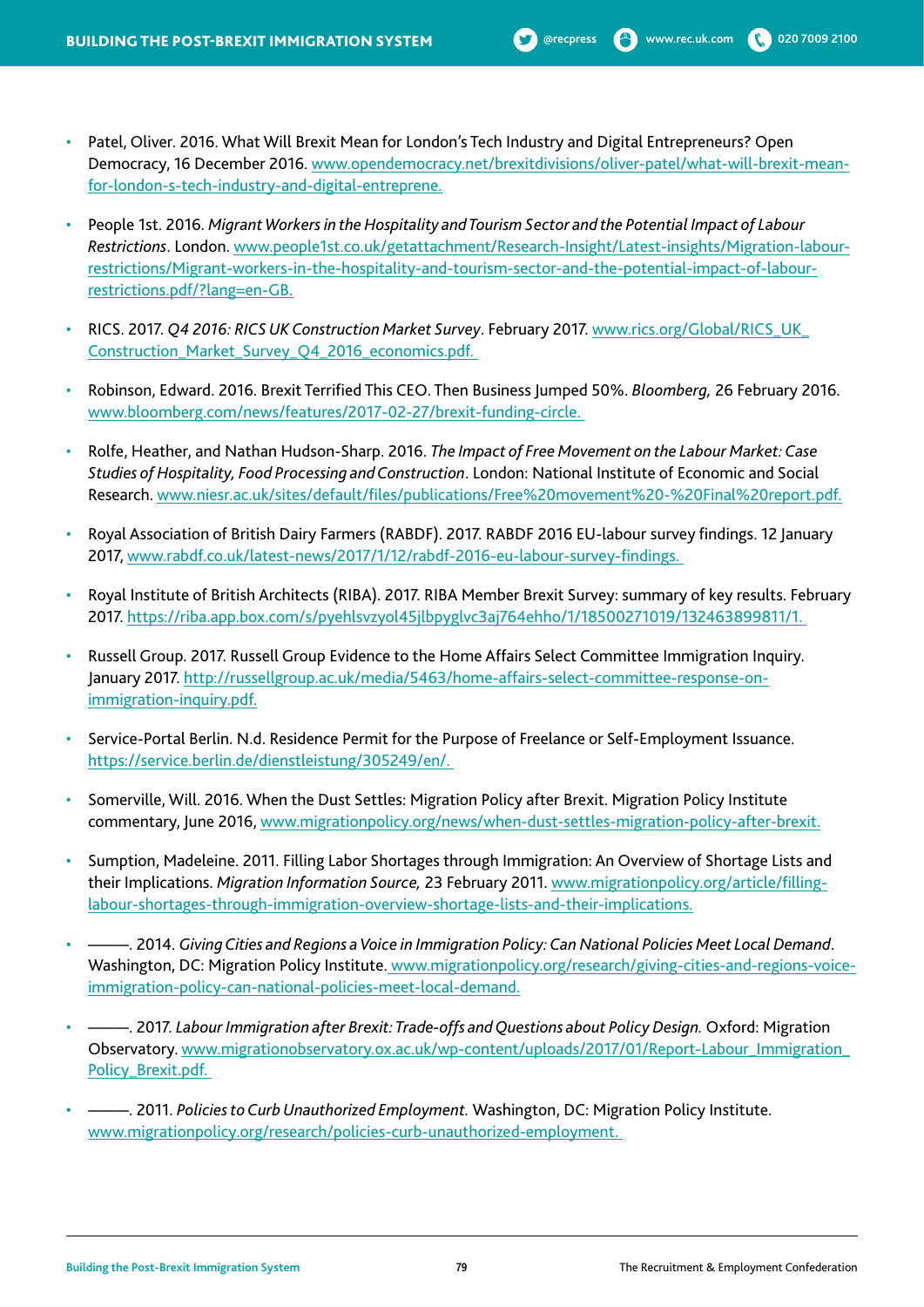- People 1st. 2016. *Migrant Workers in the Hospitality and Tourism Sector and the Potential Impact of Labour Restrictions*. London. www.people1st.co.uk/getattachment/Research-Insight/Latest-insights/Migration-labourrestrictions/Migrant-workers-in-the-hospitality-and-tourism-sector-and-the-potential-impact-of-labourrestrictions.pdf/?lang=en-GB.
- RICS. 2017. *Q4 2016: RICS UK Construction Market Survey*. February 2017. www.rics.org/Global/RICS\_UK\_ Construction\_Market\_Survey\_Q4\_2016\_economics.pdf.
- Robinson, Edward. 2016. Brexit Terrified This CEO. Then Business Jumped 50%. *Bloomberg,* 26 February 2016. www.bloomberg.com/news/features/2017-02-27/brexit-funding-circle.
- Rolfe, Heather, and Nathan Hudson-Sharp. 2016. *The Impact of Free Movement on the Labour Market: Case Studies of Hospitality, Food Processing and Construction*. London: National Institute of Economic and Social Research. www.niesr.ac.uk/sites/default/files/publications/Free%20movement%20-%20Final%20report.pdf.
- Royal Association of British Dairy Farmers (RABDF). 2017. RABDF 2016 EU-labour survey findings. 12 January 2017, www.rabdf.co.uk/latest-news/2017/1/12/rabdf-2016-eu-labour-survey-findings.
- Royal Institute of British Architects (RIBA). 2017. RIBA Member Brexit Survey: summary of key results. February 2017. https://riba.app.box.com/s/pyehlsvzyol45jlbpyglvc3aj764ehho/1/18500271019/132463899811/1.
- Russell Group. 2017. Russell Group Evidence to the Home Affairs Select Committee Immigration Inquiry. January 2017. http://russellgroup.ac.uk/media/5463/home-affairs-select-committee-response-onimmigration-inquiry.pdf.
- Service-Portal Berlin. N.d. Residence Permit for the Purpose of Freelance or Self-Employment Issuance. https://service.berlin.de/dienstleistung/305249/en/.
- Somerville, Will. 2016. When the Dust Settles: Migration Policy after Brexit. Migration Policy Institute commentary, June 2016, www.migrationpolicy.org/news/when-dust-settles-migration-policy-after-brexit.
- Sumption, Madeleine. 2011. Filling Labor Shortages through Immigration: An Overview of Shortage Lists and their Implications. *Migration Information Source,* 23 February 2011. www.migrationpolicy.org/article/fillinglabour-shortages-through-immigration-overview-shortage-lists-and-their-implications.
- ———. 2014. *Giving Cities and Regions a Voice in Immigration Policy: Can National Policies Meet Local Demand*. Washington, DC: Migration Policy Institute. www.migrationpolicy.org/research/giving-cities-and-regions-voiceimmigration-policy-can-national-policies-meet-local-demand.
- ———. 2017. *Labour Immigration after Brexit: Trade-offs and Questions about Policy Design.* Oxford: Migration Observatory. www.migrationobservatory.ox.ac.uk/wp-content/uploads/2017/01/Report-Labour\_Immigration\_ Policy\_Brexit.pdf.
- ———. 2011. *Policies to Curb Unauthorized Employment.* Washington, DC: Migration Policy Institute. www.migrationpolicy.org/research/policies-curb-unauthorized-employment.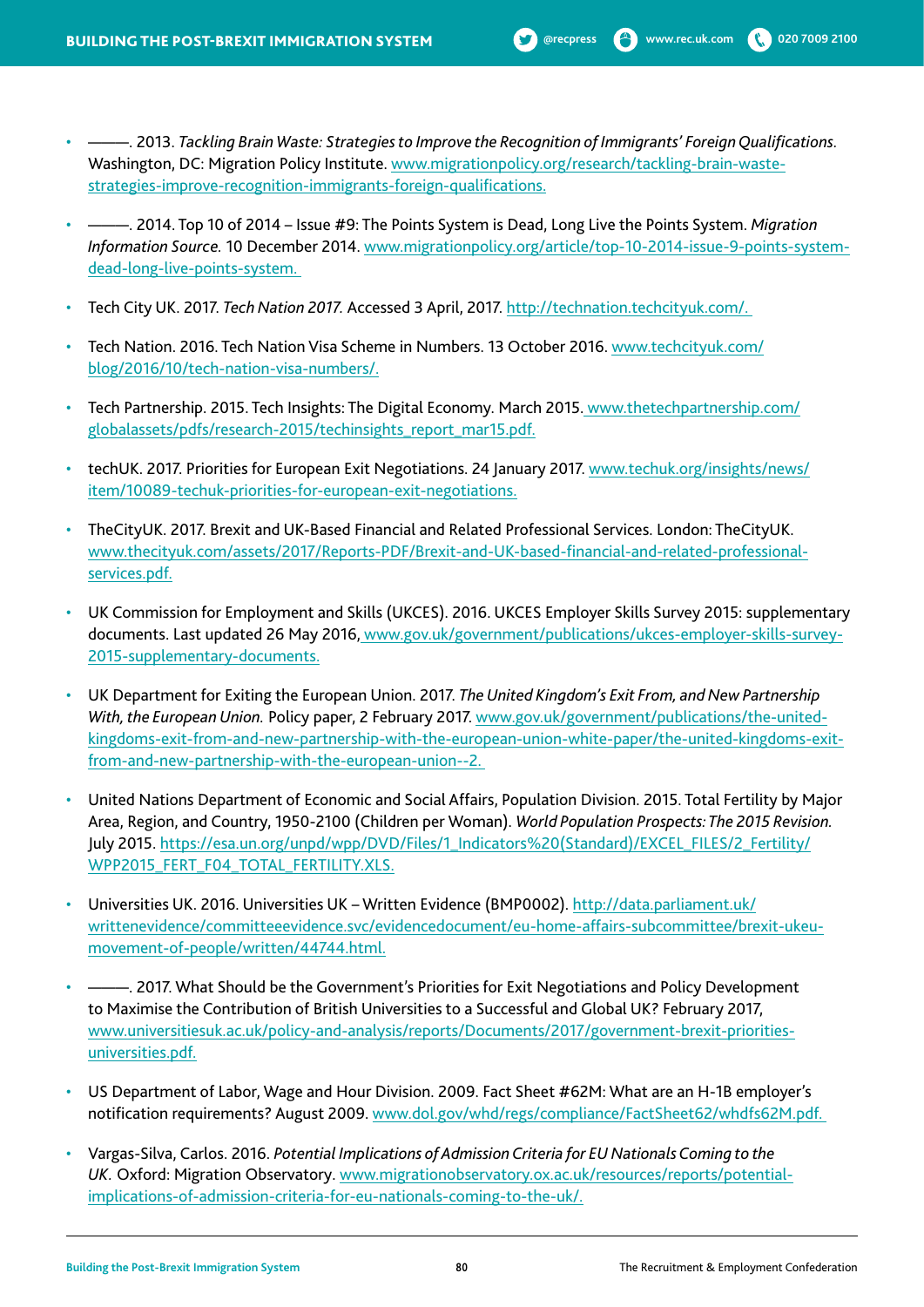- ———. 2013. *Tackling Brain Waste: Strategies to Improve the Recognition of Immigrants' Foreign Qualifications.* Washington, DC: Migration Policy Institute. www.migrationpolicy.org/research/tackling-brain-wastestrategies-improve-recognition-immigrants-foreign-qualifications.
- ———. 2014. Top 10 of 2014 Issue #9: The Points System is Dead, Long Live the Points System. *Migration Information Source.* 10 December 2014. www.migrationpolicy.org/article/top-10-2014-issue-9-points-systemdead-long-live-points-system.
- Tech City UK. 2017. *Tech Nation 2017.* Accessed 3 April, 2017. http://technation.techcityuk.com/.
- Tech Nation. 2016. Tech Nation Visa Scheme in Numbers. 13 October 2016. www.techcityuk.com/ blog/2016/10/tech-nation-visa-numbers/.
- Tech Partnership. 2015. Tech Insights: The Digital Economy. March 2015. www.thetechpartnership.com/ globalassets/pdfs/research-2015/techinsights\_report\_mar15.pdf.
- techUK. 2017. Priorities for European Exit Negotiations. 24 January 2017. www.techuk.org/insights/news/ item/10089-techuk-priorities-for-european-exit-negotiations.
- TheCityUK. 2017. Brexit and UK-Based Financial and Related Professional Services. London: TheCityUK. www.thecityuk.com/assets/2017/Reports-PDF/Brexit-and-UK-based-financial-and-related-professionalservices.pdf.
- UK Commission for Employment and Skills (UKCES). 2016. UKCES Employer Skills Survey 2015: supplementary documents. Last updated 26 May 2016, www.gov.uk/government/publications/ukces-employer-skills-survey-2015-supplementary-documents.
- UK Department for Exiting the European Union. 2017. *The United Kingdom's Exit From, and New Partnership With, the European Union.* Policy paper, 2 February 2017. www.gov.uk/government/publications/the-unitedkingdoms-exit-from-and-new-partnership-with-the-european-union-white-paper/the-united-kingdoms-exitfrom-and-new-partnership-with-the-european-union--2.
- United Nations Department of Economic and Social Affairs, Population Division. 2015. Total Fertility by Major Area, Region, and Country, 1950-2100 (Children per Woman). *World Population Prospects: The 2015 Revision.* July 2015. https://esa.un.org/unpd/wpp/DVD/Files/1\_Indicators%20(Standard)/EXCEL\_FILES/2\_Fertility/ WPP2015\_FERT\_F04\_TOTAL\_FERTILITY.XLS.
- Universities UK. 2016. Universities UK Written Evidence (BMP0002). http://data.parliament.uk/ writtenevidence/committeeevidence.svc/evidencedocument/eu-home-affairs-subcommittee/brexit-ukeumovement-of-people/written/44744.html.
- $-$ . 2017. What Should be the Government's Priorities for Exit Negotiations and Policy Development to Maximise the Contribution of British Universities to a Successful and Global UK? February 2017, www.universitiesuk.ac.uk/policy-and-analysis/reports/Documents/2017/government-brexit-prioritiesuniversities.pdf.
- US Department of Labor, Wage and Hour Division. 2009. Fact Sheet #62M: What are an H-1B employer's notification requirements? August 2009. www.dol.gov/whd/regs/compliance/FactSheet62/whdfs62M.pdf.
- Vargas-Silva, Carlos. 2016. *Potential Implications of Admission Criteria for EU Nationals Coming to the UK.* Oxford: Migration Observatory. www.migrationobservatory.ox.ac.uk/resources/reports/potentialimplications-of-admission-criteria-for-eu-nationals-coming-to-the-uk/.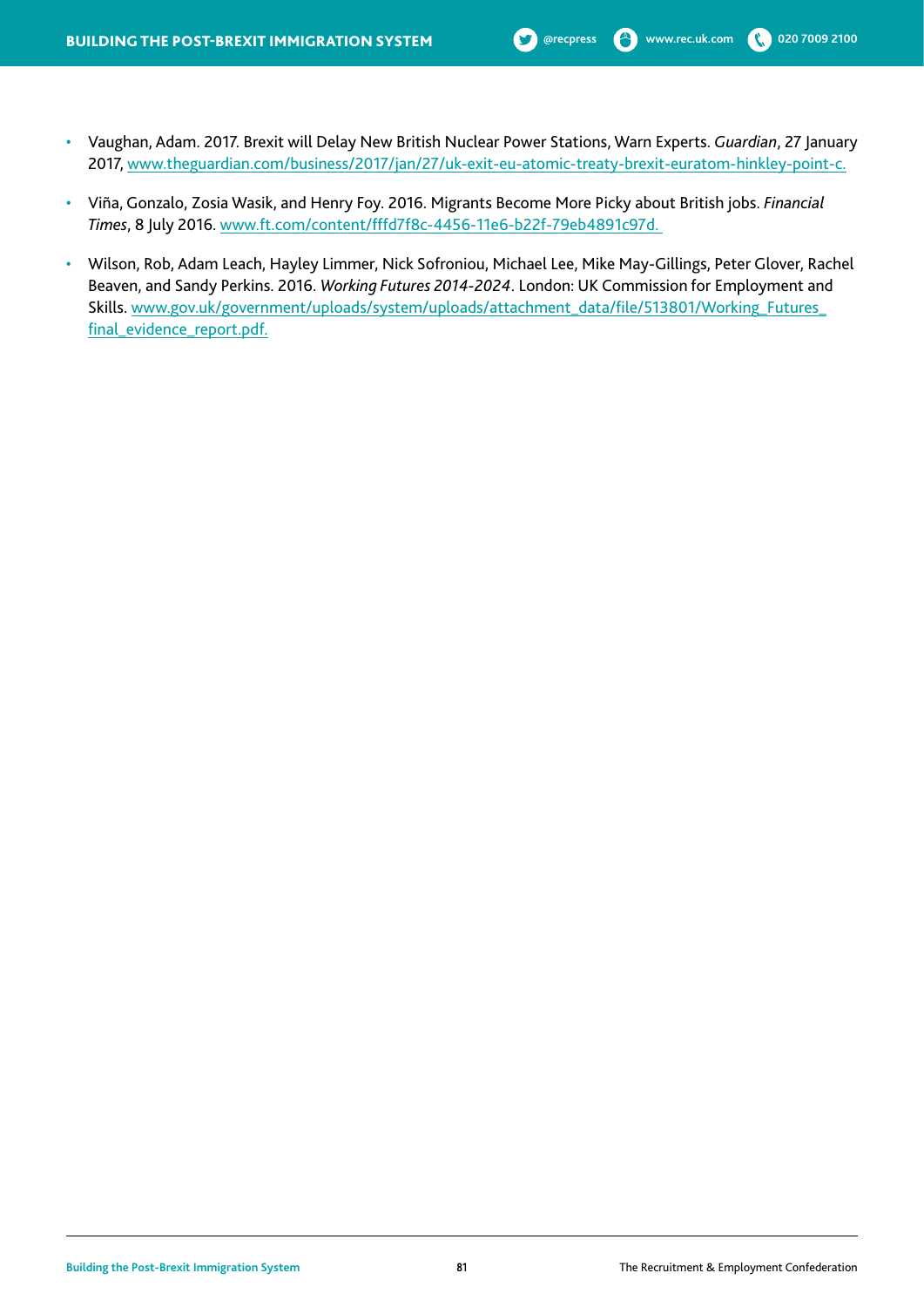- Vaughan, Adam. 2017. Brexit will Delay New British Nuclear Power Stations, Warn Experts. *Guardian*, 27 January 2017, www.theguardian.com/business/2017/jan/27/uk-exit-eu-atomic-treaty-brexit-euratom-hinkley-point-c.
- Viña, Gonzalo, Zosia Wasik, and Henry Foy. 2016. Migrants Become More Picky about British jobs. *Financial Times*, 8 July 2016. www.ft.com/content/fffd7f8c-4456-11e6-b22f-79eb4891c97d.
- Wilson, Rob, Adam Leach, Hayley Limmer, Nick Sofroniou, Michael Lee, Mike May-Gillings, Peter Glover, Rachel Beaven, and Sandy Perkins. 2016. *Working Futures 2014-2024*. London: UK Commission for Employment and Skills. www.gov.uk/government/uploads/system/uploads/attachment\_data/file/513801/Working\_Futures\_ final\_evidence\_report.pdf.